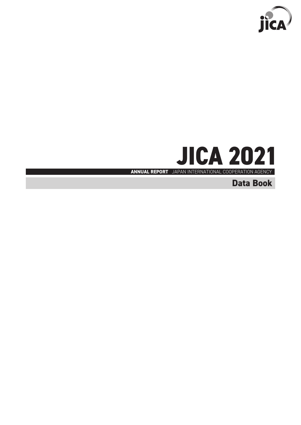



**Data Book**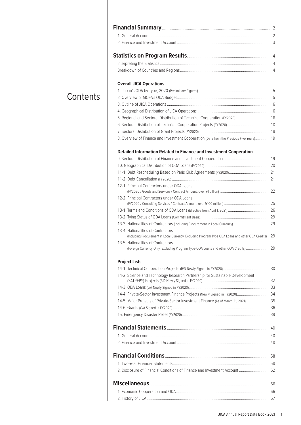| <b>Overall JICA Operations</b>                                                                                                              |  |
|---------------------------------------------------------------------------------------------------------------------------------------------|--|
|                                                                                                                                             |  |
|                                                                                                                                             |  |
|                                                                                                                                             |  |
|                                                                                                                                             |  |
| 5. Regional and Sectoral Distribution of Technical Cooperation (FY2020)  16                                                                 |  |
|                                                                                                                                             |  |
|                                                                                                                                             |  |
| 8. Overview of Finance and Investment Cooperation (Data from the Previous Five Years) 19                                                    |  |
|                                                                                                                                             |  |
|                                                                                                                                             |  |
|                                                                                                                                             |  |
| 12-1. Principal Contractors under ODA Loans                                                                                                 |  |
|                                                                                                                                             |  |
| 12-2. Principal Contractors under ODA Loans                                                                                                 |  |
|                                                                                                                                             |  |
|                                                                                                                                             |  |
|                                                                                                                                             |  |
| 13-3. Nationalities of Contractors (Including Procurement in Local Currency)29                                                              |  |
| 13-4. Nationalities of Contractors<br>(Including Procurement in Local Currency, Excluding Program Type ODA Loans and other ODA Credits)  29 |  |
| 13-5. Nationalities of Contractors<br>(Foreign Currency Only, Excluding Program Type ODA Loans and other ODA Credits) 29                    |  |
|                                                                                                                                             |  |
|                                                                                                                                             |  |
| <b>Project Lists</b>                                                                                                                        |  |

| 14-2. Science and Technology Research Partnership for Sustainable Development       |  |
|-------------------------------------------------------------------------------------|--|
|                                                                                     |  |
| 14-4. Private-Sector Investment Finance Projects (Newly Signed in FY2020)34         |  |
| 14-5. Major Projects of Private-Sector Investment Finance (As of March 31, 2021) 35 |  |
|                                                                                     |  |
|                                                                                     |  |
|                                                                                     |  |
|                                                                                     |  |
|                                                                                     |  |
|                                                                                     |  |
|                                                                                     |  |
| 2. Disclosure of Financial Conditions of Finance and Investment Account  62         |  |
|                                                                                     |  |
|                                                                                     |  |
|                                                                                     |  |
|                                                                                     |  |

# **Contents**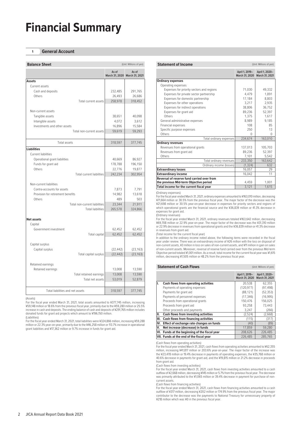# **Financial Summary**

# **1 General Account**

| <b>Balance Sheet</b>                             | (Unit: Millions of yen) |                                        |
|--------------------------------------------------|-------------------------|----------------------------------------|
|                                                  | As of                   | As of<br>March 31, 2020 March 31, 2021 |
| <b>Assets</b>                                    |                         |                                        |
| Current assets                                   |                         |                                        |
| Cash and deposits                                | 232,485                 | 291,765                                |
| Others                                           | 26,493                  | 26,686                                 |
| Total current assets                             | 258,978                 | 318,452                                |
| Non-current assets                               |                         |                                        |
| Tangible assets                                  | 38,651                  | 40,098                                 |
| Intangible assets                                | 4,072                   | 3,612                                  |
| Investments and other assets                     | 16,896                  | 15,584                                 |
| Total non-current assets                         | 59,619                  | 59,293                                 |
|                                                  |                         |                                        |
| Total assets                                     | 318,597                 | 377,745                                |
| <b>Liabilities</b><br><b>Current liabilities</b> |                         |                                        |
| Operational grant liabilities                    | 40,669                  | 86,927                                 |
| Funds for grant aid                              | 178,788                 | 196,150                                |
| Others                                           | 22,776                  | 19,877                                 |
| <b>Total current liabilities</b>                 | 242,234                 | 302,954                                |
| Non-current liabilities                          |                         |                                        |
| Contra-accounts for assets                       | 7,873                   | 7,791                                  |
| Provision for retirement benefits                | 14,982                  | 13,618                                 |
| Others                                           | 489                     | 503                                    |
| Total non-current liabilities                    | 23,344                  | 21,911                                 |
| <b>Total liabilities</b>                         | 265.578                 | 324.866                                |
| <b>Net assets</b>                                |                         |                                        |
| Capital                                          |                         |                                        |
| Government investment                            | 62,452                  | 62,452                                 |
| Total capital                                    | 62,452                  | 62,452                                 |
| Capital surplus                                  |                         |                                        |
| Capital surplus                                  | (22, 442)               | (23, 163)                              |
| Total capital surplus                            | (22, 442)               | (23, 163)                              |
|                                                  |                         |                                        |
| Retained earnings                                |                         |                                        |
| Retained earnings                                | 13,008                  | 13,590                                 |
| Total retained earnings                          | 13,008                  | 13,590                                 |
| Total net assets                                 | 53,019                  | 52,879                                 |
| Total liabilities and net assets                 | 318,597                 | 377,745                                |

(Assets)

For the fiscal year ended March 31, 2021, total assets amounted to ¥377,745 million, increasing ¥59,148 million or 18.6% from the previous fiscal year, primarily due to the ¥59,280 million or 25.5% increase in cash and deposits. The ending balance of cash and deposits of ¥291,765 million includes donated funds for grant aid projects which amount to ¥196,150 million. (Liabilities)

For the fiscal year ended March 31, 2021, total liabilities were ¥324,866 million, increasing ¥59,288 million or 22.3% year-on-year, primarily due to the ¥46,258 million or 113.7% increase in operational grant liabilities and ¥17,362 million or 9.7% increase in funds for grant aid.

# **Statement of Income Statement of Income** (Unit: Millions of yen)

|                                            | April 1, 2019-<br>March 31, 2020 | April 1, 2020-<br>March 31, 2021 |
|--------------------------------------------|----------------------------------|----------------------------------|
| <b>Ordinary expenses</b>                   |                                  |                                  |
| Operating expenses                         |                                  |                                  |
| Expenses for priority sectors and regions  | 71.030                           | 49.332                           |
| Expenses for private sector partnership    | 4.479                            | 1.891                            |
| Expenses for domestic partnership          | 17.184                           | 8.803                            |
| Expenses for other operations              | 3.217                            | 2.935                            |
| Expenses for indirect operations           | 38.806                           | 36,752                           |
| Expenses for grant aid                     | 89.236                           | 52.397                           |
| Others                                     | 1.375                            | 1.617                            |
| General administrative expenses            | 8.989                            | 9.185                            |
| Financial expenses                         | 108                              | 85                               |
| Specific purpose expenses                  | 250                              | 13                               |
| Others                                     | 0                                | 0                                |
| Total ordinary expenses                    | 234,674                          | 163,010                          |
| <b>Ordinary revenues</b>                   |                                  |                                  |
| Revenues from operational grants           | 137.013                          | 105,703                          |
| Revenues from grant aid                    | 89.236                           | 52.397                           |
| Others                                     | 7.101                            | 5.542                            |
| Total ordinary revenues                    | 233.350                          | 163.642                          |
| Ordinary income (losses)                   | (1, 324)                         | 632                              |
| <b>Extraordinary losses</b>                | 16,057                           | 29                               |
| <b>Extraordinary income</b>                | 16,042                           | 11                               |
| Reversal of reserve fund carried over from |                                  |                                  |
| the previous Mid-term Objective period     | 4.459                            | 1,001                            |
| Total income for the current fiscal year   | 3,121                            | 1,615                            |

(Ordinary expenses)

For the fiscal year ended March 31, 2021, ordinary expenses amounted to ¥163,010 million, decreasing ¥71,664 million or 30.5% from the previous fiscal year. The major factor of the decrease was the ¥21,698 million or 30.5% year-on-year decrease in expenses for priority sectors and regions of which operational grants are the financial source and the ¥36,839 million or 41.3% decrease in expenses for grant aid.

(Ordinary revenues)

For the fiscal year ended March 31, 2021, ordinary revenues totaled ¥163,642 million, decreasing ¥69,708 million or 22.9% year-on-year. The major factor of the decrease was the ¥31,310 million or 22.9% decrease in revenues from operational grants and the ¥36,839 million or 41.3% decrease

in revenues from grant aid. (Total income for the current fiscal year)

In addition to the ordinary income noted above, the following items were recorded in the fiscal year under review. There was an extraordinary income of ¥26 million with the loss on disposal of non-current assets, ¥3 million in loss on sales of non-current assets, and ¥11 million in gain on sales of non-current assets. Moreover, reversal of reserve fund carried over from the previous Mid-term Objective period totaled ¥1,001 million. As a result, total income for the current fiscal year was ¥1,615 million, decreasing ¥1,505 million or 48.2% from the previous fiscal year.

#### **Statement of Cash Flows** (Unit: Millions of yen)

|    |                                               | April 1, 2019-<br>March 31, 2020 | April 1, 2020-<br>March 31, 2021 |
|----|-----------------------------------------------|----------------------------------|----------------------------------|
| ı. | <b>Cash flows from operating activities</b>   | 20.538                           | 62,355                           |
|    | Payments of operating expenses                | (120, 977)                       | (97, 498)                        |
|    | Payments for grant aid                        | (88, 121)                        | (52, 353)                        |
|    | Payments of personnel expenses                | (17, 346)                        | (16, 995)                        |
|    | Proceeds from operational grants              | 150,476                          | 156,025                          |
|    | Proceeds from grant aid                       | 93.258                           | 73.443                           |
|    | Other proceeds and payments                   | 3,247                            | (266)                            |
| Ш. | <b>Cash flows from investing activities</b>   | (2,524)                          | (2,668)                          |
|    | III. Cash flows from financing activities     | (115)                            | (317)                            |
|    | IV. Effect of exchange rate changes on funds  | (40)                             | (89)                             |
| V. | Net increase (decrease) in funds              | 17.859                           | 59.280                           |
|    | VI. Funds at the beginning of the fiscal year | 208.626                          | 226.485                          |
|    | VII. Funds at the end of the fiscal year      | 226.485                          | 285.765                          |

(Cash flows from operating activities)

For the fiscal year ended March 31, 2021, cash flows from operating activities amounted to ¥62,355<br>million, increasing ¥41,817 million or 203.6% year-on-year. The major factor of the increase was<br>the ¥23,478 million or 19. 40.6% decrease in payments for grant aid, and the ¥19,815 million or 21.2% decrease in proceeds from grant aid.

(Cash flows from investing activities)

For the fiscal year ended March 31, 2021, cash flows from investing activities amounted to a cash outflow of ¥2,668 million, decreasing ¥145 million or 5.7% from the previous fiscal year. The decrease was primarily attributed to the ¥1,065 million or 39.4% decrease in payment for purchase of noncurrent assets.

(Cash flows from financing activities)

For the fiscal year ended March 31, 2021, cash flows from financing activities amounted to a cash outflow of ¥317 million, decreasing ¥202 million or 174.9% from the previous fiscal year. The major contributor to the decrease was the payments to National Treasury for unnecessary property of ¥218 million which was ¥0 in the previous fiscal year.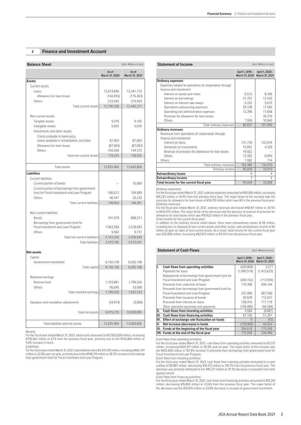# **2 Finance and Investment Account**

| <b>Balance Sheet</b>                          |                         | (Unit: Millions of yen) | <b>Statement of Income</b>                                                                                                                                                                               |                                  | (Unit: Millions of yen          |
|-----------------------------------------------|-------------------------|-------------------------|----------------------------------------------------------------------------------------------------------------------------------------------------------------------------------------------------------|----------------------------------|---------------------------------|
|                                               | As of<br>March 31, 2020 | As of<br>March 31, 2021 |                                                                                                                                                                                                          | April 1, 2019-<br>March 31, 2020 | April 1, 2020-<br>March 31, 202 |
| <b>Assets</b>                                 |                         |                         | <b>Ordinary expenses</b>                                                                                                                                                                                 |                                  |                                 |
| Current assets                                |                         |                         | Expenses related to operations of cooperation through                                                                                                                                                    |                                  |                                 |
| Loans                                         | 12,614,846              | 13,341,710              | finance and investment                                                                                                                                                                                   |                                  |                                 |
| Allowance for loan losses                     | (142, 053)              | (176, 363)              | Interest on bonds and notes                                                                                                                                                                              | 9,515                            | 8,396                           |
| Others                                        | 233,445                 | 279,924                 | Interest on borrowings                                                                                                                                                                                   | 21,707                           | 12,542                          |
| Total current assets                          | 12,706,238              | 13,445,271              | Interest on interest rate swaps                                                                                                                                                                          | 6,222                            | 5,679                           |
|                                               |                         |                         | Operations outsourcing expenses                                                                                                                                                                          | 29,138                           | 17,585                          |
|                                               |                         |                         | Operating and administrative expenses<br>Provision for allowance for loan losses                                                                                                                         | 12,296                           | 11,608<br>34,310                |
| Non-current assets                            |                         |                         | Others                                                                                                                                                                                                   | 7,959                            | 10,940                          |
| Tangible assets                               | 9,370                   | 9,165                   | Total ordinary expenses                                                                                                                                                                                  | 86,837                           | 101,060                         |
| Intangible assets                             | 5,655                   | 5,016                   | <b>Ordinary revenues</b>                                                                                                                                                                                 |                                  |                                 |
| Investments and other assets                  |                         |                         | Revenues from operations of cooperation through                                                                                                                                                          |                                  |                                 |
| Claims probable in bankruptcy,                |                         |                         | finance and investment                                                                                                                                                                                   |                                  |                                 |
| claims probable in rehabilitation, and other  | 87,063                  | 87,063                  | Interest on loans                                                                                                                                                                                        | 131,739                          | 122,934                         |
| Allowance for loan losses                     | (87,063)                | (87,063)                | Dividends on investments                                                                                                                                                                                 | 15,852                           | 4,329                           |
| Others                                        | 104,200                 | 144,375                 | Reversal of provision for allowance for loan losses                                                                                                                                                      | 19,922                           |                                 |
| Total non-current assets                      | 119,225                 | 158,555                 | Others                                                                                                                                                                                                   | 13,392                           | 6,093                           |
|                                               |                         |                         | Others                                                                                                                                                                                                   | 1,582                            | 714                             |
|                                               |                         |                         | Total ordinary revenues                                                                                                                                                                                  | 182,486                          | 134,070                         |
| Total assets                                  | 12,825,464              | 13,603,826              | Ordinary income                                                                                                                                                                                          | 95,650                           | 33,010                          |
| <b>Liabilities</b>                            |                         |                         | <b>Extraordinary losses</b>                                                                                                                                                                              | 9                                | 4                               |
| Current liabilities                           |                         |                         | <b>Extraordinary income</b>                                                                                                                                                                              | 3                                | $\overline{c}$                  |
| Current portion of bonds                      |                         | 10,000                  | Total income for the current fiscal year                                                                                                                                                                 | 95,645                           | 33,008                          |
| Current portion of borrowings from government |                         |                         | (Ordinary expenses)                                                                                                                                                                                      |                                  |                                 |
| fund for Fiscal Investment and Loan Program   | 106,613                 | 104,069                 | For the fiscal year ended March 31, 2021, ordinary expenses amounted to ¥101,060 million, increasin                                                                                                      |                                  |                                 |
| Others                                        | 40,341                  | 32,232                  | ¥14,223 million or 16.4% from the previous fiscal year. The major factor of the increase was th                                                                                                          |                                  |                                 |
| Total current liabilities                     | 146,954                 | 146,301                 | provision for allowance for loan losses of ¥34,310 million which was ¥0 in the previous fiscal yea                                                                                                       |                                  |                                 |
|                                               |                         |                         | (Ordinary revenues)                                                                                                                                                                                      |                                  |                                 |
|                                               |                         |                         | For the fiscal year ended March 31, 2021, ordinary revenues decreased ¥48,417 million or 26.5<br>to ¥134,070 million. The major factor of the decrease was the absence of reversal of provision fo       |                                  |                                 |
| Non-current liabilities                       |                         |                         | allowance for loan losses which was ¥19,922 million in the previous fiscal year.                                                                                                                         |                                  |                                 |
| Bonds                                         | 791,079                 | 898,211                 | (Total income for the current fiscal year)                                                                                                                                                               |                                  |                                 |
| Borrowings from government fund for           |                         |                         | In addition to the ordinary income noted above, there were extraordinary losses of ¥4 millio                                                                                                             |                                  |                                 |
| Fiscal Investment and Loan Program            | 1,962,569               | 2,518,683               | including loss on disposal of non-current assets and other losses, and extraordinary income of ¥<br>million as gain on sales of non-current assets. As a result, total income for the current fiscal yea |                                  |                                 |
| Others                                        | 9,582                   | 9,737                   | was ¥33,008 million, increasing ¥62,637 million or 65.5% from the previous fiscal year.                                                                                                                  |                                  |                                 |
| Total non-current liabilities                 | 2,763,230               | 3,426,630               |                                                                                                                                                                                                          |                                  |                                 |
| <b>Total liabilities</b>                      | 2,910,185               | 3,572,931               |                                                                                                                                                                                                          |                                  |                                 |
|                                               |                         |                         |                                                                                                                                                                                                          |                                  |                                 |
| <b>Net assets</b>                             |                         |                         | <b>Statement of Cash Flows</b>                                                                                                                                                                           |                                  | (Unit: Millions of yen          |
| Capital                                       |                         |                         |                                                                                                                                                                                                          | April 1, 2019-                   | April 1, 2020-                  |
| Government investment                         | 8,150,728               | 8,202,168               |                                                                                                                                                                                                          | March 31, 2020                   | March 31, 202                   |
| Total capital                                 | 8.150.728               | 8,202,168               | <b>Cash flows from operating activities</b><br>Ι.                                                                                                                                                        | (200, 800)                       | 3,571                           |
|                                               |                         |                         | Payments for loans                                                                                                                                                                                       | (1,090,516)                      | (1, 413, 623)                   |
| Retained earnings                             |                         |                         | Repayments of borrowings from government fund for                                                                                                                                                        |                                  |                                 |
|                                               |                         |                         | Fiscal Investment and Loan Program                                                                                                                                                                       | (200, 152)                       | (113,930)                       |
| Reserve fund                                  | 1,703,881               | 1,799,526               | Proceeds from collection of loans                                                                                                                                                                        | 779.398                          | 696.164                         |
| Others                                        | 95,645                  | 33,008                  | Proceeds from borrowings from government fund for                                                                                                                                                        |                                  |                                 |
| Total retained earnings                       | 1,799,526               | 1,832,533               | Fiscal Investment and Loan Program                                                                                                                                                                       | 231,900                          | 667,500                         |
|                                               |                         |                         | Proceeds from issuance of bonds                                                                                                                                                                          | 59,639                           | 112,937                         |
| Valuation and translation adjustments         | (34, 974)               | (3,806)                 | Proceeds from interest on loans                                                                                                                                                                          | 128,416                          | 111,119                         |
|                                               |                         |                         | Other operation proceeds and payments                                                                                                                                                                    | (109, 485)                       | (56, 596)                       |
| Total net assets                              | 9,915,279               | 10,030,895              | <b>Cash flows from investing activities</b><br>II.                                                                                                                                                       | 4,584                            | (9,887)                         |
|                                               |                         |                         | III. Cash flows from financing activities                                                                                                                                                                | 67,156                           | 51,291                          |
|                                               |                         |                         | Effect of exchange rate fluctuation on funds<br>IV.                                                                                                                                                      | $\overline{0}$                   | (43)                            |
| Total liabilities and net assets              | 12,825,464              | 13,603,826              | Net increase (decrease) in funds<br>V.                                                                                                                                                                   | (129,060)                        | 44,932<br>7550                  |

¥778,362 million or 6.1% from the previous fiscal year, primarily due to the ¥726,864 million or 5.8% increase in loans. (Liabilities)

For the fiscal year ended March 31, 2021, total liabilities were ¥3,572,931 million, increasing ¥662,747 million or 22.8% year-on-year, primarily due to the ¥556,114 million or 28.3% increase in borrowings from government fund for Fiscal Investment and Loan Program.

| <b>Statement of Income</b><br>(Unit: Millions of yen) |                                  |                                  |  |  |
|-------------------------------------------------------|----------------------------------|----------------------------------|--|--|
|                                                       | April 1, 2019-<br>March 31, 2020 | April 1, 2020-<br>March 31, 2021 |  |  |
| <b>Ordinary expenses</b>                              |                                  |                                  |  |  |
| Expenses related to operations of cooperation through |                                  |                                  |  |  |
| finance and investment                                |                                  |                                  |  |  |
| Interest on bonds and notes                           | 9.515                            | 8,396                            |  |  |
| Interest on borrowings                                | 21.707                           | 12.542                           |  |  |
| Interest on interest rate swaps                       | 6.222                            | 5.679                            |  |  |
| Operations outsourcing expenses                       | 29,138                           | 17,585                           |  |  |
| Operating and administrative expenses                 | 12,296                           | 11,608                           |  |  |
| Provision for allowance for loan losses               |                                  | 34,310                           |  |  |
| Others                                                | 7,959                            | 10.940                           |  |  |
| Total ordinary expenses                               | 86,837                           | 101,060                          |  |  |
| <b>Ordinary revenues</b>                              |                                  |                                  |  |  |
| Revenues from operations of cooperation through       |                                  |                                  |  |  |
| finance and investment                                |                                  |                                  |  |  |
| Interest on loans                                     | 131,739                          | 122.934                          |  |  |
| Dividends on investments                              | 15.852                           | 4,329                            |  |  |
| Reversal of provision for allowance for loan losses   | 19,922                           |                                  |  |  |
| Others                                                | 13.392                           | 6.093                            |  |  |
| Others                                                | 1.582                            | 714                              |  |  |
| Total ordinary revenues                               | 182,486                          | 134,070                          |  |  |
| Ordinary income                                       | 95,650                           | 33,010                           |  |  |
| <b>Extraordinary losses</b>                           | 9                                | 4                                |  |  |
| <b>Extraordinary income</b>                           | 3                                | $\mathfrak{D}$                   |  |  |
| Total income for the current fiscal year              | 95,645                           | 33,008                           |  |  |

#### **Statement of Cash Flows** (Unit: Millions of yen)

|           |                                                                                                                                            |                                                                           |                                                                                                    |                                                   | April 1, 2019-                                                                                                                                                                                                                 | April 1, 2020- |
|-----------|--------------------------------------------------------------------------------------------------------------------------------------------|---------------------------------------------------------------------------|----------------------------------------------------------------------------------------------------|---------------------------------------------------|--------------------------------------------------------------------------------------------------------------------------------------------------------------------------------------------------------------------------------|----------------|
|           |                                                                                                                                            |                                                                           |                                                                                                    |                                                   |                                                                                                                                                                                                                                | March 31, 2021 |
| 8,150,728 | 8,202,168                                                                                                                                  |                                                                           |                                                                                                    | <b>Cash flows from operating activities</b>       | (200, 800)                                                                                                                                                                                                                     | 3.571          |
|           |                                                                                                                                            |                                                                           |                                                                                                    | Payments for loans                                | (1,090,516)                                                                                                                                                                                                                    | (1, 413, 623)  |
|           |                                                                                                                                            |                                                                           |                                                                                                    | Repayments of borrowings from government fund for |                                                                                                                                                                                                                                |                |
|           |                                                                                                                                            |                                                                           |                                                                                                    | Fiscal Investment and Loan Program                | (200, 152)                                                                                                                                                                                                                     | (113,930)      |
|           |                                                                                                                                            |                                                                           |                                                                                                    | Proceeds from collection of loans                 | 779.398                                                                                                                                                                                                                        | 696,164        |
|           |                                                                                                                                            |                                                                           |                                                                                                    | Proceeds from borrowings from government fund for |                                                                                                                                                                                                                                |                |
|           |                                                                                                                                            |                                                                           |                                                                                                    | Fiscal Investment and Loan Program                | 231,900                                                                                                                                                                                                                        | 667,500        |
|           |                                                                                                                                            |                                                                           |                                                                                                    | Proceeds from issuance of bonds                   | 59,639                                                                                                                                                                                                                         | 112,937        |
| (34, 974) | (3,806)                                                                                                                                    |                                                                           |                                                                                                    | Proceeds from interest on loans                   | 128,416                                                                                                                                                                                                                        | 111,119        |
|           |                                                                                                                                            |                                                                           |                                                                                                    | Other operation proceeds and payments             | (109, 485)                                                                                                                                                                                                                     | (56, 596)      |
|           |                                                                                                                                            |                                                                           | Ш.                                                                                                 | <b>Cash flows from investing activities</b>       | 4,584                                                                                                                                                                                                                          | (9,887)        |
|           |                                                                                                                                            |                                                                           |                                                                                                    |                                                   | 67.156                                                                                                                                                                                                                         | 51,291         |
|           |                                                                                                                                            |                                                                           |                                                                                                    |                                                   | Ω                                                                                                                                                                                                                              | (43)           |
|           |                                                                                                                                            |                                                                           | V.                                                                                                 |                                                   | (129,060)                                                                                                                                                                                                                      | 44,932         |
|           |                                                                                                                                            |                                                                           |                                                                                                    |                                                   | 304,618                                                                                                                                                                                                                        | 175,558        |
|           |                                                                                                                                            |                                                                           |                                                                                                    |                                                   | 175,558                                                                                                                                                                                                                        | 220,490        |
|           | 8,150,728<br>Total capital<br>1,703,881<br>95.645<br>1,799,526<br>Total retained earnings<br>9.915.279<br>Total net assets  <br>12,825,464 | 8,202,168<br>1,799,526<br>33,008<br>1,832,533<br>10.030.895<br>13,603,826 | For the fiscal year ended March 31, 2021, total assets amounted to ¥13,603,826 million, increasing |                                                   | III. Cash flows from financing activities<br>IV. Effect of exchange rate fluctuation on funds<br>Net increase (decrease) in funds<br>VI. Funds at the beginning of the fiscal year<br>VII. Funds at the end of the fiscal year | March 31, 2020 |

(Cash flows from operating activities) For the fiscal year ended March 31, 2021, cash flows from operating activities amounted to ¥3,571 million, increasing ¥204,371 million or 101.8% year-on-year. The major factor of the increase was the ¥435,600 million or 187.8% increase in proceeds from borrowings from government fund for Fiscal Investment and Loan Program.

(Cash flows from investing activities)

For the fiscal year ended March 31, 2021, cash flows from investing activities amounted to a cash outflow of ¥9,887 million, decreasing ¥14,472 million or 315.7% from the previous fiscal year. The decrease was primarily attributed to the ¥45,271 million or 47.3% decrease in proceeds from time deposit refund.

(Cash flows from financing activities)

For the fiscal year ended March 31, 2021, cash flows from financing activities amounted to ¥51,291<br>million, decreasing ¥15,865 million or 23.6% from the previous fiscal year. The major factor of<br>the decrease was the ¥15,87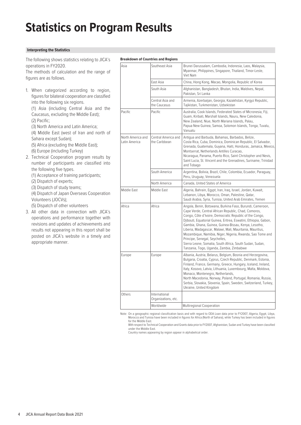# **Statistics on Program Results**

# **Interpreting the Statistics**

The following shows statistics relating to JICA's operations in FY2020.

The methods of calculation and the range of figures are as follows.

1. When categorized according to region, figures for bilateral cooperation are classified into the following six regions.

(1) Asia (including Central Asia and the Caucasus, excluding the Middle East); (2) Pacific;

- (3) North America and Latin America; (4) Middle East (west of Iran and north of
- Sahara except Sudan);
- (5) Africa (excluding the Middle East); (6) Europe (including Turkey)
- 2. Technical Cooperation program results by number of participants are classified into the following five types.
	- (1) Acceptance of training participants;
	- (2) Dispatch of experts;
	- (3) Dispatch of study teams;
	- (4) Dispatch of Japan Overseas Cooperation Volunteers (JOCVs);
	- (5) Dispatch of other volunteers
- 3. All other data in connection with JICA's operations and performance together with revisions and updates of achievements and results not appearing in this report shall be posted on JICA's website in a timely and appropriate manner.

### **Breakdown of Countries and Regions**

| Asia                               | Southeast Asia                       | Brunei Darussalam, Cambodia, Indonesia, Laos, Malaysia,<br>Myanmar, Philippines, Singapore, Thailand, Timor-Leste,<br>Viet Nam                                                                                                                                                                                                                                                                                                                                                                                                                                                |  |  |  |
|------------------------------------|--------------------------------------|-------------------------------------------------------------------------------------------------------------------------------------------------------------------------------------------------------------------------------------------------------------------------------------------------------------------------------------------------------------------------------------------------------------------------------------------------------------------------------------------------------------------------------------------------------------------------------|--|--|--|
|                                    | East Asia                            | China, Hong Kong, Macao, Mongolia, Republic of Korea                                                                                                                                                                                                                                                                                                                                                                                                                                                                                                                          |  |  |  |
|                                    | South Asia                           | Afghanistan, Bangladesh, Bhutan, India, Maldives, Nepal,<br>Pakistan, Sri Lanka                                                                                                                                                                                                                                                                                                                                                                                                                                                                                               |  |  |  |
|                                    | Central Asia and<br>the Caucasus     | Armenia, Azerbaijan, Georgia, Kazakhstan, Kyrgyz Republic,<br>Tajikistan, Turkmenistan, Uzbekistan                                                                                                                                                                                                                                                                                                                                                                                                                                                                            |  |  |  |
| Pacific                            | Pacific                              | Australia, Cook Islands, Federated States of Micronesia, Fiji,<br>Guam, Kiribati, Marshall Islands, Nauru, New Caledonia,<br>New Zealand, Niue, North Mariana Islands, Palau,<br>Papua New Guinea, Samoa, Solomon Islands, Tonga, Tuvalu,<br>Vanuatu                                                                                                                                                                                                                                                                                                                          |  |  |  |
| North America and<br>Latin America | Central America and<br>the Caribbean | Antiqua and Barbuda, Bahamas, Barbados, Belize,<br>Costa Rica, Cuba, Dominica, Dominican Republic, El Salvador,<br>Grenada, Guatemala, Guyana, Haiti, Honduras, Jamaica, Mexico,<br>Montserrat, Netherlands Antilles Curacao,<br>Nicaragua, Panama, Puerto Rico, Saint Christopher and Nevis,<br>Saint Lucia, St. Vincent and the Grenadines, Suriname, Trinidad<br>and Tobago                                                                                                                                                                                                |  |  |  |
|                                    | South America                        | Argentina, Bolivia, Brazil, Chile, Colombia, Ecuador, Paraguay,<br>Peru, Uruguay, Venezuela                                                                                                                                                                                                                                                                                                                                                                                                                                                                                   |  |  |  |
|                                    | North America                        | Canada, United States of America                                                                                                                                                                                                                                                                                                                                                                                                                                                                                                                                              |  |  |  |
| Middle East                        | Middle East                          | Algeria, Bahrain, Egypt, Iran, Iraq, Israel, Jordan, Kuwait,<br>Lebanon, Libya, Morocco, Oman, Palestine, Qatar,<br>Saudi Arabia, Syria, Tunisia, United Arab Emirates, Yemen                                                                                                                                                                                                                                                                                                                                                                                                 |  |  |  |
| Africa                             | Africa                               | Angola, Benin, Botswana, Burkina Faso, Burundi, Cameroon,<br>Cape Verde, Central African Republic, Chad, Comoros,<br>Congo, Côte d'Ivoire, Democratic Republic of the Congo,<br>Djibouti, Equatorial Guinea, Eritrea, Eswatini, Ethiopia, Gabon,<br>Gambia, Ghana, Guinea, Guinea-Bissau, Kenya, Lesotho,<br>Liberia, Madagascar, Malawi, Mali, Mauritania, Mauritius,<br>Mozambique, Namibia, Niger, Nigeria, Rwanda, Sao Tome and<br>Principe, Senegal, Seychelles,<br>Sierra Leone, Somalia, South Africa, South Sudan, Sudan,<br>Tanzania, Togo, Uganda, Zambia, Zimbabwe |  |  |  |
| Europe                             | Europe                               | Albania, Austria, Belarus, Belgium, Bosnia and Herzegovina,<br>Bulgaria, Croatia, Cyprus, Czech Republic, Denmark, Estonia,<br>Finland, France, Germany, Greece, Hungary, Iceland, Ireland,<br>Italy, Kosovo, Latvia, Lithuania, Luxembourg, Malta, Moldova,<br>Monaco, Montenegro, Netherlands,<br>North Macedonia, Norway, Poland, Portugal, Romania, Russia,<br>Serbia, Slovakia, Slovenia, Spain, Sweden, Switzerland, Turkey,<br>Ukraine, United Kingdom                                                                                                                 |  |  |  |
| Others                             | International<br>Organizations, etc. |                                                                                                                                                                                                                                                                                                                                                                                                                                                                                                                                                                               |  |  |  |
|                                    | Worldwide                            | Multiregional Cooperation                                                                                                                                                                                                                                                                                                                                                                                                                                                                                                                                                     |  |  |  |

Note: On a geographic regional classification basis and with regard to ODA Loan data prior to FY2007, Algeria, Egypt, Libya,<br>Morocco and Tunisia have been included in figures for Africa (North of Sahara), while Turkey has for the Middle East.

 With respect to Technical Cooperation and Grants data prior to FY2007, Afghanistan, Sudan and Turkey have been classified under the Middle East.

Country names appearing by region appear in alphabetical order.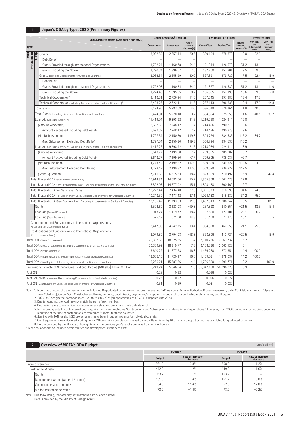|                  | Dollar Basis (US\$ 1 million)<br><b>ODA Disbursements (Calendar Year 2020)</b> |                                                                                                      |                     |                      | Yen Basis (¥ 1 billion)             |                     |                      | <b>Percent of Total</b>             |                                                           |                                                    |
|------------------|--------------------------------------------------------------------------------|------------------------------------------------------------------------------------------------------|---------------------|----------------------|-------------------------------------|---------------------|----------------------|-------------------------------------|-----------------------------------------------------------|----------------------------------------------------|
| <b>Type</b>      |                                                                                |                                                                                                      | <b>Current Year</b> | <b>Previous Year</b> | Rate of<br>increase/<br>decrease(%) | <b>Current Year</b> | <b>Previous Year</b> | Rate of<br>increase/<br>decrease(%) | <b>ODA Total</b><br>(Net<br><b>Disbursement</b><br>Basis) | <b>ODA Total</b><br>(Grant<br>Equivalent<br>Basis) |
| <b>DDA</b>       | Grants                                                                         | Grants                                                                                               | 3.082.59            | 2.557.44             | 20.5                                | 329.104             | 278.879              | 18.0                                | 22.6                                                      |                                                    |
| <b>Bilateral</b> |                                                                                | Debt Relief                                                                                          |                     |                      | $\sim$                              |                     |                      |                                     |                                                           |                                                    |
| <b>DDA</b>       |                                                                                | Grants Provided through International Organizations                                                  | 1,792.24            | 1,160.78             | 54.4                                | 191.344             | 126.578              | 51.2                                | 13.1                                                      |                                                    |
|                  |                                                                                | Grants Excluding the Above                                                                           | 1,290.34            | 1,396.67             | $-7.6$                              | 137.760             | 152.301              | $-9.5$                              | 9.5                                                       |                                                    |
|                  |                                                                                | Grants (Excluding Disbursements for Graduated Countries)                                             | 3.066.54            | 2.555.99             | 20.0                                | 327.391             | 278.720              | 17.5                                | 22.4                                                      | 18.9                                               |
|                  |                                                                                | Debt Relief                                                                                          |                     |                      | $\overline{\phantom{a}}$            |                     |                      |                                     | $\overline{\phantom{a}}$                                  | $\equiv$                                           |
|                  |                                                                                | Grants Provided through International Organizations                                                  | 1,792.08            | 1,160.34             | 54.4                                | 191.327             | 126.530              | 51.2                                | 13.1                                                      | 11.0                                               |
|                  |                                                                                | Grants Excluding the Above                                                                           | 1,274.46            | 1,395.65             | $-8.7$                              | 136.065             | 152.190              | $-10.6$                             | 9.3                                                       | 7.8                                                |
|                  |                                                                                | Technical Cooperation*                                                                               | 2,412.31            | 2,726.24             | $-11.5$                             | 257.545             | 297.285              | $-13.4$                             | 17.7                                                      |                                                    |
|                  |                                                                                | Technical Cooperation (Excluding Disbursements for Graduated Countries)*                             | 2,408.27            | 2,722.11             | $-11.5$                             | 257.113             | 296.835              | $-13.4$                             | 17.6                                                      | 14.8                                               |
|                  |                                                                                | <b>Total Grants</b>                                                                                  | 5,494.90            | 5,283.68             | 4.0                                 | 586.649             | 576.164              | 1.8                                 | 40.3                                                      |                                                    |
|                  |                                                                                | Total Grants (Excluding Disbursements for Graduated Countries)                                       | 5.474.81            | 5.278.10             | 3.7                                 | 584.504             | 575.555              | 1.6                                 | 40.1                                                      | 33.7                                               |
|                  |                                                                                | Loan Aid (Gross Disbursement)                                                                        | 11,419.94           | 9,398.92             | 21.5                                | 1,219.220           | 1,024.914            | 19.0                                |                                                           |                                                    |
|                  |                                                                                | (Amount Recovered)                                                                                   | 6,692.39            | 7,248.12             | $-7.7$                              | 714.496             | 790.378              | $-9.6$                              |                                                           |                                                    |
|                  |                                                                                | (Amount Recovered Excluding Debt Relief)                                                             | 6,692.39            | 7,248.12             | $-7.7$                              | 714.496             | 790.378              | $-9.6$                              |                                                           |                                                    |
|                  |                                                                                | (Net Disbursement)                                                                                   | 4,727.54            | 2,150.80             | 119.8                               | 504.724             | 234.535              | 115.2                               | 34.7                                                      |                                                    |
|                  |                                                                                | (Net Disbursement Excluding Debt Relief)                                                             | 4,727.54            | 2,150.80             | 119.8                               | 504.724             | 234.535              | 115.2                               |                                                           |                                                    |
|                  |                                                                                | Loan Aid (Gross Disbursement, Excluding Disbursements for Graduated Countries)                       | 11,417.26           | 9,398.92             | 21.5                                | 1,218.934           | 1,024.914            | 18.9                                |                                                           |                                                    |
|                  |                                                                                | (Amount Recovered)                                                                                   | 6,643.77            | 7,199.60             | $-7.7$                              | 709.305             | 785.087              | $-9.7$                              |                                                           |                                                    |
|                  |                                                                                | (Amount Recovered Excluding Debt Relief)                                                             | 6.643.77            | 7.199.60             | $-7.7$                              | 709.305             | 785.087              | $-9.7$                              |                                                           |                                                    |
|                  |                                                                                | (Net Disbursement)                                                                                   | 4,773.49            | 2,199.32             | 117.0                               | 509.629             | 239.827              | 112.5                               | 34.9                                                      |                                                    |
|                  |                                                                                | (Net Disbursement Excluding Debt Relief)                                                             | 4,773.49            | 2,199.32             | 117.0                               | 509.629             | 239.827              | 112.5                               |                                                           |                                                    |
|                  |                                                                                | (Grant Equivalent)                                                                                   | 7,711.60            | 6,515.53             | 18.4                                | 823.309             | 710.492              | 15.9                                |                                                           | 47.4                                               |
|                  |                                                                                | Total Bilateral ODA (Gross Disbursement Basis)                                                       | 16,914.84           | 14,682.60            | 15.2                                | 1,805.868           | 1,601.078            | 12.8                                |                                                           |                                                    |
|                  |                                                                                | Total Bilateral ODA (Gross Disbursement Basis, Excluding Disbursements for Graduated Countries)      | 16,892.07           | 14,677.02            | 15.1                                | 1,803.438           | 1,600.469            | 12.7                                |                                                           |                                                    |
|                  |                                                                                | Total Bilateral ODA (Net Disbursement Basis)                                                         | 10,222.44           | 7,434.48             | 37.5                                | 1,091.373           | 810.699              | 34.6                                | 74.9                                                      |                                                    |
|                  |                                                                                | Total Bilateral ODA (Net Disbursement Basis, Excluding Disbursements for Graduated Countries)        | 10,248.30           | 7,477.42             | 37.1                                | 1,094.133           | 815.382              | 34.2                                | 75.0                                                      |                                                    |
|                  |                                                                                | Total Bilateral ODA (Grant Equivalent Basis, Excluding Disbursements for Graduated Countries)        | 13.186.42           | 11,793.63            | 11.8                                | 1,407.813           | 1,286.047            | 9.5                                 |                                                           | 81.1                                               |
|                  |                                                                                | Grants                                                                                               | 2,504.60            | 3,123.03             | $-19.8$                             | 267.398             | 340.554              | $-21.5$                             | 18.3                                                      | 15.4                                               |
|                  |                                                                                | Loan Aid (Amount Disbursed)                                                                          | 913.24              | 1,119.72             | $-18.4$                             | 97.500              | 122.101              | $-20.1$                             | 6.7                                                       |                                                    |
|                  |                                                                                | Loan Aid (Grant Equivalent)                                                                          | 575.19              | 671.00               | $-14.3$                             | 61.409              | 73.170               | $-16.1$                             |                                                           | 3.5                                                |
|                  |                                                                                | Contributions and Subscriptions to International Organizations<br>(Gross and Net Disbursement Basis) | 3,417.85            | 4,242.75             | $-19.4$                             | 364.898             | 462.655              | $-21.1$                             | 25.0                                                      |                                                    |
|                  |                                                                                | Contributions and Subscriptions to International Organizations<br>(Grant Equivalent Basis)           | 3,079.80            | 3,794.03             | $-18.8$                             | 328.806             | 413.724              | $-20.5$                             |                                                           | 18.9                                               |
|                  |                                                                                | Total ODA (Gross Disbursement)                                                                       | 20,332.68           | 18,925.35            | 7.4                                 | 2,170.766           | 2,063.732            | 5.2                                 |                                                           |                                                    |
|                  |                                                                                | Total ODA (Gross Disbursement, Excluding Disbursements for Graduated Countries)                      | 20.309.92           | 18,919.77            | 7.3                                 | 2,168.336           | 2,063.123            | 5.1                                 |                                                           |                                                    |
|                  |                                                                                | Total ODA (Net Disbursement)                                                                         | 13,640.29           | 11,677.23            | 16.8                                | 1,456.270           | 1,273.354            | 14.4                                | 100.0                                                     |                                                    |
|                  |                                                                                | Total ODA (Net Disbursement, Excluding Disbursements for Graduated Countries)                        | 13,666.15           | 11,720.17            | 16.6                                | 1,459.031           | 1,278.037            | 14.2                                | 100.0                                                     |                                                    |
|                  |                                                                                | Total ODA (Grant Equivalent, Excluding Disbursements for Graduated Countries)                        | 16,266.21           | 15,587.66            | 4.4                                 | 1,736.620           | 1,699.771            | 2.2                                 |                                                           | 100.0                                              |
|                  |                                                                                | Preliminary Estimate of Nominal Gross National Income (GNI) (US\$ billion, ¥ billion)                | 5,249.24            | 5,346.04             | $-1.8$                              | 56,042.150          | 58,296.320           | $-3.9$                              |                                                           |                                                    |
| % of GNI         |                                                                                |                                                                                                      | 0.26                | 0.22                 |                                     | 0.026               | 0.022                |                                     |                                                           |                                                    |
|                  |                                                                                | % of GNI (Net Disbursement Basis, Excluding Disbursements for Graduated Countries)                   | 0.26                | 0.22                 |                                     | 0.026               | 0.022                |                                     |                                                           |                                                    |
|                  |                                                                                | % of GNI (Grant Equivalent Basis, Excluding Disbursements for Graduated Countries)                   | 0.31                | 0.29                 |                                     | 0.031               | 0.029                |                                     |                                                           |                                                    |

# **1 Japan's ODA by Type, 2020 (Preliminary Figures)**

Note: 1. Japan has a record of disbursements to the following 16 graduated countries and regions that are not DAC members: Bahrain, Barbados, Brunei Darussalam, Chile, Cook Islands, [French Polynesia], \_ [New Caledonia], Oman, Saint Christopher and Nevis, Romania, Saudi Arabia, Seychelles, Singapore, Trinidad and Tobago, United Arab Emirates, and Uruguay.<br>2. 2020 DAC designated exchange rate: US\$1.00 = ¥106.7624 (an app

4. Debt relief refers to exemption from commercial debts, and does not include debt deferral.<br>5. In the past, grants through international organizations were treated as "Contributions and Subscriptions to International Org

6. Starting with 2011 results, NGO project grants have been included in grants for individual countries.<br>7. Grant equivalents are calculated starting from 2018 data. Since calculation is based on and differentiated by DAC

\* Technical Cooperation includes administrative and development awareness costs.

| <b>Overview of MOFA's ODA Budget</b><br>$\mathbf{2}$ |  |               |                               |               | (Unit: ¥ billion)             |
|------------------------------------------------------|--|---------------|-------------------------------|---------------|-------------------------------|
|                                                      |  |               | <b>FY2020</b>                 |               | FY2021                        |
|                                                      |  | <b>Budget</b> | Rate of increase/<br>decrease | <b>Budget</b> | Rate of increase/<br>decrease |
| Entire government                                    |  | 561.0         | 0.8%                          | 568.0         | 1.2%                          |
| Within the Ministry                                  |  | 442.9         | 1.2%                          | 449.8         | 1.6%                          |
| Grants                                               |  | 163.2         | 0.1%                          | 163.2         | -                             |
| Management Grants (General Account)                  |  | 151.6         | 0.4%                          | 151.7         | 0.0%                          |
| Contributions and donations                          |  | 54.9          | 11.4%                         | 62.0          | 12.8%                         |
| Aid for assistance activities                        |  | 73.2          | $-1.4%$                       | 73.0          | $-0.2%$                       |

Note: Due to rounding, the total may not match the sum of each number.

Data is provided by the Ministry of Foreign Affairs.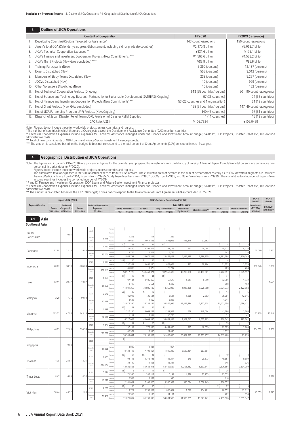## **3 Outline of JICA Operations**

|     | <b>Content of Cooperation</b>                                                                      | <b>FY2020</b>                        | FY2019 (reference)         |
|-----|----------------------------------------------------------------------------------------------------|--------------------------------------|----------------------------|
|     | Developing Countries/Regions Targeted for Assistance*                                              | 143 countries/regions                | 150 countries/regions      |
| 2.  | Japan's total ODA (Calendar year, gross disbursement, including aid for graduate countries)        | ¥2.170.8 billion                     | ¥2.063.7 billion           |
| 3.  | JICA's Technical Cooperation Expenses **                                                           | ¥131.6 billion                       | ¥175.1 billion             |
| 4.  | JICA's Finance and Investment Cooperation Projects (New Commitments) ***                           | ¥1,566.6 billion                     | ¥1,523.2 billion           |
| 5.  | JICA's Grant Projects (New G/As concluded) ****                                                    | ¥83.9 billion                        | ¥85.6 billion              |
| 6.  | Training Participants (New)                                                                        | 5,290 (persons)                      | 12,187 (persons)           |
|     | Experts Dispatched (New)                                                                           | 553 (persons)                        | 8,012 (persons)            |
| 8.  | Members of Study Teams Dispatched (New)                                                            | 238 (persons)                        | 5,257 (persons)            |
| 9.  | JOCVs Dispatched (New)                                                                             | 10 (persons)                         | 999 (persons)              |
| 10. | Other Volunteers Dispatched (New)                                                                  | 10 (persons)                         | 152 (persons)              |
| 11. | No. of Technical Cooperation Projects (Ongoing)                                                    | 513 (95 countries/regions)           | 501 (90 countries/regions) |
| 12. | No. of Science and Technology Research Partnership for Sustainable Development (SATREPS) (Ongoing) | 67 (36 countries)                    | 74 (36 countries)          |
| 13. | No. of Finance and Investment Cooperation Projects (New Commitments) ***                           | 53 (22 countries and 1 organization) | 51 (19 countries)          |
| 14. | No. of Grant Projects (New G/As concluded)                                                         | 155 (51 countries/regions)           | 147 (49 countries/regions) |
| 15. | No. of JICA Partnership Program (JPP) Projects (New/Ongoing)                                       | 140 (43 countries)                   | 197 (51 countries)         |
| 16. | Dispatch of Japan Disaster Relief Team (JDR), Provision of Disaster Relief Supplies                | 11 (11 countries)                    | 15 (12 countries)          |
|     | DAC Rate: US\$1=                                                                                   | ¥106.7624                            | ¥109.0459                  |

Note: Figures do not include those for worldwide projects across countries and regions.<br>\* The number of countries in which there are JICA projects except the Development Assistance Committee (DAC) member countries.<br>\*\* Tech

## **4 Geographical Distribution of JICA Operations**

Note: The figures within Japan's ODA (2020) are provisional figures for the calendar year prepared from materials from the Ministry of Foreign Affairs of Japan. Cumulative total persons are cumulative new persons and (incl

administrative costs. \*\*\* The amount is calculated based on the FY2020 budget; it does not correspond to the total amount of Grant Agreements (G/As) concluded in FY2020.

|                         |        | Japan's ODA (2020)              |                 |                              |            |                         |            |           |            |                      | <b>JICA's Technical Cooperation (FY2020)</b> |                  |     |              |            |                         | JICA's<br>F and IC* | JICA's<br>Grants            |
|-------------------------|--------|---------------------------------|-----------------|------------------------------|------------|-------------------------|------------|-----------|------------|----------------------|----------------------------------------------|------------------|-----|--------------|------------|-------------------------|---------------------|-----------------------------|
| <b>Region / Country</b> |        | <b>Technical</b>                |                 | <b>Technical Cooperation</b> |            |                         |            |           |            |                      | Type (¥1 thousand)                           |                  |     |              |            |                         |                     |                             |
|                         | Grants | Cooperation                     | Loans           | Expenses**                   |            | Training Participants** |            | Experts** |            | Study Team Members** | Provision of                                 | Other Expenses** |     | <b>JOCVs</b> |            | <b>Other Volunteers</b> | (FY2020)            | (FY2020)<br>(¥1 billion)*** |
|                         |        | (US\$1 million) (US\$1 million) | (US\$1 million) | (¥1 billion)                 | <b>New</b> | Ongoin                  | <b>New</b> | Ongoing   | <b>New</b> | Ongoing              | Equipment**                                  |                  | New | Ongoing      | <b>New</b> | Ongoing                 | (¥1 billion)        |                             |

| Person<br>2020<br>ixpens<br>0.01<br>237<br>1,246<br>114<br>amulativ<br>3.948<br>Total<br>1,744,654<br>1,011,566<br>678,023<br>416,318<br>97,362<br>24:<br>100:<br>33<br>29:<br>41<br>-11<br>18<br>$\overline{2}$<br>ersons<br>2020<br>1.833<br>128.850<br>1,392,306<br>237,103<br>45.223<br>4,774<br>593<br>24.084<br>139.94<br>25.000<br>2.977<br>97.98<br>22.18<br>Cambodia<br>224<br>14,744<br>6,604<br>5,765<br>543<br>amulativ<br>95.054<br>Total<br>11,864,797<br>38,675,224<br>23,443,469<br>5,322,189<br>7,986,955<br>4,891,384<br>2,870,243<br>vnens<br>$2^{\frac{1}{2}}$<br>зÍ<br>311:<br>86<br>56<br>14<br>$\overline{1}$<br>2020<br>2.491<br>287,369<br>1,465,860<br>423<br>2,655<br>673,073<br>29,994<br>31,353<br>$-206.84$<br>106.046<br>3.000<br>20.02<br>38.10<br>Indonesia<br>264<br>46,000<br>18,875<br>25,737<br>763<br>erson<br><b>Cumulative</b><br>371.035<br>Total<br>50,917,778<br>140.461.871<br>107.559.423<br>7,742,557<br>40.223.996<br>20,453,981<br>3,675,197<br>83:<br>21:<br>11 <sup>1</sup><br>17<br>44<br>37<br>1.369<br>2020<br>97,144<br>1,106,465<br>63,579<br>6,399<br>92,369<br>1,932<br>1,044<br>1.561<br>52.11<br>20.47<br>10.87<br>Laos<br>10,710<br>5,664<br>4,407<br>858<br>162<br>amulativ<br>81.898<br>Total<br>11,001,259<br>32,886,100<br>5,628,708<br>7,074,373<br>2,122,684<br>18,269,083<br>4,916,165<br>68:<br>4 :<br>30<br>12<br>14<br>-5<br>erson<br>0.570<br>2020<br>86,945<br>425,534<br>5,621<br>35,381<br>12,616<br>1,266<br>2,303<br>2.29<br>$-90.82$<br>7.35<br>Malaysia<br>18,633<br>4,460<br>6,803<br>1,341<br>211<br><b>Cumulative</b><br>120.138<br>Total<br>31,076,390<br>28,233,185<br>30,575,995<br>13,821,484<br>2,322,338<br>11,411,756<br>2,696,421<br>vnens<br>156 <sup>1</sup><br>$21^{\frac{1}{2}}$<br>1 <sup>1</sup><br>67<br>66<br>17<br>$\overline{2}$<br>2020<br>4.879<br>227,136<br>3,069,263<br>1,387,521<br>536<br>149,004<br>41,786<br>3,664<br>943.13<br>72.779<br>103.22<br>47.94<br>13.146<br>Myanmar<br>42<br>11,151<br>7,361<br>21<br>10,770<br>erson<br>amulativ<br>109.949<br>Total<br>16,227,083<br>41,609,336<br>34,662,843<br>9,359,643<br>7,635,903<br>168,643<br>285,662<br>19 <sub>1</sub><br>107 <sup>1</sup><br>42<br>- q f<br>26<br>29<br>$\overline{\phantom{a}}$<br>5.454<br>2020<br>137,109<br>776,565<br>4,441,866<br>875<br>18,059<br>72,695<br>7,264<br><b>xnens</b><br>254.055<br>0.309<br>Philippines<br>46.23<br>72.63<br>530.54<br>42.372<br>10,536<br>21,446<br>1,677<br>8<br>amulativ<br>265.792<br>Total<br>35,383,641<br>71,135,809<br>91,439,850<br>26,682,979<br>26,767,457<br>14,319,468<br>63,295<br>vnens<br>1ŧ<br>Person<br>2020<br>0.04<br>Singapore<br>4,822<br>1,281<br>854<br><b>Cumulative</b><br>21.855<br>Total<br>8,134,718<br>7,709,467<br>1,812,322<br>3,630,484<br>567,584<br><b>xnens</b><br>42 :<br>21:<br>57<br>28<br>19<br>$\Delta$<br>2020<br>1.674<br>92,746<br>1,378,128<br>113,314<br>649<br>49,657<br>9,689<br>29,673<br>4.78<br>24.51<br>$-13.21$<br>Thailand<br>11,358<br>32,199<br>16,431<br>745<br>326<br>arson<br><b>Cumulative</b><br>239.070<br>Total<br>42,026,866<br>80,688,918<br>58,452,667<br>40,106,452<br>6,533,847<br>7,626,654<br>3,634,299<br>108:<br>11<br>3<br>4:<br>11<br>36<br>0.524<br>2020<br>71,390<br>336,112<br>83,533<br>6,192<br>22,753<br>4.386<br>xnens<br>4.50<br>0.126<br>8.47<br>6.09<br>Timor-Leste<br>2,558<br>1,367<br>945<br>116<br>umulativ<br>15.642<br>Total<br>2,181,007<br>7,102,626<br>3,990,989<br>395,074<br>1,066,249<br>906,357<br>35<br>56:<br>2 <sub>i</sub><br>89:<br>50<br>27<br>$\overline{9}$<br>arson<br>2020<br>4.290<br>118,724<br>70,952<br>3,236,062<br>688,667<br>1,072<br>154,781<br>19,812<br>49.353<br>2.125<br>30.44<br>43.92<br>1.09<br>Viet Nam<br>194 | <b>Southeast Asia</b> |  |            |  |        |        |        |  |     |  |  |
|-------------------------------------------------------------------------------------------------------------------------------------------------------------------------------------------------------------------------------------------------------------------------------------------------------------------------------------------------------------------------------------------------------------------------------------------------------------------------------------------------------------------------------------------------------------------------------------------------------------------------------------------------------------------------------------------------------------------------------------------------------------------------------------------------------------------------------------------------------------------------------------------------------------------------------------------------------------------------------------------------------------------------------------------------------------------------------------------------------------------------------------------------------------------------------------------------------------------------------------------------------------------------------------------------------------------------------------------------------------------------------------------------------------------------------------------------------------------------------------------------------------------------------------------------------------------------------------------------------------------------------------------------------------------------------------------------------------------------------------------------------------------------------------------------------------------------------------------------------------------------------------------------------------------------------------------------------------------------------------------------------------------------------------------------------------------------------------------------------------------------------------------------------------------------------------------------------------------------------------------------------------------------------------------------------------------------------------------------------------------------------------------------------------------------------------------------------------------------------------------------------------------------------------------------------------------------------------------------------------------------------------------------------------------------------------------------------------------------------------------------------------------------------------------------------------------------------------------------------------------------------------------------------------------------------------------------------------------------------------------------------------------------------------------------------------------------------------------------------------------------------------------------------------------------------------------------------------------------------------------------------------------------------------------------------------------------------------------------------------------------------------------------------------------------------------------------------------------------------------------------------------------------------------------------------------------------------------------------------------------------------------------------------------------------------------------------------------------------------------------------------------------|-----------------------|--|------------|--|--------|--------|--------|--|-----|--|--|
|                                                                                                                                                                                                                                                                                                                                                                                                                                                                                                                                                                                                                                                                                                                                                                                                                                                                                                                                                                                                                                                                                                                                                                                                                                                                                                                                                                                                                                                                                                                                                                                                                                                                                                                                                                                                                                                                                                                                                                                                                                                                                                                                                                                                                                                                                                                                                                                                                                                                                                                                                                                                                                                                                                                                                                                                                                                                                                                                                                                                                                                                                                                                                                                                                                                                                                                                                                                                                                                                                                                                                                                                                                                                                                                                                                   |                       |  |            |  |        |        |        |  |     |  |  |
|                                                                                                                                                                                                                                                                                                                                                                                                                                                                                                                                                                                                                                                                                                                                                                                                                                                                                                                                                                                                                                                                                                                                                                                                                                                                                                                                                                                                                                                                                                                                                                                                                                                                                                                                                                                                                                                                                                                                                                                                                                                                                                                                                                                                                                                                                                                                                                                                                                                                                                                                                                                                                                                                                                                                                                                                                                                                                                                                                                                                                                                                                                                                                                                                                                                                                                                                                                                                                                                                                                                                                                                                                                                                                                                                                                   | Brunei                |  |            |  |        |        |        |  |     |  |  |
|                                                                                                                                                                                                                                                                                                                                                                                                                                                                                                                                                                                                                                                                                                                                                                                                                                                                                                                                                                                                                                                                                                                                                                                                                                                                                                                                                                                                                                                                                                                                                                                                                                                                                                                                                                                                                                                                                                                                                                                                                                                                                                                                                                                                                                                                                                                                                                                                                                                                                                                                                                                                                                                                                                                                                                                                                                                                                                                                                                                                                                                                                                                                                                                                                                                                                                                                                                                                                                                                                                                                                                                                                                                                                                                                                                   | Darussalam            |  |            |  |        |        |        |  |     |  |  |
|                                                                                                                                                                                                                                                                                                                                                                                                                                                                                                                                                                                                                                                                                                                                                                                                                                                                                                                                                                                                                                                                                                                                                                                                                                                                                                                                                                                                                                                                                                                                                                                                                                                                                                                                                                                                                                                                                                                                                                                                                                                                                                                                                                                                                                                                                                                                                                                                                                                                                                                                                                                                                                                                                                                                                                                                                                                                                                                                                                                                                                                                                                                                                                                                                                                                                                                                                                                                                                                                                                                                                                                                                                                                                                                                                                   |                       |  |            |  |        |        |        |  |     |  |  |
|                                                                                                                                                                                                                                                                                                                                                                                                                                                                                                                                                                                                                                                                                                                                                                                                                                                                                                                                                                                                                                                                                                                                                                                                                                                                                                                                                                                                                                                                                                                                                                                                                                                                                                                                                                                                                                                                                                                                                                                                                                                                                                                                                                                                                                                                                                                                                                                                                                                                                                                                                                                                                                                                                                                                                                                                                                                                                                                                                                                                                                                                                                                                                                                                                                                                                                                                                                                                                                                                                                                                                                                                                                                                                                                                                                   |                       |  |            |  |        |        |        |  |     |  |  |
|                                                                                                                                                                                                                                                                                                                                                                                                                                                                                                                                                                                                                                                                                                                                                                                                                                                                                                                                                                                                                                                                                                                                                                                                                                                                                                                                                                                                                                                                                                                                                                                                                                                                                                                                                                                                                                                                                                                                                                                                                                                                                                                                                                                                                                                                                                                                                                                                                                                                                                                                                                                                                                                                                                                                                                                                                                                                                                                                                                                                                                                                                                                                                                                                                                                                                                                                                                                                                                                                                                                                                                                                                                                                                                                                                                   |                       |  |            |  |        |        |        |  |     |  |  |
|                                                                                                                                                                                                                                                                                                                                                                                                                                                                                                                                                                                                                                                                                                                                                                                                                                                                                                                                                                                                                                                                                                                                                                                                                                                                                                                                                                                                                                                                                                                                                                                                                                                                                                                                                                                                                                                                                                                                                                                                                                                                                                                                                                                                                                                                                                                                                                                                                                                                                                                                                                                                                                                                                                                                                                                                                                                                                                                                                                                                                                                                                                                                                                                                                                                                                                                                                                                                                                                                                                                                                                                                                                                                                                                                                                   |                       |  |            |  |        |        |        |  |     |  |  |
|                                                                                                                                                                                                                                                                                                                                                                                                                                                                                                                                                                                                                                                                                                                                                                                                                                                                                                                                                                                                                                                                                                                                                                                                                                                                                                                                                                                                                                                                                                                                                                                                                                                                                                                                                                                                                                                                                                                                                                                                                                                                                                                                                                                                                                                                                                                                                                                                                                                                                                                                                                                                                                                                                                                                                                                                                                                                                                                                                                                                                                                                                                                                                                                                                                                                                                                                                                                                                                                                                                                                                                                                                                                                                                                                                                   |                       |  |            |  |        |        |        |  |     |  |  |
|                                                                                                                                                                                                                                                                                                                                                                                                                                                                                                                                                                                                                                                                                                                                                                                                                                                                                                                                                                                                                                                                                                                                                                                                                                                                                                                                                                                                                                                                                                                                                                                                                                                                                                                                                                                                                                                                                                                                                                                                                                                                                                                                                                                                                                                                                                                                                                                                                                                                                                                                                                                                                                                                                                                                                                                                                                                                                                                                                                                                                                                                                                                                                                                                                                                                                                                                                                                                                                                                                                                                                                                                                                                                                                                                                                   |                       |  |            |  |        |        |        |  |     |  |  |
|                                                                                                                                                                                                                                                                                                                                                                                                                                                                                                                                                                                                                                                                                                                                                                                                                                                                                                                                                                                                                                                                                                                                                                                                                                                                                                                                                                                                                                                                                                                                                                                                                                                                                                                                                                                                                                                                                                                                                                                                                                                                                                                                                                                                                                                                                                                                                                                                                                                                                                                                                                                                                                                                                                                                                                                                                                                                                                                                                                                                                                                                                                                                                                                                                                                                                                                                                                                                                                                                                                                                                                                                                                                                                                                                                                   |                       |  |            |  |        |        |        |  |     |  |  |
|                                                                                                                                                                                                                                                                                                                                                                                                                                                                                                                                                                                                                                                                                                                                                                                                                                                                                                                                                                                                                                                                                                                                                                                                                                                                                                                                                                                                                                                                                                                                                                                                                                                                                                                                                                                                                                                                                                                                                                                                                                                                                                                                                                                                                                                                                                                                                                                                                                                                                                                                                                                                                                                                                                                                                                                                                                                                                                                                                                                                                                                                                                                                                                                                                                                                                                                                                                                                                                                                                                                                                                                                                                                                                                                                                                   |                       |  |            |  |        |        |        |  |     |  |  |
|                                                                                                                                                                                                                                                                                                                                                                                                                                                                                                                                                                                                                                                                                                                                                                                                                                                                                                                                                                                                                                                                                                                                                                                                                                                                                                                                                                                                                                                                                                                                                                                                                                                                                                                                                                                                                                                                                                                                                                                                                                                                                                                                                                                                                                                                                                                                                                                                                                                                                                                                                                                                                                                                                                                                                                                                                                                                                                                                                                                                                                                                                                                                                                                                                                                                                                                                                                                                                                                                                                                                                                                                                                                                                                                                                                   |                       |  |            |  |        |        |        |  |     |  |  |
|                                                                                                                                                                                                                                                                                                                                                                                                                                                                                                                                                                                                                                                                                                                                                                                                                                                                                                                                                                                                                                                                                                                                                                                                                                                                                                                                                                                                                                                                                                                                                                                                                                                                                                                                                                                                                                                                                                                                                                                                                                                                                                                                                                                                                                                                                                                                                                                                                                                                                                                                                                                                                                                                                                                                                                                                                                                                                                                                                                                                                                                                                                                                                                                                                                                                                                                                                                                                                                                                                                                                                                                                                                                                                                                                                                   |                       |  |            |  |        |        |        |  |     |  |  |
|                                                                                                                                                                                                                                                                                                                                                                                                                                                                                                                                                                                                                                                                                                                                                                                                                                                                                                                                                                                                                                                                                                                                                                                                                                                                                                                                                                                                                                                                                                                                                                                                                                                                                                                                                                                                                                                                                                                                                                                                                                                                                                                                                                                                                                                                                                                                                                                                                                                                                                                                                                                                                                                                                                                                                                                                                                                                                                                                                                                                                                                                                                                                                                                                                                                                                                                                                                                                                                                                                                                                                                                                                                                                                                                                                                   |                       |  |            |  |        |        |        |  |     |  |  |
|                                                                                                                                                                                                                                                                                                                                                                                                                                                                                                                                                                                                                                                                                                                                                                                                                                                                                                                                                                                                                                                                                                                                                                                                                                                                                                                                                                                                                                                                                                                                                                                                                                                                                                                                                                                                                                                                                                                                                                                                                                                                                                                                                                                                                                                                                                                                                                                                                                                                                                                                                                                                                                                                                                                                                                                                                                                                                                                                                                                                                                                                                                                                                                                                                                                                                                                                                                                                                                                                                                                                                                                                                                                                                                                                                                   |                       |  |            |  |        |        |        |  |     |  |  |
|                                                                                                                                                                                                                                                                                                                                                                                                                                                                                                                                                                                                                                                                                                                                                                                                                                                                                                                                                                                                                                                                                                                                                                                                                                                                                                                                                                                                                                                                                                                                                                                                                                                                                                                                                                                                                                                                                                                                                                                                                                                                                                                                                                                                                                                                                                                                                                                                                                                                                                                                                                                                                                                                                                                                                                                                                                                                                                                                                                                                                                                                                                                                                                                                                                                                                                                                                                                                                                                                                                                                                                                                                                                                                                                                                                   |                       |  |            |  |        |        |        |  |     |  |  |
|                                                                                                                                                                                                                                                                                                                                                                                                                                                                                                                                                                                                                                                                                                                                                                                                                                                                                                                                                                                                                                                                                                                                                                                                                                                                                                                                                                                                                                                                                                                                                                                                                                                                                                                                                                                                                                                                                                                                                                                                                                                                                                                                                                                                                                                                                                                                                                                                                                                                                                                                                                                                                                                                                                                                                                                                                                                                                                                                                                                                                                                                                                                                                                                                                                                                                                                                                                                                                                                                                                                                                                                                                                                                                                                                                                   |                       |  |            |  |        |        |        |  |     |  |  |
|                                                                                                                                                                                                                                                                                                                                                                                                                                                                                                                                                                                                                                                                                                                                                                                                                                                                                                                                                                                                                                                                                                                                                                                                                                                                                                                                                                                                                                                                                                                                                                                                                                                                                                                                                                                                                                                                                                                                                                                                                                                                                                                                                                                                                                                                                                                                                                                                                                                                                                                                                                                                                                                                                                                                                                                                                                                                                                                                                                                                                                                                                                                                                                                                                                                                                                                                                                                                                                                                                                                                                                                                                                                                                                                                                                   |                       |  |            |  |        |        |        |  |     |  |  |
|                                                                                                                                                                                                                                                                                                                                                                                                                                                                                                                                                                                                                                                                                                                                                                                                                                                                                                                                                                                                                                                                                                                                                                                                                                                                                                                                                                                                                                                                                                                                                                                                                                                                                                                                                                                                                                                                                                                                                                                                                                                                                                                                                                                                                                                                                                                                                                                                                                                                                                                                                                                                                                                                                                                                                                                                                                                                                                                                                                                                                                                                                                                                                                                                                                                                                                                                                                                                                                                                                                                                                                                                                                                                                                                                                                   |                       |  |            |  |        |        |        |  |     |  |  |
|                                                                                                                                                                                                                                                                                                                                                                                                                                                                                                                                                                                                                                                                                                                                                                                                                                                                                                                                                                                                                                                                                                                                                                                                                                                                                                                                                                                                                                                                                                                                                                                                                                                                                                                                                                                                                                                                                                                                                                                                                                                                                                                                                                                                                                                                                                                                                                                                                                                                                                                                                                                                                                                                                                                                                                                                                                                                                                                                                                                                                                                                                                                                                                                                                                                                                                                                                                                                                                                                                                                                                                                                                                                                                                                                                                   |                       |  |            |  |        |        |        |  |     |  |  |
|                                                                                                                                                                                                                                                                                                                                                                                                                                                                                                                                                                                                                                                                                                                                                                                                                                                                                                                                                                                                                                                                                                                                                                                                                                                                                                                                                                                                                                                                                                                                                                                                                                                                                                                                                                                                                                                                                                                                                                                                                                                                                                                                                                                                                                                                                                                                                                                                                                                                                                                                                                                                                                                                                                                                                                                                                                                                                                                                                                                                                                                                                                                                                                                                                                                                                                                                                                                                                                                                                                                                                                                                                                                                                                                                                                   |                       |  |            |  |        |        |        |  |     |  |  |
|                                                                                                                                                                                                                                                                                                                                                                                                                                                                                                                                                                                                                                                                                                                                                                                                                                                                                                                                                                                                                                                                                                                                                                                                                                                                                                                                                                                                                                                                                                                                                                                                                                                                                                                                                                                                                                                                                                                                                                                                                                                                                                                                                                                                                                                                                                                                                                                                                                                                                                                                                                                                                                                                                                                                                                                                                                                                                                                                                                                                                                                                                                                                                                                                                                                                                                                                                                                                                                                                                                                                                                                                                                                                                                                                                                   |                       |  |            |  |        |        |        |  |     |  |  |
|                                                                                                                                                                                                                                                                                                                                                                                                                                                                                                                                                                                                                                                                                                                                                                                                                                                                                                                                                                                                                                                                                                                                                                                                                                                                                                                                                                                                                                                                                                                                                                                                                                                                                                                                                                                                                                                                                                                                                                                                                                                                                                                                                                                                                                                                                                                                                                                                                                                                                                                                                                                                                                                                                                                                                                                                                                                                                                                                                                                                                                                                                                                                                                                                                                                                                                                                                                                                                                                                                                                                                                                                                                                                                                                                                                   |                       |  |            |  |        |        |        |  |     |  |  |
|                                                                                                                                                                                                                                                                                                                                                                                                                                                                                                                                                                                                                                                                                                                                                                                                                                                                                                                                                                                                                                                                                                                                                                                                                                                                                                                                                                                                                                                                                                                                                                                                                                                                                                                                                                                                                                                                                                                                                                                                                                                                                                                                                                                                                                                                                                                                                                                                                                                                                                                                                                                                                                                                                                                                                                                                                                                                                                                                                                                                                                                                                                                                                                                                                                                                                                                                                                                                                                                                                                                                                                                                                                                                                                                                                                   |                       |  |            |  |        |        |        |  |     |  |  |
|                                                                                                                                                                                                                                                                                                                                                                                                                                                                                                                                                                                                                                                                                                                                                                                                                                                                                                                                                                                                                                                                                                                                                                                                                                                                                                                                                                                                                                                                                                                                                                                                                                                                                                                                                                                                                                                                                                                                                                                                                                                                                                                                                                                                                                                                                                                                                                                                                                                                                                                                                                                                                                                                                                                                                                                                                                                                                                                                                                                                                                                                                                                                                                                                                                                                                                                                                                                                                                                                                                                                                                                                                                                                                                                                                                   |                       |  |            |  |        |        |        |  |     |  |  |
|                                                                                                                                                                                                                                                                                                                                                                                                                                                                                                                                                                                                                                                                                                                                                                                                                                                                                                                                                                                                                                                                                                                                                                                                                                                                                                                                                                                                                                                                                                                                                                                                                                                                                                                                                                                                                                                                                                                                                                                                                                                                                                                                                                                                                                                                                                                                                                                                                                                                                                                                                                                                                                                                                                                                                                                                                                                                                                                                                                                                                                                                                                                                                                                                                                                                                                                                                                                                                                                                                                                                                                                                                                                                                                                                                                   |                       |  |            |  |        |        |        |  |     |  |  |
|                                                                                                                                                                                                                                                                                                                                                                                                                                                                                                                                                                                                                                                                                                                                                                                                                                                                                                                                                                                                                                                                                                                                                                                                                                                                                                                                                                                                                                                                                                                                                                                                                                                                                                                                                                                                                                                                                                                                                                                                                                                                                                                                                                                                                                                                                                                                                                                                                                                                                                                                                                                                                                                                                                                                                                                                                                                                                                                                                                                                                                                                                                                                                                                                                                                                                                                                                                                                                                                                                                                                                                                                                                                                                                                                                                   |                       |  |            |  |        |        |        |  |     |  |  |
|                                                                                                                                                                                                                                                                                                                                                                                                                                                                                                                                                                                                                                                                                                                                                                                                                                                                                                                                                                                                                                                                                                                                                                                                                                                                                                                                                                                                                                                                                                                                                                                                                                                                                                                                                                                                                                                                                                                                                                                                                                                                                                                                                                                                                                                                                                                                                                                                                                                                                                                                                                                                                                                                                                                                                                                                                                                                                                                                                                                                                                                                                                                                                                                                                                                                                                                                                                                                                                                                                                                                                                                                                                                                                                                                                                   |                       |  |            |  |        |        |        |  |     |  |  |
|                                                                                                                                                                                                                                                                                                                                                                                                                                                                                                                                                                                                                                                                                                                                                                                                                                                                                                                                                                                                                                                                                                                                                                                                                                                                                                                                                                                                                                                                                                                                                                                                                                                                                                                                                                                                                                                                                                                                                                                                                                                                                                                                                                                                                                                                                                                                                                                                                                                                                                                                                                                                                                                                                                                                                                                                                                                                                                                                                                                                                                                                                                                                                                                                                                                                                                                                                                                                                                                                                                                                                                                                                                                                                                                                                                   |                       |  |            |  |        |        |        |  |     |  |  |
|                                                                                                                                                                                                                                                                                                                                                                                                                                                                                                                                                                                                                                                                                                                                                                                                                                                                                                                                                                                                                                                                                                                                                                                                                                                                                                                                                                                                                                                                                                                                                                                                                                                                                                                                                                                                                                                                                                                                                                                                                                                                                                                                                                                                                                                                                                                                                                                                                                                                                                                                                                                                                                                                                                                                                                                                                                                                                                                                                                                                                                                                                                                                                                                                                                                                                                                                                                                                                                                                                                                                                                                                                                                                                                                                                                   |                       |  |            |  |        |        |        |  |     |  |  |
|                                                                                                                                                                                                                                                                                                                                                                                                                                                                                                                                                                                                                                                                                                                                                                                                                                                                                                                                                                                                                                                                                                                                                                                                                                                                                                                                                                                                                                                                                                                                                                                                                                                                                                                                                                                                                                                                                                                                                                                                                                                                                                                                                                                                                                                                                                                                                                                                                                                                                                                                                                                                                                                                                                                                                                                                                                                                                                                                                                                                                                                                                                                                                                                                                                                                                                                                                                                                                                                                                                                                                                                                                                                                                                                                                                   |                       |  |            |  |        |        |        |  |     |  |  |
|                                                                                                                                                                                                                                                                                                                                                                                                                                                                                                                                                                                                                                                                                                                                                                                                                                                                                                                                                                                                                                                                                                                                                                                                                                                                                                                                                                                                                                                                                                                                                                                                                                                                                                                                                                                                                                                                                                                                                                                                                                                                                                                                                                                                                                                                                                                                                                                                                                                                                                                                                                                                                                                                                                                                                                                                                                                                                                                                                                                                                                                                                                                                                                                                                                                                                                                                                                                                                                                                                                                                                                                                                                                                                                                                                                   |                       |  |            |  |        |        |        |  |     |  |  |
|                                                                                                                                                                                                                                                                                                                                                                                                                                                                                                                                                                                                                                                                                                                                                                                                                                                                                                                                                                                                                                                                                                                                                                                                                                                                                                                                                                                                                                                                                                                                                                                                                                                                                                                                                                                                                                                                                                                                                                                                                                                                                                                                                                                                                                                                                                                                                                                                                                                                                                                                                                                                                                                                                                                                                                                                                                                                                                                                                                                                                                                                                                                                                                                                                                                                                                                                                                                                                                                                                                                                                                                                                                                                                                                                                                   |                       |  |            |  |        |        |        |  |     |  |  |
|                                                                                                                                                                                                                                                                                                                                                                                                                                                                                                                                                                                                                                                                                                                                                                                                                                                                                                                                                                                                                                                                                                                                                                                                                                                                                                                                                                                                                                                                                                                                                                                                                                                                                                                                                                                                                                                                                                                                                                                                                                                                                                                                                                                                                                                                                                                                                                                                                                                                                                                                                                                                                                                                                                                                                                                                                                                                                                                                                                                                                                                                                                                                                                                                                                                                                                                                                                                                                                                                                                                                                                                                                                                                                                                                                                   |                       |  |            |  |        |        |        |  |     |  |  |
|                                                                                                                                                                                                                                                                                                                                                                                                                                                                                                                                                                                                                                                                                                                                                                                                                                                                                                                                                                                                                                                                                                                                                                                                                                                                                                                                                                                                                                                                                                                                                                                                                                                                                                                                                                                                                                                                                                                                                                                                                                                                                                                                                                                                                                                                                                                                                                                                                                                                                                                                                                                                                                                                                                                                                                                                                                                                                                                                                                                                                                                                                                                                                                                                                                                                                                                                                                                                                                                                                                                                                                                                                                                                                                                                                                   |                       |  |            |  |        |        |        |  |     |  |  |
|                                                                                                                                                                                                                                                                                                                                                                                                                                                                                                                                                                                                                                                                                                                                                                                                                                                                                                                                                                                                                                                                                                                                                                                                                                                                                                                                                                                                                                                                                                                                                                                                                                                                                                                                                                                                                                                                                                                                                                                                                                                                                                                                                                                                                                                                                                                                                                                                                                                                                                                                                                                                                                                                                                                                                                                                                                                                                                                                                                                                                                                                                                                                                                                                                                                                                                                                                                                                                                                                                                                                                                                                                                                                                                                                                                   |                       |  |            |  |        |        |        |  |     |  |  |
|                                                                                                                                                                                                                                                                                                                                                                                                                                                                                                                                                                                                                                                                                                                                                                                                                                                                                                                                                                                                                                                                                                                                                                                                                                                                                                                                                                                                                                                                                                                                                                                                                                                                                                                                                                                                                                                                                                                                                                                                                                                                                                                                                                                                                                                                                                                                                                                                                                                                                                                                                                                                                                                                                                                                                                                                                                                                                                                                                                                                                                                                                                                                                                                                                                                                                                                                                                                                                                                                                                                                                                                                                                                                                                                                                                   |                       |  |            |  |        |        |        |  |     |  |  |
|                                                                                                                                                                                                                                                                                                                                                                                                                                                                                                                                                                                                                                                                                                                                                                                                                                                                                                                                                                                                                                                                                                                                                                                                                                                                                                                                                                                                                                                                                                                                                                                                                                                                                                                                                                                                                                                                                                                                                                                                                                                                                                                                                                                                                                                                                                                                                                                                                                                                                                                                                                                                                                                                                                                                                                                                                                                                                                                                                                                                                                                                                                                                                                                                                                                                                                                                                                                                                                                                                                                                                                                                                                                                                                                                                                   |                       |  |            |  |        |        |        |  |     |  |  |
|                                                                                                                                                                                                                                                                                                                                                                                                                                                                                                                                                                                                                                                                                                                                                                                                                                                                                                                                                                                                                                                                                                                                                                                                                                                                                                                                                                                                                                                                                                                                                                                                                                                                                                                                                                                                                                                                                                                                                                                                                                                                                                                                                                                                                                                                                                                                                                                                                                                                                                                                                                                                                                                                                                                                                                                                                                                                                                                                                                                                                                                                                                                                                                                                                                                                                                                                                                                                                                                                                                                                                                                                                                                                                                                                                                   |                       |  |            |  |        |        |        |  |     |  |  |
|                                                                                                                                                                                                                                                                                                                                                                                                                                                                                                                                                                                                                                                                                                                                                                                                                                                                                                                                                                                                                                                                                                                                                                                                                                                                                                                                                                                                                                                                                                                                                                                                                                                                                                                                                                                                                                                                                                                                                                                                                                                                                                                                                                                                                                                                                                                                                                                                                                                                                                                                                                                                                                                                                                                                                                                                                                                                                                                                                                                                                                                                                                                                                                                                                                                                                                                                                                                                                                                                                                                                                                                                                                                                                                                                                                   |                       |  |            |  |        |        |        |  |     |  |  |
|                                                                                                                                                                                                                                                                                                                                                                                                                                                                                                                                                                                                                                                                                                                                                                                                                                                                                                                                                                                                                                                                                                                                                                                                                                                                                                                                                                                                                                                                                                                                                                                                                                                                                                                                                                                                                                                                                                                                                                                                                                                                                                                                                                                                                                                                                                                                                                                                                                                                                                                                                                                                                                                                                                                                                                                                                                                                                                                                                                                                                                                                                                                                                                                                                                                                                                                                                                                                                                                                                                                                                                                                                                                                                                                                                                   |                       |  |            |  |        |        |        |  |     |  |  |
|                                                                                                                                                                                                                                                                                                                                                                                                                                                                                                                                                                                                                                                                                                                                                                                                                                                                                                                                                                                                                                                                                                                                                                                                                                                                                                                                                                                                                                                                                                                                                                                                                                                                                                                                                                                                                                                                                                                                                                                                                                                                                                                                                                                                                                                                                                                                                                                                                                                                                                                                                                                                                                                                                                                                                                                                                                                                                                                                                                                                                                                                                                                                                                                                                                                                                                                                                                                                                                                                                                                                                                                                                                                                                                                                                                   |                       |  |            |  |        |        |        |  |     |  |  |
|                                                                                                                                                                                                                                                                                                                                                                                                                                                                                                                                                                                                                                                                                                                                                                                                                                                                                                                                                                                                                                                                                                                                                                                                                                                                                                                                                                                                                                                                                                                                                                                                                                                                                                                                                                                                                                                                                                                                                                                                                                                                                                                                                                                                                                                                                                                                                                                                                                                                                                                                                                                                                                                                                                                                                                                                                                                                                                                                                                                                                                                                                                                                                                                                                                                                                                                                                                                                                                                                                                                                                                                                                                                                                                                                                                   |                       |  | Cumulative |  | 26,959 | 15,138 | 14,161 |  | 482 |  |  |
| 173.491<br>Total<br>1,639,347<br>21,676,097<br>66,193,895<br>54,034,518<br>11,985,809<br>4,439,826<br>13,521,441<br><b>xpens</b>                                                                                                                                                                                                                                                                                                                                                                                                                                                                                                                                                                                                                                                                                                                                                                                                                                                                                                                                                                                                                                                                                                                                                                                                                                                                                                                                                                                                                                                                                                                                                                                                                                                                                                                                                                                                                                                                                                                                                                                                                                                                                                                                                                                                                                                                                                                                                                                                                                                                                                                                                                                                                                                                                                                                                                                                                                                                                                                                                                                                                                                                                                                                                                                                                                                                                                                                                                                                                                                                                                                                                                                                                                  |                       |  |            |  |        |        |        |  |     |  |  |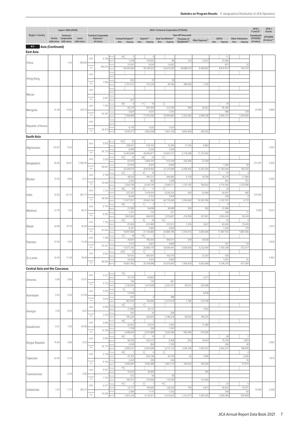|                                      |        | Japan's ODA (2020)              |                 |                    |                                            |       |                                                  |                                                 | JICA's Technical Cooperation (FY2020) |                                    |                  |                     |                           | JICA's<br>F and IC*     | JICA's<br>Grants           |
|--------------------------------------|--------|---------------------------------|-----------------|--------------------|--------------------------------------------|-------|--------------------------------------------------|-------------------------------------------------|---------------------------------------|------------------------------------|------------------|---------------------|---------------------------|-------------------------|----------------------------|
| <b>Region / Country</b>              | Grants | Technical<br>Cooperation        | Loans           |                    | <b>Technical Cooperation</b><br>Expenses** |       | <b>Training Participants**</b>                   | Experts**                                       | Study Team Members**                  | Type (¥1 thousand)<br>Provision of | Other Expenses** | <b>JOCVs</b>        | <b>Other Volunteers</b>   | Commitments<br>(FY2020) | (FY2020)<br>(¥1 billion)** |
| 4-1 Asia (Continued)                 |        | (US\$1 million) (US\$1 million) | (US\$1 million) |                    | (¥1 billion)                               |       | <b>New</b><br>Ongoing                            | Ongoing New<br>New                              | Ongoing                               | Equipment**                        |                  | Ongoing             | Ongoing<br><b>New</b>     | (¥1 billion)            |                            |
| East Asia                            |        |                                 |                 |                    |                                            |       |                                                  |                                                 |                                       |                                    |                  |                     |                           |                         |                            |
|                                      |        |                                 |                 | 2020               | 0.156                                      |       | 49:<br>$\overline{1}$<br>1,438                   | $\,6\,$<br>116,582                              | 88                                    | 310                                | 13,537           | 11<br>23,585        |                           |                         |                            |
| China                                |        | 1.92                            | $-858.89$       | umulativ<br>Total  | 185.816                                    |       | 37,933                                           | 9,520                                           | 13,832                                |                                    |                  | 817                 | 33                        |                         |                            |
|                                      |        |                                 |                 | 2020               |                                            |       | 38,205,082                                       | 49,149,522                                      | 53,675,282                            | 28,688,510                         | 6,969,897        | 8,810,931           | 316,372                   |                         |                            |
| Hong Kong                            |        |                                 |                 |                    |                                            |       | 653                                              | 37                                              | 39                                    |                                    |                  |                     |                           |                         |                            |
|                                      |        |                                 |                 | umulativ<br>Total  | 1.909                                      |       | 1,157,472                                        | 313,236                                         | 49,766                                | 386,594                            | 1,725            |                     |                           |                         |                            |
|                                      |        |                                 |                 | 2020               |                                            | erson |                                                  |                                                 |                                       |                                    |                  |                     |                           |                         |                            |
| Масао                                |        |                                 |                 | umulativ<br>Total  | 0.00                                       |       | $\overline{1}$<br>971                            |                                                 |                                       |                                    |                  |                     |                           |                         |                            |
|                                      |        |                                 |                 | 2020               | 1.293                                      |       | 58:<br>$\,$ 8<br>60,276                          | 11 <sup>1</sup><br>19<br>897,094                | $2\frac{1}{2}$<br>212,785             | 988                                | 25,823           | 35<br>96,366        |                           |                         |                            |
| Mongolia                             | 21.28  | 15.83                           | 226.10          | umulati            | 53.391                                     |       | 5,829                                            | 5,037                                           | 3,743                                 |                                    |                  | 588                 | 139                       | 25.000                  | 0.869                      |
|                                      |        |                                 |                 | Total              |                                            |       | 7,258,868                                        | 17,076,260                                      | 16,594,860                            | 3,322,483                          | 2,089,168        | 5,605,312           | 1,443,846                 |                         |                            |
| Republic of Korea                    |        |                                 |                 | 2020               |                                            |       | 6,178                                            | 1,635                                           | 1,074                                 |                                    |                  |                     |                           |                         |                            |
|                                      |        |                                 |                 | umulativ<br>Total  | 24.473                                     |       | 9,545,471                                        | 3,802,838                                       | 1,841,150                             | 9,002,856                          | 280,302          |                     |                           |                         |                            |
| South Asia                           |        |                                 |                 |                    |                                            |       |                                                  |                                                 |                                       |                                    |                  |                     |                           |                         |                            |
| Afghanistan                          | 116.97 | 9.33                            |                 | 2020               | 0.905                                      |       | 102<br>75<br>296,507                             | 518,103                                         | 70,394                                | 11,162                             | 8,982            |                     |                           |                         | 3.357                      |
|                                      |        |                                 |                 | umulativ<br>Total  | 65.130                                     |       | 6,096<br>12,403,089                              | 2,242<br>28,495,817                             | 1,926<br>10,925,127                   | 2,178,288                          | 11,127,992       |                     |                           |                         |                            |
|                                      |        |                                 |                 | 2020               | 2.624                                      |       | $52\frac{1}{2}$<br>19                            | 49:<br>22                                       | 17 <sup>1</sup>                       |                                    |                  |                     |                           |                         |                            |
| Bangladesh                           | 50.05  | 24.61                           | 1,935.50        | umulativ           | 95.801                                     |       | 87,979<br>13,918                                 | 1,684,197<br>4,970                              | 572,078<br>6,949                      | 252,490                            | 27,200           | 1,265               | 20                        | 373.247                 | 0.935                      |
|                                      |        |                                 |                 | Total              |                                            |       | 14,228,475<br>22 i<br>5                          | 30,878,482<br>4<br>10                           | 27,275,698                            | 6,206,445                          | 5,255,330        | 11,787,604<br>15    | 169,230<br>$\overline{4}$ |                         |                            |
| Bhutan                               | 13.35  | 8.56                            | $-0.21$         | 2020               | 0.798                                      |       | 48,936<br>2,302                                  | 395,721<br>963                                  | 284,985<br>1,296                      | 9,178                              | 10,758           | 36,270<br>461       | 11,984<br>151             |                         | 0.426                      |
|                                      |        |                                 |                 | umulativ<br>Total  | 24.058                                     |       | 3,264,796                                        | 6,430,145                                       | 5,588,311                             | 1,723,155                          | 764,502          | 4,716,404           | 1,570,898                 |                         |                            |
|                                      |        |                                 |                 | 2020               | 7.314                                      |       | 28 <sup>3</sup><br>74<br>222,297                 | 2 <sup>1</sup><br>17<br>1,479,976               | 11<br>5,536,220                       | 564                                | 24,494           | 20<br>50,401        | 480                       |                         |                            |
| India                                | 12.55  | 81.73                           | 597.77          | umulati<br>Total   | 99.994                                     |       | 8,440<br>11,971,551                              | 3,712<br>20,963,744                             | 7,819<br>46,778,360                   | 3,764,902                          | 15,363,786       | 235<br>1,147,791    | $\overline{2}$<br>4,172   | 374.393                 |                            |
|                                      |        |                                 |                 | 2020               | 0.143                                      |       | 28 <sub>1</sub><br>$\overline{2}$                | 1 <sub>1</sub><br>$\overline{2}$                |                                       |                                    |                  | 9                   |                           |                         |                            |
| Maldives                             | 12.78  | 1.43                            | 46.27           | umulativ           |                                            |       | 21,585<br>1,191                                  | 56,698<br>115                                   | 36,689<br>477                         | 254                                | 282              | 27,496<br>348       | 11                        | 5.000                   | 0.031                      |
|                                      |        |                                 |                 | Total              | 8.282                                      |       | 1,803,962<br>55 <sub>1</sub><br>$\boldsymbol{7}$ | 466,935<br>6:<br>20                             | 1,976,687<br>10 <sup>1</sup>          | 216,998                            | 257,691          | 3,503,426<br>32     | 56,344<br>$\overline{4}$  |                         |                            |
| Nepal                                | 22.99  | 16.79                           | 42.83           | 2020               | 1.192                                      |       | 81,840                                           | 674,485                                         | 337,613                               | 1,016                              | 3,637            | 82,646              | 10,429                    |                         | 2.013                      |
|                                      |        |                                 |                 | umulativ<br>Total  | 81.942                                     |       | 6,291<br>10,091,606                              | 3,960<br>27,136,666                             | 4,660<br>20,889,185                   | 7,370,472                          | 3,084,384        | 1,250<br>11,487,792 | 179<br>1,881,406          |                         |                            |
|                                      |        |                                 |                 | 2020               | 1.356                                      |       | 37 <sup>1</sup><br>18<br>44,601                  | $10^{\frac{1}{3}}$<br>$\overline{3}$<br>786,434 | $1\frac{1}{2}$<br>494,471             | 549                                | 30,028           |                     |                           |                         |                            |
| Pakistan                             | 27.00  | 9.95                            | $-12.36$        | mulativ<br>Total   | 63.201                                     |       | 7,273                                            | 2,873                                           | 4,660                                 |                                    |                  | 167                 | 54                        |                         | 2.836                      |
|                                      |        |                                 |                 | 2020               | 0.993                                      |       | 11,671,245<br>229:<br>12                         | 20,486,776<br>7 :<br>$\overline{4}$             | 19,648,181                            | 4,839,008                          | 4,232,944        | 1,750,358           | 572,017                   |                         |                            |
| Sri Lanka                            | 32.44  | 11.29                           | 39.94           |                    |                                            |       | 92,542<br>14,056                                 | 685,603<br>3,072                                | 192,579<br>5,965                      |                                    | 22,207           | 526<br>1,057        | 91                        |                         | 0.461                      |
|                                      |        |                                 |                 | umulativ<br>Total  | 86.665                                     |       | 16,801,493                                       | 20,758,988                                      | 25,975,967                            | 7,454,879                          | 5,802,098        | 9,194,276           | 677,284                   |                         |                            |
| <b>Central Asia and the Caucasus</b> |        |                                 |                 |                    |                                            |       | $10\frac{1}{3}$                                  |                                                 |                                       |                                    |                  |                     |                           |                         |                            |
| Armenia                              | 0.99   | 0.89                            | $-10.51$        | 2020               | 0.037                                      |       | 10,776                                           | 20,663                                          |                                       |                                    | 5,211            |                     |                           |                         |                            |
|                                      |        |                                 |                 | lumulativ<br>Total | 4.723                                      |       | 740<br>1,126,950                                 | 170<br>1,073,649                                | 461<br>2,243,157                      | 58,531                             | 220,396          |                     |                           |                         |                            |
|                                      |        |                                 |                 | 2020               | 0.020                                      |       | 9<br>$\overline{2}$<br>13,565                    |                                                 |                                       |                                    | 6,538            |                     |                           |                         |                            |
| Azerbaijan                           | 0.53   | 0.26                            | $-21.05$        | umulativ<br>Total  | 3.616                                      |       | 653<br>881,644                                   | $\mathsf g$<br>146,606                          | 388<br>2,372,519                      |                                    | 213,746          |                     |                           |                         |                            |
|                                      |        |                                 |                 | 2020               | 0.040                                      |       | $16\frac{1}{3}$<br>$\mathbf{1}$                  | 1ţ                                              |                                       | 1,160                              |                  |                     |                           |                         |                            |
| Georgia                              | 3.34   | 0.43                            | $-6.87$         | umulativ           |                                            |       | 17,684<br>593                                    | 20,137<br>33                                    | 258                                   |                                    | 1,902            |                     |                           |                         |                            |
|                                      |        |                                 |                 | Total              | 2.529                                      |       | 795,240<br>46:<br>$\overline{4}$                 | 260,876<br>$\overline{2}$                       | 1,188,218                             | 99,554                             | 185,275          |                     |                           |                         |                            |
| Kazakhstan                           | 0.31   | 1.05                            | $-42.68$        | 2020               | 0.086                                      |       | 42,652                                           | 24,215                                          | 7,463                                 |                                    | 11,489           |                     |                           |                         |                            |
|                                      |        |                                 |                 | umulativ<br>Total  | 13.708                                     |       | 1,756<br>2,448,605                               | 339<br>2,575,868                                | 1,167<br>7,520,389                    | 593,056                            | 570,205          |                     |                           |                         |                            |
|                                      |        |                                 |                 | 2020               | 0.580                                      |       | 49:<br>$\mathbf{1}$<br>56,036                    | 3<br>19<br>425,372                              | 2 <sup>1</sup><br>8,369               | 818                                | 16,634           | 28<br>70,744        | $\overline{1}$<br>1,803   |                         |                            |
| Kyrgyz Republic                      | 15.64  | 6.68                            | $-9.53$         | umulative          | 20.775                                     |       | 2,439                                            | 850                                             | 1,120                                 |                                    |                  | 240                 | 40                        |                         | 0.942                      |
|                                      |        |                                 |                 | Total              |                                            |       | 3,560,031<br>$40\frac{1}{3}$                     | 6,597,608<br>зÍ<br>$\overline{4}$               | 5,731,110<br>3 <sup>1</sup>           | 1,036,148                          | 1,659,187        | 2,002,237           | 188,905<br>$\overline{2}$ |                         |                            |
| Tajikistan                           | 22.40  | 4.15                            |                 | 2020               | 0.728                                      |       | 47,303<br>2,420                                  | 624,196<br>395                                  | 44,759<br>430                         | 56                                 | 7,996            |                     | 3,606<br>16               |                         | 1.814                      |
|                                      |        |                                 |                 | lumulativ<br>Total | 9.744                                      |       | 3,095,684                                        | 3,560,088                                       | 1,897,174                             | 782,503                            | 350,200          |                     | 57,974                    |                         |                            |
|                                      |        | 0.24                            | $-2.05$         | 2020               | 0.037                                      |       | $10^{\frac{1}{3}}$<br>10,222                     | 26,490                                          |                                       |                                    | 256              |                     |                           |                         |                            |
| Turkmenistan                         |        |                                 |                 | umulativ<br>Total  | 1.334                                      |       | 572<br>785,072                                   | 56<br>319,566                                   | 49<br>115,555                         |                                    | 113,544          |                     |                           |                         |                            |
|                                      |        |                                 |                 | 2020               | 0.47                                       |       | 41:<br>$\boldsymbol{7}$<br>72,777                | 2<br>$\boldsymbol{7}$<br>185,680                | 15 <sup>1</sup><br>138,240            | 790                                | 6,673            | 23<br>56,816        | 5<br>10,471               |                         |                            |
| Uzbekistan                           | 7.97   | 7.77                            | 255.37          | umulativ           | 19.585                                     |       | 2,588                                            | 1,115                                           | 1,333                                 |                                    |                  | 258                 | 82                        | 15.000                  | 0.258                      |
|                                      |        |                                 |                 | Total              |                                            |       | 3,267,224                                        | 5,132,611                                       | 5,473,627                             | 1,313,277                          | 1,487,635        | 2,092,066           | 818,658                   |                         |                            |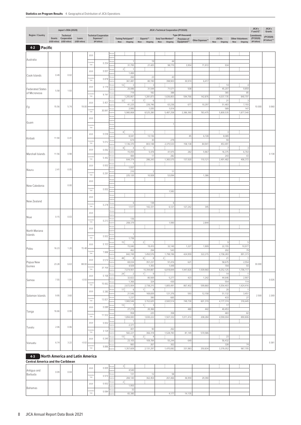|                                          |        | Japan's ODA (2020)              |                 |                    |                                            |       |                                                |                                           | JICA's Technical Cooperation (FY2020) |                             |                  |                  |                           | JICA's<br>F and IC*            | JICA's<br>Grants |
|------------------------------------------|--------|---------------------------------|-----------------|--------------------|--------------------------------------------|-------|------------------------------------------------|-------------------------------------------|---------------------------------------|-----------------------------|------------------|------------------|---------------------------|--------------------------------|------------------|
| Region / Country                         | Grants | Technical<br>Cooperation        | Loans           |                    | <b>Technical Cooperation</b><br>Expenses** |       | <b>Training Participants**</b>                 | Experts**                                 | Study Team Members**                  | Type (¥1 thousand)          |                  | <b>JOCVs</b>     | <b>Other Volunteers</b>   | <b>Commitments</b><br>(FY2020) | (FY2020)         |
|                                          |        | (US\$1 million) (US\$1 million) | (US\$1 million) |                    | (¥1 billion)                               |       | New<br>Ongoing                                 | New                                       | Ongoing New Ongoing                   | Provision of<br>Equipment** | Other Expenses** | Ongoing<br>New   | Ongoing<br>New            | (¥1 billion)                   | (¥1 billion)**   |
| <b>Pacific</b><br>$4 - 2$                |        |                                 |                 |                    |                                            |       |                                                |                                           |                                       |                             |                  |                  |                           |                                |                  |
|                                          |        |                                 |                 | 2020               |                                            |       |                                                |                                           |                                       |                             |                  |                  |                           |                                |                  |
| Australia                                |        |                                 |                 | amulativ           | 0.254                                      |       |                                                | 19                                        | 44                                    |                             |                  |                  |                           |                                |                  |
|                                          |        |                                 |                 | Total              |                                            |       | 31,795<br>2:<br>$\overline{1}$                 | 21,425                                    | 98,770                                | 3,954                       | 71,972           | 934              |                           |                                |                  |
| Cook Islands                             | 0.49   | 0.02                            |                 | 2020               | 0.001                                      |       | 1,484                                          |                                           |                                       |                             |                  |                  |                           |                                |                  |
|                                          |        |                                 |                 | amulativ<br>Total  | 0.878                                      |       | 260<br>361,481                                 | 23<br>80,190                              | 43<br>398,903                         | 30,974                      | 6,417            |                  |                           |                                |                  |
|                                          |        |                                 |                 | 2020               | 0.179                                      |       | 12 <sup>1</sup><br>3                           | 3                                         |                                       |                             |                  | 14               | $\overline{4}$            |                                |                  |
| <b>Federated States</b><br>of Micronesia | 5.58   | 1.93                            |                 | amulativ           |                                            |       | 20,086<br>719                                  | 31,544<br>182                             | 71,571<br>388                         | 508                         |                  | 45,207<br>365    | 9,859<br>85               |                                |                  |
|                                          |        |                                 |                 | Total              | 9.741                                      |       | 1,205,867                                      | 1,281,873                                 | 1,636,803                             | 594,766                     | 142,876          | 4,037,735        | 840,701                   |                                |                  |
|                                          | 15.56  |                                 | 19.00           | 2020               | 0.401                                      |       | 32 <sup>1</sup><br>17<br>41,225                | 7<br>$\,6\,$<br>226,746                   | 63,236                                | 677                         | 10,297           | 21<br>51,483     | 3<br>7,193                | 10.000                         | 0.060            |
| Fiji                                     |        | 5.74                            |                 | umulativ<br>Total  | 30.841                                     |       | 2,995<br>5,980,868                             | 1,035<br>8,525,280                        | 1,014<br>5,487,258                    | 2,386,360                   | 783,475          | 589<br>5,800,535 | 147<br>1,877,540          |                                |                  |
|                                          |        |                                 |                 | 2020               |                                            |       |                                                |                                           |                                       |                             |                  |                  |                           |                                |                  |
| Guam                                     |        |                                 |                 |                    |                                            |       |                                                |                                           | $\mathbf{1}$                          |                             |                  |                  |                           |                                |                  |
|                                          |        |                                 |                 | umulati<br>Total   |                                            |       |                                                |                                           |                                       |                             |                  |                  |                           |                                |                  |
|                                          |        |                                 |                 | 2020               | 0.036                                      |       | 8:<br>8,041                                    | 13,136                                    |                                       | 85                          | 6,728            | 3<br>8,089       |                           |                                |                  |
| Kiribati                                 | 11.90  | 0.41                            |                 | amulativ           |                                            |       | 674                                            | 30                                        | 279                                   |                             |                  | 59               |                           |                                |                  |
|                                          |        |                                 |                 | Total              | 5.012                                      |       | 1,136,370                                      | 803,148                                   | 2,375,533                             | 158,138                     | 84,941           | 453,491          |                           |                                |                  |
|                                          |        |                                 |                 | 2020               | 0.092                                      |       | 8:<br>$\overline{4}$<br>15,059                 | 1 <sub>1</sub><br>$\overline{1}$<br>5,478 | 41,975                                | 282                         | 5,967            | 7<br>16,375      | 3<br>6,764                |                                |                  |
| Marshall Islands                         | 11.56  | 0.98                            |                 | amulativ<br>Total  | 5.442                                      |       | 484                                            | 17                                        | 282                                   |                             |                  | 243              | 43                        |                                | 0.138            |
|                                          |        |                                 |                 |                    |                                            |       | 644,374                                        | 286,243                                   | 1,365,575                             | 137,920                     | 110,121          | 2,491,482        | 406,372                   |                                |                  |
| Nauru                                    | 2.41   | 0.05                            |                 | 2020               | 0.002                                      |       | 1,937                                          |                                           |                                       |                             |                  |                  |                           |                                |                  |
|                                          |        |                                 |                 | amulativ<br>Total  | 0.291                                      |       | 210<br>225,120                                 | $\overline{2}$<br>10,928                  | 11<br>53,094                          |                             | 1,386            |                  |                           |                                |                  |
|                                          |        |                                 |                 | 2020               |                                            |       |                                                |                                           |                                       |                             |                  |                  |                           |                                |                  |
| New Caledonia                            |        | 0.00                            |                 | emulativ           |                                            |       |                                                |                                           |                                       |                             |                  |                  |                           |                                |                  |
|                                          |        |                                 |                 | Total              | 0.002                                      |       |                                                |                                           | 1,582                                 |                             |                  |                  |                           |                                |                  |
|                                          |        |                                 |                 | 2020               |                                            |       |                                                |                                           |                                       |                             |                  |                  |                           |                                |                  |
| New Zealand                              |        |                                 |                 | umulativ           | 0.278                                      |       | 6                                              | 138                                       | 6                                     |                             |                  |                  |                           |                                |                  |
|                                          |        |                                 |                 | Total              |                                            | erson | 1,517                                          | 142,331                                   | 6,121                                 | 127,242                     | 345              |                  |                           |                                |                  |
| Niue                                     | 0.15   | 0.03                            |                 | 2020               |                                            |       |                                                |                                           |                                       |                             |                  |                  |                           |                                |                  |
|                                          |        |                                 |                 | amulativ<br>Total  | 0.213                                      |       | 136<br>208,379                                 |                                           | 1,990                                 |                             | 2,844            |                  |                           |                                |                  |
|                                          |        |                                 |                 | 2020               |                                            |       |                                                |                                           |                                       |                             |                  |                  |                           |                                |                  |
| North Mariana<br>Islands                 |        |                                 |                 |                    |                                            |       | $\overline{1}$                                 |                                           |                                       |                             |                  |                  |                           |                                |                  |
|                                          |        |                                 |                 | amulativ<br>Total  | 0.002                                      |       | 1,736                                          |                                           |                                       |                             |                  |                  |                           |                                |                  |
|                                          |        |                                 |                 | 2020               | 0.103                                      |       | 15 <sup>1</sup><br>3<br>15,040                 | 2:<br>19,410                              | 32,140                                | 1,227                       | 1,909            | q<br>22,155      | -5<br>10,977              |                                |                  |
| Palau                                    | 16.23  | 1.20                            | 15.48           |                    | 7.888                                      |       | 462                                            | 294                                       | 543                                   |                             |                  | 202              | 79                        |                                |                  |
|                                          |        |                                 |                 | Total              |                                            |       | 842,749<br>48:<br>$\,$ 8                       | 1,450,576<br>$6\frac{1}{2}$<br>$\,$ 8     | 1,798,196<br>2 <sup>1</sup>           | 424,959                     | 322,215          | 2,158,283<br>21  | 891,373<br>$\overline{1}$ |                                |                  |
| Papua New                                | 23.28  | 6.63                            | 88.00           | 2020               | 0.574                                      |       | 69,034                                         | 351,237                                   | 91,416                                | 621                         |                  | 58,675           | 2,554                     | 30.000                         |                  |
| Guinea                                   |        |                                 |                 | emulativ<br>Total  | 37.705                                     |       | 4,509<br>7,074,901                             | 1,355<br>10,394,887                       | 1,449<br>6,818,844                    | 1,947,826                   | 1,509,960        | 704<br>8,252,125 | 93<br>1,706,117           |                                |                  |
|                                          |        |                                 |                 | 2020               | 0.168                                      |       | 24:<br>$\overline{2}$                          | 1 <sup>1</sup><br>$\overline{9}$          |                                       |                             |                  | 14               | $\overline{1}$            |                                |                  |
| Samoa                                    | 7.55   | 1.91                            | $-0.93$         |                    |                                            |       | 32,822<br>1,366                                | 80,569<br>324                             | 5,277<br>430                          | 423                         | 1,242            | 44,646<br>554    | 2,907<br>114              |                                | 0.026            |
|                                          |        |                                 |                 | umulative<br>Total | 15.662                                     |       | 2,672,004                                      | 2,738,215                                 | 1,805,491                             | 867,402                     | 599,860          | 5,554,403        | 1,424,416                 |                                |                  |
|                                          |        |                                 |                 | 2020               | 0.380                                      |       | 17 <sup>1</sup><br>$\,6\,$<br>21,546           | 1Í.<br>$\,$ 8<br>169,839                  | 121,376                               | 593                         | 12,158           | 20<br>51,132     | $\overline{1}$<br>3,451   |                                |                  |
| Solomon Islands                          | 9.95   | 3.60                            |                 | Cumulativ<br>Total | 13.821                                     |       | 1,237                                          | 390                                       | 665                                   |                             |                  | 433              | 27                        | 2.500                          | 2.269            |
|                                          |        |                                 |                 |                    |                                            |       | 1,900,546<br>13 <sup>1</sup><br>$\overline{7}$ | 3,152,625<br>1}<br>3                      | 2,920,514                             | 749,730                     | 601,319          | 4,177,374<br>17  | 318,445                   |                                |                  |
|                                          | 16.66  | 0.99                            |                 | 2020               | 0.089                                      |       | 27,219                                         | 20,366                                    |                                       | 480                         | 442              | 40,453           |                           |                                |                  |
| Tonga                                    |        |                                 |                 | amulativ<br>Total  | 11.932                                     |       | 958<br>1,894,083                               | 225<br>1,830,222                          | 358<br>1,507,332                      | 1,011,414                   | 208,284          | 483<br>4,590,004 | 82<br>890,806             |                                |                  |
|                                          |        |                                 |                 | 2020               |                                            |       | $\overline{1}$                                 |                                           |                                       |                             |                  |                  |                           |                                |                  |
| Tuvalu                                   | 2.06   | 0.06                            |                 |                    | 0.002                                      |       | 2,371                                          |                                           |                                       |                             |                  |                  |                           |                                |                  |
|                                          |        |                                 |                 | amulative<br>Total | 3.129                                      |       | 401<br>582,221                                 | 90<br>366,318                             | 262<br>1,528,783                      | 81,149                      | 570,586          |                  |                           |                                |                  |
|                                          |        |                                 |                 | 2020               | 0.245                                      |       | 13:<br>$6\phantom{.}6$                         | 2 <sup>1</sup><br>$\overline{4}$          |                                       |                             |                  | 23               |                           |                                |                  |
| Vanuatu                                  | 6.74   | 3.22                            | $-0.02$         | amulative          |                                            |       | 23,105<br>983                                  | 109,784<br>267                            | 55,244<br>302                         | 649                         |                  | 56,432<br>328    | 74                        |                                | 0.381            |
|                                          |        |                                 |                 | Total              | 9.886                                      |       | 1,357,609                                      | 2,131,297                                 | 1,470,082                             | 331,983                     | 250,834          | 3,376,052        | 967,705                   |                                |                  |

# **4-3 North America and Latin America**

**Central America and the Caribbean**

|                        |      |      | 0.005<br>2020       | Persons  |         |         |         |        |        |  |  |
|------------------------|------|------|---------------------|----------|---------|---------|---------|--------|--------|--|--|
|                        | 0.09 | 0.04 |                     | Expens   | 4.540   |         |         |        |        |  |  |
| Antigua and<br>Barbuda |      |      | Cumulative<br>0.974 | Person   | 131     |         |         |        |        |  |  |
|                        |      |      | Total               | Expense  | 284,140 | 362,454 | 261,466 | 36,959 | 29,390 |  |  |
| Bahamas                |      |      | 0.002<br>2020       | Persons  |         |         |         |        |        |  |  |
|                        |      |      |                     | Expens   | 1,955   |         |         |        |        |  |  |
|                        |      |      | Cumulative<br>0.084 | 4 Person |         |         |         |        |        |  |  |
|                        |      |      | Total               | Expense  | 65,380  |         | 4.177   | 14,135 |        |  |  |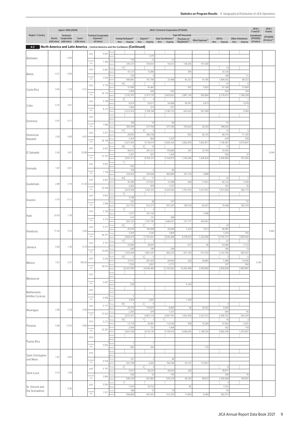|                         |       | Japan's ODA (2020)                                                 |                          |                    |                                                            |       |                                                                                            |                                           | JICA's Technical Cooperation (FY2020)       |                                                   |                 |                             |                                           | JICA's<br>F and IC*                     | JICA's<br>Grants          |
|-------------------------|-------|--------------------------------------------------------------------|--------------------------|--------------------|------------------------------------------------------------|-------|--------------------------------------------------------------------------------------------|-------------------------------------------|---------------------------------------------|---------------------------------------------------|-----------------|-----------------------------|-------------------------------------------|-----------------------------------------|---------------------------|
| <b>Region / Country</b> |       | Technical<br>Grants Cooperation<br>(US\$1 million) (US\$1 million) | Loans<br>(US\$1 million) |                    | <b>Technical Cooperation</b><br>Expenses**<br>(¥1 billion) |       | <b>Training Participants**</b><br>New Ongoing New                                          | Experts**                                 | Study Team Members**<br>Ongoing New Ongoing | Type (¥1 thousand)<br>Provision of<br>Equipment** | Other Expenses* | <b>JOCVs</b><br>New Ongoing | <b>Other Volunteers</b><br>New<br>Ongoing | Commitments<br>(FY2020)<br>(¥1 billion) | (FY2020)<br>(¥1 billion)* |
|                         |       |                                                                    |                          |                    |                                                            |       | <b>4-3</b> North America and Latin America _ Central America and the Caribbean (Continued) |                                           |                                             |                                                   |                 |                             |                                           |                                         |                           |
|                         |       |                                                                    |                          | 2020               | 0.001                                                      |       |                                                                                            |                                           |                                             |                                                   |                 |                             |                                           |                                         |                           |
| Barbados                |       | 0.00                                                               |                          | umulativ           |                                                            |       | 116                                                                                        | 1,270<br>72                               | 11                                          |                                                   |                 |                             |                                           |                                         |                           |
|                         |       |                                                                    |                          | Total              | 1.300                                                      |       | 245,337                                                                                    | 704,633                                   | 54,272                                      | 138,292                                           | 157,028         |                             |                                           |                                         |                           |
|                         | 0.21  | 0.60                                                               |                          | 2020               | 0.067                                                      |       | 13:<br>19,127                                                                              | $\overline{1}$<br>13,480                  |                                             | 395                                               |                 | 14<br>33,726                |                                           |                                         |                           |
| Belize                  |       |                                                                    |                          | umulativ<br>Total  | 2.620                                                      |       | 330<br>499,881                                                                             | $\,9$<br>167,799                          | 23,498                                      | 93,327                                            | 43,185          | 180<br>1,694,042            | 11<br>98,533                              |                                         |                           |
|                         |       |                                                                    |                          | 2020               | 0.154                                                      |       | 34 <sup>1</sup><br>$\overline{2}$                                                          | 4                                         |                                             |                                                   |                 | 27                          | 6                                         |                                         |                           |
| Costa Rica              | 0.05  | 1.79                                                               | $-4.31$                  | mulativ            |                                                            |       | 31,580<br>2,400                                                                            | 41,663<br>626                             | 932                                         | 931                                               | 5,922           | 61,168<br>634               | 12,404<br>104                             |                                         |                           |
|                         |       |                                                                    |                          | Total              | 24.135                                                     |       | 3,725,797                                                                                  | 5,377,175                                 | 5,003,922                                   | 2,087,124                                         | 592,804         | 6,179,473                   | 1,168,328                                 |                                         |                           |
|                         |       |                                                                    |                          | 2020               | 0.188                                                      |       | 9<br>9,914                                                                                 | 11<br>$\overline{4}$<br>55,011            | 54,568                                      | 59,347                                            | 6,673           |                             | 2,078                                     |                                         |                           |
| Cuba                    | 6.75  | 3.57                                                               |                          | umulativ<br>Total  | 8.272                                                      |       | 1,082                                                                                      | 312                                       | 537                                         |                                                   |                 |                             |                                           |                                         |                           |
|                         |       |                                                                    |                          | 2020               |                                                            | erson | 2,212,474                                                                                  | 2,708,184                                 | 2,196,132                                   | 643,023                                           | 507,499         |                             | 4,384                                     |                                         |                           |
| Dominica                | 0.47  | 0.17                                                               |                          |                    |                                                            |       | 158                                                                                        | 10                                        | 96                                          |                                                   |                 | 41                          |                                           |                                         |                           |
|                         |       |                                                                    |                          | umulativ<br>Total  | 1.680                                                      |       | 350,394                                                                                    | 371,764                                   | 377,760                                     | 155,620                                           | 25,224          | 399,626                     |                                           |                                         |                           |
| Dominican               |       |                                                                    |                          | 2020               | 0.421                                                      |       | 31 <sup>1</sup><br>$\overline{1}$<br>29,893                                                | 4:<br>5<br>286,728                        |                                             | 903                                               | 26,125          | 27<br>66,576                | 5<br>11,169                               |                                         |                           |
| Republic                | 3.30  | 4.69                                                               | $-4.03$                  | umulativ           | 36.196                                                     |       | 2,254                                                                                      | 864                                       | 1,257                                       |                                                   |                 | 678                         | 309                                       |                                         |                           |
|                         |       |                                                                    |                          | Total              |                                                            |       | 4,221,503<br>39:<br>6                                                                      | 9,716,510<br>5 <sup>1</sup><br>10         | 6,565,342                                   | 2,582,835                                         | 1,852,877       | 7,138,487<br>13             | 4,079,897                                 |                                         |                           |
| El Salvador             | 5.26  | 3.67                                                               | 32.88                    | 2020               | 0.551                                                      |       | 56,612                                                                                     | 261,213                                   | 176,666                                     | 367                                               | 22,704          | 33,592                      |                                           |                                         | 0.044                     |
|                         |       |                                                                    |                          | mulativ<br>Total   | 27.707                                                     |       | 2,391<br>3,541,417                                                                         | 973<br>8,763,127                          | 1,244<br>6,102,810                          | 1,743,540                                         | 1,928,934       | 550<br>5,269,966            | 37<br>357,625                             |                                         |                           |
|                         |       |                                                                    |                          | 2020               | 0.001                                                      |       | 1 <sub>i</sub>                                                                             |                                           |                                             |                                                   |                 |                             |                                           |                                         |                           |
| Grenada                 | 1.87  | 0.01                                                               |                          | umulativ           | 1.194                                                      |       | 542<br>159                                                                                 | 5                                         | 95                                          |                                                   |                 |                             |                                           |                                         |                           |
|                         |       |                                                                    |                          | Total              |                                                            |       | 318,202<br>$40\frac{1}{3}$                                                                 | 304,566<br>2<br>11                        | 460,890                                     | 107,710                                           | 2,898           | 22                          |                                           |                                         |                           |
| Guatemala               | 2.89  | 3.14                                                               | 21.29                    | 2020               | 0.401                                                      |       | 35,386                                                                                     | 277,523                                   | 12,398                                      | 649                                               | 17,641          | 54,732                      | 2,269                                     |                                         |                           |
|                         |       |                                                                    |                          | umulativ<br>Total  | 32.428                                                     |       | 2,582<br>3,672,459                                                                         | 878<br>7,782,161                          | 1,747<br>9,325,453                          | 1,751,910                                         | 1,677,937       | 767<br>7,917,693            | 35<br>300,174                             |                                         |                           |
|                         |       |                                                                    |                          | 2020               | 0.003                                                      |       | 3                                                                                          |                                           |                                             |                                                   |                 |                             |                                           |                                         |                           |
| Guyana                  | 9.70  | 0.17                                                               |                          | umulativ           |                                                            |       | 3,196<br>222                                                                               | 28                                        | 127                                         |                                                   |                 |                             | 51                                        |                                         |                           |
|                         |       |                                                                    |                          | Total              | 2.006                                                      |       | 527,753                                                                                    | 531,271                                   | 591,347                                     | 100,518                                           | 62,251          | 10,468                      | 182,518                                   |                                         |                           |
|                         | 23.93 | 1.78                                                               |                          | 2020               | 0.190                                                      |       | $\mathbb{1}$<br>1,477                                                                      | $\overline{2}$<br>187,143                 |                                             |                                                   | 1,598           |                             |                                           |                                         |                           |
| Haiti                   |       |                                                                    |                          | umulativ<br>Total  | 4.314                                                      |       | 614<br>924,123                                                                             | 131<br>1,791,795                          | 308<br>1,046,031                            | 131,777                                           | 420,461         |                             |                                           |                                         |                           |
|                         |       |                                                                    |                          | 2020               | 0.371                                                      |       | 22:<br>$\mathbf{1}$                                                                        | 2<br>$\overline{7}$                       |                                             |                                                   |                 | 23                          |                                           |                                         |                           |
| Honduras                | 11.50 | 3.15                                                               | 0.69                     |                    |                                                            |       | 25,970<br>3,205                                                                            | 190,406<br>1,230                          | 92,569<br>1,809                             | 1,234                                             | 3,513           | 56,981<br>1,253             | 155                                       |                                         | 0.062                     |
|                         |       |                                                                    |                          | mulativ<br>Total   | 45.751                                                     |       | 3,842,679                                                                                  | 11,741,631                                | 9,526,389                                   | 4,278,523                                         | 1,352,090       | 13,150,727                  | 1,859,442                                 |                                         |                           |
|                         |       |                                                                    |                          | 2020               | 0.107                                                      |       | 17:<br>2<br>15,685                                                                         | 3<br>30,647                               |                                             | 677                                               | 96              | 21<br>53,066                | 3<br>7,172                                |                                         |                           |
| Jamaica                 | 5.69  | 1.30                                                               | $-4.75$                  | umulative<br>Total | 10.640                                                     |       | 649                                                                                        | 145                                       | 248                                         |                                                   |                 | 392                         | 73                                        |                                         |                           |
|                         |       |                                                                    |                          |                    |                                                            |       | 1,433,406<br>33 <sup>1</sup><br>$\overline{2}$                                             | 1,801,247<br>$2\frac{1}{2}$<br>5          | 992,275                                     | 811,/44                                           | 513,793         | 4,123,795                   | 963,507<br>6                              |                                         |                           |
| Mexico                  | 7.61  | 5.31                                                               | 100.00                   | 2020               | 0.430                                                      |       | 37,973                                                                                     | 261,622                                   | 84,093                                      | 226                                               | 26,865          | 5,488                       | 14,040                                    | 5.287                                   |                           |
|                         |       |                                                                    |                          | umulativ<br>Total  | 78.510                                                     |       | 7,535<br>22,437,459                                                                        | 2,651<br>24,506,450                       | 2,771<br>12,743,552                         | 10,302,489                                        | 2,540,982       | 237<br>2,839,838            | 204<br>2,900,887                          |                                         |                           |
|                         |       |                                                                    |                          | 2020               |                                                            |       |                                                                                            |                                           |                                             |                                                   |                 |                             |                                           |                                         |                           |
| Montserrat              |       |                                                                    |                          | umulativ           | 0.007                                                      |       | $\vert$                                                                                    |                                           |                                             |                                                   |                 |                             |                                           |                                         |                           |
|                         |       |                                                                    |                          | Total              |                                                            |       | 529                                                                                        |                                           |                                             | 6,144                                             |                 |                             |                                           |                                         |                           |
| Netherlands             |       |                                                                    |                          | 2020               |                                                            |       |                                                                                            |                                           |                                             |                                                   |                 |                             |                                           |                                         |                           |
| Antilles Curacao        |       |                                                                    |                          | umulativ<br>Total  | 0.006                                                      |       | 3,004                                                                                      | 2,091                                     |                                             | 1,329                                             |                 |                             |                                           |                                         |                           |
|                         |       |                                                                    |                          | 2020               | 0.171                                                      |       | 26:<br>$\mathbf{1}$<br>25,470                                                              | $2\frac{5}{3}$<br>$\,$ 5                  |                                             |                                                   | 20,432          | $\overline{2}$<br>5,050     |                                           |                                         |                           |
| Nicaragua               | 2.08  | 3.18                                                               | 0.45                     | umulativ           | 27.422                                                     |       | 2,200                                                                                      | 110,875<br>679                            | 8,983<br>1,331                              | 56                                                |                 | 604                         | 56                                        |                                         |                           |
|                         |       |                                                                    |                          | Total              |                                                            |       | 3,573,351<br>30 <sup>1</sup>                                                               | 6,967,114<br>$1\frac{1}{2}$<br>3          | 6,997,791<br>1 <sub>i</sub>                 | 1,503,256                                         | 1,427,312       | 6,390,167<br>16             | 563,344<br>2                              |                                         |                           |
| Panama                  | 5.80  | 13.43                                                              | $-9.80$                  | 2020               | 0.212                                                      |       | 17,719                                                                                     | 29,481                                    | 112,540                                     | 508                                               | 10,204          | 37,062                      | 4,201                                     |                                         |                           |
|                         |       |                                                                    |                          | umulativ<br>Total  | 33.261                                                     |       | 2,044<br>3,641,438                                                                         | 721<br>8,210,176                          | 1,408<br>9,739,416                          | 4,046,645                                         | 1,188,160       | 432<br>4,962,440            | 118<br>1,473,007                          |                                         |                           |
|                         |       |                                                                    |                          | 2020               |                                                            |       |                                                                                            |                                           |                                             |                                                   |                 |                             |                                           |                                         |                           |
| Puerto Rico             |       |                                                                    |                          | umulativ           |                                                            |       | $\mathbf{1}$                                                                               |                                           |                                             |                                                   |                 |                             |                                           |                                         |                           |
|                         |       |                                                                    |                          | Total              | 0.002                                                      |       | 982                                                                                        | 934                                       |                                             |                                                   | 115             |                             |                                           |                                         |                           |
| Saint Christopher       |       |                                                                    |                          | 2020               |                                                            |       |                                                                                            |                                           |                                             |                                                   |                 |                             |                                           |                                         |                           |
| and Nevis               | 1.87  | 0.05                                                               |                          | umulativ<br>Total  | 0.526                                                      |       | 101                                                                                        | 2                                         | 46                                          |                                                   |                 |                             |                                           |                                         |                           |
|                         |       |                                                                    |                          | 2020               | 0.107                                                      |       | 202,789<br>4:                                                                              | 6,262<br>5 <sub>1</sub><br>$\overline{2}$ | 158,766                                     | 43,731                                            | 114,057         | 8                           |                                           |                                         |                           |
| Saint Lucia             | 0.15  | 1.08                                                               |                          |                    |                                                            |       | 3,531<br>258                                                                               | 26,233<br>32                              | 58,520<br>118                               | 226                                               |                 | 18,671<br>246               | 16                                        |                                         |                           |
|                         |       |                                                                    |                          | umulativ<br>Total  | 3.850                                                      |       | 545,325                                                                                    | 647,963                                   | 676,279                                     | 58,763                                            | 99,672          | 1,630,908                   | 190,997                                   |                                         |                           |
| St. Vincent and         |       |                                                                    |                          | 2020               | 0.044                                                      |       | $\mathbf{1}$<br>1,034                                                                      | 35,152                                    |                                             | 85                                                |                 | 3<br>7,532                  |                                           |                                         |                           |
| the Grenadines          |       | 0.46                                                               |                          | mulative<br>Total  | 1.911                                                      |       | 188<br>458,869                                                                             | 15<br>497,441                             | 79<br>312,161                               | 71,854                                            | 8,384           | 54<br>562,077               |                                           |                                         |                           |
|                         |       |                                                                    |                          |                    |                                                            |       |                                                                                            |                                           |                                             |                                                   |                 |                             |                                           |                                         |                           |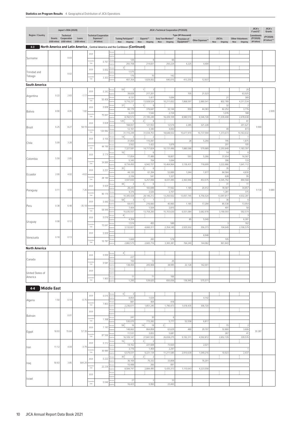|                      |                    | Japan's ODA (2020)                             |                          | JICA's Technical Cooperation (FY2020) |                              |       |                                                                                 |                                               |                                 |                             |                 |                                       | JICA's<br>F and IC*                              | JICA's                   |                    |
|----------------------|--------------------|------------------------------------------------|--------------------------|---------------------------------------|------------------------------|-------|---------------------------------------------------------------------------------|-----------------------------------------------|---------------------------------|-----------------------------|-----------------|---------------------------------------|--------------------------------------------------|--------------------------|--------------------|
| Region / Country     |                    | Technical                                      |                          |                                       | <b>Technical Cooperation</b> |       |                                                                                 |                                               |                                 | Type (¥1 thousand)          |                 |                                       |                                                  | Commitments              | Grants<br>(FY2020) |
|                      | Grants             | Cooperation<br>(US\$1 million) (US\$1 million) | Loans<br>(US\$1 million) |                                       | Expenses**<br>(¥1 billion)   |       | <b>Training Participants**</b><br>New<br>Ongoing                                | Experts**<br>Ongoing New<br>New               | Study Team Members**<br>Ongoing | Provision of<br>Equipment** | Other Expenses* | <b>JOCVs</b><br>Ongoing<br><b>New</b> | <b>Other Volunteers</b><br>Ongoing<br><b>New</b> | (FY2020)<br>(¥1 billion) | (¥1 billion)**     |
| $4 - 3$              |                    |                                                |                          |                                       |                              |       | North America and Latin America _ Central America and the Caribbean (Continued) |                                               |                                 |                             |                 |                                       |                                                  |                          |                    |
|                      |                    |                                                |                          | 2020                                  |                              | erson |                                                                                 |                                               |                                 |                             |                 |                                       |                                                  |                          |                    |
| Suriname             |                    | 0.03                                           |                          | mulativ                               | 0.767                        |       | 126                                                                             | $\,$ 8                                        | 66                              |                             |                 |                                       |                                                  |                          |                    |
|                      |                    |                                                |                          | Total                                 |                              |       | 293,708<br>3                                                                    | 214,831                                       | 250,224                         | 4,225                       | 4,404           |                                       |                                                  |                          |                    |
| Trinidad and         |                    | 0.02                                           |                          | 2020                                  | 0.002                        |       | 1,575                                                                           |                                               |                                 |                             |                 |                                       |                                                  |                          |                    |
| Tobago               |                    |                                                |                          | mulativ<br>Total                      | 3.303                        |       | 176<br>407,354                                                                  | 70<br>1,829,002                               | 142<br>640,015                  | 413,255                     | 12,937          |                                       |                                                  |                          |                    |
| South America        |                    |                                                |                          |                                       |                              |       |                                                                                 |                                               |                                 |                             |                 |                                       |                                                  |                          |                    |
|                      |                    |                                                |                          | 2020                                  | 0.343                        |       | 59:<br>3                                                                        | 1ţ<br>3                                       |                                 |                             |                 |                                       | 25                                               |                          |                    |
| Argentina            | 0.22               | 2.83                                           | $-1.17$                  | umulativ                              |                              |       | 39,828<br>4,131                                                                 | 217,201<br>1,417                              | 1,694                           | 705                         | 21,523          | 21                                    | 63,925<br>389                                    |                          |                    |
|                      |                    |                                                |                          | Total                                 | 50.406                       |       | 9,716,237                                                                       | 13,928,524                                    | 10,211,652                      | 7,868,597                   | 2,880,541       | 802,789                               | 4,311,534                                        |                          |                    |
|                      |                    |                                                | 1.82                     | 2020                                  | 0.606                        |       | 37 <sup>1</sup><br>$\overline{1}$<br>66,170                                     | -11<br>9<br>376,647                           | 32,144                          | 959                         | 44,383          | 32<br>82,252                          | 2<br>3,776                                       |                          | 2.009              |
| Bolivia              | 8.90               | 4.05                                           |                          | umulativ<br>Total                     | 75.84                        |       | 6,223<br>8,760,572                                                              | 1,542<br>21,195,249                           | 2,724<br>16,439,109             | 8,980,510                   | 6,546,728       | 1,076<br>11,039,408                   | 188<br>2,478,638                                 |                          |                    |
|                      |                    |                                                |                          | 2020                                  | 0.828                        |       | 125<br>9                                                                        | 2 <sup>1</sup><br>8                           |                                 |                             |                 |                                       | 81                                               |                          |                    |
| Brazil               | 6.25               | 8.27                                           | 58.19                    |                                       |                              |       | 168,657<br>12,161                                                               | 121,553<br>3,340                              | 12,574<br>4,002                 | 2,285                       | 321,228         | 49                                    | 201,621<br>873                                   | 9.900                    |                    |
|                      |                    |                                                |                          | umulativ<br>Total                     | 120.982                      |       | 31,110,249                                                                      | 31,034,753                                    | 18,648,932                      | 15,677,970                  | 10,737,594      | 1,373,673                             | 10,163,632                                       |                          |                    |
|                      |                    |                                                |                          | 2020                                  | 0.155                        |       | 14:<br>3<br>31,859                                                              | $\overline{2}$<br>115,097                     |                                 | 28                          | 5,294           | 795                                   | $\overline{1}$<br>1,875                          |                          |                    |
| Chile                | 5.09               | 3.28                                           |                          | umulativ                              | 44.190                       |       | 3,562                                                                           | 1,422                                         | 1,879                           |                             |                 | 201                                   | 105                                              |                          |                    |
|                      |                    |                                                |                          | Total                                 |                              |       | 7,327,581<br>16:                                                                | 14,717,824<br>$\,6\,$                         | 10,131,496                      | 7,880,586                   | 579,989         | 2,293,849<br>14                       | 1,183,397<br>6                                   |                          |                    |
| Colombia             | 5.59               | 2.65                                           |                          | 2020                                  | 0.174                        |       | 17,854                                                                          | 77,489                                        | 18,807                          | 593                         | 5,266           | 37,654                                | 16,587                                           |                          |                    |
|                      |                    |                                                |                          | Total                                 | 34.889                       |       | 5,345<br>8,734,450                                                              | 704<br>6,942,727                              | 1,694<br>10,464,964             | 3,136,431                   | 718,699         | 306<br>3,222,886                      | 133<br>1,641,112                                 |                          |                    |
|                      |                    |                                                |                          | 2020                                  | 0.251                        |       | 35 <sup>1</sup>                                                                 | 2 <sub>i</sub><br>$6\phantom{.}6$             |                                 |                             |                 | 35                                    | $\overline{2}$                                   |                          |                    |
| Ecuador              | 2.00               | 4.02                                           | $-4.63$                  | umulatiy                              |                              |       | 44,120<br>2,336                                                                 | 61,394<br>541                                 | 52,889<br>1,327                 | 1,044                       | 1,977           | 84,584<br>628                         | 4,830<br>95                                      |                          |                    |
|                      |                    |                                                |                          | Total                                 | 28.140                       |       | 3,597,830                                                                       | 6,257,094                                     | 8,031,495                       | 2,363,946                   | 453,575         | 6,545,792                             | 890,568                                          |                          |                    |
|                      |                    |                                                |                          | 2020                                  | 0.425                        |       | 44:<br>$\sqrt{3}$<br>28,243                                                     | 3<br>6<br>183,698                             | 77,562                          | 1,185                       | 20,412          | 31<br>78,587                          | 11<br>34,857                                     |                          |                    |
| Paraguay             | 0.11               | 4.59                                           | 7.26                     | umulativ<br>Total                     | 90.170                       |       | 4,376                                                                           | 2,026                                         | 2,707                           |                             |                 | 1,281                                 | 375                                              | 9.130                    | 0.680              |
|                      |                    |                                                |                          |                                       |                              |       | 10,305,428<br>58 <sub>3</sub><br>3                                              | 28,146,212<br>4ŧ<br>$\overline{7}$            | 13,250,502                      | 13,057,745                  | 6,756,524       | 13,097,817<br>36                      | 4,932,281<br>6                                   |                          |                    |
| Peru                 | 0.38               | 6.48                                           | $-35.18$                 | 2020                                  | 0.440                        |       | 64,413                                                                          | 216,660                                       | 40,965                          | 1,185                       | 17,294          | 85,538                                | 13,954                                           |                          |                    |
|                      |                    |                                                |                          | umulativ<br>Total                     | 58.949                       |       | 7,404<br>15,035,937                                                             | 1,504<br>13,759,200                           | 2,815<br>15,703,630             | 6,931,084                   | 3,682,978       | 491<br>3,190,593                      | 58<br>592,574                                    |                          |                    |
|                      |                    |                                                |                          | 2020                                  | 0.016                        |       | 4:                                                                              |                                               |                                 |                             |                 |                                       | $\overline{3}$                                   |                          |                    |
| Uruguay              | 0.08               | 0.12                                           |                          | mulativ                               | 15.641                       |       | 4,354<br>1,574                                                                  | 455                                           | 589                             | 85                          | 5,040           | 3                                     | 6,281<br>162                                     |                          |                    |
|                      |                    |                                                |                          | Total                                 |                              |       | 3,132,821                                                                       | 4,660,311                                     | 2,354,145                       | 2,925,502                   | 356,373         | 104,649                               | 2,106,579                                        |                          |                    |
|                      | 0.18               | 0.13                                           |                          | 2020                                  | 0.009                        |       |                                                                                 |                                               |                                 |                             | 8,948           |                                       |                                                  |                          |                    |
| Venezuela            |                    |                                                |                          | mulativ<br>Total                      | 10.787                       |       | 1,669<br>2,882,575                                                              | 265<br>2,665,716                              | 578<br>3,365,381                | 764,240                     | 144,082         | 105<br>961,843                        |                                                  |                          |                    |
| <b>North America</b> |                    |                                                |                          |                                       |                              |       |                                                                                 |                                               |                                 |                             |                 |                                       |                                                  |                          |                    |
|                      |                    |                                                |                          | 2020                                  | 0.000                        |       | 4:                                                                              |                                               |                                 |                             |                 |                                       |                                                  |                          |                    |
| Canada               |                    |                                                |                          |                                       |                              |       | 227<br>150                                                                      | 13                                            | 25                              |                             |                 |                                       |                                                  |                          |                    |
|                      |                    |                                                |                          | umulati<br>Total                      | 0.581                        |       | 138,494                                                                         | 205,908                                       | 38,995                          | 22,128                      | 142,001         |                                       |                                                  |                          |                    |
| United States of     |                    |                                                |                          | 2020                                  |                              |       |                                                                                 |                                               |                                 |                             |                 |                                       |                                                  |                          |                    |
| America              |                    |                                                |                          | umulativ<br>Total                     | 1.903                        |       | 11                                                                              | 71                                            | 166                             |                             |                 |                                       |                                                  |                          |                    |
|                      |                    |                                                |                          |                                       |                              |       | 1,295                                                                           | 539,625                                       | 650,056                         | 136,945                     | 575,571         |                                       |                                                  |                          |                    |
| $4 - 4$              | <b>Middle East</b> |                                                |                          |                                       |                              |       |                                                                                 |                                               |                                 |                             |                 |                                       |                                                  |                          |                    |
|                      |                    |                                                |                          | 2020                                  | 0.015                        |       | 6:<br>$\overline{2}$<br>8,854                                                   | 1,634                                         |                                 |                             | 4,142           |                                       |                                                  |                          |                    |
| Algeria              | 1.50               | 0.14                                           | $-0.75$                  | umulativ                              | 7.803                        |       | 881                                                                             | 404                                           | 418                             |                             |                 |                                       |                                                  |                          |                    |
|                      |                    |                                                |                          | Total                                 |                              |       | 2,236,611                                                                       | 1,851,245                                     | 1,790,473                       | 1,618,435                   | 306,720         |                                       |                                                  |                          |                    |
| Bahrain              |                    | 0.01                                           |                          | 2020                                  |                              |       |                                                                                 |                                               |                                 |                             |                 |                                       |                                                  |                          |                    |
|                      |                    |                                                |                          | umulativ<br>Total                     | 1.368                        |       | 241<br>530,070                                                                  | 30<br>772,282                                 | 6<br>5,777                      | 52,558                      | 6,817           |                                       |                                                  |                          |                    |
|                      |                    |                                                |                          | 2020                                  | 1.143                        |       | 58:<br>16                                                                       | 14:<br>18                                     | $2\frac{1}{2}$                  |                             |                 | 15                                    | $\overline{2}$                                   |                          |                    |
| Egypt                | 18.93              | 15.64                                          | 57.39                    |                                       |                              |       | 148,662<br>11,531                                                               | 864,858<br>3,652                              | 63,629<br>5,681                 | 480                         | 29,197          | 32,860<br>267                         | 3,606<br>41                                      | 30.287                   |                    |
|                      |                    |                                                |                          | mulativ<br>Total                      | 87.566                       |       | 16,109,147                                                                      | 27,841,503                                    | 26,838,275                      | 9,192,311                   | 4,592,812       | 2,652,729                             | 339,576                                          |                          |                    |
|                      |                    |                                                |                          | 2020                                  | 0.312                        |       | $16\frac{1}{2}$<br>$\overline{1}$<br>14,162                                     | $2\frac{1}{2}$<br>$\overline{2}$<br>221,608   | 73,920                          |                             | 2,021           |                                       |                                                  |                          |                    |
| Iran                 | 11.12              | 4.04                                           | $-3.79$                  |                                       | 30.985                       |       | 3,776                                                                           | 1,459                                         | 2,297                           |                             |                 |                                       | $\overline{1}$                                   |                          |                    |
|                      |                    |                                                |                          | Total                                 |                              |       | 6,579,031<br>$30\frac{1}{2}$<br>$\overline{2}$                                  | 9,221,134<br>$2\frac{1}{2}$<br>$\overline{2}$ | 11,211,585                      | 2,910,639                   | 1,049,216       | 10,923                                | 2,437                                            |                          |                    |
| Iraq                 | 50.63              | 3.85                                           | 644.29                   | 2020                                  | 0.222                        |       | 36,169                                                                          | 75,332                                        | 33,808                          |                             | 76,201          |                                       |                                                  |                          |                    |
|                      |                    |                                                |                          | umulativ<br>Total                     | 22.239                       |       | 10,488<br>8,584,747                                                             | 266<br>2,884,495                              | 891<br>5,435,313                | 1,110,643                   | 4,223,558       |                                       |                                                  |                          |                    |
|                      |                    |                                                |                          | 2020                                  |                              |       |                                                                                 |                                               |                                 |                             |                 |                                       |                                                  |                          |                    |
| Israel               |                    |                                                |                          |                                       |                              |       | 27                                                                              | $\overline{2}$                                | 33                              |                             |                 |                                       |                                                  |                          |                    |
|                      |                    |                                                |                          | lumulativ<br>Total                    | 0.046                        |       | 16,423                                                                          | 5,950                                         | 23,493                          |                             |                 |                                       |                                                  |                          |                    |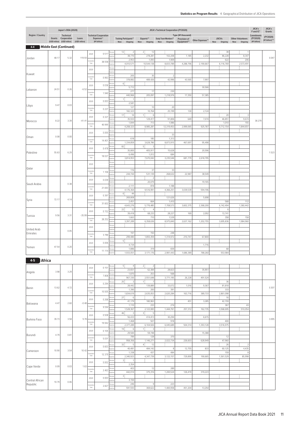|                                |       | Japan's ODA (2020)                                                        |                          |                     |                                                            |         |                                                         |                                            | <b>JICA's Technical Cooperation (FY2020)</b> |                                                   |                  |                                       |                                           | JICA's<br>F and IC*                     | JICA's<br>Grants           |
|--------------------------------|-------|---------------------------------------------------------------------------|--------------------------|---------------------|------------------------------------------------------------|---------|---------------------------------------------------------|--------------------------------------------|----------------------------------------------|---------------------------------------------------|------------------|---------------------------------------|-------------------------------------------|-----------------------------------------|----------------------------|
| Region / Country               |       | Technical<br><b>Grants</b> Cooperation<br>(US\$1 million) (US\$1 million) | Loans<br>(US\$1 million) |                     | <b>Technical Cooperation</b><br>Expenses**<br>(¥1 billion) |         | <b>Training Participants**</b><br><b>New</b><br>Ongoing | Experts**<br>New                           | Study Team Members**<br>Ongoing New Ongoing  | Type (¥1 thousand)<br>Provision of<br>Equipment** | Other Expenses** | <b>JOCVs</b><br>Ongoing<br><b>New</b> | <b>Other Volunteers</b><br>Ongoing<br>New | Commitments<br>(FY2020)<br>(¥1 billion) | (FY2020)<br>(¥1 billion)** |
| $4-4$                          |       | <b>Middle East (Continued)</b>                                            |                          |                     |                                                            |         |                                                         |                                            |                                              |                                                   |                  |                                       |                                           |                                         |                            |
|                                |       |                                                                           |                          | 2020                | 0.517                                                      |         | 12 <sup>1</sup><br>$\overline{2}$<br>38,770             | 2 <sub>1</sub><br>12<br>278,281            | 102,208                                      | 1,185                                             | 2,232            | 38<br>86,228                          | $\overline{1}$<br>8,347                   |                                         |                            |
| Jordan                         | 48.17 | 5.32                                                                      | 119.93                   | umulatiy            | 38.558                                                     |         | 2,953                                                   | 1,093                                      | 1,909                                        |                                                   |                  | 622                                   | 206                                       |                                         | 0.047                      |
|                                |       |                                                                           |                          | Total               |                                                            |         | 4,010,571                                               | 10,544,138                                 | 8,833,789                                    | 4,288,796                                         | 2,190,667        | 6,116,769                             | 2,573,491                                 |                                         |                            |
| Kuwait                         |       |                                                                           |                          | 2020                |                                                            |         | 205                                                     | 35                                         |                                              |                                                   |                  |                                       |                                           |                                         |                            |
|                                |       |                                                                           |                          | amulativ<br>Total   | 0.963                                                      |         | 378,882                                                 | 489,426                                    | 2<br>42,996                                  | 43,565                                            | 7,997            |                                       |                                           |                                         |                            |
|                                |       |                                                                           |                          | 2020                | 0.036                                                      |         | 6 <sub>1</sub><br>5,712                                 |                                            |                                              |                                                   | 30,566           |                                       |                                           |                                         |                            |
| Lebanon                        | 24.51 | 0.26                                                                      | $-6.52$                  | mulativ<br>Total    | 1.940                                                      |         | 277                                                     | 17                                         | 230                                          |                                                   |                  |                                       |                                           |                                         |                            |
|                                |       |                                                                           |                          | 2020                | 0.003                                                      |         | 440,966<br>$\overline{1}$<br>$\mathbf{1}$               | 205,097                                    | 1,218,976                                    | 17,350                                            | 57,385           |                                       |                                           |                                         |                            |
| Libya                          | 9.47  | 0.03                                                                      |                          |                     |                                                            |         | 2,581<br>127                                            | 10                                         | 20                                           |                                                   |                  |                                       |                                           |                                         |                            |
|                                |       |                                                                           |                          | umulati<br>Total    | 0.221                                                      |         | 182,323                                                 | 10,764                                     | 25,199                                       | 130                                               | 2,124            |                                       |                                           |                                         |                            |
|                                |       |                                                                           |                          | 2020                | 0.321                                                      |         | 17 <sup>1</sup><br>14<br>35,933                         | 1į<br>6<br>129,417                         | 91,806                                       | 649                                               | 7,074            | 20<br>46,851                          | 3<br>9,674                                |                                         |                            |
| Morocco                        | 8.22  | 3.39                                                                      | $-41.41$                 | mulativ<br>Total    | 40.995                                                     |         | 1,844<br>4,208,323                                      | 713<br>8,985,287                           | 1,986<br>12,319,453                          | 2,999,065                                         | 925,787          | 1,010<br>9,712,154                    | 155<br>1,844,651                          | 38.279                                  |                            |
|                                |       |                                                                           |                          | 2020                | 0.000                                                      |         |                                                         |                                            |                                              |                                                   |                  |                                       |                                           |                                         |                            |
| Oman                           | 0.08  | 0.00                                                                      |                          | umulativ            |                                                            |         | 618                                                     | 185                                        | 33<br>1,313                                  |                                                   |                  |                                       |                                           |                                         |                            |
|                                |       |                                                                           |                          | Total               | 14.401                                                     |         | 1,334,859                                               | 3,628,786<br>3                             | 8,873,915                                    | 467,697                                           | 95,498           |                                       |                                           |                                         |                            |
|                                | 55.63 | 6.29                                                                      |                          | 2020                | 0.478                                                      |         | 82:<br>35,800                                           | 5 <sup>1</sup><br>405,917                  | 15,628                                       |                                                   | 20,596           |                                       |                                           |                                         | 1.523                      |
| Palestine                      |       |                                                                           |                          | amulativ<br>Total   | 18.021                                                     |         | 6,496<br>3,814,953                                      | 1,012<br>7,670,042                         | 684<br>3,235,546                             | 681,779                                           | 2,618,795        |                                       |                                           |                                         |                            |
|                                |       |                                                                           |                          | 2020                |                                                            |         |                                                         |                                            |                                              |                                                   |                  |                                       |                                           |                                         |                            |
| Qatar                          |       |                                                                           |                          |                     |                                                            |         | 116                                                     | 37                                         | 33                                           |                                                   |                  |                                       |                                           |                                         |                            |
|                                |       |                                                                           |                          | mulativ<br>Total    | 1.106                                                      |         | 244,744                                                 | 531,139                                    | 268,632                                      | 22,987                                            | 38,549           |                                       |                                           |                                         |                            |
|                                |       |                                                                           |                          | 2020                | 0.039                                                      |         |                                                         | 2<br>20,079                                |                                              |                                                   | 19,165           |                                       |                                           |                                         |                            |
| Saudi Arabia                   |       | 0.38                                                                      |                          | umulati<br>Total    | 21.693                                                     |         | 2,111<br>4,176,364                                      | 818                                        | 1,188                                        |                                                   |                  |                                       |                                           |                                         |                            |
|                                |       |                                                                           |                          | 2020                | 0.397                                                      |         | $6\frac{1}{3}$<br>44                                    | 9,516,991                                  | 4,366,251                                    | 3,039,539                                         | 594,196          |                                       |                                           |                                         |                            |
| Syria                          | 72.17 | 4.14                                                                      |                          |                     |                                                            |         | 269,808<br>2,451                                        | 664                                        | 121,626<br>1,410                             |                                                   | 5,698            | 568                                   | 112                                       |                                         |                            |
|                                |       |                                                                           |                          | umulativ<br>Total   | 31.602                                                     |         | 4,643,276                                               | 5,776,485                                  | 7,708,573                                    | 3,602,375                                         | 2,368,200        | 6,142,494                             | 1,360,442                                 |                                         |                            |
|                                |       |                                                                           |                          | 2020                | 0.152                                                      |         | 22:<br>12<br>39,418                                     | 1 <sup>1</sup><br>4<br>68,233              | 28,227                                       | 169                                               | 2,092            | 6<br>13,741                           |                                           |                                         |                            |
| Tunisia                        | 9.56  | 3.31                                                                      | $-35.99$                 | umulatiy<br>Total   | 28.252                                                     |         | 1,663                                                   | 710                                        | 1,539                                        |                                                   |                  | 358                                   | 158                                       |                                         |                            |
|                                |       |                                                                           |                          | 2020                |                                                            |         | 3,397,289                                               | 6,358,636                                  | 8,975,840                                    | 2,637,162                                         | 1,202,755        | 3,695,836                             | 1,984,960                                 |                                         |                            |
| <b>United Arab</b><br>Emirates |       | 0.05                                                                      |                          |                     |                                                            |         | 197                                                     | 150                                        | 248                                          |                                                   |                  |                                       |                                           |                                         |                            |
|                                |       |                                                                           |                          | amulativ<br>Total   | 3.786                                                      |         | 299,480                                                 | 1,893,359                                  | 1,314,972                                    | 210,747                                           | 67,800           |                                       |                                           |                                         |                            |
|                                |       |                                                                           |                          | 2020                | 0.006                                                      |         | 5 <sub>i</sub><br>4,734                                 |                                            |                                              |                                                   | 1,716            |                                       |                                           |                                         |                            |
| Yemen                          | 47.54 | 0.20                                                                      |                          | umulative<br>Total  | 11.114                                                     | Person  | 1,886                                                   | 319                                        | 659                                          |                                                   |                  | 68                                    |                                           |                                         |                            |
|                                |       |                                                                           |                          |                     |                                                            | Expense | 1,933,051                                               | 3,171,176                                  | 2,981,443                                    | 1,686,389                                         | 788,260          | 553,984                               |                                           |                                         |                            |
| $4-5$<br><b>Africa</b>         |       |                                                                           |                          |                     |                                                            |         |                                                         |                                            |                                              |                                                   |                  |                                       |                                           |                                         |                            |
|                                |       |                                                                           |                          | 2020                | 0.151                                                      |         | 5 <sup>1</sup><br>4<br>23,651                           | 2 <sub>1</sub><br>$\overline{2}$<br>62,384 | 28,823                                       |                                                   | 35,951           |                                       |                                           |                                         |                            |
| Angola                         | 3.98  | 3.29                                                                      |                          | amulativ<br>Total   | 7.808                                                      |         | 1,870                                                   | 253<br>2,551,648                           | 568                                          | 26,228                                            | 491,524          |                                       |                                           |                                         |                            |
|                                |       |                                                                           |                          | 2020                | 0.294                                                      |         | 967,330<br>25:<br>$\overline{\mathbf{3}}$               | 1<br>$\overline{7}$                        | 3,771,195                                    |                                                   |                  | 36                                    |                                           |                                         |                            |
| Benin                          | 13.62 | 4.72                                                                      |                          |                     |                                                            |         | 28,442<br>1,390                                         | 139,889<br>200                             | 33,072<br>391                                | 1,016                                             | 9,367            | 81,818<br>333                         |                                           |                                         | 0.307                      |
|                                |       |                                                                           |                          | umulativ<br>Total   | 10.505                                                     |         | 1,834,619                                               | 2,635,053                                  | 2,620,284                                    | 163,716                                           | 389,733          | 2,861,098                             |                                           |                                         |                            |
|                                |       |                                                                           |                          | 2020                | 0.268                                                      |         | 27:<br>6<br>41,179                                      | 3<br>180,963                               |                                              | 451                                               | 3,285            | 16<br>42,159                          |                                           |                                         |                            |
| Botswana                       | 4.47  | 2.60                                                                      | $-0.48$                  | umulativ<br>Total   | 9.594                                                      |         | 1,110                                                   | 233                                        | 274                                          |                                                   |                  | 367                                   | 43                                        |                                         |                            |
|                                |       |                                                                           |                          | 2020                | 0.508                                                      |         | 1,528,367<br>46:<br>$\mathbf{3}$                        | 2,122,065<br>3 <sup>1</sup><br>5           | 1,444,761                                    | 257,312                                           | 162,735          | 3,568,695                             | 510,054                                   |                                         |                            |
| Burkina Faso                   | 39.73 | 3.58                                                                      | 9.78                     |                     |                                                            |         | 56,433<br>1,468                                         | 414,413<br>507                             | 30,294<br>918                                |                                                   | 6,615            | 400                                   |                                           |                                         | 3.095                      |
|                                |       |                                                                           |                          | umulativ<br>Total   | 19.942                                                     |         | 2,377,289                                               | 6,104,926                                  | 6,045,689                                    | 504,314                                           | 1,393,128        | 3,516,975                             |                                           |                                         |                            |
|                                |       |                                                                           |                          | 2020                | 0.105                                                      |         | 19:<br>$6 \mid$<br>29,584                               | $\mathbb{1}$<br>3<br>59,748                |                                              |                                                   | 15,388           |                                       |                                           |                                         |                            |
| Burundi                        | 4.79  | 0.81                                                                      |                          | amulativ<br>Total   | 5.031                                                      |         | 789                                                     | 128                                        | 370                                          |                                                   |                  | 12                                    |                                           |                                         |                            |
|                                |       |                                                                           |                          |                     |                                                            |         | 958,356<br>32 <sub>1</sub><br>$\sqrt{5}$                | 1,146,271<br>4:<br>12                      | 2,022,734                                    | 226,603                                           | 628,949          | 47,960<br>26                          | $\overline{2}$                            |                                         |                            |
| Cameroon                       | 10.90 | 3.54                                                                      | 10.42                    | 2020                | 0.603                                                      |         | 40,481<br>1,338                                         | 484,142<br>437                             | 8 <sup>1</sup><br>484                        | 12,755                                            | 833              | 60,125<br>159                         | 4,435<br>8                                |                                         |                            |
|                                |       |                                                                           |                          | amulativ<br>Total   | 12.379                                                     |         | 2,340,923                                               | 4,347,739                                  | 3,122,157                                    | 729,899                                           | 190,665          | 1,561,529                             | 85,998                                    |                                         |                            |
|                                |       |                                                                           |                          | 2020                | 0.002                                                      |         | 3<br>$\overline{1}$<br>2,354                            |                                            |                                              |                                                   |                  |                                       |                                           |                                         |                            |
| Cape Verde                     | 0.09  | 0.03                                                                      | 1.63                     | mulativ<br>Total    | 2.463                                                      |         | 403                                                     | 12                                         | 289                                          |                                                   |                  |                                       |                                           |                                         |                            |
|                                |       |                                                                           |                          | 2020                | 0.003                                                      |         | 442,014<br>3                                            | 375,316                                    | 1,200,524                                    | 126,419                                           | 319,223          |                                       |                                           |                                         |                            |
| Central African<br>Republic    | 10.79 | 0.06                                                                      |                          |                     |                                                            |         | 3,194<br>246                                            | 9                                          | 223                                          |                                                   |                  |                                       |                                           |                                         |                            |
|                                |       |                                                                           |                          | Cumulative<br>Total | 2.827                                                      |         | 591,593                                                 | 369,622                                    | 1,400,958                                    | 451,204                                           | 13,254           |                                       |                                           |                                         |                            |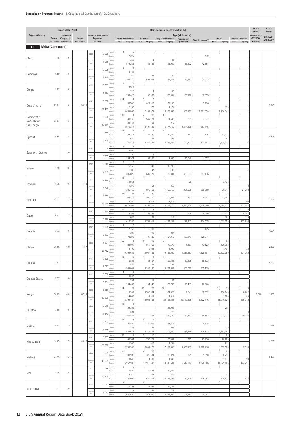|                          |                           | Japan's ODA (2020)                     |                 |                                                                       |                                            |         |                                               |                                            | JICA's Technical Cooperation (FY2020) |                                    |                  |                                 |                         | JICA's<br>F and IC*     | JICA's<br>Grants |
|--------------------------|---------------------------|----------------------------------------|-----------------|-----------------------------------------------------------------------|--------------------------------------------|---------|-----------------------------------------------|--------------------------------------------|---------------------------------------|------------------------------------|------------------|---------------------------------|-------------------------|-------------------------|------------------|
| Region / Country         |                           | Technical<br><b>Grants</b> Cooperation | Loans           |                                                                       | <b>Technical Cooperation</b><br>Expenses** |         | <b>Training Participants**</b>                | Experts**                                  | Study Team Members**                  | Type (¥1 thousand)<br>Provision of |                  | <b>JOCVs</b>                    | <b>Other Volunteers</b> | Commitments<br>(FY2020) | (FY2020)         |
|                          | <b>Africa (Continued)</b> | (US\$1 million) (US\$1 million)        | (US\$1 million) |                                                                       | (¥1 billion)                               |         | New<br>Ongoing                                | Ongoing New<br>New                         | Ongoing                               | Equipment**                        | Other Expenses** | Ongoing<br><b>New</b>           | New<br>Ongoing          | (¥1 billion)            | (¥1 billion)**   |
| $4-5$                    |                           |                                        |                 |                                                                       | 0.008                                      |         | 4:<br>$\overline{2}$                          |                                            |                                       |                                    |                  |                                 |                         |                         |                  |
| Chad                     | 7.45                      | 0.10                                   |                 | 2020                                                                  |                                            |         | 7,376<br>352                                  | $\sqrt{5}$                                 | 43                                    |                                    | 470              |                                 |                         |                         |                  |
|                          |                           |                                        |                 | amulativ<br>Total                                                     | 1.036                                      |         | 572,265                                       | 136,736                                    | 225,987                               | 58,402                             | 42,654           |                                 |                         |                         |                  |
| Comoros                  | 5.59                      | 0.11                                   |                 | 2020                                                                  | 0.008                                      |         | 5 <sub>1</sub><br>$\overline{1}$<br>8,183     |                                            |                                       |                                    |                  |                                 |                         |                         |                  |
|                          |                           |                                        |                 | umulativ<br>Total                                                     | 1.429                                      |         | 250<br>409,770                                | 48<br>596,078                              | 42<br>213,466                         | 139,641                            | 70,032           |                                 |                         |                         |                  |
|                          |                           |                                        |                 | 2020                                                                  | 0.007                                      |         | 2 <sup>1</sup><br>$\overline{2}$<br>6,518     |                                            |                                       |                                    |                  |                                 |                         |                         |                  |
| Congo                    | 3.87                      | 0.35                                   |                 | umulativ<br>Total                                                     | 1.324                                      |         | 216                                           | $\overline{4}$                             | 140                                   |                                    |                  |                                 |                         |                         |                  |
|                          |                           |                                        |                 | 2020                                                                  | 0.590                                      |         | 333,429<br>814:<br>$\sqrt{4}$                 | 30,386<br>5 <sub>i</sub><br>$\overline{7}$ | 889,504                               | 60,176                             | 10,055           |                                 |                         |                         |                  |
| Côte d'Ivoire            | 25.21                     | 5.92                                   | 34.33           | umulativ                                                              |                                            |         | 55,598<br>12,183                              | 424,010<br>577                             | 107,193<br>1,174                      |                                    | 3,226            | 173                             |                         |                         | 2.645            |
|                          |                           |                                        |                 | Total                                                                 | 21.465                                     |         | 4,039,085                                     | 6,167,471                                  | 6,962,845                             | 933,187                            | 1,081,854        | 2,280,540                       |                         |                         |                  |
| Democratic               | 38.97                     | 6.78                                   |                 | 2020                                                                  | 0.628                                      |         | $30\frac{1}{2}$<br>11<br>40,145               | $2\frac{1}{2}$<br>12<br>547,921            | 1 <sup>1</sup><br>24,545              | 8,209                              | 7,027            |                                 |                         |                         |                  |
| Republic of<br>the Congo |                           |                                        |                 | umulativ<br>Total                                                     | 20.244                                     |         | 24,767<br>3,970,377                           | 606<br>8,494,789                           | 912<br>5,477,152                      | 1,344,198                          | 957,745          |                                 |                         |                         |                  |
|                          |                           |                                        |                 | 2020                                                                  | 0.318                                      |         | 14:<br>$\,6\,$                                | 1Ė<br>5                                    | 7                                     |                                    |                  | 13                              |                         |                         |                  |
| Djibouti                 | 9.58                      | 4.31                                   |                 | amulativ                                                              | 7.599                                      |         | 22,378<br>659                                 | 183,620<br>154                             | 79,132<br>623                         | 367                                | 616              | 31,921<br>148                   |                         |                         | 4.278            |
|                          |                           |                                        |                 | Total                                                                 |                                            |         | 1,171,476<br>$2\frac{1}{2}$<br>$\overline{1}$ | 1,252,275                                  | 3,182,384                             | 140,422                            | 473,787          | 1,378,216                       |                         |                         |                  |
| Equatorial Guinea        |                           | 0.08                                   |                 | 2020                                                                  | 0.004                                      |         | 3,550<br>100                                  | $\mathbf{1}$                               |                                       |                                    |                  |                                 |                         |                         |                  |
|                          |                           |                                        |                 | umulativ<br>Total                                                     | 0.385                                      |         | 294,371                                       | 54,983                                     | 4,369                                 | 29,240                             | 1,657            |                                 |                         |                         |                  |
|                          |                           |                                        |                 | 2020                                                                  | 0.040                                      |         | 8<br>3<br>16,153                              | 3,848                                      | 19,705                                |                                    |                  |                                 |                         |                         |                  |
| Eritrea                  | 1.90                      | 0.17                                   |                 | umulativ<br>Total                                                     | 2.855                                      |         | 336<br>605,825                                | 47<br>632,179                              | 183<br>929,331                        | 400,637                            | 287,476          |                                 |                         |                         |                  |
|                          |                           |                                        |                 | 2020                                                                  | 0.023                                      |         | 11:<br>$\overline{2}$                         |                                            |                                       |                                    |                  | $\overline{1}$                  |                         |                         |                  |
| Eswatini                 | 6.75                      | 0.21                                   | $-1.89$         | umulativ                                                              |                                            |         | 19,961<br>1,378                               | 64                                         | 259                                   | 28                                 |                  | 3,432<br>$\overline{4}$         | $\overline{4}$          |                         |                  |
|                          |                           |                                        |                 | Total                                                                 | 4.736                                      |         | 1,305,768<br>63:<br>25                        | 876,569<br>20<br>8:                        | 1,962,150                             | 251,635                            | 258,388          | 56,747<br>16                    | 24,268                  |                         |                  |
| Ethiopia                 | 63.31                     | 11.90                                  |                 | 2020                                                                  | 1.418                                      |         | 108,774                                       | 955,700                                    | 305,031                               | 451                                | 4,692            | 43,247                          |                         |                         | 1.766            |
|                          |                           |                                        |                 | umulativ<br>Total                                                     | 53.534                                     |         | 3,330<br>6,416,503                            | 1,972<br>19,768,517                        | 2,311<br>13,368,270                   | 3,536,774                          | 3,616,480        | 726<br>6,495,474                | 40<br>332,392           |                         |                  |
|                          |                           |                                        |                 | 2020                                                                  | 0.134                                      |         | $15\frac{1}{3}$<br>3<br>19,352                | 2<br>$\overline{4}$<br>62,243              |                                       | 536                                | 6,096            | $2\frac{1}{2}$<br>14<br>37,321  | 3<br>8,342              |                         |                  |
| Gabon                    | 0.41                      | 1.79                                   |                 | amulativ<br>Total                                                     | 6.316                                      |         | 644                                           | 129                                        | 213<br>1.294.287                      |                                    |                  | 163<br>1.553.359                | 15                      |                         |                  |
|                          |                           |                                        |                 | 2020                                                                  | 0.028                                      |         | 1,012,385<br>8:<br>5                          | 1,767,919                                  |                                       | 229,812                            | 224,635          |                                 | 233,886                 |                         |                  |
| Gambia                   | 2.73                      | 0.40                                   |                 | umulativ                                                              |                                            |         | 17,750<br>387                                 | 10,000<br>12                               | 244                                   |                                    | 425              |                                 |                         |                         | 1.591            |
|                          |                           |                                        |                 | Total                                                                 | 3.283                                      |         | 773,275<br>56<br>11                           | 427,485<br>11:<br>19                       | 1,367,018<br>8                        | 488,247                            | 226,671          | 52                              |                         |                         |                  |
| Ghana                    | 35.86                     | 13.94                                  | 1.57            | 2020                                                                  | 1.224                                      |         | 84,007                                        | 917,369                                    | 78,677                                | 1,467                              | 13,123           | 129,762                         |                         |                         | 2.300            |
|                          |                           |                                        |                 | umulative                                                             | 63.762                                     | Expense | 4,792<br>9,392,633                            | 2,043<br>21,084,836                        | 1,992<br>9,883,249                    | 4,818,187                          | 4,428,887        | 1,404<br>13,822,980             | 33<br>331,052           |                         |                  |
|                          |                           |                                        |                 | 2020                                                                  | 0.298                                      |         | 15 <sup>1</sup><br>$\sqrt{2}$<br>16,806       | $4\frac{1}{3}$<br>$\sqrt{2}$<br>81,857     | $4\frac{1}{2}$<br>92,436              | 50,135                             | 56,633           |                                 |                         |                         |                  |
| Guinea                   | 11.67                     | 1.25                                   |                 | Cumulative<br>Total                                                   | 9.093                                      |         | 844                                           | 63                                         | 798                                   |                                    |                  |                                 |                         |                         | 0.757            |
|                          |                           |                                        |                 | 2020                                                                  |                                            |         | 1,543,052<br>$4\frac{1}{2}$<br>$\overline{2}$ | 1,344,230                                  | 4,764,638                             | 866,060                            | 575,179          |                                 |                         |                         |                  |
| Guinea-Bissau            | 5.27                      | 0.06                                   |                 |                                                                       | 0.006                                      |         | 5,886<br>201                                  | 11                                         | 81                                    |                                    |                  |                                 |                         |                         |                  |
|                          |                           |                                        |                 | amulativ<br>$\begin{tabular}{c} \hline Total \\ \hline \end{tabular}$ | 0.981                                      |         | 364,460                                       | 191,542                                    | 369,766                               | 29,413                             | 26,000           |                                 |                         |                         |                  |
|                          | 30.63                     | 40.49                                  | 67.99           | 2020                                                                  | 2.140                                      |         | 214:<br>27<br>118,942                         | 36 <sup>1</sup><br>26<br>1,593,634         | 34 <sup>1</sup><br>304,828            | 1,241                              | 12,072           | 5 <sup>1</sup><br>35<br>100,646 | 3<br>8,702              | 8.000                   | 1.900            |
| Kenya                    |                           |                                        |                 | umulative<br>Total                                                    | 135.959                                    |         | 14,838<br>18,392,434                          | 4,311<br>53,025,463                        | 4,914<br>30,625,885                   | 12,180,335                         | 5,422,716        | 1,684<br>15,916,623             | 49<br>395,912           |                         |                  |
|                          |                           |                                        |                 | 2020                                                                  | 0.046                                      |         | 12:<br>$\sqrt{5}$                             |                                            |                                       |                                    |                  |                                 |                         |                         |                  |
| Lesotho                  | 3.65                      | 0.46                                   |                 | lumulative<br>Total                                                   | 1.473                                      |         | 22,308<br>805                                 |                                            | 23,923<br>74                          |                                    |                  | 205<br>$\overline{1}$           | 4                       |                         |                  |
|                          |                           |                                        |                 |                                                                       |                                            |         | 866,837<br>18 <sub>1</sub><br>$\sim$ 1        | 307<br>1 <sup>1</sup><br>$\left  \right $  | 319,140                               | 182,332                            | 64,103           | 21,177                          | 19,226                  |                         |                  |
| Liberia                  | 19.93                     | 1.95                                   |                 | 2020                                                                  | 0.207                                      |         | 20,829<br>736                                 | 130,009<br>86                              | 51,313<br>228                         |                                    | 4,678            | 170                             |                         |                         | 1.658            |
|                          |                           |                                        |                 | lumulative<br>Total                                                   | 6.675                                      |         | 1,533,576                                     | 1,117,364                                  | 1,702,280                             | 451,468                            | 206,172          | 1,663,981                       |                         |                         |                  |
|                          |                           |                                        |                 | 2020                                                                  | 0.959                                      |         | 38 <sup>1</sup><br>7<br>46,351                | $6\frac{1}{2}$<br>12<br>755,721            | 60,467                                | 875                                | 25,436           | 29<br>70,226                    |                         |                         |                  |
| Madagascar               | 16.65                     | 7.58                                   | 40.16           | lumulative<br>Total                                                   | 23.722                                     |         | 1,308<br>2,558,900                            | 618<br>9,097,120                           | 1,294<br>7,057,698                    | 1,698,113                          | 1,372,436        | 210<br>1,935,904                | $\overline{1}$<br>2,020 |                         | 1.219            |
|                          |                           |                                        |                 | 2020                                                                  | 0.629                                      |         | 65 <sup>1</sup><br>15                         | 13<br>2 <sup>1</sup>                       |                                       |                                    |                  | 29                              |                         |                         |                  |
| Malawi                   | 22.55                     | 5.55                                   |                 | amulativ                                                              | 48.599                                     |         | 100,936<br>3,649                              | 378,834<br>1,089                           | 80,924<br>1,440                       | 875                                | 1,350            | 66,291<br>1,837                 | 50                      |                         | 0.477            |
|                          |                           |                                        |                 | Total                                                                 |                                            |         | 5,957,983<br>2 <sup>1</sup><br>5              | 12,916,592                                 | 8,015,684                             | 2,612,064                          | 1,826,866        | 16,825,606                      | 444,291                 |                         |                  |
| Mali                     | 8.16                      | 0.74                                   |                 | 2020                                                                  | 0.075                                      |         | 5,824                                         | 49,535                                     | 19,887                                |                                    |                  |                                 |                         |                         |                  |
|                          |                           |                                        |                 | amulative<br>Total                                                    | 10.809                                     |         | 2,212<br>1,441,994                            | 57<br>684,203                              | 867<br>8,113,523                      | 152,119                            | 295,997          | 11<br>120,676                   | 837                     |                         |                  |
|                          |                           |                                        |                 | 2020                                                                  | 0.031                                      |         | 3:<br>2,761                                   | 1}<br>11,991                               | 16,137                                |                                    |                  |                                 |                         |                         |                  |
| Mauritania               | 11.27                     | 0.43                                   |                 | umulativ<br>Total                                                     | 7.043                                      |         | 717<br>1,087,455                              | 49<br>972,060                              | 729<br>4,689,504                      | 259,383                            | 34,547           |                                 |                         |                         |                  |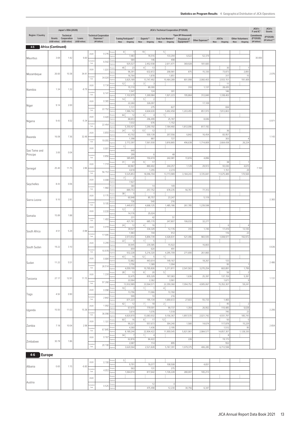|                         |                           | Japan's ODA (2020)              |                 | JICA's<br>JICA's Technical Cooperation (FY2020)<br>F and IC* |                                            |         |                                             |                                             |                             |                                    |                  |                  |                          |                         | JICA's<br>Grants |
|-------------------------|---------------------------|---------------------------------|-----------------|--------------------------------------------------------------|--------------------------------------------|---------|---------------------------------------------|---------------------------------------------|-----------------------------|------------------------------------|------------------|------------------|--------------------------|-------------------------|------------------|
| <b>Region / Country</b> | Grants                    | Technical<br>Cooperation        | Loans           |                                                              | <b>Technical Cooperation</b><br>Expenses** |         | <b>Training Participants**</b>              | Experts**                                   | Study Team Members**        | Type (¥1 thousand)<br>Provision of |                  | <b>JOCVs</b>     | <b>Other Volunteers</b>  | Commitments<br>(FY2020) | (FY2020)         |
|                         |                           | (US\$1 million) (US\$1 million) | (US\$1 million) |                                                              | (¥1 billion)                               |         | <b>New</b><br>Ongoing                       | New<br>Ongoing                              | New Ongoing                 | Equipment**                        | Other Expenses** | Ongoing<br>New   | Ongoing<br>New           | (¥1 billion)            | (¥1 billion)**   |
| 4-5                     | <b>Africa (Continued)</b> |                                 |                 |                                                              |                                            |         | 8:<br>$\overline{1}$                        | 19:                                         | 5 <sub>1</sub>              |                                    |                  |                  |                          |                         |                  |
| Mauritius               | 3.69                      | 1.42                            | 6.60            | 2020                                                         | 0.276                                      |         | 7,483                                       | 76,516                                      | 133,294                     | 6,522                              | 52,374           |                  |                          | 30.000                  |                  |
|                         |                           |                                 |                 | Total                                                        | 6.542                                      |         | 584<br>925,527                              | 146<br>2,452,938                            | 498<br>2,611,471            | 369,928                            | 181,683          |                  |                          |                         |                  |
|                         |                           |                                 |                 | 2020                                                         | 1.031                                      |         | 45:<br>23                                   | 4<br>13                                     |                             |                                    |                  | 30               |                          |                         |                  |
| Mozambique              | 26.60                     | 10.38                           | 34.41           | mulati                                                       |                                            |         | 96,391<br>16,764                            | 632,872<br>1,878                            | 208,981<br>1,851            | 875                                | 15,330           | 73,873<br>317    | 2,893<br>15              |                         | 2.076            |
|                         |                           |                                 |                 | Total                                                        | 34.024                                     |         | 3,825,189                                   | 13,747,492                                  | 10,464,289                  | 801,998                            | 2,060,403        | 2,933,151        | 191,409                  |                         |                  |
|                         |                           |                                 |                 | 2020                                                         | 0.134                                      |         | 12:<br>3<br>15,110                          | зį<br>3<br>89,300                           |                             | 310                                | 1,137            | 11<br>28,435     |                          |                         |                  |
| Namibia                 | 1.34                      | 1.32                            | $-8.79$         | mulativ<br>Total                                             | 6.141                                      |         | 1,547                                       | 124                                         | 301                         |                                    |                  | 146              |                          |                         |                  |
|                         |                           |                                 |                 |                                                              |                                            |         | 1,102,979<br>14:<br>3                       | 1,269,984<br>5:<br>$\overline{\phantom{a}}$ | 1,921,223                   | 195,864                            | 312,840          | 1,338,402        |                          |                         |                  |
| Niger                   | 9.14                      | 2.00                            |                 | 2020                                                         | 0.365                                      |         | 22,260<br>1,131                             | 326,097<br>275                              | 827                         |                                    | 17,109           | 694              |                          |                         |                  |
|                         |                           |                                 |                 | umulati <sub></sub><br>Total                                 | 22.152                                     |         | 1,986,742                                   | 4,604,630                                   | 5,692,458                   | 1,203,455                          | 851,915          | 7,812,803        |                          |                         |                  |
|                         |                           |                                 |                 | 2020                                                         | 0.420                                      |         | 64:<br>12<br>88,653                         | 4:<br>4<br>296,499                          | -1<br>25,787                |                                    | 8,696            |                  |                          |                         |                  |
| Nigeria                 | 9.43                      | 4.02                            | $-5.34$         |                                                              | 22.454                                     |         | 7,032                                       | 676                                         | 1,152                       |                                    |                  |                  |                          |                         | 0.971            |
|                         |                           |                                 |                 | Total                                                        |                                            |         | 5,350,421<br>24:<br>12                      | 7,290,192<br>13:<br>12                      | 7,184,460                   | 1,812,096                          | 817,192          | 36               |                          |                         |                  |
|                         | 16.08                     | 7.36                            | 32.48           | 2020                                                         | 0.859                                      |         | 43,702                                      | 500,139                                     | 207,556                     | 6,842                              | 16,454           | 83,957           |                          |                         | 1.143            |
| Rwanda                  |                           |                                 |                 | Total                                                        | 19.055                                     |         | 1,398<br>2,772,397                          | 887<br>7,561,930                            | 727<br>3,818,865            | 496,638                            | 1,714,809        | 303<br>2,664,438 | $\overline{4}$<br>26,224 |                         |                  |
|                         |                           |                                 |                 | 2020                                                         | 0.001                                      |         | $1\frac{1}{2}$                              |                                             |                             |                                    |                  |                  |                          |                         |                  |
| Sao Tome and            | 3.00                      | 0.04                            |                 |                                                              |                                            |         | 640<br>299                                  | 6                                           | 48                          |                                    |                  |                  |                          |                         |                  |
| Principe                |                           |                                 |                 | umulati<br>Total                                             | 0.856                                      |         | 385,805                                     | 150,474                                     | 242,081                     | 72,816                             | 4,896            |                  |                          |                         |                  |
|                         |                           |                                 |                 | 2020                                                         | 1.314                                      |         | 31:<br>23<br>60,967                         | 9<br>17<br>880,402                          | 244,257                     | 1,129                              | 29,913           | 38<br>93,030     | -1<br>4,615              |                         |                  |
| Senegal                 | 25.40                     | 11.75                           | 2.86            | mulativ                                                      | 56.153                                     |         | 4,618                                       | 1,255                                       | 2,274                       |                                    |                  | 1,151            | 29                       | 7.169                   |                  |
|                         |                           |                                 |                 | Total                                                        |                                            |         | 5,525,853<br>71<br>$\overline{\phantom{a}}$ | 18,096,704                                  | 13,773,989                  | 3,184,243                          | 3,725,841        | 11,675,489       | 170,569                  |                         |                  |
| Seychelles              | 8.43                      | 0.06                            |                 | 2020                                                         | 0.008                                      |         | 7,927                                       |                                             |                             |                                    |                  |                  |                          |                         |                  |
|                         |                           |                                 |                 | umulati<br>Total                                             | 1.960                                      |         | 380<br>889,753                              | 14<br>257,752                               | 149<br>678,235              | 56,767                             | 77,312           |                  |                          |                         |                  |
|                         |                           |                                 |                 | 2020                                                         | 0.175                                      |         | 38:<br>5                                    |                                             |                             |                                    |                  |                  |                          |                         |                  |
| Sierra Leone            | 9.10                      | 2.81                            |                 |                                                              |                                            |         | 60,948<br>736                               | 85,757<br>540                               | 23,247<br>216               |                                    | 5,119            |                  |                          |                         | 2.383            |
|                         |                           |                                 |                 | Total                                                        | 9.105                                      |         | 1,449,972                                   | 4,668,125                                   | 1,485,186                   | 261,785                            | 1,239,598        |                  |                          |                         |                  |
|                         |                           |                                 |                 | 2020                                                         | 0.039                                      |         | 12 <sup>1</sup><br>2<br>14,176              | 25,024                                      |                             |                                    |                  |                  |                          |                         |                  |
| Somalia                 | 15.89                     | 1.88                            |                 | nulat                                                        | 1.493                                      |         | 231                                         | 42                                          | 51                          |                                    |                  |                  |                          |                         |                  |
|                         |                           |                                 |                 | Total                                                        |                                            |         | 421,761<br>24:<br>12                        | 685,170<br>4:<br>16                         | 247,807                     | 106,032                            | 32,277           | 6                |                          |                         |                  |
| South Africa            | 4.51                      | 5.29                            | $-0.88$         | 2020                                                         | 0.419                                      |         | 39,527                                      | 334,329                                     | 12,176                      | 310                                | 1,745            | 17,419           | 13,105                   |                         |                  |
|                         |                           |                                 |                 | milat<br>Total                                               | 17.005                                     |         | 1,983<br>3,973,932                          | 744<br>5,894,739                            | 912<br>4,428,831            | 521,496                            | 983,935          | 116<br>1,008,977 | 23<br>192,972            |                         |                  |
|                         |                           |                                 |                 | 2020                                                         | 0.299                                      |         | 22:<br>$\overline{4}$                       | 1)<br>5                                     |                             |                                    |                  |                  |                          |                         |                  |
| South Sudan             | 19.22                     | 3.10                            |                 |                                                              |                                            | Person  | 30,945<br>659                               | 235,585<br>620                              | 15,922<br>491               |                                    | 16,803           |                  |                          |                         | 0.636            |
|                         |                           |                                 |                 | Total                                                        | 10.978                                     | Expense | 932,228                                     | 5,216,320                                   | 4,295,709                   | 271,690                            | 261,865          |                  |                          |                         |                  |
|                         |                           | 5.51                            |                 | 2020                                                         | 0.684                                      |         | 43:<br>14<br>72,882                         | 12 <sup>1</sup><br>5<br>443,614             | $\mathbb{1}$ :<br>149,167   |                                    | 18,267           | 133              |                          |                         |                  |
| Sudan                   | 11.22                     |                                 |                 | umulativ<br>Total                                            | 26.514                                     |         | 3,756                                       | 1,389                                       | 1,094                       |                                    |                  | 95               |                          |                         | 2.486            |
|                         |                           |                                 |                 |                                                              |                                            | ersor   | 4,059,199<br>28:<br>13                      | 10,765,826<br>8<br>20                       | 5,211,811<br>5 <sup>1</sup> | 2,541,563                          | 3,270,254        | 663,891<br>56    | 1,799<br>$\overline{2}$  |                         |                  |
| Tanzania                | 27.17                     | 12.91                           | 11.15           | 2020                                                         | 1.224                                      |         | 32,475<br>22,064                            | 835,329<br>2,362                            | 187,083<br>3,961            | 1,636                              | 25,397           | 137,159<br>1,671 | 5,397<br>-9              |                         | 1.131            |
|                         |                           |                                 |                 | nulativ<br>Total                                             | 97.268                                     |         | 13,932,989                                  | 33,564,571                                  | 22,359,360                  | 7,094,752                          | 4,905,067        | 15,352,307       | 59,241                   |                         |                  |
|                         |                           |                                 |                 | 2020                                                         | 0.098                                      |         | 10:<br>3<br>13,796                          | 11<br>$\overline{1}$<br>11,066              | 4:<br>72,760                |                                    |                  |                  |                          |                         |                  |
| Togo                    | 4.92                      | 0.90                            |                 | umulativ                                                     | 2.842                                      |         | 599                                         | 10                                          | 216                         |                                    |                  |                  |                          |                         |                  |
|                         |                           |                                 |                 | Total                                                        |                                            |         | 871,223<br>42 :<br>12                       | 195,134<br>7  <br>18                        | 1,690,672<br>$2\frac{1}{2}$ | 27,603                             | 55,733           | 1,465<br>45      | 2                        |                         |                  |
|                         | 15.93                     | 11.03                           | 15.38           | 2020                                                         | 1.092                                      |         | 67,670                                      | 779,591                                     | 99,737                      | 1,354                              | 26,952           | 110,485          | 6,638                    |                         | 2.206            |
| Uganda                  |                           |                                 |                 | imulativ<br>Total                                            | 36.098                                     |         | 3,614<br>4,820,970                          | 1,076<br>13,083,932                         | 1,518<br>9,156,367          | 1,897,570                          | 2,021,742        | 745<br>4,931,797 | 23<br>185,743            |                         |                  |
|                         |                           |                                 |                 | 2020                                                         | 1.101                                      |         | 60:<br>16                                   | 8<br>17                                     | 12:                         |                                    |                  | 50               | -5                       |                         |                  |
| Zambia                  | 7.18                      | 10.04                           | 2.98            |                                                              |                                            |         | 90,221<br>4,360                             | 557,673<br>1,436                            | 304,240<br>2,195            | 1,580                              | 14,674           | 117,878<br>1,512 | 15,229<br>95             |                         | 2.654            |
|                         |                           |                                 |                 | mulativ<br>Total                                             | 67.845                                     |         | 8,189,244                                   | 22,904,422                                  | 11,959,545                  | 5,821,961                          | 2,984,577        | 14,857,307       | 1,128,330                |                         |                  |
|                         |                           |                                 |                 | 2020                                                         | 0.167                                      |         | 34 <sup>1</sup><br>$\overline{7}$<br>62,816 | 11<br>$\overline{4}$<br>84,422              |                             | 226                                |                  | 8<br>19,173      |                          |                         |                  |
| Zimbabwe                | 30.78                     | 1.86                            |                 | umulativ                                                     | 20.108                                     |         | 2,087                                       | 114                                         | 895                         |                                    |                  | 552              |                          |                         |                  |
|                         |                           |                                 |                 | Total                                                        |                                            |         | 3,620,564                                   | 2,521,828                                   | 5,767,391                   | 1,079,375                          | 406,285          | 6,712,598        |                          |                         |                  |

# **4-6 Europe**

|         |      |       |         | 2020       | 0.199 | Person:       |           |         |           |         |         |  |  |  |
|---------|------|-------|---------|------------|-------|---------------|-----------|---------|-----------|---------|---------|--|--|--|
|         | 0.65 | 1.151 | $-6.60$ |            |       |               | 9,791     | 76,077  | 108,508   |         | 4,651   |  |  |  |
| Albania |      |       |         | Cumulative | 4.053 | Person        | 563       | 131     | 275       |         |         |  |  |  |
|         |      |       |         | Total      |       | Expens        | 1,064,014 | 817,642 | 1,726,228 | 280,007 | 165,213 |  |  |  |
| Austria |      |       |         | 2020       |       | Persons       |           |         |           |         |         |  |  |  |
|         |      |       |         |            |       | <b>Expens</b> |           |         |           |         |         |  |  |  |
|         |      |       |         | Cumulative | 0.525 | Person:       |           |         |           |         |         |  |  |  |
|         |      |       |         | Total      |       | Expense       |           | 475,498 | 12,230    | 30,756  | 6,347   |  |  |  |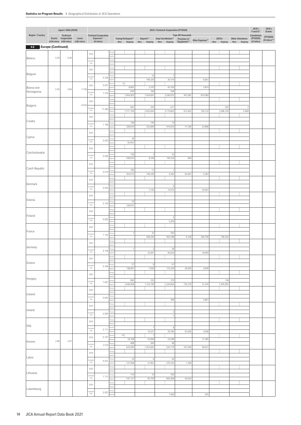|                           |      | Japan's ODA (2020)                                    |                          |                            |                              |                |                                               |                          | JICA's Technical Cooperation (FY2020)           |                             |                  |                             |                                           | JICA's<br>F and IC*      | JICA's<br>Grants            |
|---------------------------|------|-------------------------------------------------------|--------------------------|----------------------------|------------------------------|----------------|-----------------------------------------------|--------------------------|-------------------------------------------------|-----------------------------|------------------|-----------------------------|-------------------------------------------|--------------------------|-----------------------------|
| Region / Country          |      | Technical                                             |                          |                            | <b>Technical Cooperation</b> |                |                                               |                          |                                                 | Type (¥1 thousand)          |                  |                             |                                           | Commitments              |                             |
|                           |      | Grants Cooperation<br>(US\$1 million) (US\$1 million) | Loans<br>(US\$1 million) |                            | Expenses**<br>(¥1 billion)   |                | <b>Training Participants**</b><br>New Ongoing | Experts**                | Study Team Members**<br>New Ongoing New Ongoing | Provision of<br>Equipment** | Other Expenses** | <b>JOCVs</b><br>New Ongoing | <b>Other Volunteers</b><br>Ongoing<br>New | (FY2020)<br>(¥1 billion) | (FY2020)<br>(¥1 billion)*** |
| 4-6 Europe (Continued)    |      |                                                       |                          |                            |                              |                |                                               |                          |                                                 |                             |                  |                             |                                           |                          |                             |
|                           |      |                                                       |                          |                            |                              | erso           |                                               |                          |                                                 |                             |                  |                             |                                           |                          |                             |
| Belarus                   | 0.29 | 0.00                                                  |                          | 2020                       |                              | chen           |                                               |                          |                                                 |                             |                  |                             |                                           |                          |                             |
|                           |      |                                                       |                          | timulativ<br>Total         |                              |                |                                               |                          |                                                 |                             |                  |                             |                                           |                          |                             |
|                           |      |                                                       |                          | 2020                       |                              | erson          |                                               |                          |                                                 |                             |                  |                             |                                           |                          |                             |
| Belgium                   |      |                                                       |                          |                            |                              |                |                                               | 10                       | 7                                               |                             |                  |                             |                                           |                          |                             |
|                           |      |                                                       |                          | Cumulativ<br>Total         | 0.238                        |                |                                               | 199,329                  | 30,119                                          |                             | 8,061            |                             |                                           |                          |                             |
|                           |      |                                                       |                          | 2020                       | 0.057                        |                | 9:                                            |                          |                                                 |                             |                  |                             |                                           |                          |                             |
| Bosnia and<br>Herzegovina | 0.25 | 0.84                                                  | 11.80                    |                            |                              |                | 8,862<br>839                                  | 2,270<br>106             | 42,100<br>558                                   |                             | 3,814            |                             |                                           |                          |                             |
|                           |      |                                                       |                          | <b>Limulative</b><br>Total | 7.276                        |                | 1,454,403                                     | 1,424,641                | 3,240,910                                       | 341,081                     | 814,580          |                             |                                           |                          |                             |
|                           |      |                                                       |                          | 2020                       |                              |                |                                               |                          |                                                 |                             |                  |                             |                                           |                          |                             |
| Bulgaria                  |      |                                                       | $-14.92$                 | amulative                  |                              |                | 842                                           | 243                      | 617                                             |                             |                  | 253                         | $\overline{2}$                            |                          |                             |
|                           |      |                                                       |                          | Total                      | 11.280                       |                | 1,711,194                                     | 2,052,834                | 3,115,803                                       | 913,402                     | 195,132          | 3,286,378                   | 5,468                                     |                          |                             |
|                           |      |                                                       |                          | 2020                       |                              | erson          |                                               |                          |                                                 |                             |                  |                             |                                           |                          |                             |
| Croatia                   |      |                                                       |                          | umulativ                   | 1.108                        |                | 148                                           | 140                      | 73                                              |                             |                  |                             |                                           |                          |                             |
|                           |      |                                                       |                          | Total                      |                              |                | 328,870                                       | 322,609                  | 415,810                                         | 17,185                      | 23,898           |                             |                                           |                          |                             |
|                           |      |                                                       |                          | 2020                       |                              | erson          |                                               |                          |                                                 |                             |                  |                             |                                           |                          |                             |
| Cyprus                    |      |                                                       |                          | umulativ                   | 0.093                        |                | 30                                            |                          |                                                 |                             |                  |                             |                                           |                          |                             |
|                           |      |                                                       |                          | Total                      |                              |                | 92,652                                        |                          |                                                 |                             |                  |                             |                                           |                          |                             |
|                           |      |                                                       |                          | 2020                       |                              |                |                                               |                          |                                                 |                             |                  |                             |                                           |                          |                             |
| Czechoslovakia            |      |                                                       |                          | Cumulativ<br>Total         | 0.596                        |                | 139                                           | 3                        | 33                                              |                             |                  |                             |                                           |                          |                             |
|                           |      |                                                       |                          |                            |                              |                | 438,033                                       | 8,169                    | 149,334                                         | 684                         |                  |                             |                                           |                          |                             |
|                           |      |                                                       |                          | 2020                       |                              |                |                                               |                          |                                                 |                             |                  |                             |                                           |                          |                             |
| Czech Republic            |      |                                                       |                          | amulativ<br>Total          | 0.579                        |                | 185                                           | 11                       | $\overline{1}$                                  |                             |                  |                             |                                           |                          |                             |
|                           |      |                                                       |                          |                            |                              | nen            | 354,012                                       | 149,349                  | 4,392                                           | 65,691                      | 5,283            |                             |                                           |                          |                             |
| Denmark                   |      |                                                       |                          | 2020                       |                              |                |                                               |                          |                                                 |                             |                  |                             |                                           |                          |                             |
|                           |      |                                                       |                          | <b>Cumulative</b><br>Total | 0.035                        |                |                                               |                          | 6<br>12,515                                     |                             | 20,947           |                             |                                           |                          |                             |
|                           |      |                                                       |                          |                            |                              | erson          |                                               | 1,743                    |                                                 |                             |                  |                             |                                           |                          |                             |
| Estonia                   |      |                                                       |                          | 2020                       |                              |                |                                               |                          |                                                 |                             |                  |                             |                                           |                          |                             |
|                           |      |                                                       |                          | umulativ<br>Total          | 0.129                        |                | 75<br>128,557                                 |                          |                                                 |                             |                  |                             |                                           |                          |                             |
|                           |      |                                                       |                          |                            |                              | ersor          |                                               |                          |                                                 |                             |                  |                             |                                           |                          |                             |
| Finland                   |      |                                                       |                          | 2020                       |                              |                |                                               |                          |                                                 |                             |                  |                             |                                           |                          |                             |
|                           |      |                                                       |                          | umulativ<br>Total          | 0.005                        |                |                                               |                          | 5<br>5,294                                      |                             |                  |                             |                                           |                          |                             |
|                           |      |                                                       |                          |                            |                              |                |                                               |                          |                                                 |                             |                  |                             |                                           |                          |                             |
| France                    |      |                                                       |                          | 2020                       |                              |                |                                               |                          |                                                 |                             |                  |                             |                                           |                          |                             |
|                           |      |                                                       |                          | Cumulativ<br>Total         | 1.124                        |                | $\overline{1}$                                | 32<br>208,295            | 263<br>493,788                                  | 6,146                       | 309,758          | 106,442                     |                                           |                          |                             |
|                           |      |                                                       |                          | 2020                       |                              |                |                                               |                          |                                                 |                             |                  |                             |                                           |                          |                             |
| Germany                   |      |                                                       |                          |                            |                              |                |                                               |                          |                                                 |                             |                  |                             |                                           |                          |                             |
|                           |      |                                                       |                          | <b>Cumulative</b><br>Total | 0.138                        | :xpe           | $\overline{1}$                                | $\overline{2}$<br>23,941 | 28<br>95,620                                    |                             | 18,909           |                             |                                           |                          |                             |
|                           |      |                                                       |                          | 2020                       |                              |                |                                               |                          |                                                 |                             |                  |                             |                                           |                          |                             |
| Greece                    |      |                                                       |                          |                            |                              |                | 27                                            | $\,$ 8                   | 41                                              |                             |                  |                             |                                           |                          |                             |
|                           |      |                                                       |                          | amulative<br>Total         | 0.348                        |                | 138,081                                       | 7,559                    | 172,239                                         | 26,005                      | 4,040            |                             |                                           |                          |                             |
|                           |      |                                                       |                          | 2020                       |                              | erson          |                                               |                          |                                                 |                             |                  |                             |                                           |                          |                             |
| Hungary                   |      |                                                       |                          |                            |                              |                | 800                                           | 103                      | 375                                             |                             |                  | 138                         |                                           |                          |                             |
|                           |      |                                                       |                          | umulativ<br>Total          | 7.697                        |                | 1,646,968                                     | 1,122,749                | 2,234,854                                       | 735,270                     | 21,416           | 1,935,855                   |                                           |                          |                             |
|                           |      |                                                       |                          | 2020                       |                              | ersor          |                                               |                          |                                                 |                             |                  |                             |                                           |                          |                             |
| Iceland                   |      |                                                       |                          |                            |                              | xpens          |                                               |                          |                                                 |                             |                  |                             |                                           |                          |                             |
|                           |      |                                                       |                          | amulative<br>Total         | 0.003                        |                |                                               |                          | 369                                             |                             | 2,861            |                             |                                           |                          |                             |
|                           |      |                                                       |                          | 2020                       |                              | erson          |                                               |                          |                                                 |                             |                  |                             |                                           |                          |                             |
| Ireland                   |      |                                                       |                          |                            |                              | irson          |                                               |                          | $\overline{2}$                                  |                             |                  |                             |                                           |                          |                             |
|                           |      |                                                       |                          | Cumulativ<br>Total         | 0.000                        |                |                                               |                          | 1                                               |                             |                  |                             |                                           |                          |                             |
|                           |      |                                                       |                          | 2020                       |                              | erson          |                                               |                          |                                                 |                             |                  |                             |                                           |                          |                             |
| Italy                     |      |                                                       |                          | amulativ                   |                              |                |                                               | $\overline{1}$           | $\,$ 8                                          |                             |                  |                             |                                           |                          |                             |
|                           |      |                                                       |                          | Total                      | 0.111                        | cnear          |                                               | 14,221                   | 29,785                                          | 63,000                      | 4,048            |                             |                                           |                          |                             |
|                           |      |                                                       |                          | 2020                       | 0.107                        |                | 14:                                           | $\overline{1}$           |                                                 |                             |                  |                             |                                           |                          |                             |
| Kosovo                    | 2.08 | 2.07                                                  |                          | <b>Cumulative</b>          |                              |                | 18,108<br>488                                 | 53,838<br>204            | 23,298<br>48                                    |                             | 11,495           |                             |                                           |                          |                             |
|                           |      |                                                       |                          | Total                      | 2.570                        |                | 633,090                                       | 1,203,692                | 534,779                                         | 107,949                     | 90,631           |                             |                                           |                          |                             |
|                           |      |                                                       |                          | 2020                       |                              | erson          |                                               |                          |                                                 |                             |                  |                             |                                           |                          |                             |
| Latvia                    |      |                                                       |                          | umulativ                   |                              |                | 76                                            | 6                        | $50\,$                                          |                             |                  |                             |                                           |                          |                             |
|                           |      |                                                       |                          | Total                      | 0.431                        |                | 137,998                                       | 21,952                   | 270,103                                         | 1,299                       |                  |                             |                                           |                          |                             |
|                           |      |                                                       |                          | 2020                       |                              | erson<br>xpens |                                               |                          |                                                 |                             |                  |                             |                                           |                          |                             |
| Lithuania                 |      |                                                       |                          | timulativ                  |                              |                | 114                                           | $10$                     | 105                                             |                             |                  |                             |                                           |                          |                             |
|                           |      |                                                       |                          | Total                      | 1.112                        | xpens          | 141,127                                       | 83,729                   | 844,369                                         | 42,642                      |                  |                             |                                           |                          |                             |
|                           |      |                                                       |                          | 2020                       |                              | ersor          |                                               |                          |                                                 |                             |                  |                             |                                           |                          |                             |
| Luxembourg                |      |                                                       |                          |                            |                              | erson          |                                               |                          |                                                 |                             |                  |                             |                                           |                          |                             |
|                           |      |                                                       |                          | Cumulative<br>Total        | 0.003                        |                |                                               |                          | 1,595                                           |                             | 925              |                             |                                           |                          |                             |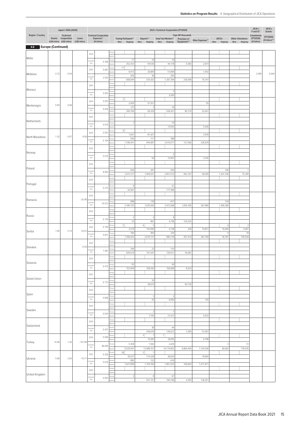|                  |                           | Japan's ODA (2020)                                                 |                          |                            |                                                            |                   |                                                  |                                                | JICA's Technical Cooperation (FY2020)       |                                                   |                  |                                       |                                           | JICA's<br>F and IC*                     | JICA's<br>Grants            |
|------------------|---------------------------|--------------------------------------------------------------------|--------------------------|----------------------------|------------------------------------------------------------|-------------------|--------------------------------------------------|------------------------------------------------|---------------------------------------------|---------------------------------------------------|------------------|---------------------------------------|-------------------------------------------|-----------------------------------------|-----------------------------|
| Region / Country |                           | Technical<br>Grants Cooperation<br>(US\$1 million) (US\$1 million) | Loans<br>(US\$1 million) |                            | <b>Technical Cooperation</b><br>Expenses**<br>(¥1 billion) |                   | <b>Training Participants**</b><br>New<br>Ongoing | Experts**<br>New                               | Study Team Members**<br>Ongoing New Ongoing | Type (¥1 thousand)<br>Provision of<br>Equipment** | Other Expenses** | <b>JOCVs</b><br>Ongoing<br><b>New</b> | <b>Other Volunteers</b><br>Ongoing<br>New | Commitments<br>(FY2020)<br>(¥1 billion) | (FY2020)<br>(¥1 billion)*** |
| 4-6              | <b>Europe (Continued)</b> |                                                                    |                          |                            |                                                            |                   |                                                  |                                                |                                             |                                                   |                  |                                       |                                           |                                         |                             |
|                  |                           |                                                                    |                          | 2020                       |                                                            | Person            |                                                  |                                                |                                             |                                                   |                  |                                       |                                           |                                         |                             |
| Malta            |                           |                                                                    |                          | umulativ                   | 0.399                                                      |                   | 77                                               | 18                                             | 16                                          |                                                   |                  |                                       |                                           |                                         |                             |
|                  |                           |                                                                    |                          | Total                      |                                                            |                   | 252,433<br>11:                                   | 94,536                                         | 44,178                                      | 5,082                                             | 2,614            |                                       |                                           |                                         |                             |
| Moldova          | 0.72                      | 0.54                                                               |                          | 2020                       | 0.087                                                      |                   | 8,413                                            | 26,809                                         | 51,084                                      |                                                   | 1,042            |                                       |                                           | 2.059                                   | 0.044                       |
|                  |                           |                                                                    |                          | <b>Cumulative</b><br>Total | 2.593                                                      |                   | 426<br>668,694                                   | 38<br>324,202                                  | 204<br>1,287,394                            | 236,058                                           | 76,747           |                                       |                                           |                                         |                             |
|                  |                           |                                                                    |                          | 2020                       |                                                            | erson             |                                                  |                                                |                                             |                                                   |                  |                                       |                                           |                                         |                             |
| Monaco           |                           |                                                                    |                          |                            |                                                            |                   |                                                  |                                                | 2                                           |                                                   |                  |                                       |                                           |                                         |                             |
|                  |                           |                                                                    |                          | umulativ<br>Total          | 0.002                                                      |                   |                                                  |                                                | 2,430                                       |                                                   |                  |                                       |                                           |                                         |                             |
|                  |                           |                                                                    |                          | 2020                       | 0.054                                                      |                   | 2 <sub>1</sub><br>2,459                          | 51,972                                         |                                             |                                                   | 55               |                                       |                                           |                                         |                             |
| Montenegro       | 0.94                      | 0.08                                                               |                          | amulati                    | 0.936                                                      |                   | 123                                              | $\overline{\mathbf{3}}$                        | 34                                          |                                                   |                  |                                       |                                           |                                         |                             |
|                  |                           |                                                                    |                          | Total                      |                                                            |                   | 200,760                                          | 69,329                                         | 528,201                                     | 85,319                                            | 52,441           |                                       |                                           |                                         |                             |
| Netherlands      |                           |                                                                    |                          | 2020                       |                                                            |                   |                                                  |                                                |                                             |                                                   |                  |                                       |                                           |                                         |                             |
|                  |                           |                                                                    |                          | <b>Cumulativ</b><br>Total  | 0.019                                                      |                   | 7                                                |                                                | 10<br>13,552                                |                                                   | 5,226            |                                       |                                           |                                         |                             |
|                  |                           |                                                                    |                          | 2020                       | 0.093                                                      |                   | 8:                                               |                                                |                                             |                                                   |                  |                                       |                                           |                                         |                             |
| North Macedonia  | 1.32                      | 0.07                                                               | $-4.90$                  |                            |                                                            |                   | 7,641<br>556                                     | 81,427<br>117                                  | 388                                         |                                                   | 3,978            |                                       |                                           |                                         |                             |
|                  |                           |                                                                    |                          | umulativ<br>Total          | 5.104                                                      |                   | 1,196,401                                        | 944,087                                        | 2,610,071                                   | 127,066                                           | 226,529          |                                       |                                           |                                         |                             |
|                  |                           |                                                                    |                          | 2020                       |                                                            |                   |                                                  |                                                |                                             |                                                   |                  |                                       |                                           |                                         |                             |
| Norway           |                           |                                                                    |                          | <b>Cumulative</b>          |                                                            |                   |                                                  |                                                | -5                                          |                                                   |                  |                                       |                                           |                                         |                             |
|                  |                           |                                                                    |                          | Total                      | 0.016                                                      |                   |                                                  | 54                                             | 12,997                                      |                                                   | 3,105            |                                       |                                           |                                         |                             |
|                  |                           |                                                                    |                          | 2020                       |                                                            | erson             |                                                  |                                                |                                             |                                                   |                  |                                       |                                           |                                         |                             |
| Poland           |                           |                                                                    |                          | umulativ                   | 8.993                                                      |                   | 830                                              | 287                                            | 593                                         |                                                   |                  | 106                                   | $\overline{1}$                            |                                         |                             |
|                  |                           |                                                                    |                          | Total                      |                                                            |                   | 1,672,727                                        | 1,909,527                                      | 2,957,573                                   | 952,167                                           | 58,409           | 1,427,106                             | 15,346                                    |                                         |                             |
| Portugal         |                           |                                                                    |                          | 2020                       |                                                            |                   |                                                  |                                                |                                             |                                                   |                  |                                       |                                           |                                         |                             |
|                  |                           |                                                                    |                          | amulativ<br>Total          | 0.210                                                      |                   | $\overline{9}$<br>32,561                         |                                                | 41<br>177,386                               |                                                   |                  |                                       |                                           |                                         |                             |
|                  |                           |                                                                    |                          | 2020                       |                                                            |                   |                                                  |                                                |                                             |                                                   |                  |                                       |                                           |                                         |                             |
| Romania          |                           |                                                                    | $-25.48$                 |                            |                                                            |                   | 988                                              | 178                                            | 617                                         |                                                   |                  | 118                                   |                                           |                                         |                             |
|                  |                           |                                                                    |                          | amulativ<br>Total          | 10.073                                                     |                   | 2,180,743                                        | 1,635,042                                      | 3,473,268                                   | 1,055,305                                         | 267,968          | 1,460,286                             |                                           |                                         |                             |
|                  |                           |                                                                    |                          | 2020                       |                                                            |                   |                                                  |                                                |                                             |                                                   |                  |                                       |                                           |                                         |                             |
| Russia           |                           |                                                                    |                          | umulativ                   | 0.130                                                      |                   | $\left  \right $                                 | $\overline{4}$                                 | 8 <sup>1</sup>                              |                                                   |                  |                                       |                                           |                                         |                             |
|                  |                           |                                                                    |                          | Total                      |                                                            |                   | 23<br>5 <sub>1</sub>                             | 802<br>6 <sub>1</sub><br>$\,$ 5                | 4,746                                       | 124,223                                           |                  | 6                                     | -2                                        |                                         |                             |
|                  | 1.00                      | 2.14                                                               | 43.67                    | 2020                       | 0.190                                                      |                   | 3,219                                            | 153,094                                        | 2,738                                       | 226                                               | 10,821           | 16,069                                | 4,087                                     |                                         |                             |
| Serbia           |                           |                                                                    |                          | amulativ<br>Total          | 5.831                                                      |                   | 784<br>1,306,923                                 | 459<br>2,619,731                               | 334<br>985,739                              |                                                   | 281,169          | 6<br>36,781                           | 18<br>149,528                             |                                         |                             |
|                  |                           |                                                                    |                          |                            |                                                            | ersor             |                                                  |                                                |                                             | 451,414                                           |                  |                                       |                                           |                                         |                             |
| Slovakia         |                           |                                                                    | $-5.54$                  | 2020                       |                                                            |                   | 349                                              | 23                                             | 110                                         |                                                   |                  |                                       |                                           |                                         |                             |
|                  |                           |                                                                    |                          | <b>Cumulative</b><br>Total | 1.487                                                      | Persons<br>Expens | 629,676                                          | 101,547                                        | 720,011                                     | 35,681                                            |                  |                                       |                                           |                                         |                             |
|                  |                           |                                                                    |                          | 2020                       |                                                            | Person            |                                                  |                                                |                                             |                                                   |                  |                                       |                                           |                                         |                             |
| Slovenia         |                           |                                                                    |                          |                            |                                                            |                   | 92                                               | 7                                              | 40                                          |                                                   |                  |                                       |                                           |                                         |                             |
|                  |                           |                                                                    |                          | Cumulativ<br>Total         | 0.475                                                      |                   | 157,844                                          | 158,342                                        | 150,060                                     | 8,533                                             |                  |                                       |                                           |                                         |                             |
|                  |                           |                                                                    |                          | 2020                       |                                                            |                   |                                                  |                                                |                                             |                                                   |                  |                                       |                                           |                                         |                             |
| Soviet Union     |                           |                                                                    |                          | Cumulati<br>Total          | 0.133                                                      |                   |                                                  | 34                                             |                                             |                                                   |                  |                                       |                                           |                                         |                             |
|                  |                           |                                                                    |                          |                            |                                                            | erson             |                                                  | 38,074                                         |                                             | 94,730                                            |                  |                                       |                                           |                                         |                             |
| Spain            |                           |                                                                    |                          | 2020                       |                                                            |                   |                                                  |                                                |                                             |                                                   |                  |                                       |                                           |                                         |                             |
|                  |                           |                                                                    |                          | umulativ<br>Total          | 0.008                                                      |                   |                                                  | 3<br>$25\,$                                    | 2<br>6,950                                  |                                                   | 735              |                                       |                                           |                                         |                             |
|                  |                           |                                                                    |                          | 2020                       |                                                            |                   |                                                  |                                                |                                             |                                                   |                  |                                       |                                           |                                         |                             |
| Sweden           |                           |                                                                    |                          | <b>Cumulative</b>          |                                                            |                   |                                                  | $\sqrt{2}$                                     | $\overline{7}$                              |                                                   |                  |                                       |                                           |                                         |                             |
|                  |                           |                                                                    |                          | Total                      | 0.034                                                      |                   |                                                  | 7,150                                          | 21,412                                      |                                                   | 5,032            |                                       |                                           |                                         |                             |
|                  |                           |                                                                    |                          | 2020                       |                                                            | Person            |                                                  |                                                |                                             |                                                   |                  |                                       |                                           |                                         |                             |
| Switzerland      |                           |                                                                    |                          | umulativ                   | 0.431                                                      |                   |                                                  | $38\,$                                         | 44                                          |                                                   |                  |                                       |                                           |                                         |                             |
|                  |                           |                                                                    |                          | Total                      |                                                            |                   | ÷                                                | 249,678<br>$2\frac{1}{2}$<br>$\mathbf{1}$      | 126,672<br>1 <sup>1</sup>                   | 3,384                                             | 51,067           |                                       | ŧ                                         |                                         |                             |
|                  |                           |                                                                    |                          | 2020                       | 0.040                                                      |                   |                                                  | 15,505                                         | 18,055                                      |                                                   | 6,798            |                                       |                                           |                                         |                             |
| Turkey           | 14.46                     | 1.30                                                               | $-141.08$                | umulati<br>Total           | 46.695                                                     |                   | 5,369                                            | 1,582                                          | 2,429                                       |                                                   |                  | $\overline{2}$                        | 72                                        |                                         |                             |
|                  |                           |                                                                    |                          |                            |                                                            |                   | 9,529,091<br>28:                                 | 13,988,707<br>2 <sup>1</sup><br>$\overline{1}$ | 14,119,853                                  | 6,864,444                                         | 1,334,538        | 80,664                                | 778,035                                   |                                         |                             |
| Ukraine          | 5.09                      | 2.93                                                               | $-14.71$                 | 2020                       | 0.200                                                      |                   | 30,527                                           | 114,328                                        | 36,624                                      |                                                   | 18,904           |                                       |                                           |                                         |                             |
|                  |                           |                                                                    |                          | <b>Cumulativ</b><br>Total  | 5.676                                                      |                   | 895<br>1,027,849                                 | 122<br>1,104,760                               | 619<br>1,961,523                            | 169,663                                           | 1,411,871        |                                       |                                           |                                         |                             |
|                  |                           |                                                                    |                          | 2020                       |                                                            | Person            |                                                  |                                                |                                             |                                                   |                  |                                       |                                           |                                         |                             |
| United Kingdom   |                           |                                                                    |                          |                            |                                                            |                   | 2                                                | 8 <sup>1</sup>                                 | 67                                          |                                                   |                  |                                       |                                           |                                         |                             |
|                  |                           |                                                                    |                          | Lumulative<br>Total        | 0.493                                                      |                   |                                                  | 251,727                                        | 100,166                                     | 4,383                                             | 136,251          |                                       |                                           |                                         |                             |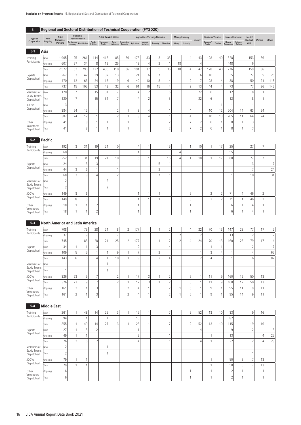| 5            |         | Regional and Sectoral Distribution of Technical Cooperation (FY2020) |                                        |                             |                            |                               |                          |                                             |     |                                |   |                    |        |                 |        |                         |         |                           |                     |                    |         |        |
|--------------|---------|----------------------------------------------------------------------|----------------------------------------|-----------------------------|----------------------------|-------------------------------|--------------------------|---------------------------------------------|-----|--------------------------------|---|--------------------|--------|-----------------|--------|-------------------------|---------|---------------------------|---------------------|--------------------|---------|--------|
| Type of      | New/    | <b>Total</b><br>Number of                                            |                                        | Planning/<br>Administration |                            | <b>Public Works/Utilities</b> |                          |                                             |     | Agriculture/Forestry/Fisheries |   |                    |        | Mining/Industry | Energy | <b>Business/Tourism</b> |         | <b>Human Resources</b>    |                     | Health/<br>Medical | Welfare | Others |
| Cooperation  | Ongoing | Persons                                                              | Development Administration<br>Planning |                             | Public<br><b>Utilities</b> | Transport/<br>Traffic         | Social<br>Infrastructure | Communications/ Agriculture<br>Broadcasting |     | Animal<br>Industry             |   | Forestry Fisheries | Mining | Industry        |        | Business/<br>Trade      | Tourism | Human<br><b>Resources</b> | Science/<br>Culture | Care               |         |        |
| $5-1$        | Asia    |                                                                      |                                        |                             |                            |                               |                          |                                             |     |                                |   |                    |        |                 |        |                         |         |                           |                     |                    |         |        |
| Training     | 'New    | ' 965.،                                                              | 25                                     | 261                         | 14.                        | 418                           | 85                       | 361                                         | 173 | 33                             |   | 35                 |        |                 | 43     | 128                     | 40      | 328                       |                     | 153                | 86      |        |
| Participants | Ongoing | 607                                                                  | 27                                     | 34                          |                            | 12 <sub>1</sub>               | 25                       |                                             | 18  |                                |   |                    | 18     |                 |        |                         |         | 448                       |                     |                    |         |        |
|              | Total   | 2,572                                                                | 52                                     | 295                         | 122                        | 430                           | 1101                     | 361                                         | 19' | 37                             | 5 | 36                 | 18     |                 | 47     | 128                     | 40      | 776                       |                     | 159 <sub>1</sub>   | 86      |        |

|                                  | <b>LOTOL</b> | 2,312            | JZI             | LJJ | LL              | ココワー            | .  | JU I | $1 - 1$  | $\cup$ | ◡  | JU I | - 10 | $+1$            | $L$ $\cup$      | $+0.1$ | 77 V            |    | 1 J J                          |                 |     |
|----------------------------------|--------------|------------------|-----------------|-----|-----------------|-----------------|----|------|----------|--------|----|------|------|-----------------|-----------------|--------|-----------------|----|--------------------------------|-----------------|-----|
| Experts                          | New          | 267              |                 | 42  | 29              | 32              | 13 |      | 21<br>ΖI |        |    |      |      | h               | 16 <sub>1</sub> |        | 35              |    | 27<br>$\overline{\phantom{a}}$ |                 | 25  |
| Dispatched                       | Ongoing      | 470              | 12              | 63  | 24              | 16 <sub>1</sub> | 19 | h.   | 40       | 10     | 8  |      |      |                 | 28              |        | 38              |    | 50                             | 21              | 118 |
|                                  | Total        | 737              | 15 <sub>1</sub> | 105 | 53              | 48              | 32 | h.   | 61       | 16     | 15 |      |      | 13 <sub>1</sub> | 44              |        | 73 <sub>1</sub> |    | 77                             | 26 <sub>1</sub> | 143 |
| Members of                       | New          | 120              |                 |     | 15 <sub>1</sub> | 31              |    |      |          |        |    |      |      | 22              | 6               |        | 12              |    |                                |                 |     |
| <b>Study Teams</b><br>Dispatched | Total        | 120 <sub>1</sub> |                 |     | 15 <sub>1</sub> | 31              |    |      |          |        |    |      |      | 22              | 6               |        | 12              |    | $\Omega$                       |                 |     |
| <b>JOCVs</b>                     | New          |                  |                 |     |                 |                 |    |      |          |        |    |      |      |                 |                 |        |                 |    |                                |                 |     |
| Dispatched                       | Ongoing      | 384              | 24              | 12  |                 |                 |    |      | $\Omega$ |        |    |      |      |                 | 10              | 12     | 204             | 14 | 63                             | 24              |     |
|                                  | Total        | 387              | 24              | 12  |                 |                 |    |      | $\Omega$ |        |    |      |      |                 | 10 <sub>1</sub> | 13     | 205             | 14 | 64                             | 24              |     |
| Other                            | Ongoing      | 41               |                 | 8   |                 |                 |    |      |          |        |    |      |      |                 | 6               |        | 8               |    | $\sim$                         |                 |     |
| Volunteers<br>Dispatched         | Total        | 41               |                 |     |                 |                 |    |      |          |        |    |      |      |                 | 6               |        | 8               |    | $\sim$                         |                 |     |

| $5-2$                            | <b>Pacific</b> |                 |                |          |                |             |        |   |        |                 |   |                 |          |                          |                  |               |        |                |
|----------------------------------|----------------|-----------------|----------------|----------|----------------|-------------|--------|---|--------|-----------------|---|-----------------|----------|--------------------------|------------------|---------------|--------|----------------|
| Training                         | New            | 192             | $\overline{ }$ | 31       | 19             | 21          | 10     |   |        | 15              |   | 10              |          | 17                       | 25               | 27            |        |                |
| Participants                     | Ongoing        | 60              |                |          |                |             |        |   |        |                 |   |                 |          |                          | 55               |               |        |                |
|                                  | Total          | 252             | $\sim$         | 31       | 19             | 21          | 10     | h |        | 15 <sub>1</sub> |   | 10 <sub>1</sub> |          | 17                       | 80               | 27            |        |                |
| Experts                          | New            | 24              |                | $\sim$   | 3              |             |        |   | 5      |                 |   |                 |          |                          |                  | 3             |        | $\overline{ }$ |
| Dispatched                       | Ongoing        | 44              | $\sim$         | h        |                |             |        |   | $\sim$ |                 |   |                 |          |                          |                  | $\rightarrow$ |        | 24             |
|                                  | Total          | 68              | $\sim$         | 9        | 4              |             | $\sim$ |   | -      |                 |   |                 |          |                          |                  | 10            |        | 31             |
| Members of                       | New            | $\sim$          |                |          |                | $\sim$      |        |   |        |                 |   |                 |          |                          |                  |               |        |                |
| <b>Study Teams</b><br>Dispatched | Total          | $\sim$          |                |          |                | $\sim$<br>∠ |        |   |        |                 |   |                 |          |                          |                  |               |        |                |
| <b>JOCVs</b>                     | Ongoing        | 149             | $\mathcal{R}$  | 6        |                |             |        |   |        |                 | 5 |                 | $\sim$   | $\overline{\phantom{a}}$ | 74<br>$\prime$ 1 | 46            | $\sim$ |                |
| Dispatched                       | Total          | 149             | 8              | $6 \mid$ |                |             |        |   |        |                 | 5 |                 | $\Omega$ | $\overline{\phantom{a}}$ | 71               | 46            | $\sim$ |                |
| Other                            | Ongoing        | 18 <sub>1</sub> |                |          | $\bigcap$      |             |        |   |        |                 |   |                 |          |                          | 6                |               |        |                |
| Volunteers<br>Dispatched         | Total          | 18              |                |          | $\bigcap$<br>∠ |             |        |   |        |                 |   |                 |          |                          | 6                |               |        |                |

# **5-3 North America and Latin America**

| Training                         | New     | 708 |                          | 79 | 28 | 21 | 18     | $\sim$ | 177      |        | $\sim$ |        | 22     | 70 | 13 | 147 | 28 | 77     | 17              | 2 <sup>1</sup> |
|----------------------------------|---------|-----|--------------------------|----|----|----|--------|--------|----------|--------|--------|--------|--------|----|----|-----|----|--------|-----------------|----------------|
| Participants                     | Ongoing | 37  |                          | 9  |    |    |        |        |          |        |        | $\sim$ | $\sim$ |    |    | 13  |    | $\sim$ |                 | $\bigcap$      |
|                                  | Total   | 745 |                          | 88 | 28 | 21 | 25     | $\sim$ | 177      |        | $\sim$ | r      | 24     | 70 | 13 | 160 | 28 | 79     | 17              |                |
| Experts                          | New     | 34  |                          |    |    |    |        |        |          |        |        |        |        |    |    |     |    | $\sim$ |                 | 17             |
| Dispatched                       | Ongoing | 109 |                          | ь  |    |    | 9      |        |          | $\sim$ |        |        |        | 3  |    |     |    |        |                 | 65             |
|                                  | Total   | 143 | 6                        | h  |    |    | 10     |        | $\Omega$ | $\sim$ |        |        | $\sim$ |    | 5  |     |    | 6      |                 | 82             |
| Members of                       | New     |     |                          |    |    |    |        |        |          |        |        |        |        |    |    |     |    |        |                 |                |
| <b>Study Teams</b><br>Dispatched | Total   |     |                          |    |    |    |        |        |          |        |        |        |        |    |    |     |    |        |                 |                |
| <b>JOCVs</b>                     | Ongoing | 326 | 23                       | 9  |    |    | $\sim$ |        | 17       |        | $\sim$ |        |        | 11 | 9  | 160 | 12 | 50     | 13 <sub>1</sub> |                |
| Dispatched                       | Total   | 326 | 23                       | 9  |    |    | $\sim$ |        | 17       |        |        |        |        | 11 | 9  | 160 | 12 | 50     | 13 <sub>1</sub> |                |
| Other                            | Ongoing | 161 |                          |    |    |    |        | $\sim$ |          |        |        |        |        | 9  |    | 95  | 14 | 9      | 11              |                |
| Volunteers<br>Dispatched         | Total   | 161 | $\overline{\phantom{0}}$ |    |    |    |        | $\sim$ |          |        |        |        |        | 9  |    | 95  | 14 | a.     | 11              |                |

# **5-4 Middle East**

| Training                         | New     | 261    | 48           | 14                       | 26                       | 3 | 15 <sub>1</sub> |  |  | $\sim$ | 52 | 13 | 10 | 33     | 19          | 16              |    |
|----------------------------------|---------|--------|--------------|--------------------------|--------------------------|---|-----------------|--|--|--------|----|----|----|--------|-------------|-----------------|----|
| Participants                     | Ongoing | 94     |              |                          | $\overline{\phantom{a}}$ |   | 10 <sub>1</sub> |  |  |        |    |    |    | 82     |             |                 |    |
|                                  | Total   | 355    | 49           | 14                       | 27                       | 3 | 25              |  |  |        | 52 | 13 | 10 | 115    | 19          | 161             |    |
| Experts                          | New     | 27     |              | $\overline{\phantom{0}}$ |                          |   |                 |  |  |        | Δ  |    |    | Q      | $\sim$<br>∠ |                 | 3  |
| Dispatched                       | Ongoing | 49     |              |                          |                          |   |                 |  |  |        |    |    |    | 13     |             |                 | 25 |
|                                  | Total   | 76     | <sub>b</sub> | $\overline{\phantom{0}}$ |                          |   |                 |  |  |        |    |    |    | 22     | $\sim$      |                 | 28 |
| Members of                       | New     | $\sim$ |              |                          | A                        |   |                 |  |  |        |    |    |    |        |             |                 |    |
| <b>Study Teams</b><br>Dispatched | Total   | $\sim$ |              |                          |                          |   |                 |  |  |        |    |    |    |        |             |                 |    |
| <b>JOCVs</b>                     | Ongoing | 79     |              |                          |                          |   |                 |  |  |        |    |    |    | 50     |             | 13              |    |
| Dispatched                       | Total   | 79     |              |                          |                          |   |                 |  |  |        |    |    |    | 50     |             | 13 <sub>l</sub> |    |
| Other                            | Ongoing | 6      |              |                          |                          |   |                 |  |  |        |    |    |    | $\sim$ |             |                 |    |
| Volunteers<br>Dispatched         | Total   | 6      |              |                          |                          |   |                 |  |  |        |    |    |    | $\sim$ |             |                 |    |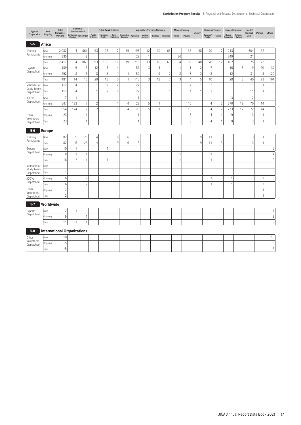| Type of                   | New/          | Total                              |                | Planning/<br>Administration |                     | <b>Public Works/Utilities</b> |                          |                             |              | Agriculture/Forestry/Fisheries |                |                |                | Mining/Industry |                |                           | <b>Business/Tourism</b> |                           | <b>Human Resources</b> | Health/         |                |                |
|---------------------------|---------------|------------------------------------|----------------|-----------------------------|---------------------|-------------------------------|--------------------------|-----------------------------|--------------|--------------------------------|----------------|----------------|----------------|-----------------|----------------|---------------------------|-------------------------|---------------------------|------------------------|-----------------|----------------|----------------|
| Cooperation               | Ongoing       | Number of<br>Persons               |                | Development Administration  | Public<br>Utilities | Transport/<br>Traffic         | Social<br>Infrastructure | Communications/ Agriculture |              | Animal<br>Industry             | Forestry       | Fisheries      | Mining         | Industry        | Energy         | <b>Business/</b><br>Trade | Tourism                 | Human<br><b>Resources</b> | Science/<br>Culture    | Medical<br>Care | Welfare        | Others         |
| $5-5$                     | Africa        |                                    |                |                             |                     |                               |                          |                             |              |                                |                |                |                |                 |                |                           |                         |                           |                        |                 |                |                |
| Training                  | New           | 2,082                              | $\overline{4}$ | 861                         | 93                  | 106                           | 17                       | 19                          | 193          | 12                             | 10             | 63             |                | 35              | 48             | 70                        | 12                      | 213                       |                        | 304             | 22             |                |
| Participants              | Ongoing       | 335                                |                | 8                           |                     |                               |                          |                             | 22           | $\mathbf{1}$                   |                |                | 34             |                 |                |                           |                         | 249                       |                        | 21              |                |                |
|                           | Total         | 2,417                              | $\overline{4}$ | 869                         | 93                  | 106                           | 17                       | 19                          | 215          | 13                             | 10             | 63             | 34             | 35              | 48             | 70                        | 12                      | 462                       |                        | 325             | 22             |                |
| Experts                   | New           | 189                                | $6\,$          | $\mathfrak{Z}$              | 12                  | 8                             | $\overline{4}$           |                             | 57           | $\mathbf{3}$                   | $\overline{4}$ | $\mathbf{1}$   | $\mathbf{1}$   | $\mathbf{1}$    | $\overline{2}$ | $\overline{7}$            |                         | 16                        | 3                      | $9\,$           | 20             | 32             |
| Dispatched                | Ongoing       | 292                                | $\,8\,$        | 13                          | $\,8\,$             | 5                             | $\mathbf{1}$             | $\overline{1}$              | 59           |                                | 9              | $\overline{c}$ | $\overline{2}$ | $\mathfrak{Z}$  | $\mathfrak{Z}$ | 3                         |                         | 12                        |                        | 31              | 3              | 129            |
|                           | Total         | 481                                | 14             | 16                          | 20                  | 13                            | 5                        | $\mathbf{1}$                | 116          | 3                              | 13             | 3              | 3              | $\overline{4}$  | 5              | 10                        |                         | 28                        | 3                      | 40              | 23             | 161            |
| Members of                | New           | 112                                | 4              |                             | $\mathbf{1}$        | 52                            | $\overline{2}$           |                             | 27           |                                |                | $\mathbf{1}$   |                | $\overline{4}$  | $\mathbf{1}$   | $\overline{c}$            |                         |                           |                        | 11              | 1              | $6\,$          |
| Study Teams<br>Dispatched | Total         | 112                                | $\overline{4}$ |                             | $\mathbf{1}$        | 52                            | $\overline{c}$           |                             | 27           |                                |                | $\mathbf{1}$   |                | $\overline{4}$  | 1              | $\overline{c}$            |                         |                           |                        | 11              | $\mathbf{1}$   | $\,$ 6         |
| <b>JOCVs</b>              | New           | $\overline{7}$                     | $\overline{1}$ |                             |                     |                               |                          |                             | $\mathbf{1}$ |                                |                |                |                |                 |                |                           |                         | 3                         |                        | $\overline{2}$  |                |                |
| Dispatched                | Ongoing       | 547                                | 123            | $\overline{7}$              | $\overline{c}$      |                               | $\mathbf{1}$             | 4                           | 22           | 5                              | 1              |                |                | 10              |                | $\overline{4}$            | $\overline{c}$          | 270                       | 12                     | 70              | 14             |                |
|                           | Total         | 554                                | 124            | $\overline{7}$              | $\overline{2}$      |                               | $\overline{1}$           | 4                           | 23           | 5                              | 1              |                |                | 10              |                | $\overline{4}$            | $\overline{c}$          | 273                       | 12                     | 72              | 14             |                |
| Other                     | Ongoing       | 23                                 |                | $\mathbf{1}$                |                     |                               |                          |                             | $\mathbf{1}$ |                                |                |                |                | $\sqrt{3}$      |                | $\overline{4}$            | $\mathbf{1}$            | $\,9$                     |                        | 3               | $\mathbf{1}$   |                |
| Volunteers<br>Dispatched  | Total         | 23                                 |                | $\mathbf{1}$                |                     |                               |                          |                             | 1            |                                |                |                |                | 3               |                | $\overline{4}$            | $\mathbf{1}$            | 9                         |                        | 3               | $\mathbf{1}$   |                |
| $5-6$                     | <b>Europe</b> |                                    |                |                             |                     |                               |                          |                             |              |                                |                |                |                |                 |                |                           |                         |                           |                        |                 |                |                |
| Training                  | New           | 82                                 | 5              | 26                          | 4                   |                               | $9\,$                    | 6                           | 5            |                                |                |                |                |                 | $\,9$          | 11                        | $\mathsf 3$             |                           |                        | 3               | 1              |                |
| Participants              | Total         | 82                                 | 5              | 26                          | $\overline{4}$      |                               | 9                        | 6                           | 5            |                                |                |                |                |                 | $\,9$          | 11                        | 3                       |                           |                        | 3               | $\mathbf{1}$   |                |
| Experts                   | New           | 10                                 | $\mathbf{1}$   |                             |                     | $\overline{4}$                |                          |                             |              |                                |                |                |                |                 |                |                           |                         |                           |                        |                 |                | 5              |
| Dispatched                | Ongoing       | 8                                  | 1              | $\mathbf{1}$                |                     |                               |                          |                             |              |                                |                |                | 1              |                 |                | $\mathbf 1$               |                         |                           |                        |                 |                | $\overline{4}$ |
|                           | Total         | 18                                 | $\overline{2}$ | 1                           |                     | $\overline{4}$                |                          |                             |              |                                |                |                | $\overline{1}$ |                 |                | $\mathbf{1}$              |                         |                           |                        |                 |                | $\overline{9}$ |
| Members of                | New           | $\overline{1}$                     |                |                             |                     |                               | $\mathbf{1}$             |                             |              |                                |                |                |                |                 |                |                           |                         |                           |                        |                 |                |                |
| Study Teams<br>Dispatched | Total         | $\mathbf{1}$                       |                |                             |                     |                               | $\overline{1}$           |                             |              |                                |                |                |                |                 |                |                           |                         |                           |                        |                 |                |                |
| <b>JOCVs</b>              | Ongoing       | $\,6$                              |                | $\sqrt{2}$                  |                     |                               |                          |                             |              |                                |                |                |                |                 |                | 1                         |                         | $\overline{1}$            |                        |                 | $\overline{c}$ |                |
| Dispatched                | Total         | $6\,$                              |                | $\overline{2}$              |                     |                               |                          |                             |              |                                |                |                |                |                 |                | 1                         |                         | 1                         |                        |                 | $\sqrt{2}$     |                |
| Other                     | Ongoing       | $\overline{2}$                     |                |                             |                     |                               |                          |                             |              |                                |                |                |                |                 |                |                           |                         | 1                         |                        |                 | $\mathbf{1}$   |                |
| Volunteers<br>Dispatched  | Total         | $\overline{2}$                     |                |                             |                     |                               |                          |                             |              |                                |                |                |                |                 |                |                           |                         | $\mathbf{1}$              |                        |                 | $\mathbf{1}$   |                |
| $5 - 7$                   | Worldwide     |                                    |                |                             |                     |                               |                          |                             |              |                                |                |                |                |                 |                |                           |                         |                           |                        |                 |                |                |
| Experts                   | New           | $\overline{2}$                     | $\mathbf{1}$   |                             |                     |                               |                          |                             |              |                                |                |                |                |                 |                |                           |                         |                           |                        |                 |                | 1              |
| Dispatched                | Ongoing       | $\,9$                              |                | 1                           |                     |                               |                          |                             |              |                                |                |                |                |                 |                |                           |                         |                           |                        |                 |                | 8              |
|                           | Total         | 11                                 | $\overline{1}$ | $\mathbf{1}$                |                     |                               |                          |                             |              |                                |                |                |                |                 |                |                           |                         |                           |                        |                 |                | $\mathsf g$    |
| $5 - 8$                   |               | <b>International Organizations</b> |                |                             |                     |                               |                          |                             |              |                                |                |                |                |                 |                |                           |                         |                           |                        |                 |                |                |
| Other                     | New           | 10                                 |                |                             |                     |                               |                          |                             |              |                                |                |                |                |                 |                |                           |                         |                           |                        |                 |                | 10             |
| Volunteers<br>Dispatched  | Ongoing       | 5                                  |                |                             |                     |                               |                          |                             |              |                                |                |                |                |                 |                |                           |                         |                           |                        |                 |                | 5              |
|                           | Total         | 15                                 |                |                             |                     |                               |                          |                             |              |                                |                |                |                |                 |                |                           |                         |                           |                        |                 |                | 15             |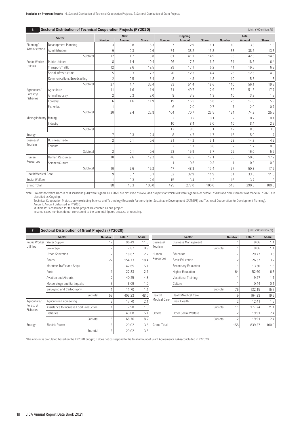| 6                   | <b>Sectoral Distribution of Technical Cooperation Projects (FY2020)</b> |                |               |              |                 |               |              |                |               | (Unit: ¥100 million, %) |
|---------------------|-------------------------------------------------------------------------|----------------|---------------|--------------|-----------------|---------------|--------------|----------------|---------------|-------------------------|
|                     | Sector                                                                  |                | <b>New</b>    |              |                 | Ongoing       |              |                | <b>Total</b>  |                         |
|                     |                                                                         | <b>Number</b>  | <b>Amount</b> | <b>Share</b> | <b>Number</b>   | <b>Amount</b> | <b>Share</b> | <b>Number</b>  | <b>Amount</b> | <b>Share</b>            |
| Planning/           | Development Planning                                                    | 3              | 0.8           | 6.3          | $\overline{7}$  | 2.9           | 1.1          | 10             | 3.8           | 1.3                     |
| Administration      | Administration                                                          | 9              | 0.3           | 2.6          | 74              | 38.2          | 13.8         | 83             | 38.6          | 13.3                    |
|                     | Subtotal                                                                | 12             | 1.2           | 8.8          | 81              | 41.1          | 14.9         | 93             | 42.3          | 14.6                    |
| Public Works/       | <b>Public Utilities</b>                                                 | 8              | 1.4           | 10.4         | 26              | 17.2          | 6.2          | 34             | 18.5          | 6.4                     |
| Utilities           | Transport/Traffic                                                       | 12             | 2.6           | 19.5         | 29              | 17.1          | 6.2          | 41             | 19.6          | 6.8                     |
|                     | Social Infrastructure                                                   | 5              | 0.3           | 2.2          | 20              | 12.3          | 4.4          | 25             | 12.6          | 4.3                     |
|                     | Communications/Broadcasting                                             | $\overline{c}$ | 0.5           | 3.4          | 8               | 4.8           | 1.8          | 10             | 5.3           | 1.8                     |
|                     | Subtotal                                                                | 27             | 4.7           | 35.4         | 83              | 51.4          | 18.6         | 110            | 56.1          | 19.3                    |
| Agriculture/        | Agriculture                                                             | 11             | 1.6           | 11.9         | 71              | 49.7          | 17.9         | 82             | 51.3          | 17.7                    |
| Forestry/           | Animal Industry                                                         | $\overline{2}$ | 0.3           | 2.0          | 8               | 3.5           | 1.3          | 10             | 3.8           | 1.3                     |
| <b>Fisheries</b>    | Forestry                                                                | 6              | 1.6           | 11.9         | 19              | 15.5          | 5.6          | 25             | 17.0          | 5.9                     |
|                     | Fisheries                                                               | 1              |               |              | $6\overline{6}$ | 2.0           | 0.7          | $\overline{7}$ | 2.0           | 0.7                     |
|                     | Subtotal                                                                | 20             | 3.4           | 25.8         | 104             | 70.7          | 25.5         | 124            | 74.2          | 25.5                    |
| Mining/Industry     | Mining                                                                  |                |               |              | $\overline{2}$  | 0.2           | 0.1          | $\overline{2}$ | 0.2           | 0.1                     |
|                     | Industry                                                                |                |               |              | 10              | 8.4           | 3.0          | 10             | 8.4           | 2.9                     |
|                     | Subtotal                                                                |                |               |              | 12              | 8.6           | 3.1          | 12             | 8.6           | 3.0                     |
| Energy              |                                                                         | $\overline{7}$ | 0.3           | 2.4          | 8               | 4.7           | 1.7          | 15             | 5.0           | 1.7                     |
| Business/           | Business/Trade                                                          | $\mathfrak{D}$ | 0.1           | 0.6          | 21              | 14.2          | 5.1          | 23             | 14.3          | 4.9                     |
| Tourism             | Tourism                                                                 |                |               |              | $\overline{2}$  | 1.7           | 0.6          | $\overline{2}$ | 1.7           | 0.6                     |
|                     | Subtotal                                                                | $\overline{2}$ | 0.1           | 0.6          | 23              | 15.9          | 5.7          | 25             | 16.0          | 5.5                     |
| Human               | Human Resources                                                         | 10             | 2.6           | 19.2         | 46              | 47.5          | 17.1         | 56             | 50.0          | 17.2                    |
| Resources           | Science/Culture                                                         |                |               |              |                 | 0.8           | 0.3          |                | 0.8           | 0.3                     |
|                     | Subtotal                                                                | 10             | 2.6           | 19.2         | 47              | 48.3          | 17.4         | 57             | 50.8          | 17.5                    |
| Health/Medical Care |                                                                         | 9              | 0.7           | 5.1          | 52              | 32.9          | 11.9         | 61             | 33.6          | 11.6                    |
| Social Welfare      |                                                                         | $\mathbf{1}$   | 0.3           | 2.6          | 15              | 3.4           | 1.2          | 16             | 3.7           | 1.3                     |
| <b>Grand Total</b>  |                                                                         | 88             | 13.3          | 100.0        | 425             | 277.0         | 100.0        | 513            | 290.3         | 100.0                   |

Note: Projects for which Record of Discussions (R/D) were signed in FY2020 are classified as New, and projects for which R/D were signed in or before FY2019 and disbursement was made in FY2020 are classified as Ongoing.

Technical Cooperation Projects only (excluding Science and Technology Research Partnership for Sustainable Development (SATREPS) and Technical Cooperation for Development Planning).<br>Amount: Amount disbursed in FY2020.<br>Mult

In some cases numbers do not correspond to the sum total figures because of rounding.

| 7                      | <b>Sectoral Distribution of Grant Projects (FY2020)</b> |               |        |              |                     |                            |               | (Unit: ¥100 million, %) |              |
|------------------------|---------------------------------------------------------|---------------|--------|--------------|---------------------|----------------------------|---------------|-------------------------|--------------|
|                        | <b>Sector</b>                                           | <b>Number</b> | Total* | <b>Share</b> |                     | Sector                     | <b>Number</b> | Total*                  | <b>Share</b> |
| Public Works/          | <b>Water Supply</b>                                     | 17            | 96.49  | 11.5         | Business/           | <b>Business Management</b> |               | 9.06                    | 1.1          |
| <b>Utilities</b>       | Sewerage                                                |               | 7.82   | 0.9          | Tourism             | Subtotal                   |               | 9.06                    | 1.1          |
|                        | <b>Urban Sanitation</b>                                 |               | 18.67  | 2.2          | Human               | Education                  |               | 29.77                   | 3.5          |
|                        | Roads                                                   | 22            | 154.73 | 18.4         | Resources           | <b>Basic Education</b>     |               | 26.57                   | 3.2          |
|                        | Maritime Traffic and Ships                              | G             | 42.65  | 5.1          |                     | Secondary Education        |               | 13.50                   | 1.6          |
|                        | Ports                                                   |               | 22.83  | 2.7          |                     | <b>Higher Education</b>    | 64            | 52.60                   | 6.3          |
|                        | Aviation and Airports                                   | 2             | 40.25  | 4.8          |                     | Vocational Training        |               | 9.27                    | 1.1          |
|                        | Meteorology and Earthquake                              | Э             | 8.09   | 1.0          |                     | Culture                    |               | 0.44                    | 0.1          |
|                        | Surveying and Cartography                               |               | 11.70  | 1.4          |                     | Subtotal                   | 76            | 132.15                  | 15.7         |
|                        | Subtotal                                                | 53            | 403.23 | 48.0         | Health/             | <b>Health/Medical Care</b> | 9             | 164.83                  | 19.6         |
| Agriculture/           | Agriculture Engineering                                 |               | 17.70  | 2.1          | <b>Medical Care</b> | <b>Basic Health</b>        |               | 12.41                   | 1.5          |
| Forestry/<br>Fisheries | Assistance to Increase Food Production                  |               | 7.98   | 1.0          |                     | Subtotal                   | 11            | 177.24                  | 21.1         |
|                        | Fisheries                                               | ß             | 43.08  | 5.1          | Others              | Other Social Welfare       |               | 19.91                   | 2.4          |
|                        | Subtotal                                                | 6             | 68.76  | 8.2          |                     | Subtotal                   |               | 19.91                   | 2.4          |
| Energy                 | <b>Electric Power</b>                                   | 6             | 29.02  | 3.5          | <b>Grand Total</b>  |                            | 155           | 839.37                  | 100.0        |
|                        | Subtotal                                                | 6             | 29.02  | 3.5          |                     |                            |               |                         |              |

\*The amount is calculated based on the FY2020 budget; it does not correspond to the total amount of Grant Agreements (G/As) concluded in FY2020.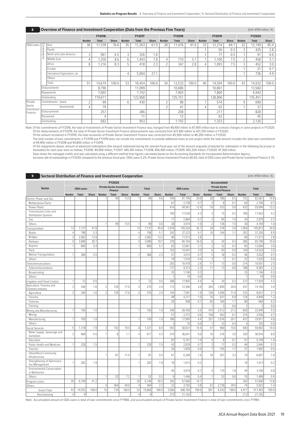| 8                    |             | <b>Overview of Finance and Investment Cooperation (Data from the Previous Five Years)</b> |                          |               |              |               |               |              |                |               |              |               |              |              |                | (Unit: ¥100 million, %) |              |
|----------------------|-------------|-------------------------------------------------------------------------------------------|--------------------------|---------------|--------------|---------------|---------------|--------------|----------------|---------------|--------------|---------------|--------------|--------------|----------------|-------------------------|--------------|
|                      |             |                                                                                           |                          | <b>FY2016</b> |              |               | <b>FY2017</b> |              |                | <b>FY2018</b> |              |               | FY2019       |              |                | FY2020                  |              |
|                      |             |                                                                                           | <b>Number</b>            | <b>Total</b>  | <b>Share</b> | <b>Number</b> | <b>Total</b>  | <b>Share</b> | <b>Number</b>  | <b>Total</b>  | <b>Share</b> | <b>Number</b> | <b>Total</b> | <b>Share</b> | <b>Number</b>  | <b>Total</b>            | <b>Share</b> |
| ODA Loans            |             | Asia                                                                                      | 36                       | 11,239        | 76.6         | 35            | 11.263        | 61.0         | 28             | 11.476        | 91.6         | 33            | 12,274       | 84.1         | 32             | 12,749                  | 85.4         |
|                      |             | Pacific                                                                                   |                          |               |              |               |               |              |                |               |              |               | 50           | 0.3          | 3              | 425                     | 2.8          |
|                      | Commitments | North and Latin America                                                                   | 3                        | 961           | 6.5          | 3             | 326           | 1.8          |                |               |              |               | 77           | 0.5          |                | 91                      | 0.6          |
|                      |             | Middle East                                                                               | 4                        | 1,259         | 8.6          | 6             | 1.443         | 7.8          | $\overline{4}$ | 710           | 5.7          |               | 1.100        | 7.5          | $\overline{2}$ | 458                     | 3.1          |
|                      |             | Africa                                                                                    | 8                        | 1,216         | 8.3          | 5             | 418           | 2.3          | $\overline{2}$ | 347           | 2.8          | 4             | 1.093        | 7.5          | 3              | 452                     | 3.0          |
|                      |             | Europe                                                                                    |                          |               |              |               |               |              |                |               |              |               |              |              |                | 21                      | 0.1          |
|                      |             | International Organizations, etc.                                                         |                          |               |              | 4             | 5,004         | 27.1         |                |               |              |               |              |              |                | 736                     | 4.9          |
|                      |             | Others                                                                                    |                          |               |              |               |               |              |                |               |              |               |              |              |                |                         |              |
|                      |             | Total                                                                                     | 51                       | 14,674        | 100.0        | 53            | 18,454        | 100.0        | 34             | 12,533        | 100.0        | 40            | 14,594       | 100.0        | 43             | 14,932                  | 100.0        |
|                      |             | <b>Disbursements</b>                                                                      |                          | 8.790         |              |               | 11.099        |              |                | 10.686        |              |               | 10.861       |              |                | 13,560                  |              |
|                      |             | Repayments                                                                                |                          | 7,003         |              |               | 7,742         |              |                | 7,903         |              |               | 7.800        |              |                | 6,942                   |              |
|                      |             | Outstanding                                                                               |                          | 119,611       |              |               | 122,968       |              |                | 125,751       |              |               | 128,806      |              |                | 135,451                 |              |
| Private-             |             | Commitments (loan)                                                                        | $\overline{\phantom{a}}$ | 99            |              | 6             | 430           |              | $\overline{2}$ | 88            |              |               | 574          |              | 9              | 698                     |              |
| Sector<br>Investment |             | (Investment)                                                                              | 4                        | 79            |              |               |               |              | $\overline{2}$ | 41            |              | 4             | 63           |              |                | 37                      |              |
| Finance              |             | Disbursements                                                                             |                          | 257           |              |               | 286           |              |                | 208           |              |               | 217          |              |                | 828                     |              |
|                      |             | Recovered                                                                                 |                          | 4             |              |               | 11            |              |                | 12            |              |               | 62           |              |                | 45                      |              |
|                      |             | Outstanding                                                                               |                          | 682           |              |               | 953           |              |                | 1,155         |              |               | 1,323        |              |                | 2,126                   |              |

Note: Of the commitments of FY2016, the total of investments of Private-Sector Investment Finance was changed from ¥8,400 million to ¥7,900 million due to contract changes in some projects in FY2020. Of the disbursements of FY2019, the total of Private-Sector Investment Finance disbursements was corrected from ¥21,400 million to ¥21,700 million in FY2020.<br>Of the amount recovered in FY2019, the total recoveries of Priva

The total number of loan commitments in FY2018 and FY2019 does not include the commitments to provide additional loans to one project while the total amount includes this total loan commitment

of ¥4,900 million in FY2018 and ¥4,800 million in FY2019.<br>Of the repayments above, amount of advanced redemptions (the amount redeemed during the relevant fiscal year out of the amount originally scheduled for redemption i

Data shows the managed credits and was calculated using a different method than figures calculated based on the Accounting Standards for Incorporated Administrative Agency.<br>Increase rate of outstandings in FY2020 compared

|                                                       |                |                  |              |                          | FY2020                                             |              |                |              |              |                |                  |       |                | <b>Accumulated</b>                                 |       |                |                |              |
|-------------------------------------------------------|----------------|------------------|--------------|--------------------------|----------------------------------------------------|--------------|----------------|--------------|--------------|----------------|------------------|-------|----------------|----------------------------------------------------|-------|----------------|----------------|--------------|
| <b>Sector</b>                                         |                | <b>ODA Loans</b> |              |                          | <b>Private-Sector Investment</b><br><b>Finance</b> |              |                | <b>Total</b> |              |                | <b>ODA Loans</b> |       |                | <b>Private-Sector</b><br><b>Investment Finance</b> |       |                | <b>Total</b>   |              |
|                                                       | Number         | <b>Total</b>     | <b>Share</b> | Number                   | <b>Total</b>                                       | <b>Share</b> | Number         | <b>Total</b> | <b>Share</b> | Number         | <b>Total</b>     | Share | <b>Number</b>  | <b>Total</b>                                       | Share | <b>Number</b>  | <b>Total</b>   | <b>Share</b> |
| <b>Electric Power and Gas</b>                         |                |                  |              | -1                       | 99                                                 | 13.5         | 1              | 99           | 0.6          | 704            | 81,795           | 20.0  | 28             | 786                                                | 8.5   | 732            | 82,581         | 19.8         |
| Multipurpose Dams                                     |                |                  |              |                          |                                                    |              |                |              |              | 61             | 2,738            | 0.7   | $\overline{3}$ | 8                                                  | 0.1   | 64             | 2,746          | 0.7          |
| Power Plants                                          |                |                  |              |                          |                                                    |              |                |              |              | 414            | 54.561           | 13.4  | 18             | 533                                                | 5.8   | 432            | 55.094         | 13.2         |
| Transmission Lines and<br><b>Distribution Systems</b> |                |                  |              |                          |                                                    |              |                |              |              | 184            | 17,638           | 4.3   | $\overline{2}$ | 15                                                 | 0.2   | 186            | 17,652         | 4.2          |
| Gas                                                   |                |                  |              |                          |                                                    |              |                |              |              | 17             | 2.884            | 0.7   | 3              | 95                                                 | 1.0   | 20             | 2.979          | 0.7          |
| Others                                                |                |                  |              | $\mathbf{1}$             | 99                                                 | 13.5         | $\overline{1}$ | 99           | 0.6          | 28             | 3,974            | 1.0   | $\overline{2}$ | 136                                                | 1.5   | 30             | 4,109          | 1.0          |
| Transportation                                        | 13             | 7,137            | 47.8         |                          |                                                    |              | 13             | 7,137        | 45.6         | 1,016          | 145,535          | 35.7  | 34             | 278                                                | 3.0   | 1,050          | 145,813        | 34.9         |
| Roads                                                 | $\overline{4}$ | 798              | 5.3          |                          |                                                    |              | $\overline{4}$ | 798          | 5.1          | 342            | 37,223           | 9.1   | 10             | 104                                                | 1.1   | 352            | 37,326         | 8.9          |
| <b>Bridges</b>                                        | $\overline{c}$ | 2.082            | 13.9         |                          |                                                    |              | $\overline{2}$ | 2.082        | 13.3         | 90             | 11,513           | 2.8   |                |                                                    |       | 90             | 11,513         | 2.8          |
| Railways                                              | 5              | 3.090            | 20.7         |                          |                                                    |              | 5              | 3.090        | 19.7         | 278            | 65.164           | 16.0  | 8              | 34                                                 | 0.4   | 286            | 65,199         | 15.6         |
| Airports                                              | $\overline{1}$ | 800              | 5.4          |                          |                                                    |              | 1              | 800          | 5.1          | 83             | 12.661           | 3.1   | $\overline{2}$ | 32                                                 | 0.3   | 85             | 12.694         | 3.0          |
| Ports                                                 |                |                  |              |                          |                                                    |              |                |              |              | 153            | 14.441           | 3.5   | 6              | 83                                                 | 0.9   | 159            | 14.524         | 3.5          |
| Marine Transportation                                 | 1              | 366              | 2.5          |                          |                                                    |              | 1              | 366          | 2.3          | 51             | 3,014            | 0.7   | 5              | 18                                                 | 0.2   | 56             | 3,032          | 0.7          |
| Others                                                |                |                  |              |                          |                                                    |              |                |              |              | 19             | 1.518            | 0.4   | 3              | $\overline{7}$                                     | 0.1   | 22             | 1,525          | 0.4          |
| <b>Felecommunications</b>                             |                |                  |              |                          |                                                    |              |                |              |              | 203            | 10.478           | 2.6   | 11             | 73                                                 | 0.8   | 214            | 10,551         | 2.5          |
| Telecommunications                                    |                |                  |              |                          |                                                    |              |                |              |              | 177            | 9.313            | 2.3   | 11             | 73                                                 | 0.8   | 188            | 9.387          | 2.2          |
| Broadcasting                                          |                |                  |              |                          |                                                    |              |                |              |              | 25             | 1,146            | 0.3   |                |                                                    |       | 25             | 1,146          | 0.3          |
| Others                                                |                |                  |              |                          |                                                    |              |                |              |              | $\overline{1}$ | 19               | 0.0   |                |                                                    |       | $\overline{1}$ | 19             | 0.0          |
| rrigation and Flood Control                           | 1              | 72               | 0.5          |                          |                                                    |              | 1              | 72           | 0.5          | 268            | 17,905           | 4.4   | $\overline{4}$ | 24                                                 | 0.3   | 272            | 17,929         | 4.3          |
| Agriculture, Forestry and<br>Fisheries Industry       | 3              | 246              | 1.6          | $\overline{2}$           | 129                                                | 17.6         | 5              | 375          | 2.4          | 172            | 12,306           | 3.0   | 265            | 1,850                                              | 20.0  | 437            | 14,156         | 3.4          |
| Agriculture                                           | $\overline{3}$ | 246              | 1.6          | $\overline{\phantom{a}}$ | 129                                                | 17.6         | 5              | 375          | 2.4          | 104            | 7.581            | 1.9   | 128            | 1.056                                              | 11.4  | 232            | 8.637          | 2.1          |
| Forestry                                              |                |                  |              |                          |                                                    |              |                |              |              | 48             | 4,217            | 1.0   | 76             | 631                                                | 6.8   | 124            | 4.848          | 1.2          |
| Fisheries                                             |                |                  |              |                          |                                                    |              |                |              |              | 20             | 508              | 0.1   | 60             | 160                                                | 1.7   | 80             | 668            | 0.2          |
| Farming                                               |                |                  |              |                          |                                                    |              |                |              |              |                |                  |       | $\overline{1}$ | $\overline{3}$                                     | 0.0   |                | $\overline{3}$ | 0.0          |
| Mining and Manufacturing                              | 1              | 150              | 1.0          |                          |                                                    |              | $\mathbf{1}$   | 150          | 1.0          | 246            | 20.436           | 5.0   | 410            | 2.512                                              | 27.2  | 656            | 22.949         | 5.5          |
| Mining                                                |                |                  |              |                          |                                                    |              |                |              |              | 57             | 2.372            | 0.6   | 158            | 563                                                | 6.1   | 215            | 2,936          | 0.7          |
| Manufacturing                                         | 1              | 150              | 1.0          |                          |                                                    |              | $\overline{1}$ | 150          | 1.0          | 186            | 17.995           | 4.4   | 251            | 1.916                                              | 20.7  | 437            | 19.911         | 4.8          |
| Others                                                |                |                  |              |                          |                                                    |              |                |              |              | 3              | 70               | 0.0   | $\mathbf{1}$   | 33                                                 | 0.4   | $\overline{4}$ | 103            | 0.0          |
| Social Services                                       | 5              | 1.178            | 7.9          | 3                        | 142                                                | 19.4         | 8              | 1,321        | 8.4          | 593            | 58.921           | 14.4  | 47             | 980                                                | 10.6  | 640            | 59.902         | 14.4         |
| Water Supply, Sewerage and<br>Sanitation              | 3              | 668              | 4.5          | $\mathbf{1}$             | 8                                                  | 1.1          | 4              | 677          | 4.3          | 310            | 36,641           | 9.0   | 10             | 276                                                | 3.0   | 320            | 36,916         | 8.8          |
| Education                                             |                |                  |              |                          |                                                    |              |                |              |              | 87             | 5,741            | 1.4   | 4              | 8                                                  | 0.1   | 91             | 5,749          | 1.4          |
| Public Health and Medicine                            | 1              | 228              | 1.5          |                          |                                                    |              | 1              | 228          | 1.5          | 43             | 2.829            | 0.7   | 3              | 17                                                 | 0.2   | 46             | 2.846          | 0.7          |
| Tourism                                               |                |                  |              |                          |                                                    |              |                |              |              | 20             | 1,836            | 0.4   | $\overline{7}$ | 155                                                | 1.7   | 27             | 1,992          | 0.5          |
| Urban/Rural Community<br>Infrastructure               |                |                  |              | 1                        | 81                                                 | 11.0         | 1              | 81           | 0.5          | 61             | 6,396            | 1.6   | 18             | 301                                                | 3.3   | 79             | 6,697          | 1.6          |
| Strengthening of Administra-<br>tive Management       | 1              | 282              | 1.9          |                          |                                                    |              | 1              | 282          | 1.8          | 18             | 1.013            | 0.2   |                |                                                    |       | 18             | 1.013          | 0.2          |
| <b>Environmental Conservation</b><br>in Multisector   |                |                  |              |                          |                                                    |              |                |              |              | 45             | 3.019            | 0.7   | $\overline{4}$ | 170                                                | 1.8   | 49             | 3.190          | 0.8          |
| Others                                                |                |                  |              | $\overline{1}$           | 53                                                 | 7.2          | $\overline{1}$ | 53           | 0.3          | 9              | 1,446            | 0.4   | 1              | 53                                                 | 0.6   | 10             | 1,499          | 0.4          |
| Program Loans                                         | 20             | 6,149            | 41.2         |                          |                                                    |              | 20             | 6,149        | 39.3         | 342            | 57,600           | 14.1  |                |                                                    |       | 342            | 57,600         | 13.8         |
| Others                                                |                |                  |              | $\overline{4}$           | 364                                                | 49.6         | $\overline{4}$ | 364          | 2.3          | 22             | 3,183            | 0.8   | 52             | 2,739                                              | 29.6  | 74             | 5,922          | 1.4          |
| <b>Grand Total</b>                                    | 43             | 14,932           | 100.0        | 10                       | 734                                                | 100.0        | 53             | 15,666       | 100.0        | 3,566          | 408,160          | 100.0 | 851            | 9.243                                              | 100.0 | 4,417          | 417.403        | 100.0        |
| Rescheduling                                          | 4              | 9                |              |                          |                                                    |              | 4              | $\mathbf{q}$ |              | 213            | 21,192           |       |                |                                                    |       | 213            | 21,192         |              |

Note: Accumulated amount of ODA Loans is total of loan commitments since FY1966, and accumulated amount of Private-Sector Investment Finance is total of loan commitments since FY1961.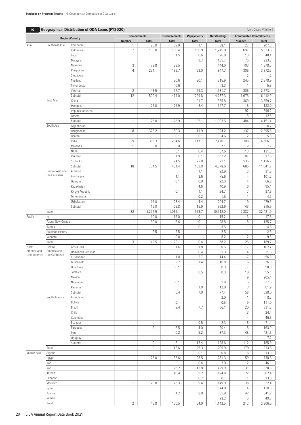| <b>Geographical Distribution of ODA Loans (FY2020)</b><br>10 <sup>°</sup> |                                  |                                 |                |                    | (Unit: Cases, ¥1 billion) |                   |               |                                |               |
|---------------------------------------------------------------------------|----------------------------------|---------------------------------|----------------|--------------------|---------------------------|-------------------|---------------|--------------------------------|---------------|
| <b>Region/Country</b>                                                     |                                  |                                 |                | <b>Commitments</b> |                           | <b>Repayments</b> | Outstanding   | <b>Accumulated Commitments</b> |               |
|                                                                           | Southeast Asia                   |                                 | Number         | <b>Total</b>       | <b>Total</b>              | <b>Total</b>      | <b>Total</b>  | <b>Number</b>                  | <b>Total</b>  |
| Asia                                                                      |                                  | Cambodia                        | $\mathbf{1}$   | 25.0               | 39.9                      | 1.1               | 88.1          | 27                             | 207.3         |
|                                                                           |                                  | Indonesia                       | $\overline{2}$ | 100.0              | 130.4<br>1.5              | 156.9<br>0.6      | 1,245.0       | 697<br>13                      | 5,323.6       |
|                                                                           |                                  | Laos<br>Malaysia                |                |                    |                           | 9.7               | 26.0<br>185.7 | 75                             | 48.4<br>923.8 |
|                                                                           |                                  | Myanmar                         | 3              | 72.8               | 83.5                      |                   | 444.0         | 103                            | 1,378.5       |
|                                                                           |                                  | Philippines                     | $\overline{4}$ | 254.1              | 139.7                     | 52.0              | 847.7         | 306                            | 3,372.5       |
|                                                                           |                                  | Singapore                       |                |                    |                           |                   |               | $\overline{2}$                 | 1.2           |
|                                                                           |                                  | Thailand                        |                |                    | 20.6                      | 20.1              | 315.9         | 245                            | 2,378.9       |
|                                                                           |                                  | Timor-Leste                     |                |                    | 0.6                       |                   | 3.3           | $\mathbf{1}$                   | 5.3           |
|                                                                           |                                  | Viet Nam                        | $\overline{2}$ | 48.5               | 57.7                      | 59.3              | 1,581.7       | 206                            | 2,773.4       |
|                                                                           |                                  | Subtotal                        | 12             | 500.4              | 474.0                     | 299.8             | 4,737.3       | 1,675                          | 16,412.9      |
|                                                                           | East Asia                        | China                           |                |                    |                           | 91.7              | 855.8         | 369                            | 3,359.7       |
|                                                                           |                                  | Mongolia                        | $\mathbf{1}$   | 25.0               | 26.9                      | 3.4               | 147.7         | 18                             | 182.9         |
|                                                                           |                                  | Republic of Korea               |                |                    |                           |                   |               | 92                             | 596.2         |
|                                                                           |                                  | Others                          |                |                    |                           |                   |               | 5                              | 12.5          |
|                                                                           |                                  | Subtotal                        | $\mathbf{1}$   | 25.0               | 26.9                      | 95.1              | 1,003.5       | 484                            | 4,151.4       |
|                                                                           | South Asia                       | Afghanistan                     |                |                    |                           |                   |               | $\mathbf{1}$                   | 0.7           |
|                                                                           |                                  | Bangladesh                      | 8              | 373.2              | 180.3                     | 11.9              | 924.2         | 137                            | 2,395.8       |
|                                                                           |                                  | Bhutan                          |                |                    | 0.1                       | 0.1               | 4.6           | $\overline{2}$                 | 5.8           |
|                                                                           |                                  | India                           | 9              | 356.3              | 264.6                     | 117.7             | 2,470.7       | 308                            | 6,566.1       |
|                                                                           |                                  | Maldives                        | $\mathbf{1}$   | 5.0                | 5.0                       |                   | 7.1           | $\overline{2}$                 | 7.7           |
|                                                                           |                                  | Nepal                           |                |                    | 5.1                       | 0.4               | 37.6          | 13                             | 121.3         |
|                                                                           |                                  | Pakistan                        |                |                    | 1.9                       | 0.1               | 562.2         | 87                             | 817.5         |
|                                                                           |                                  | Sri Lanka                       |                |                    | 24.5                      | 22.8              | 372.1         | 135                            | 1,126.7       |
|                                                                           |                                  | Subtotal                        | 18             | 734.5              | 481.4                     | 153.0             | 4,378.6       | 685                            | 11,041.7      |
|                                                                           | Central Asia and<br>the Caucasus | Armenia                         |                |                    |                           | 1.1               | 22.9          | $\overline{2}$                 | 31.8          |
|                                                                           |                                  | Azerbaijan                      |                |                    | 1.1                       | 3.6               | 75.6          | $\overline{4}$                 | 101.2         |
|                                                                           |                                  | Georgia                         |                |                    | 0.1                       | 0.9               | 22.3          | $\overline{4}$                 | 66.2          |
|                                                                           |                                  | Kazakhstan                      |                |                    | 0.1                       | 4.6               | 40.9          | $6\,$<br>$\overline{7}$        | 95.1          |
|                                                                           |                                  | Kyrgyz Republic<br>Turkmenistan |                |                    |                           | 1.1<br>0.2        | 24.7<br>1.5   | $\mathbf{1}$                   | 37.6<br>4.5   |
|                                                                           |                                  | Uzbekistan                      | $\mathbf{1}$   | 15.0               | 28.4                      | 4.4               | 204.7         | 19                             | 479.5         |
|                                                                           |                                  | Subtotal                        | $\mathbf{1}$   | 15.0               | 29.8                      | 15.9              | 392.6         | 43                             | 815.9         |
|                                                                           | Total                            |                                 | 32             | 1,274.9            | 1,012.1                   | 563.7             | 10,512.0      | 2,887                          | 32,421.9      |
| Pacific                                                                   | Fiji                             |                                 | $\mathbf{1}$   | 10.0               | 15.0                      | 0.1               | 15.2          | 3                              | 17.3          |
|                                                                           | Papua New Guinea                 |                                 | $\mathbf{1}$   | 30.0               | 5.6                       | 0.1               | 28.8          | 18                             | 135.7         |
|                                                                           | Samoa                            |                                 |                |                    |                           | 0.1               | 3.5           | $\mathbf{1}$                   | 4.6           |
|                                                                           | Solomon Islands                  |                                 | $\mathbf{1}$   | 2.5                | 2.5                       |                   | 2.5           | $\mathbf{1}$                   | 2.5           |
|                                                                           | Vanuatu                          |                                 |                |                    | 0.0                       |                   | 8.2           | $\overline{2}$                 | 9.5           |
|                                                                           | Total                            |                                 | 3              | 42.5               | 23.1                      | 0.4               | 58.2          | 25                             | 169.7         |
| North                                                                     | Central                          | Costa Rica                      |                |                    | 1.6                       | 1.8               | 30.5          | $\overline{7}$                 | 102.2         |
| America and                                                               | America and                      | Dominican Republic              |                |                    |                           | 0.4               | 1.3           | $\overline{4}$                 | 31.6          |
| Latin America                                                             | the Caribbean                    | El Salvador                     |                |                    | 1.0                       | 2.7               | 14.4          | 7                              | 56.8          |
|                                                                           |                                  | Guatemala                       |                |                    | 2.7                       | 1.4               | 16.8          | $6\,$                          | 36.8          |
|                                                                           |                                  | Honduras                        |                |                    | 0.1                       |                   | 0.3           | $\overline{7}$                 | 50.8          |
|                                                                           |                                  | Jamaica                         |                |                    |                           | 0.5               | 0.3           | 10                             | 55.1          |
|                                                                           |                                  | Mexico                          |                |                    |                           |                   |               | 9                              | 205.4         |
|                                                                           |                                  | Nicaragua                       |                |                    | 0.1                       |                   | 1.8           | 5                              | 27.5          |
|                                                                           |                                  | Panama                          |                |                    |                           | 1.0               | 12.0          | 3                              | 61.9          |
|                                                                           |                                  | Subtotal                        |                |                    | 5.4                       | 7.9               | 77.4          | 58                             | 628.0         |
|                                                                           | South America                    | Argentina                       |                |                    |                           |                   | 2.0           | $\mathbf{1}$                   | 8.2           |
|                                                                           |                                  | Bolivia                         |                |                    | 0.1                       |                   | 0.5           | $\mathsf g$                    | 111.0         |
|                                                                           |                                  | Brazil                          |                |                    | 2.4                       | 7.7               | 66.1          | 20                             | 331.3         |
|                                                                           |                                  | Chile                           |                |                    |                           |                   |               | 3<br>$\overline{4}$            | 24.4          |
|                                                                           |                                  | Colombia<br>Ecuador             |                |                    |                           |                   |               | 8                              | 46.6<br>71.4  |
|                                                                           |                                  |                                 | $\mathbf{1}$   | 9.1                | 5.5                       | 0.5<br>4.0        | 2.3<br>20.4   | 18                             | 163.9         |
|                                                                           |                                  | Paraguay<br>Peru                |                |                    | 0.2                       | 5.2               | 37.3          | 48                             | 421.6         |
|                                                                           |                                  | Uruguay                         |                |                    |                           |                   |               | $\mathbf{1}$                   | 7.2           |
|                                                                           |                                  |                                 | $\mathbf{1}$   | 9.1                | 8.1                       | 17.4              | 128.6         | 112                            | 1,185.6       |
|                                                                           | Subtotal<br>Total                |                                 | $\mathbf{1}$   | 9.1                | 13.6                      | 25.3              | 205.9         | 170                            | 1,813.6       |
| Middle East                                                               | Algeria                          |                                 |                |                    |                           | 0.1               | 0.8           | 8                              | 13.9          |
|                                                                           | Egypt                            |                                 | $\mathbf{1}$   | 25.0               | 35.6                      | 23.5              | 281.3         | 59                             | 738.6         |
|                                                                           | Iran                             |                                 |                |                    |                           | 0.4               | 2.0           | $\overline{2}$                 | 46.1          |
|                                                                           | Iraq                             |                                 |                |                    | 75.2                      | 12.8              | 429.9         | 31                             | 830.3         |
|                                                                           | Jordan                           |                                 |                |                    | 10.4                      | 9.2               | 124.8         | 22                             | 302.4         |
|                                                                           | Lebanon                          |                                 |                |                    |                           | 0.7               | 0.7           | $\mathbf{1}$                   | 13.0          |
|                                                                           | Morocco                          |                                 | $\mathbf{1}$   | 20.8               | 25.3                      | 9.4               | 149.9         | 38                             | 332.4         |
|                                                                           | Syria                            |                                 |                |                    |                           |                   | 44.0          | $\overline{4}$                 | 138.6         |
|                                                                           | Tunisia                          |                                 |                |                    | 4.2                       | 8.8               | 85.9          | 42                             | 341.2         |
|                                                                           | Yemen                            |                                 |                |                    |                           |                   | 23.2          | 5                              | 49.3          |

Total 2 45.8 150.5 64.9 1,142.5 212 2,806.0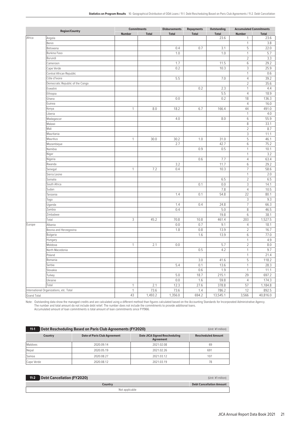| <b>Region/Country</b> |                                         | <b>Commitments</b> |              | <b>Disbursements</b> | <b>Repayments</b> | <b>Outstanding</b> | <b>Accumulated Commitments</b> |              |
|-----------------------|-----------------------------------------|--------------------|--------------|----------------------|-------------------|--------------------|--------------------------------|--------------|
|                       |                                         | Number             | <b>Total</b> | <b>Total</b>         | <b>Total</b>      | <b>Total</b>       | Number                         | <b>Total</b> |
| Africa                | Angola                                  |                    |              |                      |                   | 23.6               | 1                              | 23.6         |
|                       | Benin                                   |                    |              |                      |                   |                    | $\mathbf{1}$                   | 3.8          |
|                       | Botswana                                |                    |              | 0.4                  | 0.7               | 3.1                | 5                              | 22.0         |
|                       | Burkina Faso                            |                    |              | 1.0                  |                   | 1.0                | $\mathbf{1}$                   | 5.7          |
|                       | Burundi                                 |                    |              |                      |                   |                    | $\overline{2}$                 | 3.3          |
|                       | Cameroon                                |                    |              | 1.7                  |                   | 11.5               | 6                              | 29.2         |
|                       | Cape Verde                              |                    |              | 0.2                  |                   | 10.3               | 3                              | 25.9         |
|                       | Central African Republic                |                    |              |                      |                   |                    | $\mathbf{1}$                   | 0.6          |
|                       | Côte d'Ivoire                           |                    |              | 5.5                  |                   | 7.0                | $\overline{4}$                 | 39.2         |
|                       | Democratic Republic of the Congo        |                    |              |                      |                   |                    | $\overline{2}$                 | 35.6         |
|                       | Eswatini                                |                    |              |                      | 0.2               | 2.3                | $\mathbf{1}$                   | 4.4          |
|                       | Ethiopia                                |                    |              |                      |                   | 5.5                | $\overline{4}$                 | 18.9         |
|                       | Ghana                                   |                    |              | 0.0                  |                   | 0.2                | 18                             | 136.3        |
|                       | Guinea                                  |                    |              |                      |                   |                    | $\overline{4}$                 | 16.0         |
|                       | Kenya                                   | $\mathbf{1}$       | 8.0          | 18.2                 | 6.7               | 166.4              | 44                             | 491.0        |
|                       | Liberia                                 |                    |              |                      |                   |                    | $\mathbf{1}$                   | 4.0          |
|                       | Madagascar                              |                    |              | 4.0                  |                   | 8.0                | 6                              | 55.9         |
|                       | Malawi                                  |                    |              |                      |                   |                    | 8                              | 33.1         |
|                       | Mali                                    |                    |              |                      |                   |                    | $\overline{2}$                 | 8.7          |
|                       | Mauritania                              |                    |              |                      |                   |                    | 3                              | 11.1         |
|                       | Mauritius                               | $\mathbf{1}$       | 30.0         | 30.2                 | 1.0               | 31.0               | 5                              | 46.1         |
|                       | Mozambique                              |                    |              | 2.7                  |                   | 42.7               | 6                              | 75.2         |
|                       |                                         |                    |              |                      |                   |                    |                                |              |
|                       | Namibia                                 |                    |              |                      | 0.9               | 0.5                | $\mathbf{1}$                   | 10.1         |
|                       | Niger                                   |                    |              |                      |                   |                    | 1                              | 3.2          |
|                       | Nigeria                                 |                    |              |                      | 0.6               | 7.7                | $\overline{4}$                 | 63.4         |
|                       | Rwanda                                  |                    |              | 3.2                  |                   | 11.7               | 6                              | 29.2         |
|                       | Senegal                                 | $\mathbf{1}$       | 7.2          | 0.4                  |                   | 10.3               | $\overline{7}$                 | 58.6         |
|                       | Sierra Leone                            |                    |              |                      |                   |                    | $\mathbf{1}$                   | 2.0          |
|                       | Somalia                                 |                    |              |                      |                   | 6.5                | $\overline{2}$                 | 6.5          |
|                       | South Africa                            |                    |              |                      | 0.1               | 0.0                | 3                              | 14.1         |
|                       | Sudan                                   |                    |              |                      |                   | 7.8                | $\overline{4}$                 | 10.5         |
|                       | Tanzania                                |                    |              | 1.4                  | 0.1               | 54.8               | 22                             | 80.1         |
|                       | Togo                                    |                    |              |                      |                   |                    | 3                              | 9.3          |
|                       | Uganda                                  |                    |              | 1.4                  | 0.4               | 24.8               | $\overline{7}$                 | 66.3         |
|                       | Zambia                                  |                    |              | 0.4                  |                   | 5.0                | 8                              | 46.5         |
|                       | Zimbabwe                                |                    |              |                      |                   | 19.8               | 6                              | 38.1         |
|                       | Total                                   | 3                  | 45.2         | 70.8                 | 10.8              | 461.4              | 203                            | 1,527.5      |
| Europe                | Albania                                 |                    |              | 0.0                  | 0.7               | 9.1                | $\overline{4}$                 | 18.1         |
|                       | Bosnia and Herzegovina                  |                    |              | 1.8                  | 0.8               | 13.9               | $\overline{2}$                 | 16.7         |
|                       | Bulgaria                                |                    |              |                      | 1.6               | 13.9               | 6                              | 77.0         |
|                       | Hungary                                 |                    |              |                      |                   |                    | $\mathbf{1}$                   | 4.9          |
|                       | Moldova                                 | 1                  | 2.1          | 0.0                  |                   | 5.7                | $\overline{2}$                 | 8.0          |
|                       | North Macedonia                         |                    |              |                      | 0.5               | 4.2                | $\mathbf{1}$                   | 9.7          |
|                       | Poland                                  |                    |              |                      |                   |                    | $\mathbf{1}$                   | 21.4         |
|                       | Romania                                 |                    |              |                      | 3.0               | 41.6               | 5                              | 118.2        |
|                       | Serbia                                  |                    |              | 5.4                  | 0.1               | 13.6               | $\mathbf{1}$                   | 28.3         |
|                       | Slovakia                                |                    |              |                      | 0.6               | 1.9                | $\mathbf{1}$                   | 11.1         |
|                       | Turkey                                  |                    |              | 5.0                  | 18.7              | 215.1              | 29                             | 697.2        |
|                       | Ukraine                                 |                    |              | $0.0\,$              | 1.6               | 59.8               | $\overline{4}$                 | 174.3        |
|                       | Total                                   | $\mathbf{1}$       | 2.1          | 12.3                 | 27.6              | 378.8              | 57                             | 1,184.8      |
|                       | International Organizations, etc. Total | $\mathbf{1}$       | 73.6         | 73.6                 | 1.4               | 786.2              | 12                             | 892.5        |
| <b>Grand Total</b>    |                                         | 43                 | 1,493.2      | 1,356.0              | 694.2             | 13,545.1           | 3,566                          | 40,816.0     |
|                       |                                         |                    |              |                      |                   |                    |                                |              |

Note: Outstanding data show the managed credits and are calculated using a different method than figures calculated based on the Accounting Standards for Incorporated Administrative Agency.<br>The number and total amount do n

| Debt Rescheduling Based on Paris Club Agreements (FY2020)<br>$11-1$<br>(Unit: ¥1 million) |                                     |                                                   |                           |  |  |  |  |
|-------------------------------------------------------------------------------------------|-------------------------------------|---------------------------------------------------|---------------------------|--|--|--|--|
| Country                                                                                   | <b>Date of Paris Club Agreement</b> | <b>Date JICA Signed Rescheduling</b><br>Agreement | <b>Rescheduled Amount</b> |  |  |  |  |
| Maldives                                                                                  | 2020.09.14                          | 2021.02.08                                        | 69                        |  |  |  |  |
| Nepal                                                                                     | 2020.05.19                          | 2021.02.26                                        | 691                       |  |  |  |  |
| Samoa                                                                                     | 2020.08.27                          | 2021.03.12                                        | 107                       |  |  |  |  |
| Cape Verde                                                                                | 2020.08.12                          | 2021.03.19                                        | 78                        |  |  |  |  |

| 11-2 Debt Cancellation (FY2020) |         | (Unit: ¥1 million)              |  |  |
|---------------------------------|---------|---------------------------------|--|--|
|                                 | Countrv | <b>Debt Cancellation Amount</b> |  |  |
| Not applicable                  |         |                                 |  |  |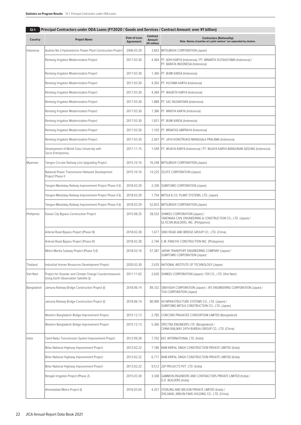| Country     | <b>Project Name</b>                                                                              | Date of Loan<br>Agreement | <b>Contract</b><br><b>Amount</b><br>(¥1 million) | <b>Contractors (Nationality)</b><br>Note. Names of parties of a joint venture* are separated by slashes.                                      |
|-------------|--------------------------------------------------------------------------------------------------|---------------------------|--------------------------------------------------|-----------------------------------------------------------------------------------------------------------------------------------------------|
| Indonesia   | Asahan No.3 Hydroelectric Power Plant Construction Project                                       | 2006.03.29                |                                                  | 3,842 MITSUBISHI CORPORATION (Japan)                                                                                                          |
|             | Rentang Irrigation Modernization Project                                                         | 2017.03.30                |                                                  | 4,364   PT. ADHI KARYA (Indonesia) / PT. MINARTA DUTAHUTAMA (Indonesia) /<br>PT. BARATA INDONESIA (Indonesia)                                 |
|             | Rentang Irrigation Modernization Project                                                         | 2017.03.30                |                                                  | 1,360   PT. BUMI KARSA (Indonesia)                                                                                                            |
|             | Rentang Irrigation Modernization Project                                                         | 2017.03.30                |                                                  | 4,392   PT. HUTAMA KARYA (Indonesia)                                                                                                          |
|             | Rentang Irrigation Modernization Project                                                         | 2017.03.30                |                                                  | 4,369   PT. WASKITA KARYA (Indonesia)                                                                                                         |
|             | Rentang Irrigation Modernization Project                                                         | 2017.03.30                |                                                  | 1,886   PT. SAC NUSANTARA (Indonesia)                                                                                                         |
|             | Rentang Irrigation Modernization Project                                                         | 2017.03.30                |                                                  | 1,386   PT. NINDYA KARYA (Indonesia)                                                                                                          |
|             | Rentang Irrigation Modernization Project                                                         | 2017.03.30                |                                                  | 1,831   PT. BUMI KARSA (Indonesia)                                                                                                            |
|             | Rentang Irrigation Modernization Project                                                         | 2017.03.30                |                                                  | 1,102   PT. BRANTAS ABIPRAYA (Indonesia)                                                                                                      |
|             | Rentang Irrigation Modernization Project                                                         | 2017.03.30                |                                                  | 2,501   PT. JAYA KONSTRUKSI MANGGALA PRALAMA (Indonesia)                                                                                      |
|             | Development of World Class University with<br>Socio Entrepreneu                                  | 2017.11.15                |                                                  | 1,549 PT. WIJAYA KARYA (Indonesia) / PT. WIJAYA KARYA BANGUNAN GEDUNG (Indonesia)                                                             |
| Myanmar     | Yangon Circular Railway Line Upgrading Project                                                   | 2015.10.16                |                                                  | 16,248   MITSUBISHI CORPORATION (Japan)                                                                                                       |
|             | National Power Transmission Network Development<br>Project Phase II                              | 2015.10.16                |                                                  | 14,225 SOJITZ CORPORATION (Japan)                                                                                                             |
|             | Yangon-Mandalay Railway Improvement Project Phase II (I)                                         | 2018.03.29                |                                                  | 2,336 SUMITOMO CORPORATION (Japan)                                                                                                            |
|             | Yangon-Mandalay Railway Improvement Project Phase II (I)                                         | 2018.03.29                |                                                  | 1,754   MITSUI & CO. PLANT SYSTEMS, LTD. (Japan)                                                                                              |
|             | Yangon-Mandalay Railway Improvement Project Phase II (I)                                         | 2018.03.29                |                                                  | 52,833 MITSUBISHI CORPORATION (Japan)                                                                                                         |
| Phillipines | Davao City Bypass Construction Project                                                           | 2015.08.25                |                                                  | 28,532 SHIMIZU CORPORATION (Japan) /<br>TAKENAKA CIVIL ENGINEERING & CONSTRUCTION CO., LTD. (Japan) /<br>ULTICON BUILDERS, INC. (Philippines) |
|             | Arterial Road Bypass Project (Phase III)                                                         | 2018.02.28                |                                                  | 1,677 SINO ROAD AND BRIDGE GROUP CO., LTD. (China)                                                                                            |
|             | Arterial Road Bypass Project (Phase III)                                                         | 2018.02.28                |                                                  | 2,746 C.M. PANCHO CONSTRUCTION INC. (Philippines)                                                                                             |
|             | Metro Manila Subway Project (Phase 1) (I)                                                        | 2018.03.16                | 57,387                                           | JAPAN TRANSPORT ENGINEERING COMPANY (Japan) /<br>SUMITOMO CORPORATION (Japan)                                                                 |
| Thailand    | Industrial Human Resources Development Project                                                   | 2020.03.30                |                                                  | 2,635 NATIONAL INSTITUTE OF TECHNOLOGY (Japan)                                                                                                |
| Viet Nam    | Project for Disaster and Climate Change Countermeasures<br>Using Earth Observation Satellite (I) | 2011.11.02                |                                                  | 2,626 SHIMIZU CORPORATION (Japan) / 129 CO., LTD. (Viet Nam)                                                                                  |
| Bangladesh  | Jamuna Railway Bridge Construction Project (I)                                                   | 2018.06.14                | 89,332                                           | OBAYASHI CORPORATION (Japan) / JFE ENGINEERING CORPORATION (Japan) /<br>TOA CORPORATION (Japan)                                               |
|             | Jamuna Railway Bridge Construction Project (I)                                                   | 2018.06.14                |                                                  | 80,990   IHI INFRASTRUCTURE SYSTEMS CO., LTD. (Japan) /<br>SUMITOMO MITSUI CONSTRUCTION CO., LTD. (Japan)                                     |
|             | Western Bangladesh Bridge Improvement Project                                                    | 2015.12.13                |                                                  | 2,785 CONCORD PRAGATEE CONSORTIUM LIMITED (Bangladesh)                                                                                        |
|             | Western Bangladesh Bridge Improvement Project                                                    | 2015.12.13                |                                                  | 5,366 SPECTRA ENGINEERS LTD. (Bangladesh) /<br>CHINA RAILWAY 24TH BUREAU GROUP CO., LTD. (China)                                              |
| India       | Tamil Nadu Transmission System Improvement Project                                               | 2012.09.28                |                                                  | 7,702   KEC INTERNATIONAL LTD. (India)                                                                                                        |
|             | Bihar National Highway Improvement Project                                                       | 2013.02.22                |                                                  | 7,186 RAM KRIPAL SINGH CONSTRUCTION PRIVATE LIMITED (India)                                                                                   |
|             | Bihar National Highway Improvement Project                                                       | 2013.02.22                |                                                  | 6,717   RAM KRIPAL SINGH CONSTRUCTION PRIVATE LIMITED (India)                                                                                 |
|             | Bihar National Highway Improvement Project                                                       | 2013.02.22                |                                                  | 9,512   JSP PROJECTS PVT. LTD. (India)                                                                                                        |
|             | Rengali Irrigation Project (Phase 2)                                                             | 2015.03.30                |                                                  | 3,348   GAMMON ENGINEERS AND CONTRACTORS PRIVATE LIMITED (India) /<br>D.D. BUILDERS (India)                                                   |
|             | Ahmedabad Metro Project (I)                                                                      | 2016.03.04                |                                                  | 4,257 STERLING AND WILSON PRIVATE LIMITED (India) /<br>ZHEJIANG JINDUN FANS HOLDING CO., LTD. (China)                                         |

# **12-1 Principal Contractors under ODA Loans (FY2020 / Goods and Services / Contract Amount: over ¥1 billion)**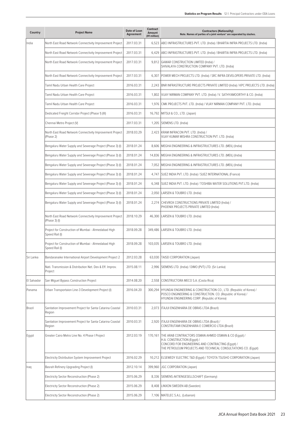| Country     | <b>Project Name</b>                                                       | Date of Loan<br>Agreement | <b>Contract</b><br>Amount<br>(¥1 million) | <b>Contractors (Nationality)</b><br>Note. Names of parties of a joint venture* are separated by slashes.                                                                                                              |
|-------------|---------------------------------------------------------------------------|---------------------------|-------------------------------------------|-----------------------------------------------------------------------------------------------------------------------------------------------------------------------------------------------------------------------|
| India       | North East Road Network Connectivity Improvement Project                  | 2017.03.31                |                                           | 6,523 ABCI INFRASTRUCTURES PVT. LTD. (India) / BHARTIA INFRA PROJECTS LTD. (India)                                                                                                                                    |
|             | North East Road Network Connectivity Improvement Project                  | 2017.03.31                |                                           | 6,429   ABCI INFRASTRUCTURES PVT. LTD. (India) / BHARTIA INFRA PROJECTS LTD. (India)                                                                                                                                  |
|             | North East Road Network Connectivity Improvement Project                  | 2017.03.31                |                                           | 9,812 GAWAR CONSTRUCTION LIMITED (India) /<br>SHIVALAYA CONSTRUCTION COMPANY PVT. LTD. (India)                                                                                                                        |
|             | North East Road Network Connectivity Improvement Project                  | 2017.03.31                |                                           | 6,307 POWER MECH PROJECTS LTD. (India) / SRC INFRA DEVELOPERS PRIVATE LTD. (India)                                                                                                                                    |
|             | Tamil Nadu Urban Health Care Project                                      | 2016.03.31                |                                           | 2,243 BNR INFRASTRUCTURE PROJECTS PRIVATE LIMITED (India) / KPC PROJECTS LTD. (India)                                                                                                                                 |
|             | Tamil Nadu Urban Health Care Project                                      | 2016.03.31                |                                           | 1,802 VIJAY NIRMAN COMPANY PVT. LTD. (India) / V. SATHYAMOORTHY & CO. (India)                                                                                                                                         |
|             | Tamil Nadu Urban Health Care Project                                      | 2016.03.31                |                                           | 1,976 CMK PROJECTS PVT. LTD. (India) / VIJAY NIRMAN COMPANY PVT. LTD. (India)                                                                                                                                         |
|             | Dedicated Freight Corridor Project (Phase 1) (III)                        | 2016.03.31                |                                           | 16,792 MITSUI & CO., LTD. (Japan)                                                                                                                                                                                     |
|             | Chennai Metro Project (V)                                                 | 2017.03.31                |                                           | 1,205   SIEMENS LTD. (India)                                                                                                                                                                                          |
|             | North East Road Network Connectivity Improvement Project<br>(Phase 2)     | 2018.03.29                |                                           | 2,423   KRAM INFRACON PVT. LTD. (India) /<br>VIJAY KUMAR MISHRA CONSTRUCTION PVT. LTD. (India)                                                                                                                        |
|             | Bengaluru Water Supply and Sewerage Project (Phase 3) (I)                 | 2018.01.24                |                                           | 8,606   MEGHA ENGINEERING & INFRASTRUCTURES LTD. (MEIL) (India)                                                                                                                                                       |
|             | Bengaluru Water Supply and Sewerage Project (Phase 3) (I)                 | 2018.01.24                |                                           | 14,836   MEGHA ENGINEERING & INFRASTRUCTURES LTD. (MEIL) (India)                                                                                                                                                      |
|             | Bengaluru Water Supply and Sewerage Project (Phase 3) (I)                 | 2018.01.24                |                                           | 7,052   MEGHA ENGINEERING & INFRASTRUCTURES LTD. (MEIL) (India)                                                                                                                                                       |
|             | Bengaluru Water Supply and Sewerage Project (Phase 3) (I)                 | 2018.01.24                |                                           | 4,747 SUEZ INDIA PVT. LTD. (India) / SUEZ INTERNATIONAL (France)                                                                                                                                                      |
|             | Bengaluru Water Supply and Sewerage Project (Phase 3) (I)                 | 2018.01.24                |                                           | 6,348 SUEZ INDIA PVT. LTD. (India) / TOSHIBA WATER SOLUTIONS PVT.LTD. (India)                                                                                                                                         |
|             | Bengaluru Water Supply and Sewerage Project (Phase 3) (I)                 | 2018.01.24                |                                           | 2,050   LARSEN & TOUBRO LTD. (India)                                                                                                                                                                                  |
|             | Bengaluru Water Supply and Sewerage Project (Phase 3) (I)                 | 2018.01.24                | 2,274                                     | CHEVROX CONSTRUCTIONS PRIVATE LIMITED (India) /<br>PHOENIX PROJECTS PRIVATE LIMITED (India)                                                                                                                           |
|             | North East Road Network Connectivity Improvement Project<br>(Phase 3) (I) | 2018.10.29                | 46,300                                    | LARSEN & TOUBRO LTD. (India)                                                                                                                                                                                          |
|             | Project for Construction of Mumbai - Ahmedabad High<br>Speed Rail (I)     | 2018.09.28                |                                           | 349,486 LARSEN & TOUBRO LTD. (India)                                                                                                                                                                                  |
|             | Project for Construction of Mumbai - Ahmedabad High<br>Speed Rail (I)     | 2018.09.28                | 103,035                                   | LARSEN & TOUBRO LTD. (India)                                                                                                                                                                                          |
| Sri Lanka   | Bandaranaike International Airport Development Project 2                  | 2012.03.28                |                                           | 63,030   TAISEI CORPORATION (Japan)                                                                                                                                                                                   |
|             | Nati. Transmission & Distribution Net. Dev & Eff. Improv.<br>Project      | 2015.08.11                |                                           | 2,996   SIEMENS LTD. (India) / DIMO (PVT) LTD. (Sri Lanka)                                                                                                                                                            |
| El Salvador | San Miquel Bypass Construction Project                                    | 2014.08.20                |                                           | 2,558 CONSTRUCTORA MECO S.A. (Costa Rica)                                                                                                                                                                             |
| Panama      | Urban Transportaion Line-3 Development Project (I)                        | 2016.04.20                | 300,294                                   | HYUNDAI ENGINEERING & CONSTRUCTION CO., LTD. (Republic of Korea) /<br>POSCO ENGINEERING & CONSTRUCTION. CO. (Republic of Korea) /<br>HYUNDAI ENGINEERING CORP. (Republic of Korea)                                    |
| Brazil      | Sanitation Improvement Project for Santa Catarina Coastal<br>Region       | 2010.03.31                |                                           | 2,073   ITAJUI ENGENHARIA DE OBRAS LTDA (Brazil)                                                                                                                                                                      |
|             | Sanitation Improvement Project for Santa Catarina Coastal<br>Region       | 2010.03.31                |                                           | 2,920   ITAJUI ENGENHARIA DE OBRAS LTDA (Brazil) /<br>CONSTRUTAMI ENGENHARIA E COMERCIO LTDA (Brazil)                                                                                                                 |
| Egypt       | Greater Cairo Metro Line No. 4 Phase I Project                            | 2012.03.19                |                                           | 170,161   THE ARAB CONTRACTORS OSMAN AHMED OSMAN & CO (Egypt) /<br>H.A. CONSTRUCTION (Egypt) /<br>CONCORD FOR ENGINEERING AND CONTRACTING (Egypt) /<br>THE PETROLEUM PROJECTS AND TECHNICAL CONSULTATIONS CO. (Egypt) |
|             | Electricity Distribution System Improvement Project                       | 2016.02.29                |                                           | 10,212   ELSEWEDY ELECTRIC T&D (Eqypt) / TOYOTA TSUSHO CORPORATION (Japan)                                                                                                                                            |
| Iraq        | Basrah Refinery Upgrading Project (I)                                     | 2012.10.14                | 399,960                                   | JGC CORPORATION (Japan)                                                                                                                                                                                               |
|             | Electricity Sector Reconstruction (Phase 2)                               | 2015.06.29                |                                           | 8,336 SIEMENS AKTIENGESELLSCHAFT (Germany)                                                                                                                                                                            |
|             | Electricity Sector Reconstruction (Phase 2)                               | 2015.06.29                | 8,408                                     | LINXON SWEDEN AB (Sweden)                                                                                                                                                                                             |
|             | Electricity Sector Reconstruction (Phase 2)                               | 2015.06.29                |                                           | 7,106   MATELEC S.A.L. (Lebanon)                                                                                                                                                                                      |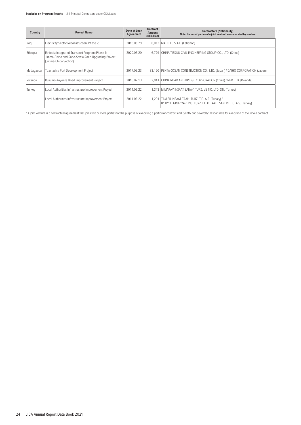| Country    | <b>Project Name</b>                                                                                                            | Date of Loan<br>Agreement | <b>Contract</b><br>Amount<br>(¥1 million) | <b>Contractors (Nationality)</b><br>Note. Names of parties of a joint venture* are separated by slashes.              |
|------------|--------------------------------------------------------------------------------------------------------------------------------|---------------------------|-------------------------------------------|-----------------------------------------------------------------------------------------------------------------------|
| Iraq       | Electricity Sector Reconstruction (Phase 2)                                                                                    | 2015.06.29                |                                           | 6,012   MATELEC S.A.L. (Lebanon)                                                                                      |
| Ethiopia   | Ethiopia Integrated Transport Program (Phase 1):<br>Jimma-Chida and Sodo-Sawla Road Upgrading Project<br>(Jimma-Chida Section) | 2020.03.20                |                                           | 6.729 CHINA TIESIJU CIVIL ENGINEERING GROUP CO., LTD. (China)                                                         |
| Madagascar | Toamasina Port Development Project                                                                                             | 2017.03.23                |                                           | 33,120   PENTA-OCEAN CONSTRUCTION CO., LTD. (Japan) / DAIHO CORPORATION (Japan)                                       |
| Rwanda     | Rusumo-Kayonza Road Improvement Project                                                                                        | 2016.07.13                |                                           | 2,041 CHINA ROAD AND BRIDGE CORPORATION (China) / NPD LTD. (Rwanda)                                                   |
| Turkey     | Local Authorities Infrastructure Improvement Project                                                                           | 2011.06.22                |                                           | 1,343 MIMARAY INSAAT SANAYI TURZ. VE TIC. LTD. STI. (Turkey)                                                          |
|            | Local Authorities Infrastructure Improvement Project                                                                           | 2011.06.22                | 1.201                                     | TAM ER INSAAT TAAH. TURZ. TIC. A.S. (Turkey) /<br>IPEKYOL GRUP YAPI INS. TURZ. ELEK. TAAH. SAN. VE TIC. A.S. (Turkey) |

\* A joint venture is a contractual agreement that joins two or more parties for the purpose of executing a particular contract and "jointly and severally" responsible for execution of the whole contract.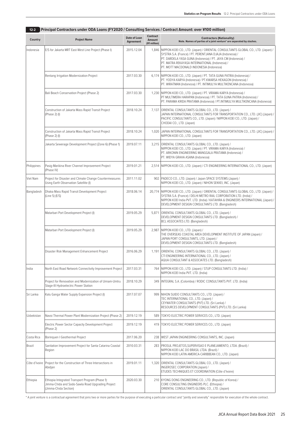| Principal Contractors under ODA Loans (FY2020 / Consulting Services / Contract Amount: over ¥100 million)<br>$12 - 2$ |                                                                                                                                |                           |                                           |                                                                                                                                                                                                                                                                                                             |  |  |  |
|-----------------------------------------------------------------------------------------------------------------------|--------------------------------------------------------------------------------------------------------------------------------|---------------------------|-------------------------------------------|-------------------------------------------------------------------------------------------------------------------------------------------------------------------------------------------------------------------------------------------------------------------------------------------------------------|--|--|--|
| Country                                                                                                               | <b>Project Name</b>                                                                                                            | Date of Loan<br>Agreement | <b>Contract</b><br>Amount<br>(¥1 million) | <b>Contractors (Nationality)</b><br>Note. Names of parties of a joint venture* are separated by slashes.                                                                                                                                                                                                    |  |  |  |
| Indonesia                                                                                                             | E/S for Jakarta MRT East-West Line Project (Phase I)                                                                           | 2015.12.04                | 1,846                                     | NIPPON KOEI CO., LTD. (Japan) / ORIENTAL CONSULTANTS GLOBAL CO., LTD. (Japan) /<br>SYSTRA S.A. (France) / PT. PERENTJANA DJAJA (Indonesia) /<br>PT. DARDELA YASA GUNA (Indonesia) / PT. JAYA CM (Indonesia) /<br>PT. MATRA REKAYASA INTERNATIONAL (Indonesia) /<br>PT. MOTT MACDONALD INDONESIA (Indonesia) |  |  |  |
|                                                                                                                       | Rentang Irrigation Modernization Project                                                                                       | 2017.03.30                |                                           | 6,174   NIPPON KOEI CO., LTD. (Japan) / PT. TATA GUNA PATRIA (Indonesia) /<br>PT. YODYA KARYA (Indonesia) / PT.KWARSA HEXAGON (Indonesia) /<br>PT. WIRATMAN (Indonesia) / PT. INTIMULYA MULTIKENCANA (Indonesia)                                                                                            |  |  |  |
|                                                                                                                       | Bali Beach Conservation Project (Phase 2)                                                                                      | 2017.03.30                |                                           | 1,230   NIPPON KOEI CO., LTD. (Japan) / PT. VIRAMA KARYA (Indonesia) /<br>PT MULTIMERA HARAPAN (Indonesia) / PT. TATA GUNA PATRIA (Indonesia) /<br>PT. PARAMA KRIDA PRATAMA (Indonesia) / PT.INTIMULYA MULTIKENCANA (Indonesia)                                                                             |  |  |  |
|                                                                                                                       | Construction of Jakarta Mass Rapid Transit Project<br>(Phase 2) (I)                                                            | 2018.10.24                | 7,137                                     | ORIENTAL CONSULTANTS GLOBAL CO., LTD. (Japan) /<br>JAPAN INTERNATIONAL CONSULTANTS FOR TRANSPORTATION CO., LTD. (JIC) (Japan) /<br>PACIFIC CONSULTANTS CO., LTD. (Japan) / NIPPON KOEI CO., LTD. (Japan) /<br>CHODAI CO., LTD. (Japan)                                                                      |  |  |  |
|                                                                                                                       | Construction of Jakarta Mass Rapid Transit Project<br>(Phase 2) (I)                                                            | 2018.10.24                | 1,020                                     | JAPAN INTERNATIONAL CONSULTANTS FOR TRANSPORTATION CO., LTD. (JIC) (Japan) /<br>NIPPON KOEI CO., LTD. (Japan)                                                                                                                                                                                               |  |  |  |
|                                                                                                                       | Jakarta Sewerage Development Project (Zone 6) (Phase 1)                                                                        | 2019.07.11                |                                           | 3,215 ORIENTAL CONSULTANTS GLOBAL CO., LTD. (Japan) /<br>NIPPON KOEI CO., LTD. (Japan) / PT. VIRAMA KARYA (Indonesia) /<br>PT. ARKONIN ENGINEERING MANGGALA PRATAMA (Indonesia) /<br>PT. WIDYA GRAHA ASANA (Indonesia)                                                                                      |  |  |  |
| Philippines                                                                                                           | Pasig-Marikina River Channel Improvement Project<br>(Phase IV)                                                                 | 2019.01.21                |                                           | 2,514   NIPPON KOEI CO., LTD. (Japan) / CTI ENGINEERING INTERNATIONAL CO., LTD. (Japan)                                                                                                                                                                                                                     |  |  |  |
| Viet Nam                                                                                                              | Project for Disaster and Climate Change Countermeasures<br>Using Earth Observation Satellite (I)                               | 2011.11.02                |                                           | 902   PADECO CO., LTD. (Japan) / Japan SPACE SYSTEMS (Japan) /<br>NIPPON KOEI CO., LTD. (Japan) / NIHON SEKKEI, INC. (Japan)                                                                                                                                                                                |  |  |  |
| Bangladesh                                                                                                            | Dhaka Mass Rapid Transit Development Project<br>(Line 5) (E/S)                                                                 | 2018.06.14                | 20,774                                    | NIPPON KOEI CO., LTD. (Japan) / ORIENTAL CONSULTANTS GLOBAL CO., LTD. (Japan) /<br>SYSTRA S.A. (France) / DELHI METRO RAIL CORPORATION LTD. (India) /<br>NIPPON KOEI India PVT. LTD. (India) / KATAHIRA & ENGINEERS INTERNATIONAL (Japan) /<br>DEVELOPMENT DESIGN CONSULTANTS LTD. (Bangladesh)             |  |  |  |
|                                                                                                                       | Matarbari Port Development Project (I)                                                                                         | 2019.05.29                | 5,871                                     | ORIENTAL CONSULTANTS GLOBAL CO., LTD. (Japan) /<br>DEVELOPMENT DESIGN CONSULTANTS LTD. (Bangladesh) /<br>BCL ASSOCIATES LTD. (Bangladesh)                                                                                                                                                                   |  |  |  |
|                                                                                                                       | Matarbari Port Development Project (I)                                                                                         | 2019.05.29                |                                           | 2,987   NIPPON KOEI CO., LTD. (Japan) /<br>THE OVERSEAS COASTAL AREA DEVELOPMENT INSTITUTE OF JAPAN (Japan) /<br>JAPAN PORT CONSULTANTS, LTD. (Japan) /<br>DEVELOPMENT DESIGN CONSULTANTS LTD. (Bangladesh)                                                                                                 |  |  |  |
|                                                                                                                       | Disaster Risk Management Enhancement Project                                                                                   | 2016.06.29                |                                           | 1,191 ORIENTAL CONSULTANTS GLOBAL CO., LTD. (Japan) /<br>CTI ENGINEERING INTERNATIONAL CO., LTD. (Japan) /<br>AQUA CONSULTANT & ASSOCIATES LTD. (Bangladesh)                                                                                                                                                |  |  |  |
| India                                                                                                                 | North East Road Network Connectivity Improvement Project                                                                       | 2017.03.31                |                                           | 764   NIPPON KOEI CO., LTD. (Japan) / STUP CONSULTANTS LTD. (India) /<br>NIPPON KOEI India PVT. LTD. (India)                                                                                                                                                                                                |  |  |  |
|                                                                                                                       | Project for Renovation and Modernization of Umiam-Umtru<br>Stage-III Hydroelectric Power Station                               | 2018.10.29                |                                           | 349   INTEGRAL S.A. (Colombia) / RODIC CONSULTANTS PVT. LTD. (India)                                                                                                                                                                                                                                        |  |  |  |
| Sri Lanka                                                                                                             | Kalu Ganga Water Supply Expansion Project (I)                                                                                  | 2017.07.07                |                                           | 999   NIHON SUIDO CONSULTANTS CO., LTD. (Japan) /<br>TEC INTERNATIONAL CO., LTD. (Japan) /<br>CEYWATER CONSULTANTS (PVT) LTD. (Sri Lanka) /<br>RESOURCES DEVELOPMENT CONSULTANTS (PVT) LTD. (Sri Lanka)                                                                                                     |  |  |  |
| Uzbekistan                                                                                                            | Navoi Thermal Power Plant Modernization Project (Phase 2)                                                                      | 2019.12.19                | 589                                       | TOKYO ELECTRIC POWER SERVICES CO., LTD. (Japan)                                                                                                                                                                                                                                                             |  |  |  |
|                                                                                                                       | Electric Power Sector Capacity Development Project<br>(Phase 2)                                                                | 2019.12.19                |                                           | 419   TOKYO ELECTRIC POWER SERVICES CO., LTD. (Japan)                                                                                                                                                                                                                                                       |  |  |  |
| Costa Rica                                                                                                            | Borinquen I Geothermal Project                                                                                                 | 2017.06.20                |                                           | 238   WEST JAPAN ENGINEERING CONSULTANTS, INC. (Japan)                                                                                                                                                                                                                                                      |  |  |  |
| Brazil                                                                                                                | Sanitation Improvement Project for Santa Catarina Coastal<br>Region                                                            | 2010.03.31                |                                           | 283   PROSUL PROJETOS, SUPERVISAO E PLANEJAMENTO, LTDA. (Brazil) /<br>NIPPON KOEI LAC DO BRASIL LTDA. (Brazil) /<br>NIPPON KOEI LATIN AMERICA-CARIBBEAN CO., LTD. (Japan)                                                                                                                                   |  |  |  |
| Côte d'Ivoire                                                                                                         | Project for the Construction of Three Intersections in<br>Abidjan                                                              | 2019.01.11                |                                           | 1,320 ORIENTAL CONSULTANTS GLOBAL CO., LTD. (Japan) /<br>INGEROSEC CORPORATION (Japan) /<br>ETUDES TECHNIQUES ET COORDINATION (Côte d'Ivoire)                                                                                                                                                               |  |  |  |
| Ethiopia                                                                                                              | Ethiopia Integrated Transport Program (Phase 1):<br>Jimma-Chida and Sodo-Sawla Road Upgrading Project<br>(Jimma-Chida Section) | 2020.03.30                | 210                                       | KYONG DONG ENGINEERING CO., LTD. (Republic of Korea) /<br>CORE CONSULTING ENGINEERS PLC. (Ethiopia) /<br>ORIENTAL CONSULTANTS GLOBAL CO., LTD. (Japan)                                                                                                                                                      |  |  |  |

\* A joint venture is a contractual agreement that joins two or more parties for the purpose of executing a particular contract and "jointly and severally" responsible for execution of the whole contract.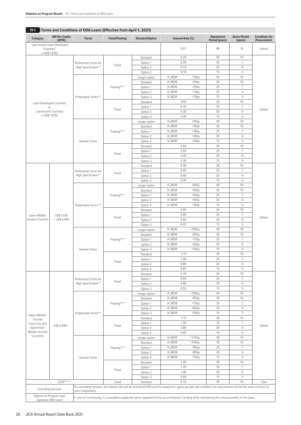| Category                                 | <b>GNI Per Capita</b><br>(2019)          | <b>Terms</b>                                                                                                                                                               | <b>Fixed/Floating</b> | <b>Standard/Option</b>    | Interest Rate (%)         |                      | Repayment<br><b>Period (years)</b> | <b>Grace Period</b><br>(years) | <b>Conditions for</b><br>Procurement |
|------------------------------------------|------------------------------------------|----------------------------------------------------------------------------------------------------------------------------------------------------------------------------|-----------------------|---------------------------|---------------------------|----------------------|------------------------------------|--------------------------------|--------------------------------------|
|                                          | Low-Income Least Developed<br>Countries* |                                                                                                                                                                            |                       |                           | 0.01                      |                      | 40                                 | 10                             | Untied                               |
|                                          | $(-USS 1,035)$                           |                                                                                                                                                                            |                       |                           |                           |                      |                                    |                                |                                      |
|                                          |                                          | Preferential Terms for                                                                                                                                                     |                       | Standard<br>Option 1      | 0.25<br>0.20              |                      | 30<br>25                           | 10<br>$\overline{7}$           |                                      |
|                                          |                                          | High Specification**                                                                                                                                                       | Fixed                 | Option 2                  | 0.15                      |                      | 20                                 | $\,6\,$                        |                                      |
|                                          |                                          |                                                                                                                                                                            |                       | Option 3                  | 0.10                      |                      | 15                                 | 5                              |                                      |
|                                          |                                          |                                                                                                                                                                            |                       | Longer option             | ¥ LIBOR                   | $+35bp$              | 40                                 | 10                             |                                      |
|                                          |                                          |                                                                                                                                                                            |                       | Standard                  | ¥ LIBOR                   | $+25bp$              | 30                                 | 10                             |                                      |
|                                          |                                          |                                                                                                                                                                            | Floating****          | Option 1<br>Option 2      | ¥ LIBOR<br><b>¥ LIBOR</b> | $+20bp$<br>$+15bp$   | 25<br>20                           | $\overline{7}$<br>6            |                                      |
|                                          |                                          | Preferential Terms***                                                                                                                                                      |                       | Option 3                  | ¥ LIBOR                   | $+10bp$              | 15                                 | 5                              |                                      |
|                                          | <b>Least Developed Countries</b>         |                                                                                                                                                                            |                       | Standard                  | 0.55                      |                      | 30                                 | 10                             |                                      |
|                                          | or                                       |                                                                                                                                                                            | Fixed                 | Option 1                  | 0.45                      |                      | 25                                 | $\overline{7}$                 | Untied                               |
| $(-USS 1,035)$                           | Low-Income Countries                     |                                                                                                                                                                            |                       | Option 2                  | 0.30                      |                      | 20                                 | 6                              |                                      |
|                                          |                                          |                                                                                                                                                                            |                       | Option 3                  | 0.20<br>¥ LIBOR           | $+45bp$              | 15<br>40                           | 5<br>10                        |                                      |
|                                          |                                          |                                                                                                                                                                            |                       | Longer option<br>Standard | ¥ LIBOR                   | $+35bp$              | 30                                 | 10                             |                                      |
|                                          |                                          |                                                                                                                                                                            | Floating****          | Option 1                  | <b>¥ LIBOR</b>            | $+30bp$              | 25                                 | $\overline{7}$                 |                                      |
|                                          |                                          |                                                                                                                                                                            |                       | Option 2                  | ¥ LIBOR                   | $+25bp$              | 20                                 | $\,6\,$                        |                                      |
|                                          |                                          | General Terms                                                                                                                                                              |                       | Option 3                  | ¥ LIBOR                   | $+20bp$              | 15                                 | 5                              |                                      |
|                                          |                                          |                                                                                                                                                                            |                       | Standard                  | 0.65<br>0.55              |                      | 30<br>25                           | 10<br>$\overline{7}$           |                                      |
|                                          |                                          |                                                                                                                                                                            | Fixed                 | Option 1<br>Option 2      | 0.40                      |                      | 20                                 | 6                              |                                      |
|                                          |                                          |                                                                                                                                                                            |                       | Option 3                  | 0.30                      |                      | 15                                 | 5                              |                                      |
|                                          |                                          |                                                                                                                                                                            |                       | Standard                  | 0.50                      |                      | 30                                 | 10                             |                                      |
|                                          |                                          | Preferential Terms for                                                                                                                                                     | Fixed                 | Option 1                  | 0.45                      |                      | 25                                 | 7                              |                                      |
|                                          |                                          | High Specification**                                                                                                                                                       |                       | Option 2                  | 0.40                      |                      | 20                                 | $\,6\,$                        |                                      |
|                                          |                                          |                                                                                                                                                                            |                       | Option 3                  | 0.35<br>¥ LIBOR           | $+85bp$              | 15<br>40                           | 5<br>10                        |                                      |
|                                          |                                          |                                                                                                                                                                            | Floating****          | Longer option<br>Standard | ¥ LIBOR                   | $+65bp$              | 30                                 | 10                             |                                      |
|                                          |                                          |                                                                                                                                                                            |                       | Option 1                  | ¥ LIBOR                   | $+55bp$              | 25                                 | $\overline{7}$                 |                                      |
|                                          |                                          |                                                                                                                                                                            |                       | Option 2                  | <b>¥ LIBOR</b>            | $+45bp$              | 20                                 | $\,6$                          |                                      |
|                                          |                                          | Preferential Terms***                                                                                                                                                      |                       | Option 3                  | ¥ LIBOR                   | $+35bp$              | 15                                 | 5                              |                                      |
|                                          | US\$ 1,036<br>$-$ US\$ 4,045             |                                                                                                                                                                            |                       | Standard                  | 0.95<br>0.80              |                      | 30<br>25                           | 10<br>$\overline{7}$           |                                      |
| Lower-Middle-<br><b>Income Countries</b> |                                          |                                                                                                                                                                            | Fixed                 | Option 1<br>Option 2      | 0.60                      |                      | 20                                 | 6                              | Untied                               |
|                                          |                                          |                                                                                                                                                                            |                       | Option 3                  | 0.45                      |                      | 15                                 | 5                              |                                      |
|                                          |                                          | <b>General Terms</b>                                                                                                                                                       | Floating****          | Longer option             | ¥ LIBOR                   | $+105bp$             | 40                                 | 10                             |                                      |
|                                          |                                          |                                                                                                                                                                            |                       | Standard                  | ¥ LIBOR                   | $+85bp$              | 30                                 | 10                             |                                      |
|                                          |                                          |                                                                                                                                                                            |                       | Option 1                  | ¥ LIBOR                   | $+75bp$              | 25                                 | $\overline{7}$                 |                                      |
|                                          |                                          |                                                                                                                                                                            |                       | Option 2<br>Option 3      | ¥ LIBOR<br><b>¥ LIBOR</b> | $+65bp$<br>$+55bp$   | 20<br>15                           | 6<br>5                         |                                      |
|                                          |                                          |                                                                                                                                                                            | Fixed                 | Standard                  | 1.15                      |                      | 30                                 | 10                             |                                      |
|                                          |                                          |                                                                                                                                                                            |                       | Option 1                  | 1.00                      |                      | 25                                 | 7                              |                                      |
|                                          |                                          |                                                                                                                                                                            |                       | Option 2                  | 0.80                      |                      | 20                                 | 6                              |                                      |
|                                          |                                          |                                                                                                                                                                            |                       | Option 3                  | 0.65                      |                      | 15                                 | 5                              |                                      |
|                                          |                                          |                                                                                                                                                                            |                       | Standard<br>Option 1      | 0.70<br>0.65              |                      | 30<br>25                           | 10<br>$\overline{7}$           |                                      |
|                                          |                                          | Preferential Terms for<br>High Specification**                                                                                                                             | Fixed                 | Option 2                  | 0.60                      |                      | 20                                 | 6                              |                                      |
|                                          |                                          |                                                                                                                                                                            |                       | Option 3                  | 0.55                      |                      | 15                                 | 5                              |                                      |
|                                          |                                          |                                                                                                                                                                            |                       | Longer option             | ¥ LIBOR                   | $+105bp$             | 40                                 | 10                             |                                      |
|                                          |                                          |                                                                                                                                                                            |                       | Standard                  | ¥ LIBOR                   | $+85bp$              | 30                                 | 10                             |                                      |
|                                          |                                          |                                                                                                                                                                            | Floating****          | Option 1                  | ¥ LIBOR<br>¥ LIBOR        | $+75bp$<br>$+65bp$   | 25<br>20                           | $\overline{7}$<br>$\,6$        |                                      |
|                                          |                                          | Preferential Terms***                                                                                                                                                      |                       | Option 2<br>Option 3      | ¥ LIBOR                   | $+55bp$              | 15                                 | 5                              |                                      |
| Upper-Middle-<br>Income                  |                                          |                                                                                                                                                                            |                       | Standard                  | 1.15                      |                      | 30                                 | $10$                           |                                      |
| Countries and                            | $US$4,046-$                              |                                                                                                                                                                            | Fixed                 | Option 1                  | 1.00                      |                      | 25                                 | $\overline{7}$                 | Untied                               |
| Uppermost-                               |                                          |                                                                                                                                                                            |                       | Option 2                  | 0.80                      |                      | 20                                 | $\,6\,$                        |                                      |
| Middle-Income<br>Countries               |                                          |                                                                                                                                                                            |                       | Option 3                  | 0.65                      |                      | 15                                 | 5                              |                                      |
|                                          |                                          |                                                                                                                                                                            |                       | Longer option<br>Standard | ¥ LIBOR<br>¥ LIBOR        | $+125bp$<br>$+105bp$ | 40<br>30                           | 10<br>$10$                     |                                      |
|                                          |                                          |                                                                                                                                                                            | Floating****          | Option 1                  | ¥ LIBOR                   | $+95bp$              | 25                                 | $\overline{7}$                 |                                      |
|                                          |                                          |                                                                                                                                                                            |                       | Option 2                  | ¥ LIBOR                   | $+85bp$              | 20                                 | 6                              |                                      |
|                                          |                                          | General Terms                                                                                                                                                              |                       | Option 3                  | ¥ LIBOR                   | $+75bp$              | 15                                 | 5                              |                                      |
|                                          |                                          |                                                                                                                                                                            |                       | Standard                  | 1.35                      |                      | 30                                 | 10                             |                                      |
|                                          |                                          |                                                                                                                                                                            | Fixed                 | Option 1                  | 1.20                      |                      | 25<br>20                           | $\overline{7}$<br>6            |                                      |
|                                          |                                          |                                                                                                                                                                            |                       | Option 2<br>Option 3      | 1.00<br>0.85              |                      | 15                                 | 5                              |                                      |
| STEP*****<br>Fixed                       |                                          | Standard                                                                                                                                                                   | 0.10                  |                           | 40                        | 10                   | Tied                               |                                |                                      |
|                                          | <b>Consulting Services</b>               | For consulting services, the interest rate will be minimal (0.01%) and the repayment, grace periods and conditions for procurement will be the same as those for           |                       |                           |                           |                      |                                    |                                |                                      |
|                                          | Options for Program Type                 | main components.<br>In case of co-financing, it is possible to apply the same repayment terms as co-financer's lending while maintaining the concessionality of Yen loans. |                       |                           |                           |                      |                                    |                                |                                      |
|                                          | Japanese ODA Loans                       |                                                                                                                                                                            |                       |                           |                           |                      |                                    |                                |                                      |

# **13-1** Terms and Conditions of ODA Loans (Effective from April 1, 2021)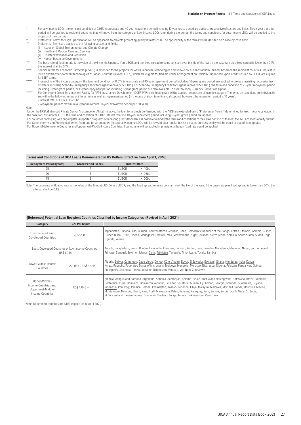- \* For Low-Income LDCs, the term and condition of 0.01% interest rate and 40-year repayment period including 10-year grace period are applied, irrespective of sectors and fields. Three-year transition period will be granted to recipient countries that will move from the category of Low-Income LDCs, and, during the period, the terms and conditions for Low-Income LDCs will be applied to the projects of the countries.
- \*\* Preferential Terms for High Specification will be applicable to projects promoting quality infrastructure.The applicability of the terms will be decided on a case-by-case basis.
	- Preferential Terms are applied to the following sectors and fields<br>(i) Issues on Global Environmental and Climate Change
	- (i) Issues on Global Environmental and Climate Change<br>(ii) Health and Medical Care and Services (ii) Health and Medical Care and Services
	- (iii) Disaster Prevention and Reduction
	- (iv) Human Resource Development
- 
- The base rate of floating rate is the value of the 6-month Japanese Yen LIBOR, and the fixed spread remains constant over the life of the loan. If the base rate plus fixed spread is lower than 0.1% the interest shall be 0.1%
- Special Terms for Economic Partnership (STEP) is extended to the projects for which Japanese technologies and know-how are substantially utilized, based on the recipient countries' request to utilize and transfer excellent technologies of Japan. Countries (except LDCs), which are eligible for tied aid under Arrangement on Officially Supported Export Credits issued by OECD, are eligible for STEP terms.
- lrrespective of the income category, the term and condition of 0.01% interest rate and 40-year repayment period including 10-year grace period are applied to projects assisting recoveries from<br>disasters, including Stand-by including 6-year grace period, or 15-year repayment period including 5-year grace period are also available, in order to apply Currency Conversion Option.
- For Contingent Credit Enhancement Facility for PPP Infrastructure Development (CCEF-PPP), only floating rate will be applied irrespective of income category. The terms on conditions are individually set within the following range of interest rate as well as repayment period (In the case of short term financial support, however, the repayment period is 10 years).
	- Interest rate: ¥LIBOR + 30~50bp
	- Repayment period: maximum 40-year (maximum 30-year drawdown period plus 10 year)
- Note:

∙ Under the EPSA (Enhanced Private Sector Assistance for Africa) initiative, the loan for projects co-financed with the AfDB are extended using "Preferential Terms," determined for each income category; in

- the case for Low-Income LDCs, the term and condition of 0.01% interest rate and 40-year repayment period including 10-year grace period are applied.<br>· For countries complying with ongoing IMF-supported programs or receivin ∙ For General terms and Preferential terms, fixed rate for all countries (except Low-Income LDCs) will be revised on a regular basis so that its concessionality will be equal to that of floating rate.
- ∙ For Upper-Middle-Income Countries and Uppermost-Middle-Income Countries, floating rate will be applied in principle, although fixed rate could be applied.

## **Terms and Conditions of ODA Loans Denominated in US Dollars (Effective from April 1, 2016)**

| <b>Repayment Period (years)</b> | <b>Grace Period (years)</b> | <b>Interest Rate</b> |          |  |
|---------------------------------|-----------------------------|----------------------|----------|--|
|                                 |                             | <b>SLIBOR</b>        | $+110bp$ |  |
|                                 |                             | <b>SLIBOR</b>        | $+105bp$ |  |
|                                 |                             | <b>SLIBOR</b>        | +100bp   |  |

Note: The base rate of floating rate is the value of the 6-month US Dollars LIBOR, and the fixed spread remains constant over the life of the loan. If the base rate plus fixed spread is lower than 0.1%, the interest shall be 0.1%.

#### **[Reference] Potential Loan Recipient Countries Classified by Income Categories (Revised in April 2021)**

| Category                                                                       | <b>GNI Per Capita</b>   |                                                                                                                                                                                                                                                                                                                                                                                                                                                                                                                                                                                                                                        |
|--------------------------------------------------------------------------------|-------------------------|----------------------------------------------------------------------------------------------------------------------------------------------------------------------------------------------------------------------------------------------------------------------------------------------------------------------------------------------------------------------------------------------------------------------------------------------------------------------------------------------------------------------------------------------------------------------------------------------------------------------------------------|
| Low-Income-Least<br>Developed Countries                                        | $-US$$ 1.035            | Afghanistan, Burkina Faso, Burundi, Central African Republic, Chad, Democratic Republic of the Congo, Eritrea, Ethiopia, Gambia, Guinea,<br>Guinea-Bissau, Haiti, Liberia, Madagascar, Malawi, Mali, Mozambique, Niger, Rwanda, Sierra Leone, Somalia, South Sudan, Sudan, Togo,<br>Uganda, Yemen                                                                                                                                                                                                                                                                                                                                      |
| Least Developed Countries or Low-Income Countries<br>$(-USS 1,035)$            |                         | Angola, Bangladesh, Benin, Bhutan, Cambodia, Comoros, Djibouti, Kiribati, Laos, Lesotho, Mauritania, Myanmar, Nepal, Sao Tome and<br>Principe, Senegal, Solomon Islands, Syria, Tajikistan, Tanzania, Timor-Leste, Tuvalu, Zambia                                                                                                                                                                                                                                                                                                                                                                                                      |
| Lower-Middle-Income<br>Countries                                               | US\$ 1.036 - US\$ 4.045 | Algeria, Bolivia, Cameroon, Cape Verde, Congo, Côte d'Ivoire, Egypt, El Salvador, Eswatini, Ghana, Honduras, India, Kenya,<br>Kyrgyz Republic, Federated States of Micronesia, Moldova, Mongolia, Morocco, Nicaragua, Nigeria, Pakistan, Papua New Guinea,<br>Philippines, Sri Lanka, Tunisia, Ukraine, Uzbekistan, Vanuatu, Viet Nam, Zimbabwe                                                                                                                                                                                                                                                                                        |
| Upper-Middle-<br>Income Countries and<br>Uppermost-Middle-<br>Income Countries | $US$4.046 -$            | Albania, Antiqua and Barbuda, Argentina, Armenia, Azerbaijan, Belarus, Belize, Bosnia and Herzegovina, Botswana, Brazil, Colombia,<br>Costa Rica, Cuba, Dominica, Dominican Republic, Ecuador, Equatorial Guinea, Fiji, Gabon, Georgia, Grenada, Guatemala, Guyana,<br>Indonesia, Iran, Iraq, Jamaica, Jordan, Kazakhstan, Kosovo, Lebanon, Libya, Malaysia, Maldives, Marshall Islands, Mauritius, Mexico,<br>Montenegro, Namibia, Nauru, Niue, North Macedonia, Palau, Panama, Paraguay, Peru, Samoa, Serbia, South Africa, St. Lucia,<br>St. Vincent and the Grenadines, Suriname, Thailand, Tonga, Turkey, Turkmenistan, Venezuela |

Note: Underlined countries are STEP eligible (as of April 2021).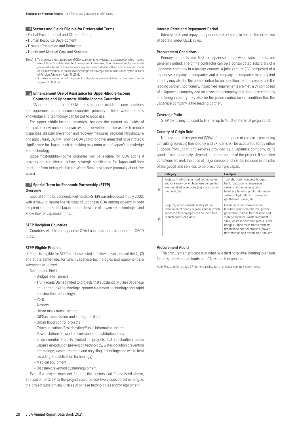#### **1 Sectors and Fields Eligible for Preferential Terms**

• Global Environmental and Climate Change

- Human Resource Development
- Disaster Prevention and Reduction
- Health and Medical Care and Services
- [Note] 1. To promote the strategic use of ODA Loans for priority issues, assistance for which makes use of Japan's outstanding technology and know-how, JICA reviewed sectors to which preferential terms of assistance are applied in accordance with an announcement made on an improvement in policies to encourage the strategic use of ODA Loans by the Ministry of Foreign Affairs on April 15, 2013.
	- 2. In cases where a part of the project is eligible for preferential terms, the terms can be applied to that part.

# **2 Enhancement Use of Assistance for Upper-Middle-Income Countries and Uppermost-Middle-Income Countries**

JICA promotes its use of ODA Loans in upper-middle-income countries and uppermost-middle-income countries, primarily in fields where Japan's knowledge and technology can be put to good use.

For upper-middle-income countries, besides the current six fields of application (environment, human resource development, measures to reduce disparities, disaster prevention and recovery measures, regional infrastructure and agriculture), JICA will provide ODA Loans for other areas that have strategic significance for Japan, such as making maximum use of Japan's knowledge and technology.

Uppermost-middle-income countries will be eligible for ODA Loans if projects are considered to have strategic significance for Japan until they graduate from being eligible for World Bank assistance (normally about five years).

# **3 Special Term for Economic Partnership (STEP) Overview**

Special Terms for Economic Partnership (STEP) was introduced in July 2002, with a view to raising the visibility of Japanese ODA among citizens in both recipient countries and Japan through best use of advanced technologies and know-how of Japanese firms.

#### **STEP Recipient Countries**

Countries eligible for Japanese ODA Loans and tied aid under the OECD rules.

#### **STEP-Eligible Projects**

(1) Projects eligible for STEP are those listed in following sectors and fields; (2) and at the same time, for which Japanese technologies and equipment are substantially utilized.

Sectors and Fields

- Bridges and Tunnels
- Trunk roads/Dams (limited to projects that substantially utilize Japanese anti-earthquake technology, ground treatment technology and rapid construction technology)
- Ports
- Airports
- Urban mass transit system
- Oil/Gas transmission and storage facilities
- Urban flood control projects
- Communications/Broadcasting/Public information system
- Power stations/Power transmission and distribution lines
- Environmental Projects (limited to projects that substantially utilize Japan's air-pollution prevention technology, water-pollution prevention technology, waste treatment and recycling technology and waste heat recycling and utilization technology)
- Medical equipment
- Disaster-prevention system/equipment

Even if a project does not fall into the sectors and fields listed above, application of STEP to the project could be positively considered as long as the project substantially utilizes Japanese technologies and/or equipment.

#### **Interest Rates and Repayment Period**

Interest rates and repayment periods are set so as to enable the extension of tied aid under OECD rules.

#### **Procurement Conditions**

Primary contracts are tied to Japanese firms, while subcontracts are generally untied. The prime contractor can be a consolidated subsidiary of a Japanese company in a foreign country. A joint venture (JV) composed of a Japanese company or companies and a company or companies in a recipient country may also be the prime contractor on condition that the company is the leading partner. Additionally, if specified requirements are met, a JV composed of a Japanese company and an associated company of a Japanese company in a foreign country may also be the prime contractor on condition that the Japanese company is the leading partner.

### **Coverage Ratio**

STEP loans may be used to finance up to 100% of the total project cost.

#### **Country of Origin Rule**

Not less than thirty percent (30%) of the total price of contracts (excluding consulting services) financed by a STEP loan shall be accounted for by either (i) goods from Japan and services provided by a Japanese company, or (ii) goods from Japan only, depending on the nature of the project. If specified conditions are met, the price of major components can be included in the ratio of the goods and services to be procured from Japan.

|     | Category                                                                                                                                                      | <b>Examples</b>                                                                                                                                                                                                                                                                                                          |
|-----|---------------------------------------------------------------------------------------------------------------------------------------------------------------|--------------------------------------------------------------------------------------------------------------------------------------------------------------------------------------------------------------------------------------------------------------------------------------------------------------------------|
| (a) | Projects in which advanced technologies<br>and/or know-how of Japanese companies<br>are identified in services (e.g. construction<br>methods, etc).           | Tunnels, ports, concrete bridges,<br>trunk roads, dams, sewerage<br>systems, urban underground<br>headrace tunnels, public information<br>systems, hydroelectric power, and<br>geothermal power, etc.                                                                                                                    |
| (b) | Projects, which consists mainly of the<br>installation of goods or plants and in which<br>Japanese technologies can be identified<br>in such goods or plants. | Communications/broadcasting<br>facilities, wind/solar/thermal power<br>generation, oil/gas transmission and<br>storage facilities, waste treatment<br>sites, waste incineration plants, steel<br>bridges, urban mass transit systems,<br>urban flood control projects, power<br>transmission and distribution line, etc. |

#### **Procurement Audits**

The procurement process is audited by a third party after bidding to ensure fairness, utilizing loan funds or JICA research expenses.

Note: Please refer to page 27 for the classification of principal country income levels.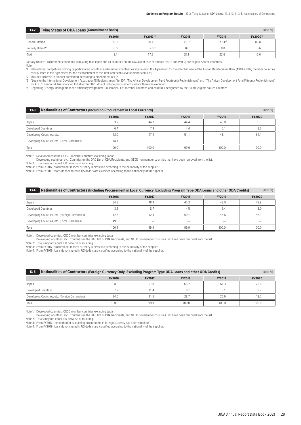| <b>Tying Status of ODA Loans (Commitment Basis)</b><br>$13 - 2$<br>(Unit: %) |               |            |               |               |          |  |
|------------------------------------------------------------------------------|---------------|------------|---------------|---------------|----------|--|
|                                                                              | <b>FY2016</b> | FY2017*3   | <b>FY2018</b> | <b>FY2019</b> | FY2020*3 |  |
| General Untied                                                               | 90.9          | 80.1       | $41.9*2$      | $77.4*2$      | 85.8     |  |
| Partially Untied*1                                                           | 0.0           | $2.6^{*4}$ | 0.0           | 0.0           | U.b      |  |
| <sup>1</sup> Tied                                                            | 9.1           | 17.3       | 58.1          | 22.6          | 13.6     |  |

Partially Untied: Procurement conditions stipulating that Japan and all countries on the DAC list of ODA recipients (Part 1 and Part 2) are eligible source countries.

Note:

\*1 International competitive bidding by participating countries and member countries as stipulated in the Agreement for the establishment of the African Development Bank (AfDB) and by member countries as stipulated in the Agreement for the establishment of the Inter-American Development Bank (IDB).

\*2 Includes increase in amount committed according to amendment of L/A. \*3 "Loan for the International Development Association 18 Replenishment" for IDA, "The African Development Fund Fourteenth Replenishment" and "The African Development Fund Fifteenth Replenishment" for ADF, "Loan for MENA Financing Initiative" for IBRD do not include procurement and are therefore excluded.<br>\*4 Regarding "Energy Management and Efficiency Programme" in Jamaica, IDB member countries and countries designa

| <b>Nationalities of Contractors (Including Procurement in Local Currency)</b><br>$13-3$ |               |               |               |               |               |
|-----------------------------------------------------------------------------------------|---------------|---------------|---------------|---------------|---------------|
|                                                                                         | <b>FY2016</b> | <b>FY2017</b> | <b>FY2018</b> | <b>FY2019</b> | <b>FY2020</b> |
| Japan                                                                                   | 33.2          | 44.7          | 44.4          | 45.8          | 35.3          |
| Developed Countries                                                                     | 6.4           | 7.9           | 4.4           | 6.1           | 3.6           |
| Developing Countries, etc.                                                              | 12.0          | 47.4          | 51.1          | 48.           | 61.           |
| Developing Countries, etc. (Local Currencies)                                           | 48.4          | –             |               |               |               |
| Total                                                                                   | 100.0         | 100.0         | 99.9          | 100.0         | 100.0         |

Note 1: Developed countries: OECD member countries excluding Japan

Developing countries, etc.: Countries on the DAC List of ODA Recipients, and OECD nonmember countries that have been removed from the list.

Note 2: Totals may not equal 100 because of rounding. Note 3: From FY2017, procurement in local currency is classified according to the nationality of the supplier.

Note 4: From FY2019, loans denominated in US dollars are classified according to the nationality of the supplier.

| Nationalities of Contractors (Including Procurement in Local Currency, Excluding Program Type ODA Loans and other ODA Credits)<br>$13-4$ |               |               |               |               |               |
|------------------------------------------------------------------------------------------------------------------------------------------|---------------|---------------|---------------|---------------|---------------|
|                                                                                                                                          | <b>FY2016</b> | <b>FY2017</b> | <b>FY2018</b> | <b>FY2019</b> | <b>FY2020</b> |
| Japan                                                                                                                                    | 34.3          | 48.9          | 45.3          | 48.0          | 48.9          |
| Developed Countries                                                                                                                      | 3.6           | 8.7           | 4.5           | 6.4           | 5.0           |
| Developing Countries, etc. (Foreign Currencies)                                                                                          | 12.3          | 42.3          | 50.1          | 45.6          | 46.1          |
| Developing Countries, etc. (Local Currencies)                                                                                            | 49.9          |               |               |               |               |
| Total                                                                                                                                    | 100.1         | 99.9          | 99.9          | 100.0         | 100.0         |

Note 1: Developed countries: OECD member countries excluding Japan Developing countries, etc.: Countries on the DAC List of ODA Recipients, and OECD nonmember countries that have been removed from the list.

Note 2: Totals may not equal 100 because of rounding. Note 3: From FY2017, procurement in local currency is classified according to the nationality of the supplier.

Note 4: From FY2019, loans denominated in US dollars are classified according to the nationality of the supplier.

| $13-5$<br>Nationalities of Contractors (Foreign Currency Only, Excluding Program Type ODA Loans and other ODA Credits) |               |               |               |               | (Unit: %)     |
|------------------------------------------------------------------------------------------------------------------------|---------------|---------------|---------------|---------------|---------------|
|                                                                                                                        | <b>FY2016</b> | <b>FY2017</b> | <b>FY2018</b> | <b>FY2019</b> | <b>FY2020</b> |
| Japan                                                                                                                  | 68.3          | 67.0          | 65.2          | 64.3          | 72.6          |
| Developed Countries                                                                                                    |               | 11.4          | 6.1           | 9.1           | 8.7           |
| Developing Countries, etc. (Foreign Currencies)                                                                        | 24.5          | 21.5          | 28.7          | 26.6          | 18.7          |
| Total                                                                                                                  | 100.0         | 99.9          | 100.0         | 100.0         | 100.0         |

Note 1: Developed countries: OECD member countries excluding Japan

Developing countries, etc.: Countries on the DAC List of ODA Recipients, and OECD nonmember countries that have been removed from the list. Note 2: Totals may not equal 100 because of rounding.

Note 3: From FY2017, the method of calculating procurement in foreign currency has been modified.

Note 4: From FY2019, loans denominated in US dollars are classified according to the nationality of the supplier.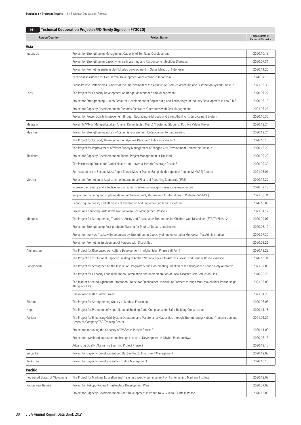# **14-1 Technical Cooperation Projects (R/D Newly Signed in FY2020)**

| <b>Region/Country</b>          | <b>Project Name</b>                                                                                                                                                | <b>Signing Date of</b><br><b>Record of Discussion</b> |
|--------------------------------|--------------------------------------------------------------------------------------------------------------------------------------------------------------------|-------------------------------------------------------|
| Asia                           |                                                                                                                                                                    |                                                       |
| Indonesia                      | Project for Strengthening Management Capacity of Toll Road Development                                                                                             | 2020.10.13                                            |
|                                | Project for Strengthening Capacity for Early Warning and Response to Infectious Diseases                                                                           | 2020.07.31                                            |
|                                | Project for Promoting Sustainable Fisheries Development in Outer Islands of Indonesia                                                                              | 2020.11.20                                            |
|                                | Technical Assistance for Geothermal Development Acceleration in Indonesia                                                                                          | 2020.07.13                                            |
|                                | Public-Private Partnerships Project for the Improvement of the Agriculture Product Marketing and Distribution System Phase 2                                       | 2021.03.30                                            |
| Laos                           | The Project for Capacity Development on Bridge Maintenance and Management                                                                                          | 2020.07.27                                            |
|                                | Project for Strengthening Human Resource Development of Engineering and Technology for Industry Development in Lao P.D.R                                           | 2020.08.19                                            |
|                                | Project for Capacity Development on Customs Clearance Operations with Risk Management                                                                              | 2021.03.26                                            |
|                                | Project for Power Quality Improvement through Upgrading Grid Code and Strengthening its Enforcement System                                                         | 2020.10.30                                            |
| Malaysia                       | Project MAKMur (Memperkasakan Amalan Kemeniadian Murid) / Fostering Students' Positive Values Project                                                              | 2020.12.24                                            |
| Myanmar                        | Project for Strengthening Industry-Academia-Government Collaboration for Engineering                                                                               | 2020.12.24                                            |
|                                | The Project for Capacity Development of Myanma Radio and Television Phase 2                                                                                        | 2020.10.15                                            |
|                                | The Project for Improvement of Water Supply Management of Yangon City Development Committee Phase 2                                                                | 2020.12.23                                            |
| Thailand                       | Project for Capacity Development on Tunnel Project Management in Thailand                                                                                          | 2020.09.29                                            |
|                                | The Partnership Project for Global Health and Universal Health Coverage Phase 2                                                                                    | 2020.09.30                                            |
|                                | Formulation of the Second Mass Rapid Transit Master Plan in Bangkok Metropolitan Region (M-MAP2) Project                                                           | 2021.03.01                                            |
| Viet Nam                       | Project for Promotion of Application of International Financial Reporting Standards (IFRS)                                                                         | 2020.12.22                                            |
|                                | Improving efficiency and effectiveness in tax administration through international experiences                                                                     | 2020.09.18                                            |
|                                | Support for planning and implementation of the Nationally Determined Contributions in Vietnam (SPI-NDC)                                                            | 2021.03.31                                            |
|                                | Enhancing the quality and efficiency of developing and implementing laws in Vietnam                                                                                | 2020.10.09                                            |
|                                | Project on Enhancing Sustainable Natural Resource Management Phase 2                                                                                               | 2021.01.12                                            |
| Mongolia                       | The Project for Strengthening Teachers' Ability and Reasonable Treatments for Children with Disabilities (START) Phase 2                                           | 2020.04.07                                            |
|                                | Project for Strengthening Post-graduate Training for Medical Doctors and Nurses                                                                                    | 2020.06.19                                            |
|                                | Project for the New Tax Law Enforcement by Strengthening Capacity of Implementation Mongolian Tax Administration                                                   | 2020.07.30                                            |
|                                | Project for Promoting Employment of Persons with Disabilities                                                                                                      | 2020.08.26                                            |
| Afghanistan                    | The Project for Rice based Agriculture Development in Afghanistan Phase 2 (RIPA II)                                                                                | 2020.12.29                                            |
|                                | The Project on Institutional Capacity Building of Afghan National Police to Address Sexual and Gender Based Violence                                               | 2020.10.31                                            |
| Bangladesh                     | The Project for Strengthening the Inspection, Regulatory and Coordinating Function of the Bangladesh Food Safety Authority                                         | 2021.02.03                                            |
|                                | The Project for Capacity Enhancement on Formulation and Implementation of Local Disaster Risk Reduction Plan                                                       | 2020.06.28                                            |
|                                | The Market-oriented Agriculture Promotion Project for Smallholder Horticulture Farmers through Multi-stakeholder Partnerships<br>(Bangla-SHEP)                     | 2021.03.08                                            |
|                                | Dhaka Road Traffic Safety Project                                                                                                                                  | 2021.01.25                                            |
| Bhutan                         | The Project for Strengthening Quality of Medical Education                                                                                                         | 2020.08.03                                            |
| Nepal                          | The Project for Promotion of Nepal National Building Code Compliance for Safer Building Construction                                                               | 2020.11.18                                            |
| Pakistan                       | The Project for Enhancing Grid System Operation and Maintenance Capacities through Strengthening National Transmission and<br>Despatch Company TSG Training Center | 2021.01.21                                            |
|                                | Project for Improving the Capacity of WASAs in Punjab Phase 2                                                                                                      | 2020.11.09                                            |
|                                | Project for Livelihood Improvement through Livestock Development in Khyber Pakhtunkhwa                                                                             | 2020.06.15                                            |
|                                | Advancing Quality Alternative Learning Project Phase 2                                                                                                             | 2020.12.15                                            |
| Sri Lanka                      | Project for Capacity Development on Effective Public Investment Management                                                                                         | 2020.12.08                                            |
| Tajikistan                     | Project for Capacity Development for Bridge Management                                                                                                             | 2020.10.16                                            |
| Pacific                        |                                                                                                                                                                    |                                                       |
| Federated States of Micronesia | The Project for Maritime Education and Training Capacity Enhancement on Fisheries and Maritime Institute                                                           | 2020.12.07                                            |
| Papua New Guinea               | Project for Kokopo-Rabaul Infrastructure Development Plan                                                                                                          | 2020.07.08                                            |

Project for Capacity Development on Road Development in Papua New Guinea (CDRM II) Phase II 2020 2020 2020.10.06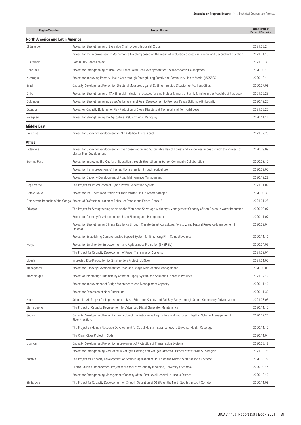| <b>Region/Country</b>           | <b>Project Name</b>                                                                                                                                       | <b>Signing Date of</b><br><b>Record of Discussion</b> |
|---------------------------------|-----------------------------------------------------------------------------------------------------------------------------------------------------------|-------------------------------------------------------|
| North America and Latin America |                                                                                                                                                           |                                                       |
| El Salvador                     | Project for Strengthening of the Value Chain of Agro-industrial Crops                                                                                     | 2021.03.24                                            |
|                                 | Project for the Improvement of Mathematics Teaching based on the result of evaluation process in Primary and Secondary Education                          | 2021.01.19                                            |
| Guatemala                       | Community Police Project                                                                                                                                  | 2021.03.30                                            |
| Honduras                        | Project for Strengthening of UNAH on Human Resource Development for Socio-economic Development                                                            | 2020.10.13                                            |
| Nicaragua                       | Project for Improving Primary Health Care through Strengthining Family and Community Health Model (MOSAFC)                                                | 2020.12.11                                            |
| Brazil                          | Capacity Development Project for Structural Measures against Sediment related Disaster for Resilient Cities                                               | 2020.07.08                                            |
| Chile                           | Project for Strengthening of CAH financial inclusion processes for smallholder farmers of Family farming in the Republic of Paraguay                      | 2021.02.25                                            |
| Colombia                        | Project for Strengthening Inclusive Agricultural and Rural Development to Promote Peace Building with Legality                                            | 2020.12.23                                            |
| Ecuador                         | Project on Capacity Building for Risk Reduction of Slope Disasters at Technical and Territorial Level.                                                    | 2021.03.22                                            |
| Paraguay                        | Project for Strengthening the Agricultural Value Chain in Paraguay                                                                                        | 2020.11.16                                            |
| <b>Middle East</b>              |                                                                                                                                                           |                                                       |
| Palestine                       | Project for Capacity Development for NCD Medical Professionals                                                                                            | 2021.02.28                                            |
| Africa                          |                                                                                                                                                           |                                                       |
| Botswana                        | Project for Capacity Development for the Conservation and Sustainable Use of Forest and Range Resources through the Process of<br>Master Plan Development | 2020.09.09                                            |
| Burkina Faso                    | Project for Improving the Quality of Education through Strengthening School-Community Collaboration                                                       | 2020.08.12                                            |
|                                 | Project for the improvement of the nutritional situation through agriculture                                                                              | 2020.09.07                                            |
|                                 | Project for Capacity Development of Road Maintenance Management                                                                                           | 2020.12.28                                            |
| Cape Verde                      | The Project for Introduction of Hybrid Power Generation System                                                                                            | 2021.01.07                                            |
| Côte d'Ivoire                   | Project for the Operationalization of Urban Master Plan in Greater Abidjan                                                                                | 2020.10.30                                            |
|                                 | Democratic Republic of the Congo Project of Professionalization of Police for People and Peace Phase 2                                                    | 2021.01.28                                            |
| Ethiopia                        | The Project for Strengthening Addis Ababa Water and Sewerage Authority's Management Capacity of Non-Revenue Water Reduction                               | 2020.09.02                                            |
|                                 | Project for Capacity Development for Urban Planning and Management                                                                                        | 2020.11.02                                            |
|                                 | Project for Strengthening Climate Resilience through Climate-Smart Agriculture, Forestry, and Natural Resource Management in<br>Ethiopia                  | 2020.09.04                                            |
|                                 | Project for Establishing Comprehensive Support System for Enhancing Firm Competitiveness                                                                  | 2020.11.10                                            |
| Kenya                           | Project for Smallholder Empowerment and Agribusiness Promotion (SHEP Biz)                                                                                 | 2020.04.03                                            |
|                                 | The Project for Capacity Development of Power Transmission Systems                                                                                        | 2021.02.01                                            |
| Liberia                         | Improving Rice Production for Smallholders Project (LibRice)                                                                                              | 2021.01.07                                            |
| Madagascar                      | Project for Capacity Development for Road and Bridge Maintenance Management                                                                               | 2020.10.09                                            |
| Mozambique                      | Project on Promoting Sustainability of Water Supply System and Sanitation in Niassa Province                                                              | 2021.02.17                                            |
|                                 | Project for Improvement of Bridge Maintenance and Management Capacity                                                                                     | 2020.11.16                                            |
|                                 | Project for Expansion of New Curriculum                                                                                                                   | 2020.11.30                                            |
| Niger                           | School for All: Project for Improvement in Basic Education Quality and Girl-Boy Parity through School-Community Collaboration                             | 2021.03.05                                            |
| Sierra Leone                    | The Project of Capacity Development for Advanced Diesel Generator Maintenance                                                                             | 2020.11.17                                            |
| Sudan                           | Capacity Development Project for promotion of market-oriented agriculture and improved Irrigation Scheme Management in<br>River Nile State                | 2020.12.21                                            |
|                                 | The Project on Human Recourse Development for Social Health Insurance toward Universal Health Coverage                                                    | 2020.11.17                                            |
|                                 | The Clean Cities Project in Sudan                                                                                                                         | 2020.11.04                                            |
| Uganda                          | Capacity Development Project for Improvement of Protection of Transmission Systems                                                                        | 2020.08.18                                            |
|                                 | Project for Strengthening Resilience in Refugee Hosting and Refugee Affected Districts of West Nile Sub-Region                                            | 2021.03.25                                            |
| Zambia                          | The Project for Capacity Development on Smooth Operation of OSBPs on the North-South transport Corridor                                                   | 2020.08.27                                            |
|                                 | Clinical Studies Enhancement Project for School of Veterinary Medicine, University of Zambia                                                              | 2020.10.14                                            |
|                                 | Project for Strengthening Management Capacity of the First Level Hospital in Lusaka District                                                              | 2020.12.10                                            |
| Zimbabwe                        | The Project for Capacity Development on Smooth Operation of OSBPs on the North-South transport Corridor                                                   | 2020.11.08                                            |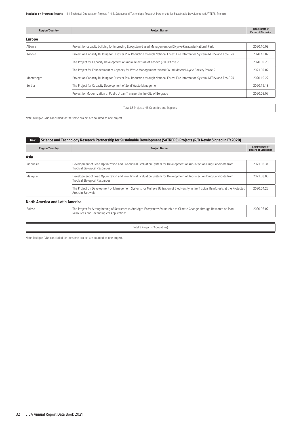**Statistics on Program Results** 14-1. Technical Cooperation Projects / 14-2. Science and Technology Research Partnership for Sustainable Development (SATREPS) Projects

| <b>Region/Country</b> | <b>Project Name</b>                                                                                                          | <b>Signing Date of</b><br><b>Record of Discussion</b> |
|-----------------------|------------------------------------------------------------------------------------------------------------------------------|-------------------------------------------------------|
| <b>Europe</b>         |                                                                                                                              |                                                       |
| Albania               | Project for capacity building for improving Ecosystem-Based Management on Divjake-Karavasta National Park                    | 2020.10.08                                            |
| Kosovo                | Project on Capacity Building for Disaster Risk Reduction through National Forest Fire Information System (NFFIS) and Eco-DRR | 2020.10.02                                            |
|                       | The Project for Capacity Development of Radio Television of Kosovo (RTK) Phase 2                                             | 2020.09.23                                            |
|                       | The Project for Enhancement of Capacity for Waste Management toward Sound Material-Cycle Society Phase 2                     | 2021.02.02                                            |
| Montenegro            | Project on Capacity Building for Disaster Risk Reduction through National Forest Fire Information System (NFFIS) and Eco-DRR | 2020.10.22                                            |
| Serbia                | The Project for Capacity Development of Solid Waste Management                                                               | 2020.12.18                                            |
|                       | Project for Modernization of Public Urban Transport in the City of Belgrade                                                  | 2020.08.07                                            |
|                       |                                                                                                                              |                                                       |

Toral 88 Projects (46 Countries and Regions)

Note: Multiple R/Ds concluded for the same project are counted as one project.

# **14-2 Science and Technology Research Partnership for Sustainable Development (SATREPS) Projects (R/D Newly Signed in FY2020)**

| <b>Region/Country</b>                  | <b>Project Name</b>                                                                                                                                                     | <b>Signing Date of</b><br><b>Record of Discussion</b> |  |  |
|----------------------------------------|-------------------------------------------------------------------------------------------------------------------------------------------------------------------------|-------------------------------------------------------|--|--|
| Asia                                   |                                                                                                                                                                         |                                                       |  |  |
| Indonesia                              | Development of Lead Optimization and Pre-clinical Evaluation System for Development of Anti-infection Drug Candidate from<br><b>Tropical Biological Resources</b>       | 2021.03.31                                            |  |  |
| Malaysia                               | Development of Lead Optimization and Pre-clinical Evaluation System for Development of Anti-infection Drug Candidate from<br><b>Tropical Biological Resources</b>       |                                                       |  |  |
|                                        | The Project on Development of Management Systems for Multiple Utilization of Biodiversity in the Tropical Rainforests at the Protected<br>Areas in Sarawak              |                                                       |  |  |
| <b>North America and Latin America</b> |                                                                                                                                                                         |                                                       |  |  |
| Bolivia                                | The Project for Strengthening of Resilience in Arid Agro-Ecosystems Vulnerable to Climate Change, through Research on Plant<br>Resources and Technological Applications | 2020.06.02                                            |  |  |
|                                        |                                                                                                                                                                         |                                                       |  |  |
| Total 3 Projects (3 Countries)         |                                                                                                                                                                         |                                                       |  |  |
|                                        |                                                                                                                                                                         |                                                       |  |  |

Note: Multiple R/Ds concluded for the same project are counted as one project.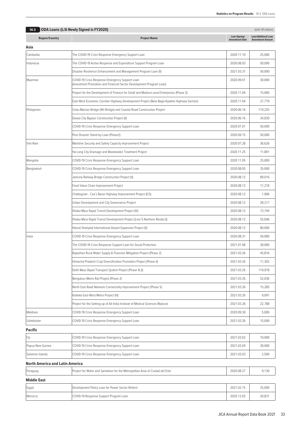| $14-3$                          | ODA Loans (L/A Newly Signed in FY2020)                                                                                  |                                        | (Unit: ¥1 million)                                     |
|---------------------------------|-------------------------------------------------------------------------------------------------------------------------|----------------------------------------|--------------------------------------------------------|
| <b>Region/Country</b>           | <b>Project Name</b>                                                                                                     | Loan Signing/<br><b>Amendment Date</b> | <b>Loan/Additional Loan</b><br><b>Amendment Amount</b> |
| Asia                            |                                                                                                                         |                                        |                                                        |
| Cambodia                        | The COVID-19 Crisis Response Emergency Support Loan                                                                     | 2020.11.10                             | 25,000                                                 |
| Indonesia                       | The COVID-19 Active Response and Expenditure Support Program Loan                                                       | 2020.08.03                             | 50,000                                                 |
|                                 | Disaster Resilience Enhancement and Management Program Loan (II)                                                        | 2021.03.31                             | 50,000                                                 |
| Myanmar                         | COVID-19 Crisis Response Emergency Support Loan<br>(Investment Promotion and Financial Sector Development Program Loan) | 2020.09.01                             | 30,000                                                 |
|                                 | Project for the Development of Finance for Small and Medium-sized Enterprises (Phase 3)                                 | 2020.11.04                             | 15,000                                                 |
|                                 | East-West Economic Corridor Highway Development Project (New Bago-Kyaikto Highway Section)                              | 2020.11.04                             | 27,779                                                 |
| Philippines                     | Cebu-Mactan Bridge (4th Bridge) and Coastal Road Construction Project                                                   | 2020.06.16                             | 119,225                                                |
|                                 | Davao City Bypass Construction Project (II)                                                                             | 2020.06.16                             | 34,830                                                 |
|                                 | COVID-19 Crisis Response Emergency Support Loan                                                                         | 2020.07.01                             | 50,000                                                 |
|                                 | Post Disaster Stand-by Loan (Phase2)                                                                                    | 2020.09.15                             | 50,000                                                 |
| Viet Nam                        | Maritime Security and Safety Capacity Improvement Project                                                               | 2020.07.28                             | 36,626                                                 |
|                                 | Ha Long City Drainage and Wastewater Treatment Project                                                                  | 2020.11.25                             | 11,891                                                 |
| Mongolia                        | COVID-19 Crisis Response Emergency Support Loan                                                                         | 2020.11.05                             | 25,000                                                 |
| Bangladesh                      | COVID-19 Crisis Response Emergency Support Loan                                                                         | 2020.08.05                             | 35,000                                                 |
|                                 | Jamuna Railway Bridge Construction Project (II)                                                                         | 2020.08.12                             | 89,016                                                 |
|                                 | Food Value Chain Improvement Project                                                                                    | 2020.08.12                             | 11,218                                                 |
|                                 | Chattogram - Cox's Bazar Highway Improvement Project (E/S)                                                              | 2020.08.12                             | 1,906                                                  |
|                                 | Urban Development and City Governance Project                                                                           | 2020.08.12                             | 28,217                                                 |
|                                 | Dhaka Mass Rapid Transit Development Project (IV)                                                                       | 2020.08.12                             | 72,194                                                 |
|                                 | Dhaka Mass Rapid Transit Development Project (Line 5 Northern Route) (I)                                                | 2020.08.12                             | 55,696                                                 |
|                                 | Hazrat Shahjalal International Airport Expansion Project (II)                                                           | 2020.08.12                             | 80,000                                                 |
| India                           | COVID-19 Crisis Response Emergency Support Loan                                                                         | 2020.08.31                             | 50,000                                                 |
|                                 | The COVID-19 Crisis Response Support Loan for Social Protection                                                         | 2021.01.08                             | 30,000                                                 |
|                                 | Rajasthan Rural Water Supply & Fluorosis Mitigation Project (Phase 2)                                                   | 2021.03.26                             | 45,816                                                 |
|                                 | Himachal Pradesh Crop Diversification Promotion Project (Phase II)                                                      | 2021.03.26                             | 11,302                                                 |
|                                 | Delhi Mass Rapid Transport System Project (Phase 4) (I)                                                                 | 2021.03.26                             | 119,978                                                |
|                                 | Bengaluru Metro Rail Project (Phase 2)                                                                                  | 2021.03.26                             | 52,036                                                 |
|                                 | North East Road Network Connectivity Improvement Project (Phase 5)                                                      | 2021.03.26                             | 15,285                                                 |
|                                 | Kolkata East-West Metro Project (IV)                                                                                    | 2021.03.26                             | 9,091                                                  |
|                                 | Project for the Setting-up of All India Institute of Medical Sciences Madurai                                           | 2021.03.26                             | 22,788                                                 |
| Maldives                        | COVID-19 Crisis Response Emergency Support Loan                                                                         | 2020.09.30                             | 5,000                                                  |
| Uzbekistan                      | COVID-19 Crisis Response Emergency Support Loan                                                                         | 2021.03.26                             | 15,000                                                 |
| Pacific                         |                                                                                                                         |                                        |                                                        |
| Fiji                            | COVID-19 Crisis Response Emergency Support Loan                                                                         | 2021.03.02                             | 10,000                                                 |
| Papua New Guinea                | COVID-19 Crisis Response Emergency Support Loan                                                                         | 2021.03.04                             | 30,000                                                 |
| Solomon Islands                 | COVID-19 Crisis Response Emergency Support Loan                                                                         | 2021.03.03                             | 2,500                                                  |
| North America and Latin America |                                                                                                                         |                                        |                                                        |
| Paraguay                        | Project for Water and Sanitation for the Metropolitan Area of Ciudad del Este                                           | 2020.08.27                             | 9,130                                                  |
| Middle East                     |                                                                                                                         |                                        |                                                        |
| Egypt                           | Development Policy Loan for Power Sector Reform                                                                         | 2021.02.15                             | 25,000                                                 |
| Morocco                         | COVID-19 Response Support Program Loan                                                                                  | 2020.12.02                             | 20,831                                                 |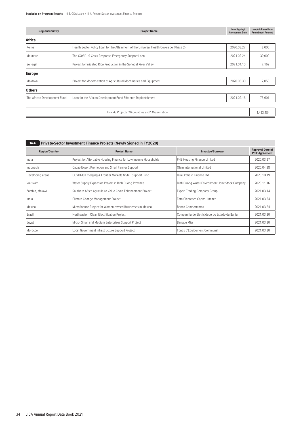| <b>Region/Country</b>        | Loan Signing/<br><b>Project Name</b><br><b>Amendment Date</b>                           |            | <b>Loan/Additional Loan</b><br><b>Amendment Amount</b> |
|------------------------------|-----------------------------------------------------------------------------------------|------------|--------------------------------------------------------|
| Africa                       |                                                                                         |            |                                                        |
| Kenya                        | Health Sector Policy Loan for the Attainment of the Universal Health Coverage (Phase 2) | 2020.08.27 | 8,000                                                  |
| Mauritius                    | The COVID-19 Crisis Response Emergency Support Loan                                     | 2021.02.24 | 30,000                                                 |
| Senegal                      | Project for Irrigated Rice Production in the Senegal River Valley                       | 2021.01.10 | 7,169                                                  |
| <b>Europe</b>                |                                                                                         |            |                                                        |
| Moldova                      | Project for Modernization of Agricultural Machineries and Equipment                     | 2020.06.30 | 2,059                                                  |
| <b>Others</b>                |                                                                                         |            |                                                        |
| The African Development Fund | Loan for the African Development Fund Fifteenth Replenishment                           | 2021.02.16 | 73,601                                                 |
|                              |                                                                                         |            |                                                        |
|                              | Total 43 Projects (20 Countries and 1 Organization)                                     |            | 1,493,184                                              |

# **14-4 Private-Sector Investment Finance Projects (Newly Signed in FY2020)**

| <b>Region/Country</b> | <b>Project Name</b>                                              | <b>Investee/Borrower</b>                         | <b>Approval Date of</b><br><b>PSIF Agreement</b> |
|-----------------------|------------------------------------------------------------------|--------------------------------------------------|--------------------------------------------------|
| India                 | Project for Affordable Housing Finance for Low Income Households | PNB Housing Finance Limited                      | 2020.03.27                                       |
| Indonesia             | Cacao Export Promotion and Small Farmer Support                  | Olam International Limited                       | 2020.04.28                                       |
| Developing areas      | COVID-19 Emerging & Frontier Markets MSME Support Fund           | BlueOrchard Finance Ltd.                         | 2020.10.19                                       |
| Viet Nam              | Water Supply Expansion Project in Binh Duong Province            | Binh Duong Water-Environment Joint Stock Company | 2020.11.16                                       |
| Zambia, Malawi        | Southern Africa Agriculture Value Chain Enhancement Project      | <b>Export Trading Company Group</b>              | 2021.03.14                                       |
| India                 | Climate Change Management Project                                | Tata Cleantech Capital Limited                   | 2021.03.24                                       |
| Mexico                | Microfinance Project for Women-owned Businesses in Mexico        | <b>Banco Compartamos</b>                         | 2021.03.24                                       |
| Brazil                | Northeastern Clean Electrification Project                       | Companhia de Eletricidade do Estado da Bahia     | 2021.03.30                                       |
| Egypt                 | Micro, Small and Medium Enterprises Support Project              | <b>Banque Misr</b>                               | 2021.03.30                                       |
| Morocco               | Local Government Infrastructure Support Project                  | Fonds d'Equipement Communal                      | 2021.03.30                                       |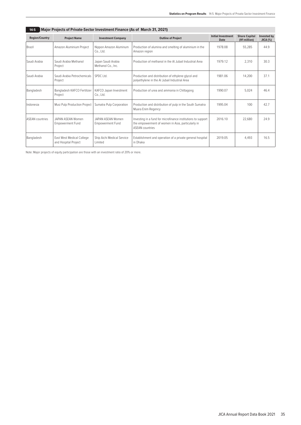| 14-J<br>ا (Pridicip Projects of Private-Sector Investment Philance (AS OF March 3 i, 2021) |                                                   |                                              |                                                                                                                                             |                                          |                                      |                                  |  |  |  |  |
|--------------------------------------------------------------------------------------------|---------------------------------------------------|----------------------------------------------|---------------------------------------------------------------------------------------------------------------------------------------------|------------------------------------------|--------------------------------------|----------------------------------|--|--|--|--|
| <b>Region/Country</b>                                                                      | <b>Project Name</b>                               | <b>Investment Company</b>                    | <b>Outline of Project</b>                                                                                                                   | <b>Initial Investment</b><br><b>Date</b> | <b>Share Capital</b><br>(¥1 million) | <b>Invested by</b><br>$JICA$ (%) |  |  |  |  |
| Brazil                                                                                     | Amazon Aluminium Project                          | Nippon Amazon Aluminum<br>Co., Ltd.          | Production of alumina and smelting of aluminium in the<br>Amazon region                                                                     | 1978.08                                  | 55,285                               | 44.9                             |  |  |  |  |
| Saudi Arabia                                                                               | Saudi Arabia Methanol<br>Project                  | Japan Saudi Arabia<br>Methanol Co., Inc.     | Production of methanol in the AL Jubail Industrial Area                                                                                     | 1979.12                                  | 2,310                                | 30.3                             |  |  |  |  |
| Saudi Arabia                                                                               | Saudi Arabia Petrochemicals<br>Project            | SPDC Ltd.                                    | Production and distribution of ethylene glycol and<br>polyethylene in the Al Jubail Industrial Area                                         | 1981.06                                  | 14,200                               | 37.1                             |  |  |  |  |
| Bangladesh                                                                                 | Bangladesh KAFCO Fertilizer<br>Project            | KAFCO Japan Investment<br>Co., Ltd.          | Production of urea and ammonia in Chittagong                                                                                                | 1990.07                                  | 5.024                                | 46.4                             |  |  |  |  |
| Indonesia                                                                                  | Musi Pulp Production Project                      | Sumatra Pulp Corporation                     | Production and distribution of pulp in the South Sumatra<br>Muara Enim Regency                                                              | 1995.04                                  | 100                                  | 42.7                             |  |  |  |  |
| <b>ASFAN</b> countries                                                                     | JAPAN ASFAN Women<br><b>Empowerment Fund</b>      | JAPAN ASFAN Women<br><b>Empowerment Fund</b> | Investing in a fund for microfinance institutions to support<br>the empowerment of women in Asia, particularly in<br><b>ASFAN countries</b> | 2016.10                                  | 22,680                               | 24.9                             |  |  |  |  |
| Bangladesh                                                                                 | East West Medical College<br>and Hospital Project | Ship Aichi Medical Service<br>Limited        | Establishment and operation of a private general hospital<br>in Dhaka                                                                       | 2019.05                                  | 4,493                                | 16.5                             |  |  |  |  |

**14-5 Major Projects of Private-Sector Investment Finance (As of March 31, 2021)**

Note: Major projects of equity participation are those with an investment ratio of 20% or more.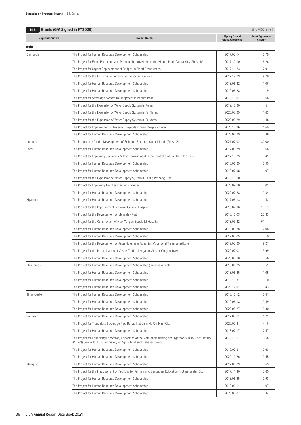| $14-6$                | <b>Grants (G/A Signed in FY2020)</b>                                                                                                                                                |                                                  | (Unit: ¥100 million)             |
|-----------------------|-------------------------------------------------------------------------------------------------------------------------------------------------------------------------------------|--------------------------------------------------|----------------------------------|
| <b>Region/Country</b> | <b>Project Name</b>                                                                                                                                                                 | <b>Signing Date of</b><br><b>Grant Agreement</b> | <b>Grant Agreement</b><br>Amount |
| Asia                  |                                                                                                                                                                                     |                                                  |                                  |
| Cambodia              | The Project for Human Resource Development Scholarship                                                                                                                              | 2017.07.14                                       | 0.79                             |
|                       | (VP The Project for Flood Protection and Drainage Improvement in the Phnom Penh Capital City (Phase IV                                                                              | 2017.10.10                                       | 6.26                             |
|                       | The Project for Urgent Replacement of Bridges in Flood-Prone Areas                                                                                                                  | 2017.11.23                                       | 2.94                             |
|                       | The Project for the Construction of Teacher Education Colleges                                                                                                                      | 2017.12.29                                       | 4.20                             |
|                       | The Project for Human Resource Development Scholarship                                                                                                                              | 2018.06.22                                       | 1.06                             |
|                       | The Project for Human Resource Development Scholarship                                                                                                                              | 2019.06.28                                       | 1.19                             |
|                       | The Project for Sewerage System Development in Phnom Penh                                                                                                                           | 2019.11.01                                       | 3.66                             |
|                       | The Project for the Expansion of Water Supply System in Pursat                                                                                                                      | 2019.12.20                                       | 4.51                             |
|                       | The Project for the Expansion of Water Supply System in Ta Khmau                                                                                                                    | 2020.05.29                                       | 1.63                             |
|                       | The Project for the Expansion of Water Supply System in Ta Khmau                                                                                                                    | 2020.05.29                                       | 1.48                             |
|                       | The Project for Improvement of Referral Hospitals in Siem Reap Province                                                                                                             | 2020.10.26                                       | 1.69                             |
|                       | The Project for Human Resource Development Scholarship                                                                                                                              | 2020.06.29                                       | 0.36                             |
| Indonesia             | The Programme for the Development of Fisheries Sector in Outer Islands (Phase 2)                                                                                                    | 2021.02.02                                       | 30.00                            |
| Laos                  | The Project for Human Resource Development Scholarship                                                                                                                              | 2017.06.29                                       | 0.66                             |
|                       | The Project for Improving Secondary School Environment in the Central and Southern Provinces                                                                                        | 2017.10.25                                       | 3.41                             |
|                       | The Project for Human Resource Development Scholarship                                                                                                                              | 2018.06.29                                       | 0.95                             |
|                       | The Project for Human Resource Development Scholarship                                                                                                                              | 2019.07.08                                       | 1.07                             |
|                       | The Project for the Expansion of Water Supply System in Luang Prabang City                                                                                                          | 2019.10.10                                       | 6.17                             |
|                       | The Project for Improving Teacher Training Colleges                                                                                                                                 | 2020.09.10                                       | 3.01                             |
|                       | The Project for Human Resource Development Scholarship                                                                                                                              | 2020.07.28                                       | 0.34                             |
| Myanmar               | The Project for Human Resource Development Scholarship                                                                                                                              | 2017.06.13                                       | 1.42                             |
|                       | The Project for the Improvement of Dawei General Hospital                                                                                                                           | 2018.02.06                                       | 18.12                            |
|                       | The Project for the Development of Mandalay Port                                                                                                                                    | 2018.10.03                                       | 22.83                            |
|                       | The Project for the Construction of New Yangon Specialist Hospital                                                                                                                  | 2018.03.22                                       | 61.11                            |
|                       | The Project for Human Resource Development Scholarship                                                                                                                              | 2018.06.28                                       | 2.06                             |
|                       | The Project for Human Resource Development Scholarship                                                                                                                              | 2019.07.05                                       | 2.10                             |
|                       | The Project for the Development of Japan-Myanmar Aung San Vocational Training Institute                                                                                             | 2019.07.29                                       | 9.27                             |
|                       | The Project for the Rehabilitation of Vessel Traffic Navigation Aids in Yangon River                                                                                                | 2020.07.02                                       |                                  |
|                       | The Project for Human Resource Development Scholarship                                                                                                                              | 2020.07.10                                       | 13.99<br>0.56                    |
| Philippines           | The Project for Human Resource Development Scholarship (three-year cycle)                                                                                                           | 2018.06.25                                       | 0.51                             |
|                       | The Project for Human Resource Development Scholarship                                                                                                                              | 2018.06.25                                       | 1.05                             |
|                       |                                                                                                                                                                                     | 2019.10.31                                       |                                  |
|                       | The Project for Human Resource Development Scholarship<br>The Project for Human Resource Development Scholarship                                                                    |                                                  | 1.10                             |
|                       | The Project for Human Resource Development Scholarship                                                                                                                              | 2020.12.01                                       | 0.43<br>0.47                     |
| Timor-Leste           |                                                                                                                                                                                     | 2018.10.12                                       |                                  |
|                       | The Project for Human Resource Development Scholarship                                                                                                                              | 2019.06.18                                       | 0.49                             |
|                       | The Project for Human Resource Development Scholarship                                                                                                                              | 2020.08.27                                       | 0.30                             |
| Viet Nam              | The Project for Human Resource Development Scholarship                                                                                                                              | 2017.07.11                                       | 1.71                             |
|                       | The Project for Trenchless Sewerage Pipe Rehabilitation in Ho Chi Minh City                                                                                                         | 2020.02.21                                       | 4.16                             |
|                       | The Project for Human Resource Development Scholarship                                                                                                                              | 2018.07.17                                       | 2.57                             |
|                       | The Project for Enhancing Laboratory Capacities of the Reference Testing and Agrifood Quality Consultancy<br>(RETAQ) Center for Ensuring Safety of Agricultural and Fisheries Foods | 2019.10.17                                       | 9.58                             |
|                       | The Project for Human Resource Development Scholarship                                                                                                                              | 2019.07.31                                       | 2.68                             |
|                       | The Project for Human Resource Development Scholarship                                                                                                                              | 2020.10.26                                       | 0.55                             |
| Mongolia              | The Project for Human Resource Development Scholarship                                                                                                                              | 2017.06.29                                       | 0.65                             |
|                       | The Project for the Improvement of Facilities for Primary and Secondary Education in Ulaanbaatar City                                                                               | 2017.11.30                                       | 5.65                             |
|                       | The Project for Human Resource Development Scholarship                                                                                                                              | 2018.06.25                                       | 0.98                             |
|                       | The Project for Human Resource Development Scholarship                                                                                                                              | 2019.06.11                                       | 1.07                             |
|                       | The Project for Human Resource Development Scholarship                                                                                                                              | 2020.07.07                                       | 0.34                             |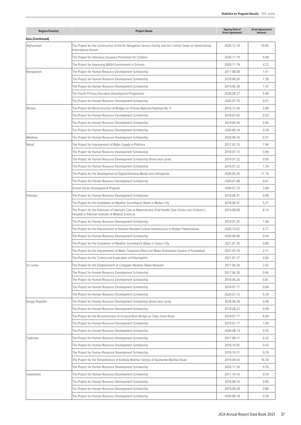| <b>Region/Country</b> | <b>Project Name</b>                                                                                                                                           | <b>Signing Date of</b><br><b>Grant Agreement</b> | <b>Grant Agreement</b><br>Amount |
|-----------------------|---------------------------------------------------------------------------------------------------------------------------------------------------------------|--------------------------------------------------|----------------------------------|
| Asia (Continued)      |                                                                                                                                                               |                                                  |                                  |
| Afghanistan           | The Project for the Construction of the Air Navigation Service Facility and the Control Tower at Hamid Karzai<br>International Airport                        | 2020.12.19                                       | 19.95                            |
|                       | The Project for Infectious Diseases Prevention for Children                                                                                                   | 2020.11.19                                       | 9.40                             |
|                       | The Project for Improving WASH Environment in Schools                                                                                                         | 2020.11.19                                       | 4.22                             |
| Bangladesh            | The Project for Human Resource Development Scholarship                                                                                                        | 2017.08.08                                       | 1.01                             |
|                       | The Project for Human Resource Development Scholarship                                                                                                        | 2018.06.20                                       | 1.36                             |
|                       | The Project for Human Resource Development Scholarship                                                                                                        | 2019.06.30                                       | 1.47                             |
|                       | The Fourth Primary Education Development Programme                                                                                                            | 2020.08.27                                       | 5.00                             |
|                       | The Project for Human Resource Development Scholarship                                                                                                        | 2020.07.16                                       | 0.51                             |
| Bhutan                | The Project for Reconstruction of Bridges on Primary National Highway No. 4                                                                                   | 2016.12.26                                       | 2.88                             |
|                       | The Project for Human Resource Development Scholarship                                                                                                        | 2018.07.03                                       | 0.53                             |
|                       | The Project for Human Resource Development Scholarship                                                                                                        | 2019.06.20                                       | 0.56                             |
|                       | The Project for Human Resource Development Scholarship                                                                                                        | 2020.06.24                                       | 0.29                             |
| Maldives              | The Project for Human Resource Development Scholarship                                                                                                        | 2020.09.10                                       | 0.31                             |
| Nepal                 | The Project for Improvement of Water Supply in Pokhara                                                                                                        | 2017.02.15                                       | 1.94                             |
|                       | The Project for Human Resource Development Scholarship                                                                                                        | 2018.07.13                                       | 0.59                             |
|                       | The Project for Human Resource Development Scholarship (three-year cycle)                                                                                     | 2019.07.22                                       | 0.95                             |
|                       | The Project for Human Resource Development Scholarship                                                                                                        | 2019.07.22                                       | 1.34                             |
|                       | The Project for the Development of Digital Elevation Model and Orthophoto                                                                                     | 2020.05.25                                       | 11.70                            |
|                       | The Project for Human Resource Development Scholarship                                                                                                        | 2020.07.08                                       | 0.61                             |
|                       | School Sector Development Program                                                                                                                             | 2020.07.23                                       | 3.00                             |
| Pakistan              | The Project for Human Resource Development Scholarship                                                                                                        | 2018.08.31                                       | 0.99                             |
|                       | The Project for the Installation of Weather Surveillance Radar in Multan City                                                                                 | 2018.08.31                                       | 5.27                             |
|                       | The Project for the Extension of Intensive Care at Maternal and Child Health Care Centre and Children's<br>Hospital in Pakistan Institute of Medical Sciences | 2019.08.08                                       | 8.14                             |
|                       | The Project for Human Resource Development Scholarship                                                                                                        | 2019.07.25                                       | 1.06                             |
|                       | The Project for the Improvement of Disaster Resilient School Infrastructure in Khyber Pakhtunkhwa                                                             | 2020.10.02                                       | 4.71                             |
|                       | The Project for Human Resource Development Scholarship                                                                                                        | 2020.08.06                                       | 0.44                             |
|                       | The Project for the Installation of Weather Surveillance Radar in Sukkur City                                                                                 | 2021.01.25                                       | 0.80                             |
|                       | The Project for the Improvement of Water Treatment Plant and Water Distribution System in Faisalabad                                                          | 2021.03.19                                       | 2.11                             |
|                       | The Project for the Control and Eradication of Poliomyelitis                                                                                                  | 2021.01.27                                       | 4.84                             |
| Sri Lanka             | The Project for the Establishment of a Doppler Weather Radar Network                                                                                          | 2017.06.30                                       | 2.02                             |
|                       | The Project for Human Resource Development Scholarship                                                                                                        | 2017.06.30                                       | 0.56                             |
|                       | The Project for Human Resource Development Scholarship                                                                                                        | 2018.06.26                                       | 0.81                             |
|                       | The Project for Human Resource Development Scholarship                                                                                                        | 2019.07.17                                       | 0.88                             |
|                       | The Project for Human Resource Development Scholarship                                                                                                        | 2020.07.13                                       | 0.34                             |
| Kyrgyz Republic       | The Project for Human Resource Development Scholarship (three-year cycle)                                                                                     | 2018.06.29                                       | 0.48                             |
|                       | The Project for Human Resource Development Scholarship                                                                                                        | 2018.08.23                                       | 0.99                             |
|                       | The Project for the Reconstruction of Urmaral River Bridge on Talas-Taraz Road                                                                                | 2019.07.17                                       | 6.56                             |
|                       | The Project for Human Resource Development Scholarship                                                                                                        | 2019.07.17                                       | 1.04                             |
|                       | The Project for Human Resource Development Scholarship                                                                                                        | 2020.08.13                                       | 0.35                             |
| Tajikistan            | The Project for Human Resource Development Scholarship                                                                                                        | 2017.08.11                                       | 0.32                             |
|                       | The Project for Human Resource Development Scholarship                                                                                                        | 2018.10.05                                       | 0.43                             |
|                       | The Project for Human Resource Development Scholarship                                                                                                        | 2019.10.31                                       | 0.70                             |
|                       | The Project for the Rehabilitation of Kizilkala-Bokhtar Section of Dushanbe-Bokhtar Road                                                                      | 2019.09.03                                       | 16.34                            |
|                       | The Project for Human Resource Development Scholarship                                                                                                        | 2020.11.26                                       | 0.35                             |
| Uzbekistan            | The Project for Human Resource Development Scholarship                                                                                                        | 2017.10.10                                       | 0.54                             |
|                       | The Project for Human Resource Development Scholarship                                                                                                        | 2018.08.10                                       | 0.80                             |
|                       | The Project for Human Resource Development Scholarship                                                                                                        | 2019.08.28                                       | 0.88                             |
|                       | The Project for Human Resource Development Scholarship                                                                                                        | 2020.08.18                                       | 0.36                             |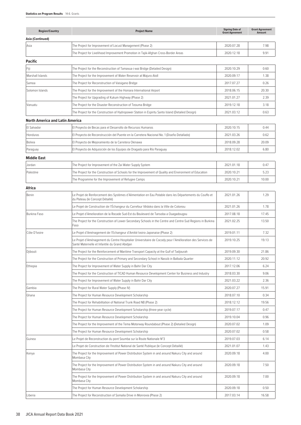| <b>Region/Country</b>           | <b>Project Name</b>                                                                                                                                         | <b>Signing Date of</b><br><b>Grant Agreement</b> | <b>Grant Agreement</b><br>Amount |
|---------------------------------|-------------------------------------------------------------------------------------------------------------------------------------------------------------|--------------------------------------------------|----------------------------------|
| Asia (Continued)                |                                                                                                                                                             |                                                  |                                  |
| Asia                            | The Project for Improvement of Locust Management (Phase 2)                                                                                                  | 2020.07.28                                       | 7.98                             |
|                                 | The Project for Livelihood Improvement Promotion in Tajik-Afghan Cross-Border Areas                                                                         | 2020.12.18                                       | 9.91                             |
| Pacific                         |                                                                                                                                                             |                                                  |                                  |
| Fiji                            | The Project for the Reconstruction of Tamavua-i-wai Bridge (Detailed Design)                                                                                | 2020.10.29                                       | 0.60                             |
| Marshall Islands                | The Project for the Improvement of Water Reservoir at Majuro Atoll                                                                                          | 2020.09.17                                       | 1.38                             |
| Samoa                           | The Project for Reconstruction of Vaisigano Bridge                                                                                                          | 2017.07.27                                       | 0.26                             |
| Solomon Islands                 | The Project for the Improvement of the Honiara International Airport                                                                                        | 2018.06.15                                       | 20.30                            |
|                                 | The Project for Upgrading of Kukum Highway (Phase 2)                                                                                                        | 2021.01.27                                       | 2.39                             |
| Vanuatu                         | The Project for the Disaster Reconstruction of Teouma Bridge                                                                                                | 2019.12.18                                       | 3.18                             |
|                                 | The Project for the Construction of Hydropower Station in Espiritu Santo Island (Detailed Design)                                                           | 2021.03.12                                       | 0.63                             |
| North America and Latin America |                                                                                                                                                             |                                                  |                                  |
| El Salvador                     | El Proyecto de Becas para el Desarrollo de Recursos Humanos                                                                                                 | 2020.10.15                                       | 0.44                             |
| Honduras                        | El Proyecto de Reconstrucción del Puente en la Carretera Nacional No. 1 (Diseño Detallado)                                                                  | 2021.03.26                                       | 0.62                             |
| Bolivia                         | El Proyecto de Mejoramiento de la Carretera Okinawa                                                                                                         | 2018.09.28                                       | 20.09                            |
| Paraguay                        | El Proyecto de Adquisición de los Equipos de Dragado para Río Paraguay                                                                                      | 2018.12.02                                       | 6.80                             |
| <b>Middle East</b>              |                                                                                                                                                             |                                                  |                                  |
| Jordan                          | The Project for Improvement of the Zai Water Supply System                                                                                                  | 2021.01.18                                       | 0.47                             |
| Palestine                       | The Project for the Construction of Schools for the Improvement of Quality and Environment of Education                                                     | 2020.10.21                                       | 5.23                             |
|                                 | The Programme for the Improvement of Refugee Camps                                                                                                          | 2020.10.21                                       | 10.00                            |
| Africa                          |                                                                                                                                                             |                                                  |                                  |
| Benin                           | Le Projet de Renforcement des Systèmes d'Alimentation en Eau Potable dans les Départements du Couffo et                                                     | 2021.01.26                                       | 1.29                             |
|                                 | du Plateau (le Concept Détaillé)                                                                                                                            |                                                  |                                  |
|                                 | Le Projet de Construction de l'Échangeur du Carrefour Vêdoko dans la Ville de Cotonou                                                                       | 2021.01.26                                       | 1.78                             |
| Burkina Faso                    | Le Projet d'Amelioration de la Rocade Sud-Est du Boulevard de Tansoba a Ouagadougou                                                                         | 2017.08.18                                       | 17.45                            |
|                                 | The Project for the Construction of Lower-Secondary Schools in the Centre and Centre-Sud Regions in Burkina<br>Faso                                         | 2021.02.25                                       | 13.50                            |
| Côte D'Ivoire                   | Le Projet d'Aménagement de l'Echangeur d'Amitié Ivoiro-Japonaise (Phase 2)                                                                                  | 2019.01.11                                       | 7.32                             |
|                                 | Le Projet d'Aménagement du Centre Hospitalier Universitaire de Cocody pour l'Amélioration des Services de<br>Santé Maternelle et Infantile du Grand Abidjan | 2019.10.25                                       | 19.13                            |
| Djibouti                        | The Project for the Reinforcement of Maritime Transport Capacity at the Gulf of Tadjourah                                                                   | 2019.09.30                                       | 21.86                            |
|                                 | The Project for the Construction of Primary and Secondary School in Nassib in Balbala Quarter                                                               | 2020.11.12                                       | 20.92                            |
| Ethiopia                        | The Project for Improvement of Water Supply in Bahir Dar City                                                                                               | 2017.12.06                                       | 6.24                             |
|                                 | The Project for the Construction of TICAD Human Resource Development Center for Business and Industry                                                       | 2018.03.30                                       | 9.06                             |
|                                 | The Project for Improvement of Water Supply in Bahir Dar City                                                                                               | 2021.03.22                                       | 2.36                             |
| Gambia                          | The Project for Rural Water Supply (Phase IV)                                                                                                               | 2020.07.27                                       | 15.91                            |
| Ghana                           | The Project for Human Resource Development Scholarship                                                                                                      | 2018.07.10                                       | 0.34                             |
|                                 | The Project for Rehabilitation of National Trunk Road N8 (Phase 2)                                                                                          | 2018.12.12                                       | 19.56                            |
|                                 | The Project for Human Resource Development Scholarship (three-year cycle)                                                                                   | 2019.07.17                                       | 0.47                             |
|                                 | The Project for Human Resource Development Scholarship                                                                                                      | 2019.10.04                                       | 0.96                             |
|                                 | The Project for the Improvement of the Tema Motorway Roundabout (Phase 2) (Detailed Design)                                                                 | 2020.07.02                                       | 1.09                             |
|                                 | The Project for Human Resource Development Scholarship                                                                                                      | 2020.07.02                                       | 0.58                             |
| Guinea                          | Le Projet de Reconstruction du pont Soumba sur la Route Nationale N°3                                                                                       | 2019.07.03                                       | 6.14                             |
|                                 | Le Projet de Construction de l'Institut National de Santé Publique (le Concept Détaillé)                                                                    | 2021.01.07                                       | 1.43                             |
| Kenya                           | The Project for the Improvement of Power Distribution System in and around Nakuru City and around<br>Mombasa City                                           | 2020.09.18                                       | 4.00                             |
|                                 | The Project for the Improvement of Power Distribution System in and around Nakuru City and around<br>Mombasa City                                           | 2020.09.18                                       | 7.50                             |
|                                 | The Project for the Improvement of Power Distribution System in and around Nakuru City and around<br>Mombasa City                                           | 2020.09.18                                       | 7.00                             |
|                                 | The Project for Human Resource Development Scholarship                                                                                                      | 2020.09.18                                       | 0.50                             |
| Liberia                         | The Project for Reconstruction of Somalia Drive in Monrovia (Phase 2)                                                                                       | 2017.03.14                                       | 16.58                            |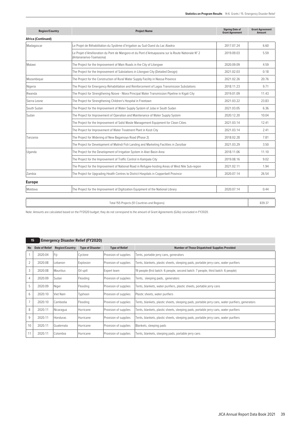| <b>Region/Country</b>     | <b>Project Name</b>                                                                                                          | <b>Signing Date of</b><br><b>Grant Agreement</b> | <b>Grant Agreement</b><br><b>Amount</b> |
|---------------------------|------------------------------------------------------------------------------------------------------------------------------|--------------------------------------------------|-----------------------------------------|
| <b>Africa (Continued)</b> |                                                                                                                              |                                                  |                                         |
| Madagascar                | Le Projet de Réhabilitation du Système d'Irrigation au Sud-Ouest du Lac Alaotra                                              | 2017.07.24                                       | 6.60                                    |
|                           | Le Projet d'Amélioration du Pont de Mangoro et du Pont d'Antsapazana sur la Route Nationale N° 2<br>(Antananarivo-Toamasina) | 2019.09.03                                       | 5.59                                    |
| Malawi                    | The Project for the Improvement of Main Roads in the City of Lilongwe                                                        | 2020.09.09                                       | 4.59                                    |
|                           | The Project for the Improvement of Substations in Lilongwe City (Detailed Design)                                            | 2021.02.03                                       | 0.18                                    |
| Mozambique                | The Project for the Construction of Rural Water Supply Facility in Niassa Province                                           | 2021.02.26                                       | 20.76                                   |
| Nigeria                   | The Project for Emergency Rehabilitation and Reinforcement of Lagos Transmission Substations                                 | 2018.11.23                                       | 9.71                                    |
| Rwanda                    | The Project for Strengthening Nzove - Ntora Principal Water Transmission Pipeline in Kigali City                             | 2019.01.09                                       | 11.43                                   |
| Sierra Leone              | The Project for Strengthening Children's Hospital in Freetown                                                                | 2021.03.22                                       | 23.83                                   |
| South Sudan               | The Project for the Improvement of Water Supply System of Juba in South Sudan                                                | 2021.03.05                                       | 6.36                                    |
| Sudan                     | The Project for Improvement of Operation and Maintenance of Water Supply System                                              | 2020.12.20                                       | 10.04                                   |
|                           | The Project for the Improvement of Solid Waste Management Equipment for Clean Cities                                         | 2021.03.14                                       | 12.41                                   |
|                           | The Project for Improvement of Water Treatment Plant in Kosti City                                                           | 2021.03.14                                       | 2.41                                    |
| Tanzania                  | The Project for Widening of New Bagamoyo Road (Phase 2)                                                                      | 2018.02.28                                       | 7.81                                    |
|                           | The Project for Development of Malindi Fish Landing and Marketing Facilities in Zanzibar                                     | 2021.03.29                                       | 3.50                                    |
| Uganda                    | The Project for the Development of Irrigation System in Atari Basin Area                                                     | 2018.11.06                                       | 11.10                                   |
|                           | The Project for the Improvement of Traffic Control in Kampala City                                                           | 2019.08.16                                       | 9.02                                    |
|                           | The Project for the Improvement of National Road in Refugee-hosting Areas of West Nile Sub-region                            | 2021.02.11                                       | 1.94                                    |
| Zambia                    | The Project for Upgrading Health Centres to District Hospitals in Copperbelt Province                                        | 2020.07.14                                       | 26.54                                   |
| <b>Europe</b>             |                                                                                                                              |                                                  |                                         |
| Moldova                   | The Project for the Improvement of Digitization Equipment of the National Library                                            | 2020.07.14                                       | 0.44                                    |
|                           |                                                                                                                              |                                                  |                                         |

Total 155 Projects (51 Countries and Regions) 839.37

Note: Amounts are calculated based on the FY2020 budget; they do not correspond to the amount of Grant Agreements (G/As) concluded in FY2020.

|                | <b>Emergency Disaster Relief (FY2020)</b><br>15 |                       |                         |                       |                                                                                                  |  |  |  |  |
|----------------|-------------------------------------------------|-----------------------|-------------------------|-----------------------|--------------------------------------------------------------------------------------------------|--|--|--|--|
| <b>No</b>      | <b>Date of Relief</b>                           | <b>Region/Country</b> | <b>Type of Disaster</b> | <b>Type of Relief</b> | <b>Number of Those Dispatched/ Supplies Provided</b>                                             |  |  |  |  |
|                | 2020.04                                         | Fiji                  | Cyclone                 | Provision of supplies | Tents, portable jerry cans, generators                                                           |  |  |  |  |
| $\overline{2}$ | 2020.08                                         | Lebanon               | Explosion               | Provision of supplies | Tents, blankets, plastic sheets, sleeping pads, portable jerry cans, water purifiers             |  |  |  |  |
| 3              | 2020.08                                         | Mauritius             | Oil spill               | Expert team           | 19 people (first batch: 6 people, second batch: 7 people, third batch: 6 people)                 |  |  |  |  |
| 4              | 2020.09                                         | Sudan                 | Flooding                | Provision of supplies | Tents, sleeping pads, generators                                                                 |  |  |  |  |
| 5              | 2020.09                                         | Niger                 | Flooding                | Provision of supplies | Tents, blankets, water purifiers, plastic sheets, portable jerry cans                            |  |  |  |  |
| 6              | 2020.10                                         | Viet Nam              | Typhoon                 | Provision of supplies | Plastic sheets, water purifiers                                                                  |  |  |  |  |
| 7              | 2020.10                                         | Cambodia              | Flooding                | Provision of supplies | Tents, blankets, plastic sheets, sleeping pads, portable jerry cans, water purifiers, generators |  |  |  |  |
| 8              | 2020.11                                         | Nicaragua             | l Hurricane             | Provision of supplies | Tents, blankets, plastic sheets, sleeping pads, portable jerry cans, water purifiers             |  |  |  |  |
| 9              | 2020.11                                         | Honduras              | Hurricane               | Provision of supplies | Tents, blankets, plastic sheets, sleeping pads, portable jerry cans, water purifiers             |  |  |  |  |
| 10             | 2020.11                                         | Guatemala             | l Hurricane             | Provision of supplies | Blankets, sleeping pads                                                                          |  |  |  |  |
| 11             | 2020.11                                         | Colombia              | Hurricane               | Provision of supplies | Tents, blankets, sleeping pads, portable jerry cans                                              |  |  |  |  |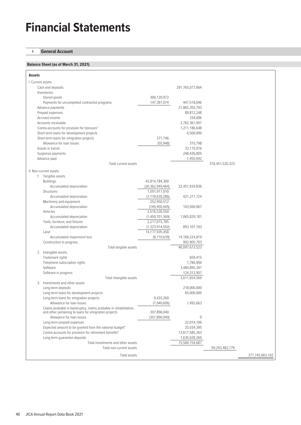# **Financial Statements**

# **1 General Account**

# **Balance Sheet (as of March 31, 2021)**

| <b>Assets</b>                                                                                                     |                               |                                 |                 |                 |
|-------------------------------------------------------------------------------------------------------------------|-------------------------------|---------------------------------|-----------------|-----------------|
| I. Current assets                                                                                                 |                               |                                 |                 |                 |
| Cash and deposits                                                                                                 |                               | 291,765,077,064                 |                 |                 |
| Inventories                                                                                                       |                               |                                 |                 |                 |
| Stored goods                                                                                                      | 300,120,972                   |                                 |                 |                 |
| Payments for uncompleted contracted programs                                                                      | 147,397,074                   | 447,518,046                     |                 |                 |
| Advance payments                                                                                                  |                               | 21,865,355,793                  |                 |                 |
| Prepaid expenses                                                                                                  |                               | 89,812,248                      |                 |                 |
| Accrued income                                                                                                    |                               | 334,006                         |                 |                 |
| Accounts receivable                                                                                               |                               | 2,782,361,997                   |                 |                 |
| Contra-accounts for provision for bonuses*                                                                        |                               | 1,211,186,648                   |                 |                 |
| Short-term loans for development projects                                                                         |                               | 6,500,000                       |                 |                 |
| Short-term loans for emigration projects                                                                          | 371,746                       |                                 |                 |                 |
| Allowance for loan losses                                                                                         | (55, 948)                     | 315,798                         |                 |                 |
| Goods in transit                                                                                                  |                               | 33,175,976                      |                 |                 |
| Suspense payments                                                                                                 |                               | 248,426,805                     |                 |                 |
| Advance paid                                                                                                      |                               | 1,455,942                       |                 |                 |
| Total current assets                                                                                              |                               |                                 | 318,451,520,323 |                 |
| II. Non-current assets                                                                                            |                               |                                 |                 |                 |
| 1. Tangible assets                                                                                                |                               |                                 |                 |                 |
| <b>Buildings</b>                                                                                                  | 42,814,784,300                |                                 |                 |                 |
| Accumulated depreciation                                                                                          | (20, 362, 949, 464)           | 22,451,834,836                  |                 |                 |
| Structures                                                                                                        | 1,591,917,010                 |                                 |                 |                 |
| Accumulated depreciation                                                                                          | (1, 170, 639, 286)            | 421,277,724                     |                 |                 |
| Machinery and equipment                                                                                           | 252,950,512                   |                                 |                 |                 |
| Accumulated depreciation                                                                                          | (149, 450, 445)               | 103,500,067                     |                 |                 |
| Vehicles                                                                                                          | 2,516,530,550                 |                                 |                 |                 |
| Accumulated depreciation                                                                                          | (1,450,701,369)               | 1,065,829,181                   |                 |                 |
| Tools, furniture, and fixtures                                                                                    | 2,217,015,785                 |                                 |                 |                 |
| Accumulated depreciation                                                                                          | (1, 323, 914, 592)            | 893,101,193                     |                 |                 |
| Land<br>Accumulated impairment loss                                                                               | 14,177,935,458<br>(8,710,639) | 14,169,224,819                  |                 |                 |
| Construction in progress                                                                                          |                               | 992,905,703                     |                 |                 |
| Total tangible assets                                                                                             |                               | 40,097,673,523                  |                 |                 |
| 2. Intangible assets                                                                                              |                               |                                 |                 |                 |
| Trademark rights                                                                                                  |                               | 659,415                         |                 |                 |
| Telephone subscription rights                                                                                     |                               | 1,786,900                       |                 |                 |
| Software                                                                                                          |                               | 3,484,895,347                   |                 |                 |
| Software in progress                                                                                              |                               | 124,312,907                     |                 |                 |
| Total intangible assets                                                                                           |                               | 3,611,654,569                   |                 |                 |
| 3.<br>Investments and other assets                                                                                |                               |                                 |                 |                 |
| Long-term deposits                                                                                                |                               | 218,000,000                     |                 |                 |
| Long-term loans for development projects                                                                          |                               | 65,000,000                      |                 |                 |
| Long-term loans for emigration projects                                                                           | 9,433,269                     |                                 |                 |                 |
| Allowance for loan losses                                                                                         | (7,940,606)                   | 1,492,663                       |                 |                 |
| Claims probable in bankruptcy, claims probable in rehabilitation,                                                 |                               |                                 |                 |                 |
| and other pertaining to loans for emigration projects                                                             | 307,896,040                   |                                 |                 |                 |
| Allowance for loan losses                                                                                         | (307, 896, 040)               | 0                               |                 |                 |
| Long-term prepaid expenses                                                                                        |                               | 22,014,106                      |                 |                 |
| Expected amount to be granted from the national budget*<br>Contra-accounts for provision for retirement benefits* |                               | 25,034,395                      |                 |                 |
| Long-term guarantee deposits                                                                                      |                               | 13,617,585,263<br>1,635,028,260 |                 |                 |
| Total investments and other assets                                                                                |                               | 15,584,154,687                  |                 |                 |
| Total non-current assets                                                                                          |                               |                                 | 59,293,482,779  |                 |
|                                                                                                                   |                               |                                 |                 |                 |
| Total assets                                                                                                      |                               |                                 |                 | 377,745,003,102 |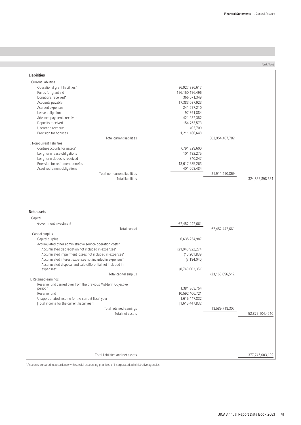# **Balance Sheet (as of March 31, 2021)** (Unit: Yen)

| <b>Liabilities</b>                                                                                                                                                                                                                                                                                                                                                                                   |                                                                                                                                                           |                                       |                 |
|------------------------------------------------------------------------------------------------------------------------------------------------------------------------------------------------------------------------------------------------------------------------------------------------------------------------------------------------------------------------------------------------------|-----------------------------------------------------------------------------------------------------------------------------------------------------------|---------------------------------------|-----------------|
| I. Current liabilities<br>Operational grant liabilities*<br>Funds for grant aid<br>Donations received*<br>Accounts payable<br>Accrued expenses<br>Lease obligations<br>Advance payments received<br>Deposits received<br>Unearned revenue<br>Provision for bonuses<br><b>Total current liabilities</b><br>II. Non-current liabilities                                                                | 86,927,336,617<br>196,150,196,496<br>366,071,349<br>17,383,037,923<br>241,597,210<br>97,891,884<br>421,932,382<br>154,753,573<br>403,700<br>1,211,186,648 | 302,954,407,782                       |                 |
| Contra-accounts for assets*<br>Long-term lease obligations<br>Long-term deposits received<br>Provision for retirement benefits<br>Asset retirement obligations<br>Total non-current liabilities<br><b>Total liabilities</b>                                                                                                                                                                          | 7,791,329,600<br>101,182,275<br>340,247<br>13,617,585,263<br>401,053,484                                                                                  | 21,911,490,869                        | 324,865,898,651 |
| <b>Net assets</b><br>I. Capital<br>Government investment                                                                                                                                                                                                                                                                                                                                             | 62,452,442,661                                                                                                                                            |                                       |                 |
| Total capital<br>II. Capital surplus<br>Capital surplus<br>Accumulated other administrative service operation costs*<br>Accumulated depreciation not included in expenses*<br>Accumulated impairment losses not included in expenses*<br>Accumulated interest expenses not included in expenses*<br>Accumulated disposal and sale differential not included in<br>expenses*<br>Total capital surplus | 6,635,254,987<br>(21,040,922,274)<br>(10, 201, 839)<br>(7, 184, 040)<br>(8,740,003,351)                                                                   | 62,452,442,661<br>(23, 163, 056, 517) |                 |
| III. Retained earnings<br>Reserve fund carried over from the previous Mid-term Objective<br>period*<br>Reserve fund<br>Unappropriated income for the current fiscal year<br>[Total income for the current fiscal year]<br>Total retained earnings<br>Total net assets                                                                                                                                | 1,381,863,754<br>10,592,406,721<br>1,615,447,832<br>[1,615,447,832]                                                                                       | 13,589,718,307                        | 52,879,104,4510 |
| Total liabilities and net assets                                                                                                                                                                                                                                                                                                                                                                     |                                                                                                                                                           |                                       | 377,745,003,102 |

\* Accounts prepared in accordance with special accounting practices of incorporated administrative agencies.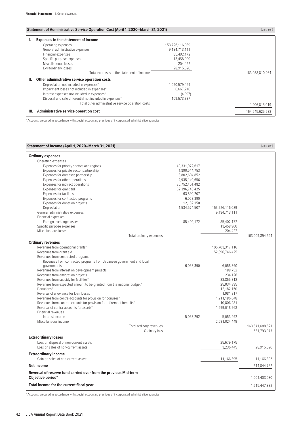# **Statement of Administrative Service Operation Cost (April 1, 2020–March 31, 2021)** (Unit: Yen) (Unit: Yen)

| <b>Expenses in the statement of income</b>               |                 |                                                                                                 |
|----------------------------------------------------------|-----------------|-------------------------------------------------------------------------------------------------|
| Operating expenses                                       | 153,726,116,039 |                                                                                                 |
| General administrative expenses                          | 9,184,713,111   |                                                                                                 |
| Financial expenses                                       | 85,402,172      |                                                                                                 |
| Specific purpose expenses                                | 13,458,900      |                                                                                                 |
| Miscellaneous losses                                     | 204,422         |                                                                                                 |
| Extraordinary losses                                     | 28,915,620      |                                                                                                 |
|                                                          | 163,038,810,264 |                                                                                                 |
| Other administrative service operation costs             |                 |                                                                                                 |
| Depreciation not included in expenses*                   | 1,090,579,469   |                                                                                                 |
| Impairment losses not included in expenses*              | 6,667,210       |                                                                                                 |
| Interest expenses not included in expenses*              | (4,997)         |                                                                                                 |
| Disposal and sale differential not included in expenses* | 109,573,337     |                                                                                                 |
|                                                          | 1,206,815,019   |                                                                                                 |
| Administrative service operation cost                    |                 | 164,245,625,283                                                                                 |
|                                                          |                 | Total expenses in the statement of income<br>Total other administrative service operation costs |

\* Accounts prepared in accordance with special accounting practices of incorporated administrative agencies.

| Statement of Income (April 1, 2020–March 31, 2021)                                                              |                             |                             | (Unit: Yen)     |
|-----------------------------------------------------------------------------------------------------------------|-----------------------------|-----------------------------|-----------------|
| <b>Ordinary expenses</b>                                                                                        |                             |                             |                 |
| Operating expenses                                                                                              |                             |                             |                 |
| Expenses for priority sectors and regions                                                                       | 49,331,972,617              |                             |                 |
| Expenses for private sector partnership                                                                         | 1,890,544,753               |                             |                 |
| Expenses for domestic partnership                                                                               | 8,802,604,852               |                             |                 |
| Expenses for other operations                                                                                   | 2,935,140,656               |                             |                 |
| Expenses for indirect operations                                                                                | 36,752,401,482              |                             |                 |
| Expenses for grant aid                                                                                          | 52,396,746,425              |                             |                 |
| Expenses for facilities                                                                                         | 63,890,207                  |                             |                 |
| Expenses for contracted programs                                                                                | 6,058,390                   |                             |                 |
| Expenses for donation projects<br>Depreciation                                                                  | 12,182,150<br>1,534,574,507 | 153,726,116,039             |                 |
| General administrative expenses                                                                                 |                             | 9,184,713,111               |                 |
| Financial expenses                                                                                              |                             |                             |                 |
| Foreign exchange losses                                                                                         | 85,402,172                  | 85,402,172                  |                 |
| Specific purpose expenses                                                                                       |                             | 13,458,900                  |                 |
| Miscellaneous losses                                                                                            |                             | 204,422                     |                 |
| Total ordinary expenses                                                                                         |                             |                             | 163,009,894,644 |
| <b>Ordinary revenues</b>                                                                                        |                             |                             |                 |
| Revenues from operational grants*                                                                               |                             | 105,703,317,116             |                 |
| Revenues from grant aid                                                                                         |                             | 52,396,746,425              |                 |
| Revenues from contracted programs                                                                               |                             |                             |                 |
| Revenues from contracted programs from Japanese government and local                                            |                             |                             |                 |
| governments                                                                                                     | 6,058,390                   | 6,058,390                   |                 |
| Revenues from interest on development projects                                                                  |                             | 188,752                     |                 |
| Revenues from emigration projects                                                                               |                             | 234,126                     |                 |
| Revenues from subsidy for facilities*                                                                           |                             | 38,855,812                  |                 |
| Revenues from expected amount to be granted from the national budget*                                           |                             | 25,034,395                  |                 |
| Donations*                                                                                                      |                             | 12,182,150                  |                 |
| Reversal of allowance for loan losses                                                                           |                             | 1,981,817                   |                 |
| Revenues from contra-accounts for provision for bonuses*                                                        |                             | 1,211,186,648               |                 |
| Revenues from contra-accounts for provision for retirement benefits*<br>Reversal of contra-accounts for assets* |                             | 10,806,281<br>1,599,018,968 |                 |
| Financial revenues                                                                                              |                             |                             |                 |
| Interest income                                                                                                 | 5,053,292                   | 5,053,292                   |                 |
| Miscellaneous income                                                                                            |                             | 2,631,024,449               |                 |
| Total ordinary revenues                                                                                         |                             |                             | 163,641,688,621 |
| Ordinary loss                                                                                                   |                             |                             | 631,793,977     |
| <b>Extraordinary losses</b>                                                                                     |                             |                             |                 |
| Loss on disposal of non-current assets                                                                          |                             | 25,679,175                  |                 |
| Loss on sales of non-current assets                                                                             |                             | 3,236,445                   | 28,915,620      |
|                                                                                                                 |                             |                             |                 |
| <b>Extraordinary income</b><br>Gain on sales of non-current assets                                              |                             | 11,166,395                  | 11,166,395      |
| <b>Net income</b>                                                                                               |                             |                             | 614,044,752     |
|                                                                                                                 |                             |                             |                 |
| Reversal of reserve fund carried over from the previous Mid-term<br>Objective period*                           |                             |                             | 1,001,403,080   |
| Total income for the current fiscal year                                                                        |                             |                             | 1,615,447,832   |
|                                                                                                                 |                             |                             |                 |

\* Accounts prepared in accordance with special accounting practices of incorporated administrative agencies.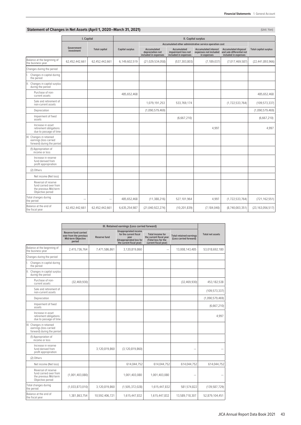# **Statement of Changes in Net Assets (April 1, 2020–March 31, 2021)** (Unit: Yen) (Unit: Yen)

|                                                                                            | I. Capital               |                      |                 | II. Capital surplus                                     |                                                            |                                                                     |                                                                                  |                              |
|--------------------------------------------------------------------------------------------|--------------------------|----------------------|-----------------|---------------------------------------------------------|------------------------------------------------------------|---------------------------------------------------------------------|----------------------------------------------------------------------------------|------------------------------|
|                                                                                            |                          |                      |                 |                                                         |                                                            | Accumulated other administrative service operation cost             |                                                                                  |                              |
|                                                                                            | Government<br>investment | <b>Total capital</b> | Capital surplus | Accumulated<br>depreciation not<br>included in expenses | Accumulated<br>impairment loss not<br>included in expenses | <b>Accumulated interest</b><br>expenses not included<br>in expenses | <b>Accumulated disposal</b><br>and sale differential not<br>included in expenses | <b>Total capital surplus</b> |
| Balance at the beginning of<br>the business year                                           | 62,452,442,661           | 62,452,442,661       | 6,149,602,519   | (21,029,534,058)                                        | (537, 303, 803)                                            | (7, 189, 037)                                                       | (7,017,469,587)                                                                  | (22,441,893,966)             |
| Changes during the period                                                                  |                          |                      |                 |                                                         |                                                            |                                                                     |                                                                                  |                              |
| Changes in capital during<br>the period                                                    |                          |                      |                 |                                                         |                                                            |                                                                     |                                                                                  |                              |
| II. Changes in capital surplus<br>during the period                                        |                          |                      |                 |                                                         |                                                            |                                                                     |                                                                                  |                              |
| Purchase of non-<br>current assets                                                         |                          |                      | 485,652,468     |                                                         |                                                            |                                                                     |                                                                                  | 485,652,468                  |
| Sale and retirement of<br>non-current assets                                               |                          |                      |                 | 1,079,191,253                                           | 533,769,174                                                |                                                                     | (1, 722, 533, 764)                                                               | (109, 573, 337)              |
| Depreciation                                                                               |                          |                      |                 | (1,090,579,469)                                         |                                                            |                                                                     |                                                                                  | (1,090,579,469)              |
| Impairment of fixed<br>assets                                                              |                          |                      |                 |                                                         | (6,667,210)                                                |                                                                     |                                                                                  | (6,667,210)                  |
| Increase in asset<br>retirement obligations<br>due to passage of time                      |                          |                      |                 |                                                         |                                                            | 4.997                                                               |                                                                                  | 4.997                        |
| III. Changes in retained<br>earnings (loss carried<br>forward) during the period           |                          |                      |                 |                                                         |                                                            |                                                                     |                                                                                  |                              |
| (1) Appropriation of<br>income or loss                                                     |                          |                      |                 |                                                         |                                                            |                                                                     |                                                                                  |                              |
| Increase in reserve<br>fund derived from<br>profit appropriation                           |                          |                      |                 |                                                         |                                                            |                                                                     |                                                                                  |                              |
| (2) Others                                                                                 |                          |                      |                 |                                                         |                                                            |                                                                     |                                                                                  |                              |
| Net income (Net loss)                                                                      |                          |                      |                 |                                                         |                                                            |                                                                     |                                                                                  |                              |
| Reversal of reserve<br>fund carried over from<br>the previous Mid-term<br>Objective period |                          |                      |                 |                                                         |                                                            |                                                                     |                                                                                  |                              |
| Total changes during<br>the period                                                         | -                        |                      | 485,652,468     | (11, 388, 216)                                          | 527,101,964                                                | 4.997                                                               | (1,722,533,764)                                                                  | (721, 162, 551)              |
| Balance at the end of<br>the fiscal year                                                   | 62,452,442,661           | 62,452,442,661       | 6,635,254,987   | (21,040,922,274)                                        | (10, 201, 839)                                             | (7, 184, 040)                                                       | (8,740,003,351)                                                                  | (23, 163, 056, 517)          |

|                                                                                            | <b>Reserve fund carried</b><br>over from the previous<br>Mid-term Objective<br>period | <b>Reserve fund</b> | <b>Unappropriated income</b><br>for the current fiscal<br>vear<br>(Unappropriated loss for<br>the current fiscal year) | <b>Total income for</b><br>the current fiscal year<br>(Total loss for the<br>current fiscal year) | <b>Total retained earnings</b><br>(Loss carried forward) | <b>Total net assets</b> |
|--------------------------------------------------------------------------------------------|---------------------------------------------------------------------------------------|---------------------|------------------------------------------------------------------------------------------------------------------------|---------------------------------------------------------------------------------------------------|----------------------------------------------------------|-------------------------|
| Balance at the beginning of<br>the business year                                           | 2,415,736,764                                                                         | 7,471,586,861       | 3,120,819,860                                                                                                          |                                                                                                   | 13,008,143,485                                           | 53,018,692,180          |
| Changes during the period                                                                  |                                                                                       |                     |                                                                                                                        |                                                                                                   |                                                          |                         |
| Changes in capital during<br>$\mathsf{L}$<br>the period                                    |                                                                                       |                     |                                                                                                                        |                                                                                                   |                                                          |                         |
| II. Changes in capital surplus<br>during the period                                        |                                                                                       |                     |                                                                                                                        |                                                                                                   |                                                          |                         |
| Purchase of non-<br>current assets                                                         | (32, 469, 930)                                                                        |                     |                                                                                                                        |                                                                                                   | (32, 469, 930)                                           | 453,182,538             |
| Sale and retirement of<br>non-current assets                                               |                                                                                       |                     |                                                                                                                        |                                                                                                   |                                                          | (109, 573, 337)         |
| Depreciation                                                                               |                                                                                       |                     |                                                                                                                        |                                                                                                   |                                                          | (1,090,579,469)         |
| Impairment of fixed<br>assets                                                              |                                                                                       |                     |                                                                                                                        |                                                                                                   |                                                          | (6,667,210)             |
| Increase in asset<br>retirement obligations<br>due to passage of time                      |                                                                                       |                     |                                                                                                                        |                                                                                                   |                                                          | 4.997                   |
| III. Changes in retained<br>earnings (loss carried<br>forward) during the period           |                                                                                       |                     |                                                                                                                        |                                                                                                   |                                                          |                         |
| (1) Appropriation of<br>income or loss                                                     |                                                                                       |                     |                                                                                                                        |                                                                                                   |                                                          |                         |
| Increase in reserve<br>fund derived from<br>profit appropriation                           |                                                                                       | 3,120,819,860       | (3, 120, 819, 860)                                                                                                     |                                                                                                   |                                                          |                         |
| (2) Others                                                                                 |                                                                                       |                     |                                                                                                                        |                                                                                                   |                                                          |                         |
| Net income (Net loss)                                                                      |                                                                                       |                     | 614.044.752                                                                                                            | 614,044,752                                                                                       | 614,044,752                                              | 614,044,752             |
| Reversal of reserve<br>fund carried over from<br>the previous Mid-term<br>Objective period | (1,001,403,080)                                                                       |                     | 1,001,403,080                                                                                                          | 1,001,403,080                                                                                     |                                                          |                         |
| Total changes during<br>the period                                                         | (1,033,873,010)                                                                       | 3,120,819,860       | (1,505,372,028)                                                                                                        | 1,615,447,832                                                                                     | 581,574,822                                              | (139, 587, 729)         |
| Balance at the end of<br>the fiscal year                                                   | 1,381,863,754                                                                         | 10,592,406,721      | 1,615,447,832                                                                                                          | 1,615,447,832                                                                                     | 13,589,718,307                                           | 52,879,104,451          |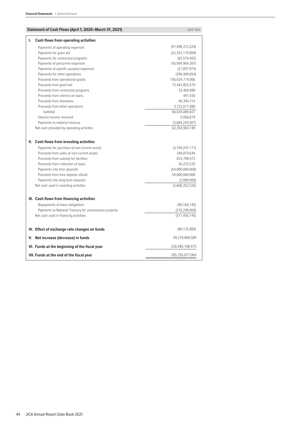| Statement of Cash Flows (April 1, 2020–March 31, 2021)                                                                                                                                                                                                                  | (Unit: Yen)                                                                                                      |
|-------------------------------------------------------------------------------------------------------------------------------------------------------------------------------------------------------------------------------------------------------------------------|------------------------------------------------------------------------------------------------------------------|
| ı.<br><b>Cash flows from operating activities</b>                                                                                                                                                                                                                       |                                                                                                                  |
| Payments of operating expenses                                                                                                                                                                                                                                          | (97, 498, 312, 524)                                                                                              |
| Payments for grant aid                                                                                                                                                                                                                                                  | (52, 353, 174, 894)                                                                                              |
| Payments for contracted programs                                                                                                                                                                                                                                        | (65, 579, 402)                                                                                                   |
| Payments of personnel expenses                                                                                                                                                                                                                                          | (16,994,964,397)                                                                                                 |
| Payments of specific purpose expenses                                                                                                                                                                                                                                   | (27, 897, 975)                                                                                                   |
| Payments for other operations                                                                                                                                                                                                                                           | (296, 409, 654)                                                                                                  |
| Proceeds from operational grants                                                                                                                                                                                                                                        | 156,024,774,000                                                                                                  |
| Proceeds from grant aid                                                                                                                                                                                                                                                 | 73,442,855,570                                                                                                   |
| Proceeds from contracted programs                                                                                                                                                                                                                                       | 33,400,989                                                                                                       |
| Proceeds from interest on loans                                                                                                                                                                                                                                         | 441,430                                                                                                          |
| Proceeds from donations                                                                                                                                                                                                                                                 | 46,344,714                                                                                                       |
| Proceeds from other operations                                                                                                                                                                                                                                          | 3,722,611,980                                                                                                    |
| Subtotal                                                                                                                                                                                                                                                                | 66,034,089,837                                                                                                   |
| Interest income received                                                                                                                                                                                                                                                | 5,056,819                                                                                                        |
| Payments to national treasury                                                                                                                                                                                                                                           | (3,684,243,507)                                                                                                  |
| Net cash provided by operating activities                                                                                                                                                                                                                               | 62,354,903,149                                                                                                   |
| Proceeds from sales of non-current assets<br>Proceeds from subsidy for facilities<br>Proceeds from collection of loans<br>Payments into time deposits<br>Proceeds from time deposit refund<br>Payments into long-term deposits<br>Net cash used in investing activities | 248,870,644<br>833,798,472<br>20,225,535<br>(54,000,000,000)<br>54,000,000,000<br>(2,000,000)<br>(2,668,352,526) |
| III. Cash flows from financing activities                                                                                                                                                                                                                               |                                                                                                                  |
| Repayments of lease obligations                                                                                                                                                                                                                                         | (99, 160, 145)                                                                                                   |
| Payments to National Treasury for unnecessary property                                                                                                                                                                                                                  | (218, 296, 000)                                                                                                  |
| Net cash used in financing activities                                                                                                                                                                                                                                   | (317, 456, 145)                                                                                                  |
| IV. Effect of exchange rate changes on funds                                                                                                                                                                                                                            | (89, 125, 889)                                                                                                   |
| V. Net increase (decrease) in funds                                                                                                                                                                                                                                     | 59,279,968,589                                                                                                   |
| VI. Funds at the beginning of the fiscal year                                                                                                                                                                                                                           | 226,485,108,475                                                                                                  |
| VII. Funds at the end of the fiscal year                                                                                                                                                                                                                                | 285,765,077,064                                                                                                  |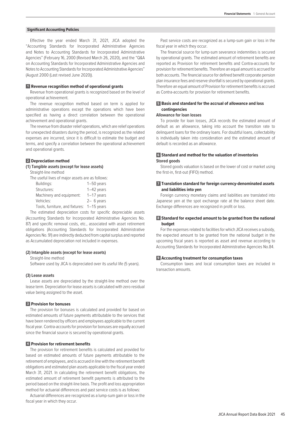# **Significant Accounting Policies**

Effective the year ended March 31, 2021, JICA adopted the "Accounting Standards for Incorporated Administrative Agencies and Notes to Accounting Standards for Incorporated Administrative Agencies" (February 16, 2000 (Revised March 26, 2020), and the "Q&A on Accounting Standards for Incorporated Administrative Agencies and Notes to Accounting Standards for Incorporated Administrative Agencies" (August 2000 (Last revised June 2020)).

# **1 Revenue recognition method of operational grants**

Revenue from operational grants is recognized based on the level of operational achievement.

The revenue recognition method based on term is applied for administrative operations except the operations which have been specified as having a direct correlation between the operational achievement and operational grants.

The revenue from disaster relief operations, which are relief operations for unexpected disasters during the period, is recognized as the related expenses are incurred, since it is difficult to estimate the budget and terms, and specify a correlation between the operational achievement and operational grants.

# **2 Depreciation method**

# **(1) Tangible assets (except for lease assets)**

Straight-line method The useful lives of major assets are as follows:

| THE USERIFIVES OF ITIQUE ASSELS ALL AS TUITUMS |              |
|------------------------------------------------|--------------|
| Buildings:                                     | $1-50$ years |
| Structures:                                    | $1-42$ years |
| Machinery and equipment:                       | $1-17$ years |
| Vehicles:                                      | $2-6$ vears  |
| Tools, furniture, and fixtures: 1-15 years     |              |

The estimated depreciation costs for specific depreciable assets (Accounting Standards for Incorporated Administrative Agencies No. 87) and specific removal costs, etc., associated with asset retirement obligations (Accounting Standards for Incorporated Administrative Agencies No. 91) are indirectly deducted from capital surplus and reported as Accumulated depreciation not included in expenses.

# **(2) Intangible assets (except for lease assets)**

Straight-line method

Software used by JICA is depreciated over its useful life (5 years).

#### **(3) Lease assets**

Lease assets are depreciated by the straight-line method over the lease term. Depreciation for lease assets is calculated with zero residual value being assigned to the asset.

### **3 Provision for bonuses**

The provision for bonuses is calculated and provided for based on estimated amounts of future payments attributable to the services that have been rendered by officers and employees applicable to the current fiscal year. Contra-accounts for provision for bonuses are equally accrued since the financial source is secured by operational grants.

#### **4 Provision for retirement benefits**

The provision for retirement benefits is calculated and provided for based on estimated amounts of future payments attributable to the retirement of employees, and is accrued in line with the retirement benefit obligations and estimated plan assets applicable to the fiscal year ended March 31, 2021. In calculating the retirement benefit obligations, the estimated amount of retirement benefit payments is attributed to the period based on the straight-line basis. The profit and loss appropriation method for actuarial differences and past service costs is as follows:

Actuarial differences are recognized as a lump-sum gain or loss in the fiscal year in which they occur.

Past service costs are recognized as a lump-sum gain or loss in the fiscal year in which they occur.

The financial source for lump-sum severance indemnities is secured by operational grants. The estimated amount of retirement benefits are reported as Provision for retirement benefits and Contra-accounts for provision for retirement benefits. Therefore an equal amount is accrued for both accounts. The financial source for defined benefit corporate pension plan insurance fees and reserve shortfall is secured by operational grants. Therefore an equal amount of Provision for retirement benefits is accrued as Contra-accounts for provision for retirement benefits.

# **5 Basis and standard for the accrual of allowance and loss contingencies**

# **Allowance for loan losses**

To provide for loan losses, JICA records the estimated amount of default as an allowance, taking into account the transition rate to delinquent loans for the ordinary loans. For doubtful loans, collectability is individually taken into consideration and the estimated amount of default is recorded as an allowance.

# **6 Standard and method for the valuation of inventories Stored goods**

Stored goods valuation is based on the lower of cost or market using the first-in, first-out (FIFO) method.

# **7 Translation standard for foreign currency-denominated assets and liabilities into yen**

Foreign currency monetary claims and liabilities are translated into Japanese yen at the spot exchange rate at the balance sheet date. Exchange differences are recognized in profit or loss.

# **8 Standard for expected amount to be granted from the national budget**

For the expenses related to facilities for which JICA receives a subsidy, the expected amount to be granted from the national budget in the upcoming fiscal years is reported as asset and revenue according to Accounting Standards for Incorporated Administrative Agencies No.84.

# **9 Accounting treatment for consumption taxes**

Consumption taxes and local consumption taxes are included in transaction amounts.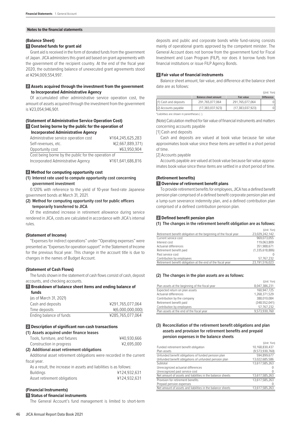#### **Notes to the financial statements**

# **(Balance Sheet)**

# **1 Donated funds for grant aid**

Grant aid is received in the form of donated funds from the government of Japan. JICA administers this grant aid based on grant agreements with the government of the recipient country. At the end of the fiscal year 2020, the outstanding balance of unexecuted grant agreements stood at ¥294,009,554,997.

# **2 Assets acquired through the investment from the government to Incorporated Administrative Agency**

Of accumulated other administrative service operation cost, the amount of assets acquired through the investment from the government is ¥23,054,946,901.

# **(Statement of Administrative Service Operation Cost) 1 Cost being borne by the public for the operation of Incorporated Administrative Agency**

Administrative service operation cost ¥164,245,625,283 Self-revenues, etc. ¥(2,667,889,371) Opportunity cost ¥63,950,904 Cost being borne by the public for the operation of Incorporated Administrative Agency ¥161,641,686,816

# **2 Method for computing opportunity cost**

# **(1) Interest rate used to compute opportunity cost concerning government investment**

0.120% with reference to the yield of 10-year fixed-rate Japanese government bonds at March 31, 2021.

# **(2) Method for computing opportunity cost for public officers temporarily transferred to JICA**

Of the estimated increase in retirement allowance during service rendered in JICA, costs are calculated in accordance with JICA's internal rules.

# **(Statement of Income)**

"Expenses for indirect operations" under "Operating expenses" were presented as "Expenses for operation support" in the Statement of Income for the previous fiscal year. This change in the account title is due to changes in the names of Budget Account.

# **(Statement of Cash Flows)**

The funds shown in the statement of cash flows consist of cash, deposit accounts, and checking accounts.

#### **1 Breakdown of balance sheet items and ending balance of**

| ¥291.765.077.064 |
|------------------|
| ¥(6,000,000,000) |
| ¥285.765.077.064 |
|                  |

# **2 Description of significant non-cash transactions**

# **(1) Assets acquired under finance leases** Tools, furniture, and fixtures  $\text{40,930,666}$ Construction in progress  $\text{\#2,695,000}$ **(2) Additional asset retirement obligations** Additional asset retirement obligations were recorded in the current fiscal year. As a result, the increase in assets and liabilities is as follows:

| Buildings                    | ¥124,932,631 |
|------------------------------|--------------|
| Asset retirement obligations | ¥124,932,631 |

# **(Financial Instruments)**

# **1 Status of financial instruments**

The General Account's fund management is limited to short-term

deposits and public and corporate bonds while fund-raising consists mainly of operational grants approved by the competent minister. The General Account does not borrow from the government fund for Fiscal Investment and Loan Program (FILP), nor does it borrow funds from financial institutions or issue FILP Agency Bonds.

# **2 Fair value of financial instruments**

Balance sheet amount, fair value, and difference at the balance sheet date are as follows:

(Unit: Yen)

(Unit: Yen)

(Unit: Yen)

|                                           |                             |                  | (UIIII. TEII)     |
|-------------------------------------------|-----------------------------|------------------|-------------------|
|                                           | <b>Balance sheet amount</b> | Fair value       | <b>Difference</b> |
| (1) Cash and deposits                     | 291,765,077,064             | 291,765,077,064  |                   |
| (2) Accounts payable                      | (17, 383, 037, 923)         | (17,383,037,923) |                   |
| *Liabilities are shown in parentheses (). |                             |                  |                   |

(Note) Calculation method for fair value of financial instruments and matters concerning accounts payable

[1] Cash and deposits

Cash and deposits are valued at book value because fair value approximates book value since these items are settled in a short period of time.

#### [2] Accounts payable

Accounts payable are valued at book value because fair value approximates book value since these items are settled in a short period of time.

# **(Retirement benefits)**

#### **1 Overview of retirement benefit plans**

To provide retirement benefits for employees, JICA has a defined benefit pension plan comprised of a defined benefit corporate pension plan and a lump-sum severance indemnity plan, and a defined contribution plan comprised of a defined contribution pension plan.

# **2 Defined benefit pension plan**

# **(1) The changes in the retirement benefit obligation are as follows:**

|                                                                   | (Unit: Yen)     |
|-------------------------------------------------------------------|-----------------|
| Retirement benefit obligation at the beginning of the fiscal year | 23,029,242,142  |
| Current service cost                                              | 969.073.055     |
| Interest cost                                                     | 119.063.809     |
| Actuarial differences                                             | 351.988.671     |
| Retirement benefit paid                                           | (1,335,618,886) |
| Past service cost                                                 |                 |
| Contribution by employees                                         | 57,767,232      |
| Retirement benefit obligation at the end of the fiscal year       | 23,191,516,023  |

#### **(2) The changes in the plan assets are as follows:**

|                                                 | 101111.1511     |
|-------------------------------------------------|-----------------|
| Plan assets at the beginning of the fiscal year | 8,047,386,231   |
| Expected return on plan assets                  | 160.947.725     |
| Actuarial differences                           | 1.268.371.529   |
| Contribution by the company                     | 388.010.084     |
| Retirement benefit paid                         | (348, 552, 041) |
| Contribution by employees                       | 57,767,232      |
| Plan assets at the end of the fiscal year       | 9,573,930,760   |

# **(3) Reconciliation of the retirement benefit obligations and plan assets and provision for retirement benefits and prepaid pension expenses in the balance sheets**

|                                                            | 101111.1011     |
|------------------------------------------------------------|-----------------|
| Funded retirement benefit obligation                       | 10.168.830.437  |
| Plan assets                                                | (9,573,930,760) |
| Unfunded benefit obligations of funded pension plan        | 594.899.677     |
| Unfunded benefit obligations of unfunded pension plan      | 13,022,685,586  |
| Subtotal                                                   | 13,617,585,263  |
| Unrecognized actuarial differences                         |                 |
| Unrecognized past service cost                             |                 |
| Net amount of assets and liabilities in the balance sheets | 13,617,585,263  |
| Provision for retirement benefits                          | 13,617,585,263  |
| Prepaid pension expenses                                   |                 |
| Net amount of assets and liabilities in the balance sheets | 13,617,585,263  |
|                                                            |                 |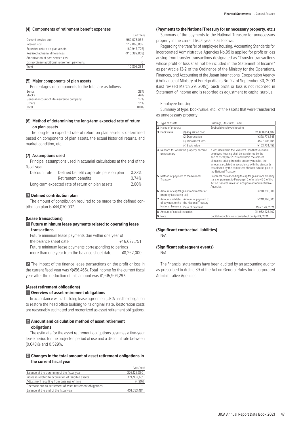# **(4) Components of retirement benefit expenses**

|                                              | (Unit: Yen)     |
|----------------------------------------------|-----------------|
| Current service cost                         | 969.073.055     |
| Interest cost                                | 119.063.809     |
| Expected return on plan assets               | (160.947.725)   |
| Realized actuarial differences               | (916, 382, 858) |
| Amortization of past service cost            |                 |
| Extraordinary additional retirement payments |                 |
| Total                                        | 10.806.281      |

# **(5) Major components of plan assets**

| Percentages of components to the total are as follows: |      |
|--------------------------------------------------------|------|
| <b>Bonds</b>                                           | 28%  |
| Stocks                                                 | 44%  |
| General account of life insurance company              | 17%  |
| Others                                                 | 11%  |
| Total                                                  | 100% |

# **(6) Method of determining the long-term expected rate of return on plan assets**

The long-term expected rate of return on plan assets is determined based on components of plan assets, the actual historical returns, and market condition, etc.

# **(7) Assumptions used**

Principal assumptions used in actuarial calculations at the end of the fiscal year

| Discount rate | Defined benefit corporate pension plan           | 0.23% |
|---------------|--------------------------------------------------|-------|
|               | Retirement benefits                              | 0.74% |
|               | Long-term expected rate of return on plan assets | 2.00% |

# **3 Defined contribution plan**

The amount of contribution required to be made to the defined contribution plan is ¥44,070,037.

# **(Lease transactions)**

# **1 Future minimum lease payments related to operating lease transactions**

| Future minimum lease payments due within one year of   |             |  |
|--------------------------------------------------------|-------------|--|
| the balance sheet date                                 | ¥16.627.751 |  |
| Future minimum lease payments corresponding to periods |             |  |
| more than one year from the balance sheet date         | ¥8.262.000  |  |

**2** The impact of the finance lease transactions on the profit or loss in the current fiscal year was ¥(456,465). Total income for the current fiscal year after the deduction of this amount was ¥1,615,904,297.

# **(Asset retirement obligations)**

# **1 Overview of asset retirement obligations**

In accordance with a building lease agreement, JICA has the obligation to restore the head office building to its original state. Restoration costs are reasonably estimated and recognized as asset retirement obligations.

# **2 Amount and calculation method of asset retirement obligations**

The estimate for the asset retirement obligations assumes a five-year lease period for the projected period of use and a discount rate between (0.048)% and 0.529%.

# **3 Changes in the total amount of asset retirement obligations in the current fiscal year**

|                                                            | (Unit: Yen) |
|------------------------------------------------------------|-------------|
| Balance at the beginning of the fiscal year                | 276,125,850 |
| Increase related to acquisition of tangible assets         | 124.932.631 |
| Adjustment resulting from passage of time                  | (4.997)     |
| Decrease due to settlement of asset retirement obligations |             |
| Balance at the end of the fiscal year                      | 401,053,484 |

# **(Payments to the National Treasury for unnecessary property, etc.)**

Summary of the payments to the National Treasury for unnecessary property in the current fiscal year is as follows:

Regarding the transfer of employee housing, Accounting Standards for Incorporated Administrative Agencies No.99 is applied for profit or loss arising from transfer transactions designated as "Transfer transactions whose profit or loss shall not be included in the Statement of Income" as per Article 13-2 of the Ordinance of the Ministry for the Operations, Finances, and Accounting of the Japan International Cooperation Agency (Ordinance of Ministry of Foreign Affairs No. 22 of September 30, 2003 (Last revised March 29, 2019)). Such profit or loss is not recorded in Statement of Income and is recorded as adjustment to capital surplus.

# Employee housing

Summary of type, book value, etc., of the assets that were transferred as unnecessary property

| 1              | Type of assets                                                       |                                               | Buildings, Structures, Land                                                                                                                                                                                                                                                                                                                       |  |
|----------------|----------------------------------------------------------------------|-----------------------------------------------|---------------------------------------------------------------------------------------------------------------------------------------------------------------------------------------------------------------------------------------------------------------------------------------------------------------------------------------------------|--|
| 2              | Name of property                                                     |                                               | Soubudai employee housing                                                                                                                                                                                                                                                                                                                         |  |
| 3              | <b>Book value</b>                                                    | (1) Acquisition cost                          | ¥1.060.014.102                                                                                                                                                                                                                                                                                                                                    |  |
|                |                                                                      | (2) Depreciation                              | ¥378,771,545                                                                                                                                                                                                                                                                                                                                      |  |
|                |                                                                      | (3) Impairment loss                           | ¥527,508,104                                                                                                                                                                                                                                                                                                                                      |  |
|                |                                                                      | (4) Book value                                | ¥153,734,453                                                                                                                                                                                                                                                                                                                                      |  |
| 4              | unnecessary                                                          | Reasons for which the property became         | It was decided in the Mid-term Plan that Soubudai<br>employee housing shall be transferred by the<br>end of fiscal year 2020 and within the amount<br>of income arising from the property transfer, the<br>amount calculated in accordance with the standards<br>established by the competent Minister is to be paid to<br>the National Treasury. |  |
| 5              | Method of payment to the National<br>Treasury                        |                                               | Payments corresponding to capital gains from property<br>transfer pursuant to Paragraph 2 of Article 46-2 of the<br>Act on General Rules for Incorporated Administrative<br>Agencies.                                                                                                                                                             |  |
| 6              | Amount of capital gains from transfer of<br>property (excluding tax) |                                               | ¥218,296,000                                                                                                                                                                                                                                                                                                                                      |  |
| $\overline{7}$ | Amount and date<br>of payment to the                                 | Amount of payment to<br>the National Treasury | ¥218,296,000                                                                                                                                                                                                                                                                                                                                      |  |
|                | National Treasury                                                    | Date of payment                               | March 26, 2021                                                                                                                                                                                                                                                                                                                                    |  |
| 8              | Amount of capital reduction                                          |                                               | ¥1,052,223,102                                                                                                                                                                                                                                                                                                                                    |  |
|                | 9 Note                                                               |                                               | Capital reduction was carried out on April 9, 2021.                                                                                                                                                                                                                                                                                               |  |

# **(Significant contractual liabilities)**

N/A

# **(Significant subsequent events)**

N/A

The financial statements have been audited by an accounting auditor as prescribed in Article 39 of the Act on General Rules for Incorporated Administrative Agencies.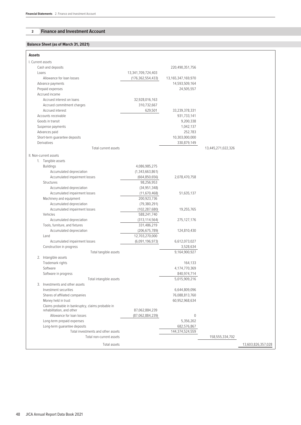# **2 Finance and Investment Account**

# **Balance Sheet (as of March 31, 2021)**

| <b>Assets</b>     |                                                                                |                      |                    |                    |                    |
|-------------------|--------------------------------------------------------------------------------|----------------------|--------------------|--------------------|--------------------|
| I. Current assets |                                                                                |                      |                    |                    |                    |
|                   | Cash and deposits                                                              |                      | 220,490,351,756    |                    |                    |
| Loans             |                                                                                | 13,341,709,724,403   |                    |                    |                    |
|                   | Allowance for loan losses                                                      | (176, 362, 554, 433) | 13,165,347,169,970 |                    |                    |
|                   | Advance payments                                                               |                      | 14,593,509,164     |                    |                    |
|                   | Prepaid expenses                                                               |                      | 24,505,557         |                    |                    |
|                   | Accrued income                                                                 |                      |                    |                    |                    |
|                   | Accrued interest on loans                                                      | 32,928,016,163       |                    |                    |                    |
|                   | Accrued commitment charges                                                     | 310,732,667          |                    |                    |                    |
|                   | Accrued interest                                                               | 629,501              | 33,239,378,331     |                    |                    |
|                   | Accounts receivable                                                            |                      | 931,733,141        |                    |                    |
|                   | Goods in transit                                                               |                      | 9,200,338          |                    |                    |
|                   | Suspense payments                                                              |                      | 1,042,137          |                    |                    |
|                   | Advances paid                                                                  |                      | 252,783            |                    |                    |
|                   | Short-term guarantee deposits                                                  |                      | 10,303,000,000     |                    |                    |
|                   | Derivatives                                                                    |                      | 330,879,149        |                    |                    |
|                   | Total current assets                                                           |                      |                    | 13,445,271,022,326 |                    |
|                   | II. Non-current assets                                                         |                      |                    |                    |                    |
|                   | 1. Tangible assets                                                             |                      |                    |                    |                    |
|                   | <b>Buildings</b>                                                               | 4,086,985,275        |                    |                    |                    |
|                   | Accumulated depreciation                                                       | (1,343,663,861)      |                    |                    |                    |
|                   | Accumulated impairment losses                                                  | (664, 850, 656)      | 2,078,470,758      |                    |                    |
|                   | Structures                                                                     | 98,256,953           |                    |                    |                    |
|                   | Accumulated depreciation                                                       | (34, 951, 348)       |                    |                    |                    |
|                   | Accumulated impairment losses                                                  | (11,670,468)         | 51,635,137         |                    |                    |
|                   | Machinery and equipment                                                        | 200,923,736          |                    |                    |                    |
|                   | Accumulated depreciation                                                       | (79, 380, 291)       |                    |                    |                    |
|                   | Accumulated impairment losses                                                  | (102, 287, 680)      | 19,255,765         |                    |                    |
|                   | Vehicles                                                                       | 588,241,740          |                    |                    |                    |
|                   | Accumulated depreciation                                                       | (313, 114, 564)      | 275,127,176        |                    |                    |
|                   | Tools, furniture, and fixtures                                                 | 331,486,219          |                    |                    |                    |
|                   | Accumulated depreciation                                                       | (206, 675, 789)      | 124,810,430        |                    |                    |
|                   | Land                                                                           | 12,703,270,000       |                    |                    |                    |
|                   | Accumulated impairment losses                                                  | (6,091,196,973)      | 6,612,073,027      |                    |                    |
|                   | Construction in progress                                                       |                      | 3,528,634          |                    |                    |
|                   | Total tangible assets                                                          |                      | 9,164,900,927      |                    |                    |
|                   | 2. Intangible assets                                                           |                      |                    |                    |                    |
|                   | Trademark rights                                                               |                      | 164,133            |                    |                    |
|                   | Software                                                                       |                      | 4,174,770,369      |                    |                    |
|                   | Software in progress                                                           |                      | 840,974,714        |                    |                    |
|                   | Total intangible assets                                                        |                      | 5,015,909,216      |                    |                    |
|                   | 3. Investments and other assets                                                |                      |                    |                    |                    |
|                   | Investment securities                                                          |                      | 6,644,809,096      |                    |                    |
|                   | Shares of affiliated companies                                                 |                      | 76,088,813,760     |                    |                    |
|                   | Money held in trust                                                            |                      | 60,952,968,634     |                    |                    |
|                   | Claims probable in bankruptcy, claims probable in<br>rehabilitation, and other | 87,062,884,239       |                    |                    |                    |
|                   | Allowance for loan losses                                                      | (87,062,884,239)     | $\mathbf 0$        |                    |                    |
|                   | Long-term prepaid expenses                                                     |                      | 5,356,202          |                    |                    |
|                   | Long-term quarantee deposits                                                   |                      | 682,576,867        |                    |                    |
|                   | Total investments and other assets                                             |                      | 144,374,524,559    |                    |                    |
|                   | Total non-current assets                                                       |                      |                    | 158,555,334,702    |                    |
|                   | Total assets                                                                   |                      |                    |                    | 13,603,826,357,028 |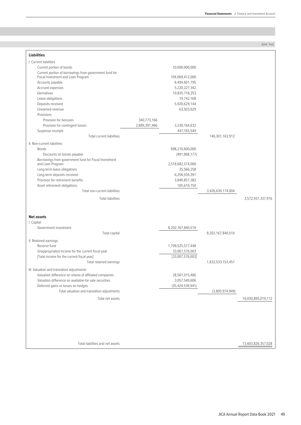| 3,572,931,337,916                                                              |
|--------------------------------------------------------------------------------|
|                                                                                |
|                                                                                |
|                                                                                |
|                                                                                |
|                                                                                |
|                                                                                |
|                                                                                |
|                                                                                |
|                                                                                |
|                                                                                |
|                                                                                |
|                                                                                |
|                                                                                |
|                                                                                |
|                                                                                |
|                                                                                |
|                                                                                |
| (3,805,974,849)                                                                |
| 10,030,895,019,112                                                             |
| 146,301,163,912<br>3,426,630,174,004<br>8,202,167,840,510<br>1,832,533,153,451 |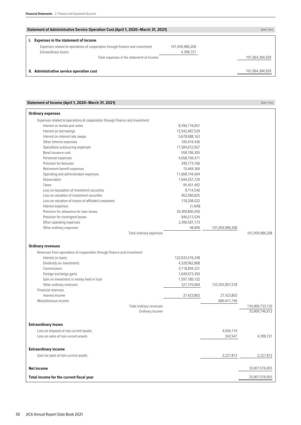| <b>Statement of Administrative Service Operation Cost (April 1, 2020–March 31, 2021)</b> |                 | (Unit: Yen)     |
|------------------------------------------------------------------------------------------|-----------------|-----------------|
| <b>Expenses in the statement of income</b>                                               |                 |                 |
| Expenses related to operations of cooperation through finance and investment             | 101,059,986,208 |                 |
| Extraordinary losses                                                                     | 4,398,721       |                 |
| Total expenses in the statement of income                                                |                 | 101,064,384,929 |
| II. Administrative service operation cost                                                |                 | 101,064,384,929 |

| Statement of Income (April 1, 2020–March 31, 2021)                           |                 |                 | (Unit: Yen)     |
|------------------------------------------------------------------------------|-----------------|-----------------|-----------------|
| <b>Ordinary expenses</b>                                                     |                 |                 |                 |
| Expenses related to operations of cooperation through finance and investment |                 |                 |                 |
| Interest on bonds and notes                                                  | 8,396,119,897   |                 |                 |
| Interest on borrowings                                                       | 12,542,487,529  |                 |                 |
| Interest on interest rate swaps                                              | 5,678,688,163   |                 |                 |
| Other Interest expenses                                                      | 100,419,436     |                 |                 |
| Operations outsourcing expenses                                              | 17,584,612,927  |                 |                 |
| Bond issuance cost                                                           | 558,186,305     |                 |                 |
| Personnel expenses                                                           | 4,058,750,471   |                 |                 |
| Provision for bonuses                                                        | 340,773,166     |                 |                 |
| Retirement benefit expenses                                                  | 15,469,364      |                 |                 |
| Operating and administrative expenses                                        | 11,608,144,594  |                 |                 |
| Depreciation                                                                 | 1,944,557,729   |                 |                 |
| Taxes                                                                        | 95,451,492      |                 |                 |
| Loss on liquidation of investment securities                                 | 9,114,540       |                 |                 |
| Loss on valuation of investment securities                                   | 462,060,825     |                 |                 |
| Loss on valuation of shares of affiliated companies                          | 118,208,022     |                 |                 |
| Interest expenses                                                            | (1,409)         |                 |                 |
| Provision for allowance for loan losses                                      | 34,309,800,450  |                 |                 |
| Provision for contingent losses                                              | 846,513,534     |                 |                 |
| Other operating expenses                                                     | 2,390,581,173   |                 |                 |
| Other ordinary expenses                                                      | 48,000          | 101,059,986,208 |                 |
| Total ordinary expenses                                                      |                 |                 | 101,059,986,208 |
|                                                                              |                 |                 |                 |
| <b>Ordinary revenues</b>                                                     |                 |                 |                 |
| Revenues from operations of cooperation through finance and investment       |                 |                 |                 |
| Interest on loans                                                            | 122,933,576,248 |                 |                 |
| Dividends on investments                                                     | 4,328,962,868   |                 |                 |
| Commissions                                                                  | 3,118,894,321   |                 |                 |
| Foreign exchange gains                                                       | 1,049,973,350   |                 |                 |
| Gain on investment in money held in trust                                    | 1,597,180,122   |                 |                 |
| Other ordinary revenues                                                      | 327,310,669     | 133,355,897,578 |                 |
| Financial revenues                                                           |                 |                 |                 |
| Interest income                                                              | 27,423,802      | 27,423,802      |                 |
| Miscellaneous income                                                         |                 | 686,411,740     |                 |
| Total ordinary revenues                                                      |                 |                 | 134,069,733,120 |
| Ordinary income                                                              |                 |                 | 33,009,746,912  |
|                                                                              |                 |                 |                 |
| <b>Extraordinary losses</b>                                                  |                 |                 |                 |
| Loss on disposal of non-current assets                                       |                 | 4,056,174       |                 |
| Loss on sales of non-current assets                                          |                 | 342,547         | 4,398,721       |
|                                                                              |                 |                 |                 |
| <b>Extraordinary income</b>                                                  |                 |                 |                 |
| Gain on sales of non-current assets                                          |                 | 2,227,812       | 2,227,812       |
|                                                                              |                 |                 |                 |
| <b>Net income</b>                                                            |                 |                 | 33,007,576,003  |
| Total income for the current fiscal year                                     |                 |                 | 33,007,576,003  |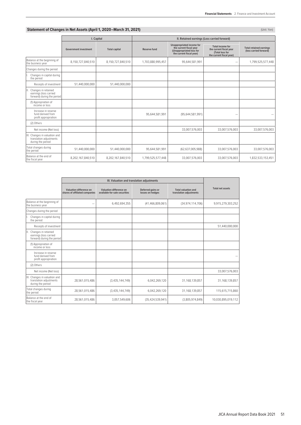# **Statement of Changes in Net Assets (April 1, 2020–March 31, 2021)** (Unit: Yen) (Unit: Yen)

|                                                                                   | I. Capital                   |                      | II. Retained earnings (Loss carried forward) |                                                                                                              |                                                                                                   |                                                          |  |
|-----------------------------------------------------------------------------------|------------------------------|----------------------|----------------------------------------------|--------------------------------------------------------------------------------------------------------------|---------------------------------------------------------------------------------------------------|----------------------------------------------------------|--|
|                                                                                   | <b>Government investment</b> | <b>Total capital</b> | <b>Reserve fund</b>                          | Unappropriated income for<br>the current fiscal year<br>(Unappropriated loss for<br>the current fiscal year) | <b>Total income for</b><br>the current fiscal year<br>(Total loss for<br>the current fiscal year) | <b>Total retained earnings</b><br>(loss carried forward) |  |
| Balance at the beginning of<br>the business year                                  | 8,150,727,840,510            | 8,150,727,840,510    | 1,703,880,995,457                            | 95,644,581,991                                                                                               |                                                                                                   | 1,799,525,577,448                                        |  |
| Changes during the period                                                         |                              |                      |                                              |                                                                                                              |                                                                                                   |                                                          |  |
| Changes in capital during<br>the period                                           |                              |                      |                                              |                                                                                                              |                                                                                                   |                                                          |  |
| Receipts of investment                                                            | 51,440,000,000               | 51,440,000,000       |                                              |                                                                                                              |                                                                                                   |                                                          |  |
| Changes in retained<br>Ш.<br>earnings (loss carried<br>forward) during the period |                              |                      |                                              |                                                                                                              |                                                                                                   |                                                          |  |
| (1) Appropriation of<br>income or loss                                            |                              |                      |                                              |                                                                                                              |                                                                                                   |                                                          |  |
| Increase in reserve<br>fund derived from<br>profit appropriation                  |                              |                      | 95,644,581,991                               | (95,644,581,991)                                                                                             |                                                                                                   |                                                          |  |
| (2) Others                                                                        |                              |                      |                                              |                                                                                                              |                                                                                                   |                                                          |  |
| Net income (Net loss)                                                             |                              |                      |                                              | 33,007,576,003                                                                                               | 33,007,576,003                                                                                    | 33,007,576,003                                           |  |
| III. Changes in valuation and<br>translation adjustments<br>during the period     |                              |                      |                                              |                                                                                                              |                                                                                                   |                                                          |  |
| Total changes during<br>the period                                                | 51,440,000,000               | 51,440,000,000       | 95,644,581,991                               | (62, 637, 005, 988)                                                                                          | 33,007,576,003                                                                                    | 33,007,576,003                                           |  |
| Balance at the end of<br>the fiscal year                                          | 8,202,167,840,510            | 8,202,167,840,510    | 1,799,525,577,448                            | 33,007,576,003                                                                                               | 33,007,576,003                                                                                    | 1,832,533,153,451                                        |  |

|                                                                                     | Valuation difference on<br>shares of affiliated companies | Valuation difference on<br>available-for-sale securities | Deferred gains or<br>losses on hedges | <b>Total valuation and</b><br>translation adjustments | <b>Total net assets</b> |
|-------------------------------------------------------------------------------------|-----------------------------------------------------------|----------------------------------------------------------|---------------------------------------|-------------------------------------------------------|-------------------------|
| Balance at the beginning of<br>the business year                                    |                                                           | 6,492,694,355                                            | (41, 466, 809, 061)                   | (34.974.114.706)                                      | 9,915,279,303,252       |
| Changes during the period                                                           |                                                           |                                                          |                                       |                                                       |                         |
| Changes in capital during<br>I.<br>the period                                       |                                                           |                                                          |                                       |                                                       |                         |
| Receipts of investment                                                              |                                                           |                                                          |                                       |                                                       | 51.440.000.000          |
| Changes in retained<br>III.<br>earnings (loss carried<br>forward) during the period |                                                           |                                                          |                                       |                                                       |                         |
| (1) Appropriation of<br>income or loss                                              |                                                           |                                                          |                                       |                                                       |                         |
| Increase in reserve<br>fund derived from<br>profit appropriation                    |                                                           |                                                          |                                       |                                                       |                         |
| (2) Others                                                                          |                                                           |                                                          |                                       |                                                       |                         |
| Net income (Net loss)                                                               |                                                           |                                                          |                                       |                                                       | 33,007,576,003          |
| III. Changes in valuation and<br>translation adjustments<br>during the period       | 28,561,015,486                                            | (3,435,144,749)                                          | 6,042,269,120                         | 31,168,139,857                                        | 31,168,139,857          |
| Total changes during<br>the period                                                  | 28,561,015,486                                            | (3,435,144,749)                                          | 6,042,269,120                         | 31,168,139,857                                        | 115,615,715,860         |
| Balance at the end of<br>the fiscal year                                            | 28,561,015,486                                            | 3,057,549,606                                            | (35, 424, 539, 941)                   | (3,805,974,849)                                       | 10,030,895,019,112      |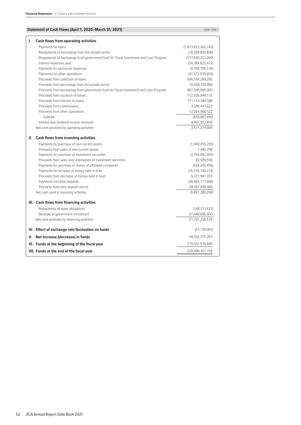| Statement of Cash Flows (April 1, 2020–March 31, 2021)                               | (Unit: Yen)             |
|--------------------------------------------------------------------------------------|-------------------------|
| Ι.<br><b>Cash flows from operating activities</b>                                    |                         |
| Payments for loans                                                                   | (1, 413, 623, 262, 243) |
| Repayments of borrowings from the private sector                                     | (10, 284, 892, 800)     |
| Repayments of borrowings from government fund for Fiscal Investment and Loan Program | (113,930,372,000)       |
| Interest expenses paid                                                               | (24, 384, 625, 423)     |
| Payments for personnel expenses                                                      | (4,799,796,510)         |
| Payments for other operations                                                        | (47,572,930,656)        |
| Proceeds from collection of loans                                                    | 696,164,269,295         |
| Proceeds from borrowings from the private sector                                     | 10,439,784,000          |
| Proceeds from borrowings from government fund for Fiscal Investment and Loan Program | 667,500,000,000         |
| Proceeds from issuance of bonds                                                      | 112,936,944,115         |
| Proceeds from interest on loans                                                      | 111,119,384,588         |
| Proceeds from commissions                                                            | 3,340,447,622           |
| Proceeds from other operations                                                       | 12,264,966,522          |
| Subtotal                                                                             | (830,083,490)           |
| Interest and dividend income received                                                | 4,401,357,499           |
| Net cash provided by operating activities                                            | 3,571,274,009           |
| <b>Cash flows from investing activities</b><br>Ш.                                    |                         |
| Payments for purchase of non-current assets                                          | (1,049,410,295)         |
| Proceeds from sales of non-current assets                                            | 7,085,798               |
| Payments for purchase of investment securities                                       | (3, 164, 042, 002)      |
| Proceeds from sales and redemption of investment securities                          | 82,589,936              |
| Payments for purchase of shares of affiliated companies                              | (928, 240, 456)         |
| Payments for increase of money held in trust                                         | (16, 516, 100, 274)     |
| Proceeds from decrease of money held in trust                                        | 6,377,901,033           |
| Payments into time deposits                                                          | (45,065,171,000)        |
| Proceeds from time deposit refund                                                    | 50,367,998,000          |
| Net cash used in investing activities                                                | (9,887,389,260)         |
| III. Cash flows from financing activities                                            |                         |
| Repayments of lease obligations                                                      | (148, 773, 421)         |
| Receipts of government investment                                                    | 51,440,000,000          |
| Net cash provided by financing activities                                            | 51,291,226,579          |
| IV. Effect of exchange rate fluctuation on funds                                     | (42, 736, 061)          |
| V. Net increase (decrease) in funds                                                  | 44,932,375,267          |
| VI. Funds at the beginning of the fiscal year                                        | 175,557,976,489         |
| VII. Funds at the end of the fiscal year                                             | 220,490,351,756         |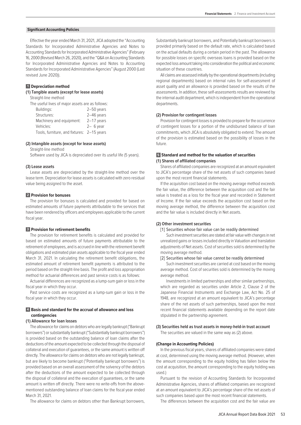# **Significant Accounting Policies**

Effective the year ended March 31, 2021, JICA adopted the "Accounting Standards for Incorporated Administrative Agencies and Notes to Accounting Standards for Incorporated Administrative Agencies" (February 16, 2000 (Revised March 26, 2020), and the "Q&A on Accounting Standards for Incorporated Administrative Agencies and Notes to Accounting Standards for Incorporated Administrative Agencies" (August 2000 (Last revised June 2020)).

# **1 Depreciation method**

# **(1) Tangible assets (except for lease assets)**

Straight-line method

| The useful lives of major assets are as follows: |              |
|--------------------------------------------------|--------------|
| Buildings:                                       | $2-50$ years |
| Structures:                                      | $2-46$ years |
| Machinery and equipment:                         | $2-17$ years |
| Vehicles:                                        | $2-6$ year   |
| Tools, furniture, and fixtures: 2-15 years       |              |
|                                                  |              |

#### **(2) Intangible assets (except for lease assets)**

Straight-line method

Software used by JICA is depreciated over its useful life (5 years).

#### **(3) Lease assets**

Lease assets are depreciated by the straight-line method over the lease term. Depreciation for lease assets is calculated with zero residual value being assigned to the asset.

# **2 Provision for bonuses**

The provision for bonuses is calculated and provided for based on estimated amounts of future payments attributable to the services that have been rendered by officers and employees applicable to the current fiscal year.

# **3 Provision for retirement benefits**

The provision for retirement benefits is calculated and provided for based on estimated amounts of future payments attributable to the retirement of employees, and is accrued in line with the retirement benefit obligations and estimated plan assets applicable to the fiscal year ended March 31, 2021. In calculating the retirement benefit obligations, the estimated amount of retirement benefit payments is attributed to the period based on the straight-line basis. The profit and loss appropriation method for actuarial differences and past service costs is as follows:

Actuarial differences are recognized as a lump-sum gain or loss in the fiscal year in which they occur.

Past service costs are recognized as a lump-sum gain or loss in the fiscal year in which they occur.

# **4 Basis and standard for the accrual of allowance and loss contingencies**

#### **(1) Allowance for loan losses**

The allowance for claims on debtors who are legally bankrupt ("Bankrupt borrowers") or substantially bankrupt ("Substantially bankrupt borrowers") is provided based on the outstanding balance of loan claims after the deductions of the amount expected to be collected through the disposal of collateral and execution of guarantees, or the same amount is written off directly. The allowance for claims on debtors who are not legally bankrupt, but are likely to become bankrupt ("Potentially bankrupt borrowers") is provided based on an overall assessment of the solvency of the debtors after the deductions of the amount expected to be collected through the disposal of collateral and the execution of guarantees, or the same amount is written off directly. There were no write-offs from the abovementioned outstanding balance of loan claims for the fiscal year ended March 31, 2021.

The allowance for claims on debtors other than Bankrupt borrowers,

Substantially bankrupt borrowers, and Potentially bankrupt borrowers is provided primarily based on the default rate, which is calculated based on the actual defaults during a certain period in the past. The allowance for possible losses on specific overseas loans is provided based on the expected loss amount taking into consideration the political and economic situation of these countries.

All claims are assessed initially by the operational departments (including regional departments) based on internal rules for self-assessment of asset quality and an allowance is provided based on the results of the assessments. In addition, these self-assessments results are reviewed by the internal audit department, which is independent from the operational departments.

# **(2) Provision for contingent losses**

Provision for contingent losses is provided to prepare for the occurrence of contingent losses for a portion of the undisbursed balance of loan commitments, which JICA is absolutely obligated to extend. The amount of the provision is estimated based on the possibility of losses in the future.

# **5 Standard and method for the valuation of securities (1) Shares of affiliated companies**

Shares of affiliated companies are recognized at an amount equivalent to JICA's percentage share of the net assets of such companies based upon the most recent financial statements.

If the acquisition cost based on the moving average method exceeds the fair value, the difference between the acquisition cost and the fair value is treated as a loss for the fiscal year and recorded in Statement of Income. If the fair value exceeds the acquisition cost based on the moving average method, the difference between the acquisition cost and the fair value is included directly in Net assets.

# **(2) Other investment securities**

#### [1] Securities whose fair value can be readily determined

 Such investment securities are stated at fair value with changes in net unrealized gains or losses included directly in Valuation and translation adjustments of Net assets. Cost of securities sold is determined by the moving average method.

#### [2] Securities whose fair value cannot be readily determined

 Such investment securities are carried at cost based on the moving average method. Cost of securities sold is determined by the moving average method.

 Investments in limited partnerships and other similar partnerships, which are regarded as securities under Article 2, Clause 2 of the Japanese Financial Instruments and Exchange Law, Act No. 25 of 1948, are recognized at an amount equivalent to JICA's percentage share of the net assets of such partnerships, based upon the most recent financial statements available depending on the report date stipulated in the partnership agreement.

# **(3) Securities held as trust assets in money-held-in trust account**

The securities are valued in the same way as (2) above.

#### **(Change in Accounting Policies)**

In the previous fiscal years, shares of affiliated companies were stated at cost, determined using the moving average method. (However, when the amount corresponding to the equity holding has fallen below the cost at acquisition, the amount corresponding to the equity holding was used.)

Pursuant to the revision of Accounting Standards for Incorporated Administrative Agencies, shares of affiliated companies are recognized at an amount equivalent to JICA's percentage share of the net assets of such companies based upon the most recent financial statements.

The differences between the acquisition cost and the fair value are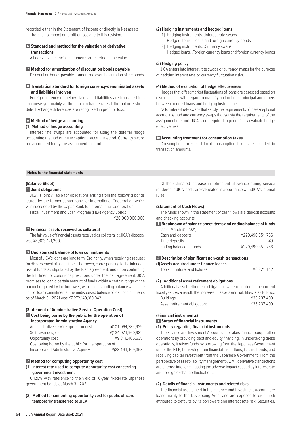recorded either in the Statement of Income or directly in Net assets. There is no impact on profit or loss due to this revision.

# **6 Standard and method for the valuation of derivative transactions**

All derivative financial instruments are carried at fair value.

## **7 Method for amortization of discount on bonds payable**

Discount on bonds payable is amortized over the duration of the bonds.

# **8 Translation standard for foreign currency-denominated assets and liabilities into yen**

Foreign currency monetary claims and liabilities are translated into Japanese yen mainly at the spot exchange rate at the balance sheet date. Exchange differences are recognized in profit or loss.

# **9 Method of hedge accounting**

# **(1) Method of hedge accounting**

Interest rate swaps are accounted for using the deferral hedge accounting method or the exceptional accrual method. Currency swaps are accounted for by the assignment method.

#### **(2) Hedging instruments and hedged items**

- [1] Hedging instruments...Interest rate swaps Hedged items...Loans and foreign currency bonds
- [2] Hedging instruments...Currency swaps Hedged items...Foreign currency loans and foreign currency bonds

# **(3) Hedging policy**

JICA enters into interest rate swaps or currency swaps for the purpose of hedging interest rate or currency fluctuation risks.

# **(4) Method of evaluation of hedge effectiveness**

Hedges that offset market fluctuations of loans are assessed based on discrepancies with regard to maturity and notional principal and others between hedged loans and hedging instruments.

As for interest rate swaps that satisfy the requirements of the exceptional accrual method and currency swaps that satisfy the requirements of the assignment method, JICA is not required to periodically evaluate hedge effectiveness.

# **10 Accounting treatment for consumption taxes**

Consumption taxes and local consumption taxes are included in transaction amounts.

#### **Notes to the financial statements**

# **(Balance Sheet) 1 Joint obligations**

JICA is jointly liable for obligations arising from the following bonds issued by the former Japan Bank for International Cooperation which was succeeded by the Japan Bank for International Cooperation: Fiscal Investment and Loan Program (FILP) Agency Bonds

¥20,000,000,000

## **2 Financial assets received as collateral**

The fair value of financial assets received as collateral at JICA's disposal was ¥4,803,421,200.

# **3 Undisbursed balance of loan commitments**

Most of JICA's loans are long term. Ordinarily, when receiving a request for disbursement of a loan from a borrower, corresponding to the intended use of funds as stipulated by the loan agreement, and upon confirming the fulfillment of conditions prescribed under the loan agreement, JICA promises to loan a certain amount of funds within a certain range of the amount required by the borrower, with an outstanding balance within the limit of loan commitments. The undisbursed balance of loan commitments as of March 31, 2021 was ¥7,272,140,180,942.

# **(Statement of Administrative Service Operation Cost) 1 Cost being borne by the public for the operation of Incorporated Administrative Agency**

| Administrative service operation cost               | ¥101,064,384,929   |
|-----------------------------------------------------|--------------------|
| Self-revenues, etc.                                 | ¥(134,071,960,932) |
| Opportunity cost                                    | ¥9.816.466.635     |
| Cost being borne by the public for the operation of |                    |
| Incorporated Administrative Agency                  | ¥(23,191,109,368)  |

# **2 Method for computing opportunity cost**

# **(1) Interest rate used to compute opportunity cost concerning government investment**

0.120% with reference to the yield of 10-year fixed-rate Japanese government bonds at March 31, 2021.

**(2) Method for computing opportunity cost for public officers temporarily transferred to JICA**

Of the estimated increase in retirement allowance during service rendered in JICA, costs are calculated in accordance with JICA's internal rules.

# **(Statement of Cash Flows)**

The funds shown in the statement of cash flows are deposit accounts and checking accounts.

# **1 Breakdown of balance sheet items and ending balance of funds**

| (as of March 31, 2021)  |                  |
|-------------------------|------------------|
| Cash and deposits       | ¥220.490.351.756 |
| Time deposits           | ¥0               |
| Ending balance of funds | ¥220.490.351.756 |

# **2 Description of significant non-cash transactions**

| (1) Assets acquired under finance leases |            |
|------------------------------------------|------------|
| Tools, furniture, and fixtures           | ¥6.821.112 |

# **(2) Additional asset retirement obligations**

Additional asset retirement obligations were recorded in the current fiscal year. As a result, the increase in assets and liabilities is as follows: Buildings ¥35,237,409 Asset retirement obligations <br>
¥35,237,409

#### **(Financial instruments)**

#### **1 Status of financial instruments**

#### **(1) Policy regarding financial instruments**

The Finance and Investment Account undertakes financial cooperation operations by providing debt and equity financing. In undertaking these operations, it raises funds by borrowing from the Japanese Government under the FILP, borrowing from financial institutions, issuing bonds, and receiving capital investment from the Japanese Government. From the perspective of asset-liability management (ALM), derivative transactions are entered into for mitigating the adverse impact caused by interest rate and foreign exchange fluctuations.

# **(2) Details of financial instruments and related risks**

The financial assets held in the Finance and Investment Account are loans mainly to the Developing Area, and are exposed to credit risk attributed to defaults by its borrowers and interest rate risk. Securities,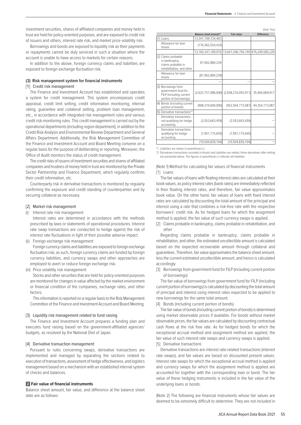investment securities, shares of affiliated companies and money held in trust are held for policy-oriented purposes, and are exposed to credit risk of issuers and others, interest rate risk, and market price volatility risk.

Borrowings and bonds are exposed to liquidity risk as their payments or repayments cannot be duly serviced in such a situation where the account is unable to have access to markets for certain reasons.

In addition to the above, foreign currency claims and liabilities are exposed to foreign exchange fluctuation risk.

# **(3) Risk management system for financial instruments**

# [1] Credit risk management

The Finance and Investment Account has established and operates a system for credit management. This system encompasses credit appraisal, credit limit setting, credit information monitoring, internal rating, guarantee and collateral setting, problem loan management, etc., in accordance with integrated risk management rules and various credit risk-monitoring rules. This credit management is carried out by the operational departments (including region department), in addition to the Credit Risk Analysis and Environmental Review Department and General Affairs Department. Additionally, the Risk Management Committee of the Finance and Investment Account and Board Meeting convene on a regular basis for the purpose of deliberating or reporting. Moreover, the Office of Audit monitors the status of credit management.

The credit risks of issuers of investment securities and shares of affiliated companies and trustees of money held in trust are monitored by the Private Sector Partnership and Finance Department, which regularly confirms their credit information, etc.

Counterparty risk in derivative transactions is monitored by regularly confirming the exposure and credit standing of counterparties and by securing collateral as necessary.

# [2] Market risk management

Interest rate risk management

 Interest rates are determined in accordance with the methods prescribed by laws or statements of operational procedures. Interest rate swap transactions are conducted to hedge against the risk of interest rate fluctuations in light of their possible adverse impact.

(ii) Foreign exchange risk management

 Foreign currency claims and liabilities are exposed to foreign exchange fluctuation risk; as such, foreign currency claims are funded by foreign currency liabilities, and currency swaps and other approaches are employed to avert or reduce foreign exchange risk.

(iii) Price volatility risk management

 Stocks and other securities that are held for policy-oriented purposes are monitored for changes in value affected by the market environment or financial condition of the companies, exchange rates, and other factors.

 This information is reported on a regular basis to the Risk Management Committee of the Finance and Investment Account and Board Meeting.

#### [3] Liquidity risk management related to fund raising

The Finance and Investment Account prepares a funding plan and executes fund raising based on the government-affiliated agencies' budgets, as resolved by the National Diet of Japan.

#### [4] Derivative transaction management

Pursuant to rules concerning swaps, derivative transactions are implemented and managed by separating the sections related to execution of transactions, assessment of hedge effectiveness, and logistics management based on a mechanism with an established internal system of checks and balances.

# **2 Fair value of financial instruments**

Balance sheet amount, fair value, and difference at the balance sheet date are as follows:

|                                                                                                 |                        |                                                       | (Unit: Yen)       |
|-------------------------------------------------------------------------------------------------|------------------------|-------------------------------------------------------|-------------------|
|                                                                                                 | Balance sheet amount*1 | <b>Fair value</b>                                     | <b>Difference</b> |
| (1) Loans                                                                                       | 13,341,709,724,403     |                                                       |                   |
| Allowance for loan<br>losses                                                                    | (176, 362, 554, 433)   |                                                       |                   |
|                                                                                                 |                        | 13,165,347,169,970 13,641,596,750,199 476,249,580,229 |                   |
| (2) Claims probable<br>in bankruptcy,<br>claims probable in<br>rehabilitation, and other        | 87,062,884,239         |                                                       |                   |
| Allowance for loan<br>losses                                                                    | (87,062,884,239)       |                                                       |                   |
|                                                                                                 |                        |                                                       |                   |
| (3) Borrowings from<br>government fund for<br>FILP (including current<br>portion of borrowings) |                        | $(2,622,751,986,000)$ $(2,658,216,055,917)$           | 35,464,069,917    |
| (4) Bonds (including current<br>portion of bonds)                                               | (908, 210, 600, 000)   | (952,564,773,087)                                     | 44,354,173,087    |
| (5) Derivative transactions*2                                                                   |                        |                                                       |                   |
| Derivative transactions<br>not qualifying for hedge<br>accounting                               | (2,553,663,459)        | (2,553,663,459)                                       |                   |
| Derivative transactions<br>qualifying for hedge<br>accounting                                   | (7,951,175,645)        | (7,951,175,645)                                       |                   |
|                                                                                                 | (10, 504, 839, 104)    | (10, 504, 839, 104)                                   |                   |

\*1. Liabilities are shown in parentheses ( ).

\*2. Derivatives transactions recorded in Assets and Liabilities are netted, these derivatives after netting are presented above. The figures in parentheses ( ) indicate net liabilities.

(Note 1) Method for calculating fair values of financial instruments [1] Loans

The fair values of loans with floating interest rates are calculated at their book values, as policy interest rates (bank rates) are immediately reflected in their floating interest rates, and therefore, fair value approximates book value. On the other hand, fair values of loans with fixed interest rates are calculated by discounting the total amount of the principal and interest using a rate that combines a risk-free rate with the respective borrowers' credit risk. As for hedged loans for which the assignment method is applied, the fair value of such currency swaps is applied.

[2] Claims probable in bankruptcy, claims probable in rehabilitation, and other

Regarding claims probable in bankruptcy, claims probable in rehabilitation, and other, the estimated uncollectible amount is calculated based on the expected recoverable amount through collateral and guarantees. Therefore, fair value approximates the balance sheet amount, less the current estimated uncollectible amount, and hence is calculated accordingly.

[3] Borrowings from government fund for FILP (including current portion of borrowings)

The fair value of borrowings from government fund for FILP (including current portion of borrowings) is calculated by discounting the total amount of principal and interest using interest rates expected to be applied to new borrowings for the same total amount.

[4] Bonds (including current portion of bonds)

The fair value of bonds (including current portion of bonds) is determined using market observable prices if available. For bonds without market observable prices, the fair values are calculated by discounting contractual cash flows at the risk free rate. As for hedged bonds for which the exceptional accrual method and assignment method are applied, the fair value of such interest rate swaps and currency swaps is applied. [5] Derivative transactions

Derivative transactions are interest rate-related transactions (interest rate swaps), and fair values are based on discounted present values. Interest rate swaps for which the exceptional accrual method is applied and currency swaps for which the assignment method is applied are accounted for together with the corresponding loan or bond. The fair value of these hedging instruments is included in the fair value of the underlying loans or bonds.

(Note 2) The following are financial instruments whose fair values are deemed to be extremely difficult to determine. They are not included in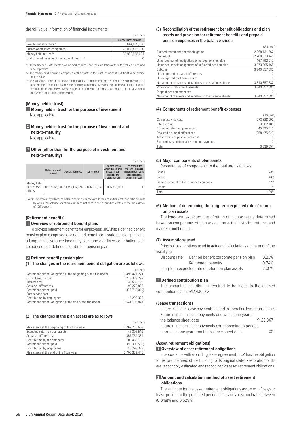#### the fair value information of financial instruments.

|                                            | (Unit: Yen)                 |
|--------------------------------------------|-----------------------------|
|                                            | <b>Balance sheet amount</b> |
| Investment securities *1                   | 6.644.809.096               |
| Shares of affiliated companies *1          | 76.088.813.760              |
| Money held in trust *2                     | 60.952.968.634              |
| Undisbursed balance of loan commitments *3 |                             |

\*1. These financial instruments have no market prices, and the calculation of their fair values is deemed to be impractical.

\*2. The money held in trust is composed of the assets in the trust for which it is difficult to determine the fair value.

\*3. The fair values of the undisbursed balances of loan commitments are deemed to be extremely difficult to determine. The main reason is the difficulty of reasonably estimating future extensions of loans, because of the extremely diverse range of implementation formats for projects in the Developing Area where these loans are provided.

# **(Money held in trust)**

**1 Money held in trust for the purpose of investment** Not applicable.

**2 Money held in trust for the purpose of investment and held-to-maturity**

Not applicable.

# **3 Other (other than for the purpose of investment and held-to-maturity)**

|                                      |  |                               |                   | (Unit: Yen)                                                                           |                                                                                               |
|--------------------------------------|--|-------------------------------|-------------------|---------------------------------------------------------------------------------------|-----------------------------------------------------------------------------------------------|
| <b>Balance sheet</b><br>amount       |  | <b>Acquisition cost</b>       | <b>Difference</b> | The amount by<br>which the balance<br>sheet amount<br>exceeds the<br>acquisition cost | The amount by<br>which the balance<br>sheet amount does<br>not exceed the<br>acquisition cost |
| Money held<br>in trust for<br>others |  | 60.952.968.634 53.856.137.974 |                   | 7,096,830,660 7,096,830,660                                                           |                                                                                               |

(Note) "The amount by which the balance sheet amount exceeds the acquisition cost" and "The amount by which the balance sheet amount does not exceed the acquisition cost" are the breakdown of "Difference".

# **(Retirement benefits)**

# **1 Overview of retirement benefit plans**

To provide retirement benefits for employees, JICA has a defined benefit pension plan comprised of a defined benefit corporate pension plan and a lump-sum severance indemnity plan, and a defined contribution plan comprised of a defined contribution pension plan.

# **2 Defined benefit pension plan**

**(1) The changes in the retirement benefit obligation are as follows:**

| (Unit: Yen)     |
|-----------------|
| 6.495.427.271   |
| 273.328.292     |
| 33.582.100      |
| 99.278.855      |
| (376, 713, 019) |
|                 |
| 16.293.328      |
| 6,541,196,827   |
|                 |

#### **(2) The changes in the plan assets are as follows:**

|                                                 | (Unit: Yen)    |
|-------------------------------------------------|----------------|
| Plan assets at the beginning of the fiscal year | 2.269.775.603  |
| Expected return on plan assets                  | 45.395.512     |
| Actuarial differences                           | 357.754.384    |
| Contribution by the company                     | 109.430.168    |
| Retirement benefit paid                         | (98, 309, 550) |
| Contribution by employees                       | 16,293,328     |
| Plan assets at the end of the fiscal year       | 2.700.339.445  |

# **(3) Reconciliation of the retirement benefit obligations and plan assets and provision for retirement benefits and prepaid pension expenses in the balance sheets**

(Unit: Yen)

| Funded retirement benefit obligation                       | 2,868,131,662   |
|------------------------------------------------------------|-----------------|
| Plan assets                                                | (2,700,339,445) |
| Unfunded benefit obligations of funded pension plan        | 167.792.217     |
| Unfunded benefit obligations of unfunded pension plan      | 3,673,065,165   |
| Subtotal                                                   | 3,840,857,382   |
| Unrecognized actuarial differences                         |                 |
| Unrecognized past service cost                             |                 |
| Net amount of assets and liabilities in the balance sheets | 3,840,857,382   |
| Provision for retirement benefits                          | 3.840.857.382   |
| Prepaid pension expenses                                   |                 |
| Net amount of assets and liabilities in the balance sheets | 3.840.857.382   |

## **(4) Components of retirement benefit expenses**

|                                              | (Unit: Yen      |
|----------------------------------------------|-----------------|
| Current service cost                         | 273.328.292     |
| Interest cost                                | 33.582.100      |
| Expected return on plan assets               | (45, 395, 512)  |
| Realized actuarial differences               | (258, 475, 529) |
| Amortization of past service cost            |                 |
| Extraordinary additional retirement payments | 0               |
| Total                                        | 3.039.351       |

#### **(5) Major components of plan assets**

Percentages of components to the total are as follows:

| 28%<br><b>Bonds</b>                       |     |
|-------------------------------------------|-----|
| <b>Stocks</b>                             | 44% |
| General account of life insurance company | 17% |
| Others                                    | 11% |
| 100%<br>Total                             |     |

# **(6) Method of determining the long-term expected rate of return on plan assets**

The long-term expected rate of return on plan assets is determined based on components of plan assets, the actual historical returns, and market condition, etc.

## **(7) Assumptions used**

Principal assumptions used in actuarial calculations at the end of the fiscal year

| Discount rate | Defined benefit corporate pension plan           | 0.23% |
|---------------|--------------------------------------------------|-------|
|               | Retirement benefits                              | 0.74% |
|               | Long-term expected rate of return on plan assets | 2.00% |

# **3 Defined contribution plan**

The amount of contribution required to be made to the defined contribution plan is ¥12,430,013.

#### **(Lease transactions)**

| Future minimum lease payments related to operating lease transactions |          |
|-----------------------------------------------------------------------|----------|
| Future minimum lease payments due within one year of                  |          |
| the balance sheet date                                                | ¥129.367 |
| Future minimum lease payments corresponding to periods                |          |
| more than one year from the balance sheet date                        | ¥0.      |

#### **(Asset retirement obligations)**

### **1 Overview of asset retirement obligations**

In accordance with a building lease agreement, JICA has the obligation to restore the head office building to its original state. Restoration costs are reasonably estimated and recognized as asset retirement obligations.

# **2 Amount and calculation method of asset retirement obligations**

The estimate for the asset retirement obligations assumes a five-year lease period for the projected period of use and a discount rate between (0.048)% and 0.529%.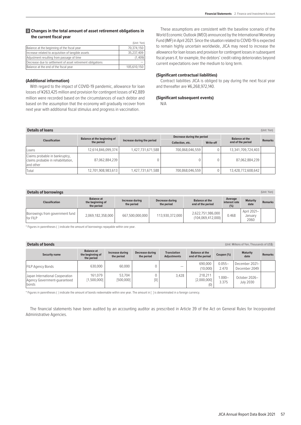# **3 Changes in the total amount of asset retirement obligations in the current fiscal year**

|                                                            | (Unit: Yen) |
|------------------------------------------------------------|-------------|
| Balance at the beginning of the fiscal year                | 70.374.150  |
| Increase related to acquisition of tangible assets         | 35.237.409  |
| Adjustment resulting from passage of time                  | (1,409)     |
| Decrease due to settlement of asset retirement obligations |             |
| Balance at the end of the fiscal year                      | 105,610,150 |

# **(Additional information)**

With regard to the impact of COVID-19 pandemic, allowance for loan losses of ¥263,425 million and provision for contingent losses of ¥2,889 million were recorded based on the circumstances of each debtor and based on the assumption that the economy will gradually recover from next year with additional fiscal stimulus and progress in vaccination.

These assumptions are consistent with the baseline scenario of the World Economic Outlook (WEO) announced by the International Monetary Fund (IMF) in April 2021. Since the situation related to COVID-19 is expected to remain highly uncertain worldwide, JICA may need to increase the allowance for loan losses and provision for contingent losses in subsequent fiscal years if, for example, the debtors' credit rating deteriorates beyond current expectations over the medium to long term.

# **(Significant contractual liabilities)**

Contract liabilities JICA is obliged to pay during the next fiscal year and thereafter are ¥6,268,972,140.

# **(Significant subsequent events)**

N/A

| <b>Details of loans</b>                                                           |                             |                            |                            |           |                       | (Unit: Yen)    |
|-----------------------------------------------------------------------------------|-----------------------------|----------------------------|----------------------------|-----------|-----------------------|----------------|
|                                                                                   | Balance at the beginning of |                            | Decrease during the period |           | <b>Balance at the</b> |                |
| <b>Classification</b>                                                             | the period                  | Increase during the period | Collection, etc.           | Write-off | end of the period     | <b>Remarks</b> |
| l Loans                                                                           | 12,614,846,099,374          | 1,427,731,671,588          | 700,868,046,559            |           | 13,341,709,724,403    |                |
| Claims probable in bankruptcy,<br>claims probable in rehabilitation,<br>and other | 87,062,884,239              |                            |                            |           | 87,062,884,239        |                |
| Total                                                                             | 12,701,908,983,613          | 1,427,731,671,588          | 700,868,046,559            |           | 13,428,772,608,642    |                |

| <b>Details of borrowings</b>                |                                                     |                               |                               |                                            |                                 |                                | (Unit: Yen)    |
|---------------------------------------------|-----------------------------------------------------|-------------------------------|-------------------------------|--------------------------------------------|---------------------------------|--------------------------------|----------------|
| <b>Classification</b>                       | <b>Balance at</b><br>the beginning of<br>the period | Increase during<br>the period | Decrease during<br>the period | <b>Balance at the</b><br>end of the period | Average<br>interest rate<br>(%) | <b>Maturity</b><br>date        | <b>Remarks</b> |
| Borrowings from government fund<br>for FILP | 2,069,182,358,000                                   | 667,500,000,000               | 113,930,372,000               | 2,622,751,986,000<br>(104, 069, 412, 000)  | 0.468                           | April 2021-<br>Januarv<br>2060 |                |

\* Figures in parentheses ( ) indicate the amount of borrowings repayable within one year.

# **Details of bonds** (Unit: Millions of Yen, Thousands of US\$)

| <b>Security name</b>                                                     | <b>Balance at</b><br>the beginning of<br>the period | Increase during<br>the period | Decrease during<br>the period | <b>Translation</b><br><b>Adjustments</b> | <b>Balance at the</b><br>end of the period | Coupon (%)         | <b>Maturity</b><br>date           | <b>Remarks</b> |
|--------------------------------------------------------------------------|-----------------------------------------------------|-------------------------------|-------------------------------|------------------------------------------|--------------------------------------------|--------------------|-----------------------------------|----------------|
| <b>FILP Agency Bonds</b>                                                 | 630,000                                             | 60,000                        |                               |                                          | 690,000<br>(10,000)                        | $0.055 -$<br>2.470 | December 2021-<br>December 2049   |                |
| Japan International Cooperation<br>Agency Government-quaranteed<br>bonds | 161.079<br>[1,500,000]                              | 53.704<br>[500,000]           | [0]                           | 3.428                                    | 218,211<br>[2,000,000]<br>(0)              | $1.000 -$<br>3.375 | October 2026-<br><b>July 2030</b> |                |

\* Figures in parentheses ( ) indicate the amount of bonds redeemable within one year. The amount in [ ] is denominated in a foreign currency.

The financial statements have been audited by an accounting auditor as prescribed in Article 39 of the Act on General Rules for Incorporated Administrative Agencies.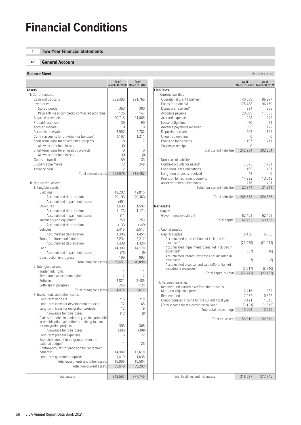# **Financial Conditions**

# **1 Two-Year Financial Statements**

# **1-1 General Account**

# **Balance Sheet** (Unit: Millions of yen) **Contract (Unit: Millions of yen) Contract (Unit: Millions of yen)**

|                                                                       | As of<br>March 31, 2020 March 31, 2021 | As of     |
|-----------------------------------------------------------------------|----------------------------------------|-----------|
| Assets                                                                |                                        |           |
| I. Current assets                                                     |                                        |           |
| Cash and deposits                                                     | 232,485                                | 291,765   |
| Inventories                                                           |                                        |           |
| Stored goods                                                          | 363                                    | 300       |
| Payments for uncompleted contracted programs                          | 126                                    | 147       |
| Advance payments                                                      | 20,715                                 | 21,865    |
| Prepaid expenses                                                      | 39                                     | 90        |
| Accrued income                                                        | $\Omega$                               | $\Omega$  |
| Accounts receivable                                                   | 3,902                                  | 2,782     |
| Contra-accounts for provision for bonuses*                            | 1,197                                  | 1,211     |
| Short-term loans for development projects                             | 18                                     | 7         |
| Allowance for loan losses<br>Short-term loans for emigration projects | (0)                                    |           |
| Allowance for loan losses                                             | 0                                      | 0         |
| Goods in transit                                                      | (0)<br>59                              | (0)<br>33 |
| Suspense payments                                                     | 72                                     | 248       |
| Advance paid                                                          | $\overline{\phantom{a}}$               | 1         |
| Total current assets                                                  | 258,978                                | 318,452   |
|                                                                       |                                        |           |
| II. Non-current assets                                                |                                        |           |
| 1. Tangible assets                                                    |                                        |           |
| <b>Buildings</b>                                                      | 42,202                                 | 42,815    |
| Accumulated depreciation                                              | (20, 193)                              | (20, 363) |
| Accumulated impairment losses                                         | (451)                                  |           |
| <b>Structures</b>                                                     | 1,630                                  | 1,592     |
| Accumulated depreciation                                              | (1, 173)                               | (1, 171)  |
| Accumulated impairment losses                                         | (11)                                   |           |
| Machinery and equipment                                               | 250                                    | 253       |
| Accumulated depreciation                                              | (133)                                  | (149)     |
| Vehicles                                                              | 2,415                                  | 2,517     |
| Accumulated depreciation                                              | (1,306)                                | (1, 451)  |
| Tools, furniture, and fixtures                                        | 2,234                                  | 2,217     |
| Accumulated depreciation                                              | (1, 338)                               | (1, 324)  |
| Land                                                                  | 14,398                                 | 14,178    |
| Accumulated impairment losses                                         | (75)                                   | (9)       |
| Construction in progress                                              | 199                                    | 993       |
| Total tangible assets<br>2. Intangible assets                         | 38,651                                 | 40,098    |
| Trademark rights                                                      | 1                                      | 1         |
| Telephone subscription rights                                         | 2                                      | 2         |
| Software                                                              | 3,821                                  | 3.485     |
| Software in progress                                                  | 248                                    | 124       |
| Total intangible assets                                               | 4,072                                  | 3,612     |
| 3. Investments and other assets                                       |                                        |           |
| Long-term deposits                                                    | 216                                    | 218       |
| Long-term loans for development projects                              | 72                                     | 65        |
| Long-term loans for emigration projects                               | 12                                     | 9         |
| Allowance for loan losses                                             | (12)                                   | (8)       |
| Claims probable in bankruptcy, claims probable                        |                                        |           |
| in rehabilitation, and other pertaining to loans                      |                                        |           |
| for emigration projects                                               | 305                                    | 308       |
| Allowance for loan losses                                             | (305)                                  | (308)     |
| Long-term prepaid expenses<br>Expected amount to be granted from the  | 6                                      | 22        |
| national budget*                                                      | 1                                      | 25        |
| Contra-accounts for provision for retirement                          |                                        |           |
| benefits*                                                             | 14,982                                 | 13,618    |
| Long-term guarantee deposits                                          | 1,619                                  | 1,635     |
| Total investments and other assets                                    | 16,896                                 | 15,584    |
| Total non-current assets                                              | 59,619                                 | 59,293    |
|                                                                       |                                        |           |
| Total assets                                                          | 318,597                                | 377,745   |

|                                                            | As of             | As of<br>March 31, 2020 March 31, 2021 |
|------------------------------------------------------------|-------------------|----------------------------------------|
| <b>Liabilities</b>                                         |                   |                                        |
| I. Current liabilities                                     |                   |                                        |
| Operational grant liabilities*                             | 40,669            | 86,927                                 |
| Funds for grant aid                                        | 178,788           | 196,150                                |
| Donations received*                                        | 334               | 366                                    |
| Accounts payable                                           | 20,009            | 17,383                                 |
| Accrued expenses                                           | 248               | 242                                    |
| Lease obligations                                          | 90                | 98                                     |
| Advance payments received                                  | 395               | 422                                    |
| Deposits received                                          | 503               | 155                                    |
| Unearned revenue<br>Provision for bonuses                  | $\Omega$<br>1,197 | $\Omega$                               |
| Suspense receipts                                          | 0                 | 1,211                                  |
| <b>Total current liabilities</b>                           | 242,234           | 302,954                                |
|                                                            |                   |                                        |
| II. Non-current liabilities                                |                   |                                        |
| Contra-accounts for assets*<br>Long-term lease obligations | 7,873<br>165      | 7,791<br>101                           |
| Long-term deposits received                                | 48                | 0                                      |
| Provision for retirement benefits                          | 14,982            | 13,618                                 |
| Asset retirement obligations                               | 276               | 401                                    |
| Total non-current liabilities                              | 23,344            | 21,911                                 |
| <b>Total liabilities</b>                                   | 265,578           | 324,866                                |
|                                                            |                   |                                        |
| <b>Net assets</b>                                          |                   |                                        |
| I. Capital                                                 |                   |                                        |
| Government investment                                      | 62,452            | 62,452                                 |
| Total capital                                              | 62,452            | 62,452                                 |
|                                                            |                   |                                        |
| II. Capital surplus<br>Capital surplus                     | 6,150             | 6,635                                  |
| Accumulated depreciation not included in                   |                   |                                        |
| expenses*                                                  | (21,030)          | (21, 041)                              |
| Accumulated impairment losses not included in              |                   |                                        |
| expenses*                                                  | (537)             | (10)                                   |
| Accumulated interest expenses not included in              |                   |                                        |
| expenses*                                                  | (7)               | (7)                                    |
| Accumulated disposal and sale differential not             |                   |                                        |
| included in expenses*                                      | (7,017)           | (8,740)<br>(23, 163)                   |
| Total capital surplus                                      | (22, 442)         |                                        |
| III. Retained earnings                                     |                   |                                        |
| Reserve fund carried over from the previous                |                   |                                        |
| Mid-term Objective period*                                 | 2,416             | 1,382                                  |
| Reserve fund                                               | 7,472             | 10,592                                 |
| Unappropriated income for the current fiscal year          | 3,121             | 1.615                                  |
| [Total income for the current fiscal year]                 | [3, 121]          | [1,615]                                |
| Total retained earnings                                    | 13,008            | 13,590                                 |
|                                                            |                   |                                        |
| Total net assets                                           | 53,019            | 52,879                                 |
|                                                            |                   |                                        |
|                                                            |                   |                                        |
|                                                            |                   |                                        |
|                                                            |                   |                                        |
|                                                            |                   |                                        |
|                                                            |                   |                                        |
|                                                            |                   |                                        |
|                                                            |                   |                                        |

Total liabilities and net assets 318,597 377,745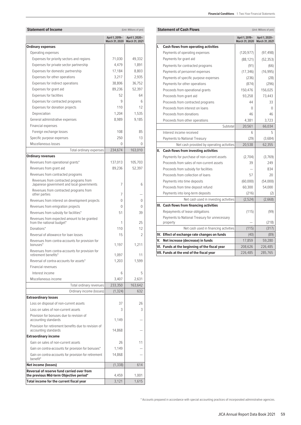| Statement or income                                                                                        |                                  | (Unit: Millions of yen)          |
|------------------------------------------------------------------------------------------------------------|----------------------------------|----------------------------------|
|                                                                                                            | April 1, 2019-<br>March 31, 2020 | April 1, 2020-<br>March 31, 2021 |
| <b>Ordinary expenses</b>                                                                                   |                                  |                                  |
| Operating expenses                                                                                         |                                  |                                  |
| Expenses for priority sectors and regions                                                                  | 71,030                           | 49,332                           |
| Expenses for private sector partnership                                                                    | 4,479                            | 1,891                            |
| Expenses for domestic partnership                                                                          | 17,184                           | 8,803                            |
| Expenses for other operations                                                                              | 3,217                            | 2,935                            |
| Expenses for indirect operations                                                                           | 38,806                           | 36,752                           |
| Expenses for grant aid                                                                                     | 89,236                           | 52,397                           |
| Expenses for facilities                                                                                    | 52                               | 64                               |
| Expenses for contracted programs                                                                           | 9                                | 6                                |
| Expenses for donation projects                                                                             | 110                              | 12                               |
| Depreciation                                                                                               | 1,204                            | 1,535                            |
| General administrative expenses                                                                            | 8,989                            | 9,185                            |
| Financial expenses                                                                                         |                                  |                                  |
| Foreign exchange losses                                                                                    | 108                              | 85                               |
| Specific purpose expenses                                                                                  | 250                              | 13                               |
| Miscellaneous losses                                                                                       | $\Omega$                         | 0                                |
| Total ordinary expenses                                                                                    | 234,674                          | 163,010                          |
| <b>Ordinary revenues</b>                                                                                   |                                  |                                  |
| Revenues from operational grants*                                                                          | 137,013                          | 105,703                          |
| Revenues from grant aid                                                                                    | 89.236                           | 52,397                           |
| Revenues from contracted programs                                                                          |                                  |                                  |
| Revenues from contracted programs from<br>Japanese government and local governments                        | 7                                | 6                                |
| Revenues from contracted programs from                                                                     |                                  |                                  |
| other parties                                                                                              | 7                                |                                  |
| Revenues from interest on development projects                                                             | $\Omega$                         | $\Omega$                         |
| Revenues from emigration projects                                                                          | $\Omega$                         | 0                                |
| Revenues from subsidy for facilities*                                                                      | 51                               | 39                               |
| Revenues from expected amount to be granted<br>from the national budget*                                   | 1                                | 25                               |
| Donations*                                                                                                 | 110                              | 12                               |
| Reversal of allowance for loan losses                                                                      | 15                               | 2                                |
| Revenues from contra-accounts for provision for<br>bonuses*                                                | 1,197                            | 1,211                            |
| Revenues from contra-accounts for provision for<br>retirement benefits*                                    | 1.097                            | 11                               |
| Reversal of contra-accounts for assets*                                                                    | 1,203                            | 1,599                            |
| Financial revenues                                                                                         |                                  |                                  |
| Interest income                                                                                            | 6                                | 5                                |
| Miscellaneous income                                                                                       | 3,407                            | 2,631                            |
| Total ordinary revenues                                                                                    | 233,350                          | 163,642                          |
| Ordinary income (losses)                                                                                   | (1, 324)                         | 632                              |
| <b>Extraordinary losses</b>                                                                                |                                  |                                  |
| Loss on disposal of non-current assets                                                                     | 37                               | 26                               |
| Loss on sales of non-current assets                                                                        | 3                                | 3                                |
| Provision for bonuses due to revision of<br>accounting standards                                           | 1,149                            |                                  |
| Provision for retirement benefits due to revision of                                                       |                                  |                                  |
| accounting standards<br><b>Extraordinary income</b>                                                        | 14,868                           |                                  |
| Gain on sales of non-current assets                                                                        | 26                               | 11                               |
|                                                                                                            |                                  |                                  |
| Gain on contra-accounts for provision for bonuses*<br>Gain on contra-accounts for provision for retirement | 1,149<br>14,868                  |                                  |
| benefit*                                                                                                   |                                  |                                  |
| <b>Net income (losses)</b>                                                                                 | (1, 338)                         | 614                              |
| Reversal of reserve fund carried over from<br>the previous Mid-term Objective period*                      | 4,459                            | 1,001                            |
|                                                                                                            |                                  |                                  |
| Total income for the current fiscal year                                                                   | 3,121                            | 1,615                            |

| Statement of Income                                                      | (Unit: Millions of yen)                         |                |    | <b>Statement of Cash Flows</b>                            | (Unit: Millions of yen)                         |                |  |
|--------------------------------------------------------------------------|-------------------------------------------------|----------------|----|-----------------------------------------------------------|-------------------------------------------------|----------------|--|
|                                                                          | April 1, 2019-<br>March 31, 2020 March 31, 2021 | April 1, 2020- |    |                                                           | April 1, 2019-<br>March 31, 2020 March 31, 2021 | April 1, 2020- |  |
| Ordinary expenses                                                        |                                                 |                | ı. | <b>Cash flows from operating activities</b>               |                                                 |                |  |
| Operating expenses                                                       |                                                 |                |    | Payments of operating expenses                            | (120, 977)                                      | (97, 498)      |  |
| Expenses for priority sectors and regions                                | 71,030                                          | 49,332         |    | Payments for grant aid                                    | (88, 121)                                       | (52, 353)      |  |
| Expenses for private sector partnership                                  | 4,479                                           | 1,891          |    | Payments for contracted programs                          | (91)                                            | (66)           |  |
| Expenses for domestic partnership                                        | 17,184                                          | 8,803          |    | Payments of personnel expenses                            | (17, 346)                                       | (16,995)       |  |
| Expenses for other operations                                            | 3,217                                           | 2,935          |    | Payments of specific purpose expenses                     | (236)                                           | (28)           |  |
| Expenses for indirect operations                                         | 38,806                                          | 36,752         |    | Payments for other operations                             | (874)                                           | (296)          |  |
| Expenses for grant aid                                                   | 89,236                                          | 52,397         |    | Proceeds from operational grants                          | 150,476                                         | 156,025        |  |
| Expenses for facilities                                                  | 52                                              | 64             |    | Proceeds from grant aid                                   | 93,258                                          | 73,443         |  |
| Expenses for contracted programs                                         | 9                                               | 6              |    | Proceeds from contracted programs                         | 44                                              | 33             |  |
| Expenses for donation projects                                           | 110                                             | 12             |    | Proceeds from interest on loans                           | $\Omega$                                        | $\Omega$       |  |
| Depreciation                                                             | 1,204                                           | 1,535          |    | Proceeds from donations                                   | 46                                              | 46             |  |
| General administrative expenses                                          | 8,989                                           | 9,185          |    | Proceeds from other operations                            | 4,381                                           | 3,723          |  |
| Financial expenses                                                       |                                                 |                |    | Subtotal                                                  | 20,561                                          | 66,034         |  |
| Foreign exchange losses                                                  | 108                                             | 85             |    | Interest income received                                  | 6                                               | 5              |  |
| Specific purpose expenses                                                | 250                                             | 13             |    | Payments to National Treasury                             | (29)                                            | (3,684)        |  |
| Miscellaneous losses                                                     | $\Omega$                                        | $\Omega$       |    | Net cash provided by operating activities                 | 20,538                                          | 62.355         |  |
| Total ordinary expenses                                                  | 234,674                                         | 163,010        |    | II. Cash flows from investing activities                  |                                                 |                |  |
| Ordinary revenues                                                        |                                                 |                |    | Payments for purchase of non-current assets               | (2,704)                                         | (3,769)        |  |
| Revenues from operational grants*                                        | 137.013                                         | 105,703        |    | Proceeds from sales of non-current assets                 | 39                                              | 249            |  |
| Revenues from grant aid                                                  | 89,236                                          | 52,397         |    | Proceeds from subsidy for facilities                      |                                                 | 834            |  |
| Revenues from contracted programs                                        |                                                 |                |    | Proceeds from collection of loans                         | 57                                              | 20             |  |
| Revenues from contracted programs from                                   |                                                 |                |    | Payments into time deposits                               | (60,000)                                        | (54,000)       |  |
| Japanese government and local governments                                | 7                                               | 6              |    | Proceeds from time deposit refund                         | 60,300                                          | 54,000         |  |
| Revenues from contracted programs from<br>other parties                  | 7                                               | -              |    | Payments into long-term deposits                          | (216)                                           | (2)            |  |
| Revenues from interest on development projects                           | $\Omega$                                        | $\Omega$       |    | Net cash used in investing activities                     | (2,524)                                         | (2,668)        |  |
| Revenues from emigration projects                                        | $\Omega$                                        | $\Omega$       |    | III. Cash flows from financing activities                 |                                                 |                |  |
| Revenues from subsidy for facilities*                                    | 51                                              | 39             |    | Repayments of lease obligations                           | (115)                                           | (99)           |  |
| Revenues from expected amount to be granted<br>from the national budget* | 1                                               | 25             |    | Payments to National Treasury for unnecessary<br>property |                                                 | (218)          |  |
| Donations*                                                               | 110                                             | 12             |    | Net cash used in financing activities                     | (115)                                           | (317)          |  |
| Reversal of allowance for loan losses                                    | 15                                              | $\overline{2}$ |    | IV. Effect of exchange rate changes on funds              | (40)                                            | (89)           |  |
| Revenues from contra-accounts for provision for<br>bonuses*              | 1,197                                           | 1.211          | v. | Net increase (decrease) in funds                          | 17,859                                          | 59,280         |  |
| Revenues from contra-accounts for provision for                          |                                                 |                |    | VI. Funds at the beginning of the fiscal year             | 208,626                                         | 226,485        |  |
| rotiromont bonofite <sup>*</sup>                                         | 1.007                                           | 11             |    | VII. Funds at the end of the fiscal year                  | 226,485                                         | 285,765        |  |

\* Accounts prepared in accordance with special accounting practices of incorporated administrative agencies.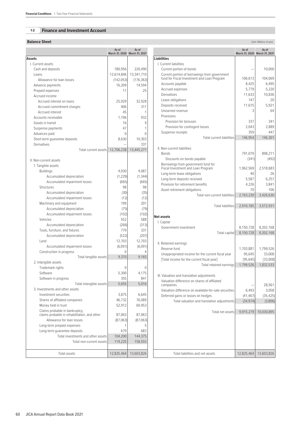# **1-2 Finance and Investment Account**

#### **Balance Sheet** (Unit: Millions of yen) **Contract (Unit: Millions of yen) Contract (Unit: Millions of yen)**

|                                                                                | As of<br>March 31, 2020 March 31, 2021 | As of        |
|--------------------------------------------------------------------------------|----------------------------------------|--------------|
| Assets                                                                         |                                        |              |
| I. Current assets                                                              |                                        |              |
| Cash and deposits                                                              | 180,956                                | 220,490      |
| Loans                                                                          | 12,614,846                             | 13,341,710   |
| Allowance for loan losses                                                      | (142, 053)                             | (176, 363)   |
| Advance payments                                                               | 16,209                                 | 14,594       |
| Prepaid expenses                                                               | 11                                     | 25           |
| Accrued income                                                                 |                                        |              |
|                                                                                |                                        |              |
| Accrued interest on loans                                                      | 25,929                                 | 32,928       |
| Accrued commitment charges                                                     | 406                                    | 311          |
| Accrued interest                                                               | 45                                     | 1            |
| Accounts receivable                                                            | 1,196                                  | 932          |
| Goods in transit                                                               | 16                                     | 9            |
| Suspense payments                                                              | 47                                     | 1            |
| Advances paid                                                                  | 0                                      | 0            |
| Short-term quarantee deposits                                                  | 8,630                                  | 10,303       |
| Derivatives                                                                    |                                        | 331          |
| Total current assets                                                           | 12,706,238                             | 13,445,271   |
| II. Non-current assets                                                         |                                        |              |
| 1. Tangible assets                                                             |                                        |              |
| <b>Buildings</b>                                                               | 4,030                                  | 4,087        |
| Accumulated depreciation                                                       | (1, 229)                               | (1, 344)     |
|                                                                                |                                        |              |
| Accumulated impairment losses                                                  | (665)                                  | (665)        |
| Structures                                                                     | 98                                     | 98           |
| Accumulated depreciation                                                       | (30)                                   | (35)         |
| Accumulated impairment losses                                                  | (12)                                   | (12)         |
| Machinery and equipment                                                        | 199                                    | 201          |
| Accumulated depreciation                                                       | (75)                                   | (79)         |
| Accumulated impairment losses                                                  | (102)                                  | (102)        |
| Vehicles                                                                       | 552                                    | 588          |
| Accumulated depreciation                                                       | (266)                                  | (313)        |
| Tools, furniture, and fixtures                                                 | 779                                    | 331          |
| Accumulated depreciation                                                       | (522)                                  | (207)        |
| Land                                                                           | 12,703                                 | 12,703       |
| Accumulated impairment losses                                                  | (6,091)                                | (6,091)      |
| Construction in progress                                                       | 0                                      | 4            |
| Total tangible assets                                                          | 9.370                                  | 9.165        |
| 2. Intangible assets                                                           |                                        |              |
| Trademark rights                                                               | 0                                      | 0            |
| Software                                                                       | 5,300                                  | 4,175        |
|                                                                                |                                        |              |
| Software in progress                                                           | 355<br>5.655                           | 841<br>5.016 |
| Total intangible assets<br>3. Investments and other assets                     |                                        |              |
|                                                                                |                                        |              |
| Investment securities                                                          | 3,875                                  | 6,645        |
| Shares of affiliated companies                                                 | 46,732                                 | 76,089       |
| Money held in trust                                                            | 52,912                                 | 60,953       |
| Claims probable in bankruptcy,<br>claims probable in rehabilitation, and other | 87,063                                 | 87,063       |
| Allowance for loan losses                                                      | (87,063)                               | (87,063)     |
| Long-term prepaid expenses                                                     | 1                                      | 5            |
| Long-term quarantee deposits                                                   | 679                                    | 683          |
| Total investments and other assets                                             | 104,200                                | 144,375      |
| Total non-current assets                                                       | 119,225                                | 158,555      |
|                                                                                |                                        |              |
| Total assets                                                                   | 12,825,464                             | 13,603,826   |

**As of March 31, 2020 As of March 31, 2021**

| <b>Liabilities</b>                                                                           |            |            |
|----------------------------------------------------------------------------------------------|------------|------------|
| I. Current liabilities                                                                       |            |            |
| Current portion of bonds                                                                     |            | 10,000     |
| Current portion of borrowings from government<br>fund for Fiscal Investment and Loan Program | 106,613    | 104,069    |
| Accounts payable                                                                             | 8,425      | 6,495      |
| Accrued expenses                                                                             | 5,779      | 5,220      |
| Derivatives                                                                                  | 11,633     | 10,836     |
| Lease obligations                                                                            | 147        | 20         |
| Deposits received                                                                            | 11,615     | 5,921      |
| Unearned revenue                                                                             | 3          | 64         |
| Provisions                                                                                   |            |            |
| Provision for bonuses                                                                        | 337        | 341        |
| Provision for contingent losses                                                              | 2,043      | 2.889      |
| Suspense receipts                                                                            | 359        | 447        |
| <b>Total current liabilities</b>                                                             | 146,954    | 146,301    |
| II. Non-current liabilities                                                                  |            |            |
| <b>Bonds</b>                                                                                 | 791,079    | 898,211    |
| Discounts on bonds payable                                                                   | (341)      | (492)      |
| Borrowings from government fund for<br>Fiscal Investment and Loan Program                    | 1,962,569  | 2,518,683  |
| Long-term lease obligations                                                                  | 40         | 26         |
| Long-term deposits received                                                                  | 5,587      | 6,257      |
| Provision for retirement benefits                                                            | 4,226      | 3,841      |
| Asset retirement obligations                                                                 | 70         | 106        |
| Total non-current liabilities                                                                | 2,763,230  | 3,426,630  |
| <b>Total liabilities</b>                                                                     | 2,910,185  | 3,572,931  |
| <b>Net assets</b>                                                                            |            |            |
| I. Capital                                                                                   |            |            |
| Government investment                                                                        | 8,150,728  | 8,202,168  |
| Total capital                                                                                | 8,150,728  | 8,202,168  |
| II. Retained earnings                                                                        |            |            |
| Reserve fund                                                                                 | 1,703,881  | 1,799,526  |
| Unappropriated income for the current fiscal year                                            | 95,645     | 33,008     |
| [Total income for the current fiscal year]                                                   | [95, 645]  | [33,008]   |
| Total retained earnings                                                                      | 1,799,526  | 1,832,533  |
| III. Valuation and translation adjustments                                                   |            |            |
| Valuation difference on shares of affiliated                                                 |            |            |
| companies                                                                                    |            | 28,561     |
| Valuation difference on available-for-sale securities                                        | 6,493      | 3,058      |
| Deferred gains or losses on hedges                                                           | (41,467)   | (35, 425)  |
| Total valuation and translation adjustments                                                  | (34, 974)  | (3,806)    |
| Total net assets                                                                             | 9,915,279  | 10,030,895 |
|                                                                                              |            |            |
|                                                                                              |            |            |
|                                                                                              |            |            |
|                                                                                              |            |            |
| Total liabilities and net assets                                                             | 12,825,464 | 13,603,826 |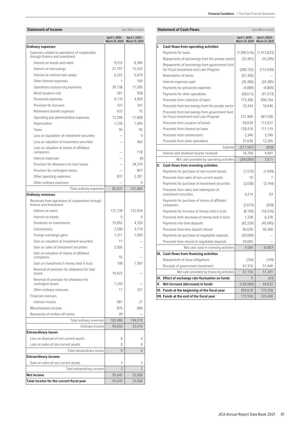| <b>Financial Conditions</b> 1. Two-Year Financial Statements |  |  |  |  |
|--------------------------------------------------------------|--|--|--|--|
|--------------------------------------------------------------|--|--|--|--|

| <b>Ordinary expenses</b><br>Expenses related to operations of cooperation<br>through finance and investment<br>Interest on bonds and notes | April 1, 2019-<br>March 31, 2020 | April 1, 2020-          |
|--------------------------------------------------------------------------------------------------------------------------------------------|----------------------------------|-------------------------|
|                                                                                                                                            |                                  | March 31, 2021          |
|                                                                                                                                            |                                  |                         |
|                                                                                                                                            |                                  |                         |
|                                                                                                                                            | 9,515                            | 8,396                   |
| Interest on borrowings                                                                                                                     | 21,707                           | 12,542                  |
| Interest on interest rate swaps                                                                                                            | 6,222                            | 5,679                   |
| Other Interest expenses                                                                                                                    | 1                                | 100                     |
| Operations outsourcing expenses                                                                                                            | 29,138                           | 17,585                  |
| Bond issuance cost                                                                                                                         | 361                              | 558                     |
| Personnel expenses                                                                                                                         | 4,170                            | 4,059                   |
| Provision for bonuses                                                                                                                      | 337                              | 341                     |
| Retirement benefit expenses                                                                                                                | 433                              | 15                      |
| Operating and administrative expenses                                                                                                      | 12,296                           | 11,608                  |
| Depreciation                                                                                                                               | 1,726                            | 1.945                   |
| Taxes                                                                                                                                      | 95                               | 95                      |
| Loss on liquidation of investment securities                                                                                               |                                  | 9                       |
| Loss on valuation of investment securities                                                                                                 |                                  | 462                     |
| Loss on valuation of shares of affiliated<br>companies                                                                                     |                                  | 118                     |
| Interest expenses                                                                                                                          |                                  | (0)                     |
| Provision for allowance for loan losses                                                                                                    |                                  | 34,310                  |
|                                                                                                                                            |                                  | 847                     |
| Provision for contingent losses                                                                                                            | 837                              |                         |
| Other operating expenses                                                                                                                   |                                  | 2,391<br>0              |
| Other ordinary expenses                                                                                                                    |                                  | 101,060                 |
| Total ordinary expenses<br><b>Ordinary revenues</b>                                                                                        | 86,837                           |                         |
| Revenues from operations of cooperation through<br>finance and investment                                                                  |                                  |                         |
| Interest on loans                                                                                                                          | 131,739                          | 122,934                 |
| Interest on bonds                                                                                                                          | 0                                | 0                       |
| Dividends on investments                                                                                                                   | 15,852                           | 4,329                   |
| Commissions                                                                                                                                | 2,590                            | 3,119                   |
| Foreign exchange gains                                                                                                                     | 1.311                            | 1,050                   |
| Gain on valuation of investment securities                                                                                                 | 11                               |                         |
| Gain on sales of investment securities                                                                                                     | 2,005                            |                         |
| Gain on valuation of shares of affiliated<br>companies                                                                                     | 16                               |                         |
| Gain on investment in money held in trust                                                                                                  | 199                              | 1,597                   |
| Reversal of provision for allowance for loan<br>losses                                                                                     | 19,922                           |                         |
| Reversal of provision for allowance for                                                                                                    |                                  |                         |
| contingent losses                                                                                                                          | 7,243                            |                         |
| Other ordinary revenues                                                                                                                    | 17                               | 327                     |
| Financial revenues                                                                                                                         |                                  |                         |
| Interest income                                                                                                                            | 687                              | 27                      |
| Miscellaneous income                                                                                                                       | 875                              | 686                     |
| Recoveries of written-off claims                                                                                                           | 20                               |                         |
| Total ordinary revenues                                                                                                                    | 182,486                          | 134,070                 |
|                                                                                                                                            | 95,650                           | 33,010                  |
| Ordinary income                                                                                                                            |                                  |                         |
|                                                                                                                                            | 8                                | 4                       |
| Loss on disposal of non-current assets                                                                                                     |                                  |                         |
| Loss on sales of non-current assets                                                                                                        | 0                                |                         |
| Total extraordinary losses                                                                                                                 | 9                                | 0<br>$\overline{4}$     |
| <b>Extraordinary losses</b><br><b>Extraordinary income</b>                                                                                 |                                  |                         |
| Gain on sales of non-current assets                                                                                                        | 3                                | 2                       |
| Total extraordinary income<br>Net income                                                                                                   | 3<br>95,645                      | $\mathcal{P}$<br>33,008 |

|     | <b>Statement of Cash Flows</b>                                                          | (Unit: Millions of yen)          |                                  |  |  |
|-----|-----------------------------------------------------------------------------------------|----------------------------------|----------------------------------|--|--|
|     |                                                                                         | April 1, 2019-<br>March 31, 2020 | April 1, 2020-<br>March 31, 2021 |  |  |
| I.  | Cash flows from operating activities                                                    |                                  |                                  |  |  |
|     | Payments for loans                                                                      | (1,090,516)                      | (1, 413, 623)                    |  |  |
|     | Repayments of borrowings from the private sector                                        | (33, 361)                        | (10, 285)                        |  |  |
|     | Repayments of borrowings from government fund<br>for Fiscal Investment and Loan Program | (200, 152)                       | (113,930)                        |  |  |
|     | Redemption of bonds                                                                     | (67, 305)                        |                                  |  |  |
|     | Interest expenses paid                                                                  | (35, 406)                        | (24, 385)                        |  |  |
|     | Payments for personnel expenses                                                         | (4,889)                          | (4,800)                          |  |  |
|     | Payments for other operations                                                           | (58, 612)                        | (47, 573)                        |  |  |
|     | Proceeds from collection of loans                                                       | 779,398                          | 696,164                          |  |  |
|     | Proceeds from borrowings from the private sector                                        | 33,344                           | 10,440                           |  |  |
|     | Proceeds from borrowings from government fund<br>for Fiscal Investment and Loan Program | 231,900                          | 667,500                          |  |  |
|     | Proceeds from issuance of bonds                                                         | 59,639                           | 112,937                          |  |  |
|     | Proceeds from interest on loans                                                         | 128,416                          | 111,119                          |  |  |
|     | Proceeds from commissions                                                               | 2,346                            | 3,340                            |  |  |
|     | Proceeds from other operations                                                          | 37,630                           | 12,265                           |  |  |
|     | Subtotal                                                                                | (217, 567)                       | (830)                            |  |  |
|     | Interest and dividend income received                                                   | 16,768                           | 4,401                            |  |  |
|     | Net cash provided by operating activities                                               | (200, 800)                       | 3,571                            |  |  |
| II. | Cash flows from investing activities                                                    |                                  |                                  |  |  |
|     | Payments for purchase of non-current assets                                             | (1,570)                          | (1,049)                          |  |  |
|     | Proceeds from sales of non-current assets                                               | 10                               | 7                                |  |  |
|     | Payments for purchase of investment securities                                          | (2,038)                          | (3, 164)                         |  |  |
|     | Proceeds from sales and redemption of<br>investment securities                          | 4,214                            | 83                               |  |  |
|     | Payments for purchase of shares of affiliated<br>companies                              | (2,674)                          | (928)                            |  |  |
|     | Payments for increase of money held in trust                                            | (8, 105)                         | (16, 516)                        |  |  |
|     | Proceeds from decrease of money held in trust                                           | 1,328                            | 6,378                            |  |  |
|     | Payments into time deposits                                                             | (82, 220)                        | (45,065)                         |  |  |
|     | Proceeds from time deposit refund                                                       | 95,639                           | 50,368                           |  |  |
|     | Payments for purchase of negotiable deposits                                            | (20,000)                         |                                  |  |  |
|     | Proceeds from refund of negotiable deposits                                             | 20,000                           |                                  |  |  |
|     | Net cash used in investing activities                                                   | 4,584                            | (9,887)                          |  |  |
|     | III. Cash flows from financing activities                                               |                                  |                                  |  |  |
|     | Repayments of lease obligations                                                         | (154)                            | (149)                            |  |  |
|     | Receipts of government investment                                                       | 67,310                           | 51,440                           |  |  |
|     | Net cash provided by financing activities                                               | 67,156                           | 51,291                           |  |  |
|     | IV. Effect of exchange rate fluctuation on funds                                        | 0                                | (43)                             |  |  |
|     |                                                                                         |                                  |                                  |  |  |
| V.  | Net increase (decrease) in funds                                                        | (129,060)                        | 44,932                           |  |  |
|     | VI. Funds at the beginning of the fiscal year                                           | 304,618                          | 175,558                          |  |  |

# JICA Annual Report Data Book 2021 61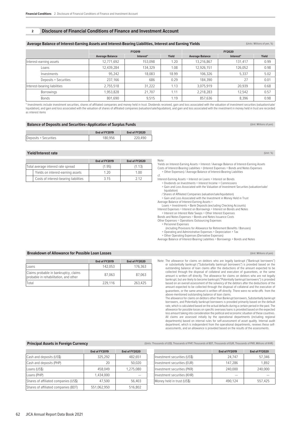#### **2 Disclosure of Financial Conditions of Finance and Investment Account**

#### Average Balance of Interest-Earning Assets and Interest-Bearing Liabilities, Interest and Earning Yields (Units: Millions of yen, %)

|                              |                       | FY2019                 |           | <b>FY2020</b> |                        |           |       |
|------------------------------|-----------------------|------------------------|-----------|---------------|------------------------|-----------|-------|
|                              |                       | <b>Average Balance</b> | Interest* | Yield         | <b>Average Balance</b> | Interest* | Yield |
| Interest-earning assets      |                       | 12,771,692             | 153.098   | 1.20          | 13,216,867             | 131.417   | 0.99  |
|                              | Loans                 | 12,439,284             | 134,329   | 1.08          | 12,926,151             | 126,052   | 0.98  |
|                              | Investments           | 95,242                 | 18.083    | 18.99         | 106,326                | 5,337     | 5.02  |
|                              | Deposits + Securities | 237.166                | 686       | 0.29          | 184,390                | 27        | 0.01  |
| Interest-bearing liabilities |                       | 2.755.518              | 31.222    | 1.13          | 3.075.919              | 20.939    | 0.68  |
|                              | <b>Borrowings</b>     | 1,953,828              | 21.707    | 1.11          | 2,218,283              | 12.542    | 0.57  |
|                              | <b>Bonds</b>          | 801,690                | 9.515     | 1.19          | 857,636                | 8.396     | 0.98  |

\* Investments include investment securities, shares of affiliated companies and money held in trust. Dividends received, gain and loss associated with the valuation of investment securities (valuation/sale/ liquidation), and gain and loss associated with the valuation of shares of affiliated companies (valuation/sale/liquidation), and gain and loss associated with the investment in money held in trust are recorded as interest items

# **Balance of Deposits and Securities–Application of Surplus Funds** (Unit: Millions of yen) (Unit: Millions of yen)

|                       | End of FY2019 | End of FY2020 |
|-----------------------|---------------|---------------|
| Deposits + Securities | 180.956       | 220.490       |

#### **Yield/Interest rate** (Unit: %)

|                                    |                                       | End of FY2019 | End of FY2020 |
|------------------------------------|---------------------------------------|---------------|---------------|
| Total average interest rate spread |                                       | (1.95)        | (1.13)        |
|                                    | Yields on interest-earning assets     | 1 20          | 1 00          |
|                                    | Costs of interest-bearing liabilities | 3 15          | 7 1 7         |

#### Note:

Yields on Interest-Earning Assets = Interest / Average Balance of Interest-Earning Assets Costs of Interest-Bearing Liabilities = (Interest Expenses + Bonds and Notes Expenses + Other Expenses) / Average Balance of Interest-Bearing Liabilities

cf.

- 
- Interest-Earning Assets = Interest on Loans + Interest on Bonds + Dividends on Investments + Interest Income + Commissions
- + Gain and Loss Associated with the Valuation of Investment Securities (valuation/sale/
- liquidation) / Shares of Affiliated Companies (valuation/sale/liquidation) + Gain and Loss Associated with the Investment in Money Held in Trust
- Average Balance of Interest-Earning Assets = Loans + Investments + Bank Deposits (excluding Checking Accounts)

Interest Expenses = Interest on Borrowings + Interest on Bonds and Notes

- + Interest on Interest Rate Swaps + Other Interest Expenses Bonds and Notes Expenses = Bonds and Notes Issuance Costs
- Other Expenses = Operations Outsourcing Expenses

# + Personnel Expenses

- (including Provisions for Allowance for Retirement Benefits / Bonuses)
- + Operating and Administrative Expenses + Depreciation + Tax
- + Other Operating Expenses (Derivative Expenses)

Average Balance of Interest-Bearing Liabilities = Borrowings + Bonds and Notes

#### **Breakdown of Allowance for Possible Loan Losses** (Unit: Millions of yen) and the state of the state of the state of the state of the state of the state of the state of the state of the state of the state of the state of t

|                                                                                | End of FY2019 | End of FY2020 |
|--------------------------------------------------------------------------------|---------------|---------------|
| Loans                                                                          | 142.053       | 176.363       |
| Claims probable in bankruptcy, claims<br>probable in rehabilitation, and other | 87.063        | 87.063        |
| Total                                                                          | 229,116       | 263,425       |

Note: The allowance for claims on debtors who are legally bankrupt ("Bankrupt borrowers") or substantially bankrupt ("Substantially bankrupt borrowers") is provided based on the outstanding balance of loan claims after the deductions of the amount expected to be collected through the disposal of collateral and execution of guarantees, or the same amount is written off directly. The allowance for claims on debtors who are not legally bankrupt, but are likely to become bankrupt ("Potentially bankrupt borrowers") is provided based on an overall assessment of the solvency of the debtors after the deductions of the amount expected to be collected through the disposal of collateral and the execution of guarantees, or the same amount is written off directly. There were no write-offs from the above-mentioned outstanding balance of loan claims.

 The allowance for claims on debtors other than Bankrupt borrowers, Substantially bankrupt borrowers, and Potentially bankrupt borrowers is provided primarily based on the default rate, which is calculated based on the actual defaults during a certain period in the past. The allowance for possible losses on specific overseas loans is provided based on the expected loss amount taking into consideration the political and economic situation of these countries. All claims are assessed initially by the operational departments (including regional departments) based on internal rules for self-assessment of asset quality. Internal audit department, which is independent from the operational departments, reviews these selfassessments, and an allowance is provided based on the results of the assessments.

**Principal Assets in Foreign Currency Currency** (Units: Thousands of US\$, Thousands of PHP, Thousands of BUT, Thousands of EUR, Thousands of PKR, Millions of KHR)

|                                       | End of FY2019 | End of FY2020 |                              | End of FY2019 | End of FY2020 |
|---------------------------------------|---------------|---------------|------------------------------|---------------|---------------|
| Cash and deposits (US\$)              | 325.292       | 482.651       | Investment securities (US\$) | 24.747        | 57.346        |
| Cash and deposits (PHP)               | 20            | 50,020        | Investment securities (EUR)  | 147.286       | 1.892         |
| Loans (US\$)                          | 458,049       | 1.275.080     | Investment securities (PKR)  | 240,000       | 240,000       |
| Loans (PHP)                           | .434.000      |               | Investment securities (KHR)  |               |               |
| Shares of affiliated companies (US\$) | 47.500        | 56.403        | Money held in trust (US\$)   | 490.124       | 557.425       |
| Shares of affiliated companies (BDT)  | 551,062,950   | 516,802       |                              |               |               |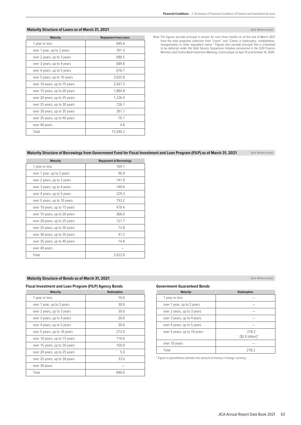# **Maturity Structure of Loans as of March 31, 2021 Contract and Contract and Contract and Contract and Contract and Contract and Contract and Contract and Contract and Contract and Contract and Contract and Contract and C**

| <b>Maturity</b>               | <b>Repayment from Loans</b> |
|-------------------------------|-----------------------------|
| 1 year or less                | 695.6                       |
| over 1 year, up to 2 years    | 701.3                       |
| over 2 years, up to 3 years   | 690.5                       |
| over 3 years, up to 4 years   | 689.8                       |
| over 4 years, up to 5 years   | 678.7                       |
| over 5 years, up to 10 years  | 3,025.8                     |
| over 10 years, up to 15 years | 2,547.5                     |
| over 15 years, up to 20 years | 1,884.8                     |
| over 20 years, up to 25 years | 1,226.4                     |
| over 25 years, up to 30 years | 726.7                       |
| over 30 years, up to 35 years | 397.7                       |
| over 35 years, up to 40 years | 70.7                        |
| over 40 years                 | 4.8                         |
| Total                         | 13,340.2                    |

# Note: The figures exclude principal in arrears for over three months as of the end of March 2021 from the total projected collection from "Loans" and "Claims in bankruptcy, rehabilitation,<br>reorganization or other equivalent claims." Figures also exclude principal that is scheduled<br>to be deferred under the Debt Service Ministers and Central Bank Governors Meeting, Communiqué on April 15 and October 14, 2020.

# **Maturity Structure of Borrowings from Government Fund for Fiscal Investment and Loan Program (FILP) as of March 31, 2021** (Unit: Billions of yen)

| <b>Maturity</b>               | <b>Repayment of Borrowings</b> |
|-------------------------------|--------------------------------|
| 1 year or less                | 104.1                          |
| over 1 year, up to 2 years    | 96.9                           |
| over 2 years, up to 3 years   | 141.9                          |
| over 3 years, up to 4 years   | 149.6                          |
| over 4 years, up to 5 years   | 229.3                          |
| over 5 years, up to 10 years  | 793.2                          |
| over 10 years, up to 15 years | 479.4                          |
| over 15 years, up to 20 years | 366.0                          |
| over 20 years, up to 25 years | 127.7                          |
| over 25 years, up to 30 years | 72.8                           |
| over 30 years, up to 35 years | 47.2                           |
| over 35 years, up to 40 years | 14.8                           |
| over 40 years                 |                                |
| Total                         | 2,622.8                        |

# **Maturity Structure of Bonds as of March 31, 2021 Constanting of yen)** (Unit: Billions of yen)

# **Fiscal Investment and Loan Program (FILP) Agency Bonds**

| Redemption |
|------------|
| 10.0       |
| 30.0       |
| 30.0       |
| 20.0       |
| 30.0       |
| 272.0      |
| 110.0      |
| 150.0      |
| 5.0        |
| 33.0       |
|            |
| 690.0      |
|            |

# **Government-Guaranteed Bonds**

| <b>Maturity</b>              | Redemption                  |
|------------------------------|-----------------------------|
| 1 year or less               |                             |
| over 1 year, up to 2 years   |                             |
| over 2 years, up to 3 years  |                             |
| over 3 years, up to 4 years  |                             |
| over 4 years, up to 5 years  |                             |
| over 5 years, up to 10 years | 218.2<br>$[$2.0 billion]$ * |
| over 10 years                |                             |
| Total                        | 218.2                       |

\* Figure in parentheses denotes the amount of money in foreign currency.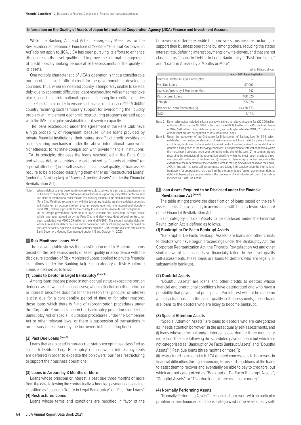# **Information on the Quality of Assets of Japan International Cooperation Agency (JICA) Finance and Investment Account**

While the Banking Act and Act on Emergency Measures for the Revitalization of the Financial Functions of 1998 (the "Financial Revitalization Act") do not apply to JICA, JICA has been pursuing its efforts to enhance disclosure on its asset quality and improve the internal management of credit risks by making periodical self-assessments of the quality of its assets.

One notable characteristic of JICA's operation is that a considerable portion of its loans is official credit for the governments of developing countries. Thus, when an indebted country is temporarily unable to service debt due to economic difficulties, debt rescheduling will sometimes take place, based on an international agreement among the creditor countries in the Paris Club, in order to ensure sustainable debt service.<sup>(Note 1)</sup> A debtor country receiving such temporary support for overcoming the liquidity problem will implement economic restructuring programs agreed upon with the IMF to acquire sustainable debt service capacity.

The loans rescheduled under the agreement in the Paris Club have a high probability of repayment, because, unlike loans provided by private financial institutions, their nature as official credit provides an asset-securing mechanism under the above international framework. Nonetheless, to facilitate comparison with private financial institutions, JICA, in principle, discloses the loans rescheduled in the Paris Club and whose debtor countries are categorized as "needs attention" (or "special attention") in its self-assessments of asset quality, as loan assets require to be disclosed classifying them either as "Restructured Loans" (under the Banking Act) or "Special Attention Assets" (under the Financial Revitalization Act).

Note 1. When a debtor country becomes temporarily unable to service its debt due to deterioration in its balance of payments, its creditor countries discuss to support liquidity of the debtor country and make an international consensus on rescheduling the debt at the creditor nation conference (Paris Club Meeting). In conjunction with this temporary liquidity assistance, debtor countries will implement an economic reform program agreed upon with the International Monetary Fund (IMF), making it possible for the country to continue to service its debt obligations. Of the foreign government debts held in JICA's Finance and Investment Account, those which have been agreed on by the Paris Club and also whose debt deferral contract has been concluded was ¥602,209 million at the end of FY2021. This amount includes debts for which JICA and the debtor countries have concluded debt rescheduling contracts based on the Debt Service Suspension Initiative announced in the G20 Finance Ministers and Central Bank Governors Meeting Communiqué on April 15 and October 14, 2020.

# **1 Risk Monitored Loans (Note 2)**

The following table shows the classification of Risk Monitored Loans based on the self-assessments of asset quality in accordance with the disclosure standard of Risk Monitored Loans applied to private financial institutions (under the Banking Act). Each category of Risk Monitored Loans is defined as follows:

# **(1) Loans to Debtor in Legal Bankruptcy (Note 3)**

Among loans that are placed in non-accrual status (except the portion deduced as allowance for loan losses), when collection of either principal or interest becomes doubtful for the reason that principal or interest is past due for a considerable period of time or for other reasons, those loans which there is filing of reorganization procedures under the Corporate Reorganization Act or bankruptcy procedures under the Bankruptcy Act or special liquidation procedures under the Companies Act or other relevant laws, or there is suspension of transactions in promissory notes issued by the borrowers in the clearing house.

# **(2) Past Due Loans (Note 3)**

Loans that are placed in non-accrual status except those classified as "Loans to Debtor in Legal Bankruptcy" or those whose interest payments are deferred in order to expedite the borrowers' business restructuring or support their business operations

## **(3) Loans in Arrears by 3 Months or More**

Loans whose principal or interest is past due three months or more from the date following the contractually scheduled payment date and not classified as "Loans to Debtor in Legal Bankruptcy" or "Past Due Loans" **(4) Restructured Loans**

Loans whose terms and conditions are modified in favor of the

# (Unit: Millions of yen)

|                                      | <b>March 2021 Reporting Period</b> |
|--------------------------------------|------------------------------------|
| Loans to Debtor in Legal Bankruptcy  |                                    |
| Past Due Loans                       | 87,063                             |
| Loans in Arrears by 3 Months or More | 242                                |
| <b>Restructured Loans</b>            | 468.520                            |
| Total (1)                            | 555.826                            |
| Balance of Loans Receivable (2)      | 13.428.773                         |
| (1)/(2)                              | 4 1 4%                             |

Note 2. Deferred principal included in loans as shown in the chart above accounts for ¥22,306 million of the Past Due Loans of ¥87,063 million, and for ¥439,383 million of the Restructured Loans of ¥468,520 million. Other deferred principal, accounting for a total of ¥140,520 million, are of loans that are not categorized as Risk Monitored Loans.

Note 3. Under the framework of the Ordinance for Enforcement of Banking Law 19, 2-1-5, which establishes the disclosure standards of risk-management loans held by private financial institutions, debt owed by foreign debtors must be disclosed as bankrupt debtor debt for all debtors fulfilling each of the following conditions: 1) nonpayment of interest or principal within the most recent previous three-year period from the end of the term; 2) no contract signed regarding the extension of the redemption deadline within the most recent previous threeyear period from the end of the term; and 3) no specific plans to sign a contract regarding the extension of the redemption at the end of the term. In making disclosures based on the above, JICA, in line with its asset self-assessments and taking into consideration the international framework for cooperation, has classified the aforementioned foreign government debt as debt with bankruptcy concern, while in the disclosure of Risk Monitored Loans, this debt is included as "Past Due Loans.

# **2 Loan Assets Required to be Disclosed under the Financial Revitalization Act (Note 4)**

The table at right shows the classification of loans based on the selfassessments of asset quality in accordance with the disclosure standard of the Financial Revitalization Act.

Each category of Loan Assets to be disclosed under the Financial Revitalization Act is defined as follows.

# **(1) Bankrupt or De Facto Bankrupt Assets**

"Bankrupt or De Facto Bankrupt Assets" are loans and other credits to debtors who have begun proceedings under the Bankruptcy Act, the Corporate Reorganization Act, the Financial Revitalization Act and other similar laws of Japan and have financially failed. In the asset quality self-assessments, these loans are loans to debtors who are legally or substantially bankrupt.

# **(2) Doubtful Assets**

"Doubtful Assets" are loans and other credits to debtors whose financial and operational conditions have deteriorated and who have a possibility that payment of principal and/or interest will not be made on a contractual basis. In the asset quality self-assessments, these loans are loans to the debtors who are likely to become bankrupt.

# **(3) Special Attention Assets**

"Special Attention Assets" are loans to debtors who are categorized as "needs attention borrower" in the asset quality self-assessments, and (i) loans whose principal and/or interest is overdue for three months or more from the date following the scheduled payment date but which are not categorized as "Bankrupt or De Facto Bankrupt Assets" and "Doubtful Assets" ("Past due loans (three months or more)");

(ii) restructured loans on which JICA granted concessions to borrowers in financial difficulties through amending terms and conditions of the loans to assist them to recover and eventually be able to pay to creditors, but which are not categorized as "Bankrupt or De Facto Bankrupt Assets", "Doubtful Assets" or "Overdue loans (three months or more)."

# **(4) Normally Performing Assets**

"Normally Performing Assets" are loans to borrowers with no particular problem in their financial conditions, categorized in the asset quality self-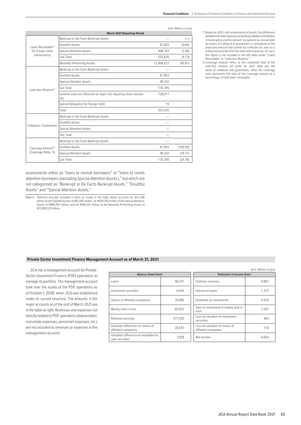(Unit: Millions of yen)

|                         | <b>March 2021 Reporting Period</b>                                      |            |          |
|-------------------------|-------------------------------------------------------------------------|------------|----------|
|                         | Bankrupt or De Facto Bankrupt Assets                                    |            | $(-)$    |
| Loans Receivable*1      | Doubtful Assets                                                         | 87,063     | (0.65)   |
| (% of total credit      | <b>Special Attention Assets</b>                                         | 468,763    | (3.48)   |
| transactions)           | Sub Total                                                               | 555,826    | (4.13)   |
|                         | Normally Performing Assets                                              | 12,906,527 | (95.87)  |
|                         | Bankrupt or De Facto Bankrupt Assets                                    |            |          |
|                         | Doubtful Assets                                                         | 87,063     |          |
|                         | <b>Special Attention Assets</b>                                         | 48.332     |          |
| Loan-loss Reserve*1     | Sub Total                                                               | 135,395    |          |
|                         | General Loan-loss Reserve for loans not requiring close monitor-<br>ing | 128,011    |          |
|                         | Special Allowance for Foreign Debt                                      | 19         |          |
|                         | Total                                                                   | 263,425    |          |
|                         | Bankrupt or De Facto Bankrupt Assets                                    |            |          |
| Collateral / Guarantees | Doubtful Assets                                                         |            |          |
|                         | <b>Special Attention Assets</b>                                         |            |          |
|                         | Sub Total                                                               |            |          |
|                         | Bankrupt or De Facto Bankrupt Assets                                    |            |          |
| Coverage Amount*2       | Doubtful Assets                                                         | 87,063     | (100.00) |
| (Coverage Ratio, %)     | <b>Special Attention Assets</b>                                         | 48.332     | (10.31)  |
|                         | Sub Total                                                               | 135,395    | (24.36)  |

assessments either as "loans to normal borrowers" or "loans to needs attention borrowers (excluding Special Attention Assets )," but which are not categorized as "Bankrupt or De Facto Bankrupt Assets," "Doubtful Assets" and "Special Attention Assets."

| *1 Based on JICA's self-assessments of assets, the difference |
|---------------------------------------------------------------|
| between the debt exposure to bankrupt debtors and debtors     |
| in bankruptcy and the amount recognized as recoverable        |
| by means of collateral or quarantees is considered as the     |
| projected amount that cannot be collected on, and so is       |
| subtracted directly from the total debt exposure. As such,    |
| this figure is not included in the left table under "Loans    |
| Pocojvablo" or "Loan Jose Posonio"                            |

Receivable" or "Loan-loss Reserve." \*2 Coverage amount refers to the combined total of the loan-loss reserve set aside for each debt and the value of collateral and guarantees, while the coverage ratio represents the ratio of the coverage amount as a percentage of total loans receivable.

#### **Private-Sector Investment Finance Management Account as of March 31, 2021**

JICA has a management account for Private-Sector Investment Finance (PSIF) operations to manage its portfolio. The management account took over the assets of the PSIF operations as of October 1, 2008, when JICA was established under its current structure. The amounts in the major accounts as of the end of March 2021 are in the table at right. Revenues and expenses not directly related to PSIF operations (depreciation, real estate expenses, personnel expenses, etc.) are not included as revenues or expenses in the management account.

| <b>Balance Sheet items</b> |                                                        | <b>Statement of Income items</b> |  |
|----------------------------|--------------------------------------------------------|----------------------------------|--|
| 98.337                     | Ordinary revenues                                      | 9.887                            |  |
| 6.645                      | Interest on loans                                      | 1.375                            |  |
| 76.089                     | Dividends on investments                               | 4,329                            |  |
| 60.953                     | Gain on investment in money held in<br>trust           | 1.597                            |  |
| 277.505                    | Loss on valuation of investment<br>securities          | 462                              |  |
| 28.561                     | Loss on valuation of shares of<br>affiliated companies | 118                              |  |
| 3.058                      | Net income                                             | 4.003                            |  |
|                            |                                                        |                                  |  |

|                            |         |                                                        | (Unit: Millions of yen) |  |
|----------------------------|---------|--------------------------------------------------------|-------------------------|--|
| <b>Balance Sheet items</b> |         | <b>Statement of Income items</b>                       |                         |  |
|                            | 98.337  | Ordinary revenues                                      | 9.887                   |  |
| S.                         | 6.645   | Interest on loans                                      | 1.375                   |  |
| companies                  | 76.089  | Dividends on investments                               | 4,329                   |  |
|                            | 60.953  | Gain on investment in money held in<br>trust           | 1.597                   |  |
|                            | 277.505 | Loss on valuation of investment<br>securities          | 462                     |  |
| on shares of               | 28,561  | Loss on valuation of shares of<br>affiliated companies | 118                     |  |
| on available-for-          | 3,058   | Net income                                             | 4.003                   |  |

Note 4. Deferred principal included in loans as shown in the table above accounts for ¥22,306 million of the Doubtful Assets of ¥87,063 million, for ¥439,383 million of the Special Attention Assets of ¥468,763 million, and for ¥140,520 million of the Normally Performing Assets of ¥12,906,527million.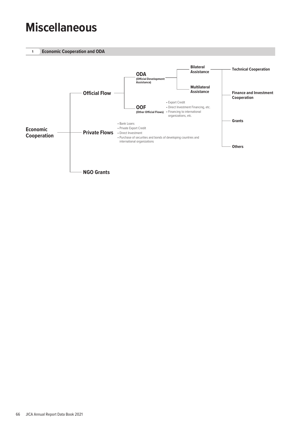# **Miscellaneous**

**1 Economic Cooperation and ODA**

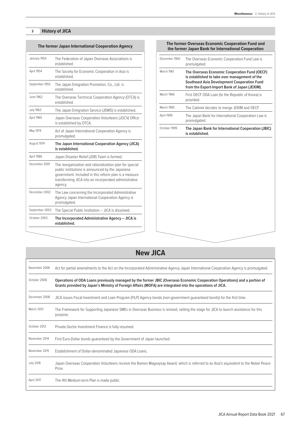# **2 History of JICA**

|                  | The former Japan International Cooperation Agency                                                                                                                                                                                        |
|------------------|------------------------------------------------------------------------------------------------------------------------------------------------------------------------------------------------------------------------------------------|
| January 1954     | The Federation of Japan Overseas Associations is<br>established.                                                                                                                                                                         |
| April 1954       | The Society for Economic Cooperation in Asia is<br>established.                                                                                                                                                                          |
| September 1955   | The Japan Emigration Promotion, Co., Ltd. is<br>established.                                                                                                                                                                             |
| June 1962        | The Overseas Technical Cooperation Agency (OTCA) is<br>established.                                                                                                                                                                      |
| <b>July 1963</b> | The Japan Emigration Service (JEMIS) is established.                                                                                                                                                                                     |
| April 1965       | Japan Overseas Cooperation Volunteers (JOCV) Office<br>is established by OTCA.                                                                                                                                                           |
| May 1974         | Act of Japan International Cooperation Agency is<br>promulgated.                                                                                                                                                                         |
| August 1974      | The Japan International Cooperation Agency (JICA)<br>is established.                                                                                                                                                                     |
| April 1986       | Japan Disaster Relief (JDR) Team is formed.                                                                                                                                                                                              |
| December 2001    | The reorganization and rationalization plan for special<br>public institutions is announced by the Japanese<br>government. Included in this reform plan is a measure<br>transforming JICA into an incorporated administrative<br>agency. |
| December 2002    | The Law concerning the Incorporated Administrative<br>Agency Japan International Cooperation Agency is<br>promulgated.                                                                                                                   |
| September 2003   | The Special Public Institution - JICA is dissolved.                                                                                                                                                                                      |
| October 2003     | The Incorporated Administrative Agency - JICA is<br>established.                                                                                                                                                                         |

| March 1961<br>The Overseas Economic Cooperation Fund (OECF)<br>is established to take over management of the<br><b>Southeast Asia Development Cooperation Fund</b><br>from the Export-Import Bank of Japan (JEXIM).<br>March 1966<br>First OECF ODA Loan (to the Republic of Korea) is<br>provided.<br>March 1995<br>The Cabinet decides to merge JEXIM and OECF.<br>The Japan Bank for International Cooperation Law is<br>promulgated.<br>October 1999<br>is established. | The Overseas Economic Cooperation Fund Law is<br>promulgated. |
|-----------------------------------------------------------------------------------------------------------------------------------------------------------------------------------------------------------------------------------------------------------------------------------------------------------------------------------------------------------------------------------------------------------------------------------------------------------------------------|---------------------------------------------------------------|
| April 1999                                                                                                                                                                                                                                                                                                                                                                                                                                                                  |                                                               |
|                                                                                                                                                                                                                                                                                                                                                                                                                                                                             |                                                               |
|                                                                                                                                                                                                                                                                                                                                                                                                                                                                             |                                                               |
|                                                                                                                                                                                                                                                                                                                                                                                                                                                                             |                                                               |
|                                                                                                                                                                                                                                                                                                                                                                                                                                                                             | The Japan Bank for International Cooperation (JBIC)           |
|                                                                                                                                                                                                                                                                                                                                                                                                                                                                             |                                                               |
|                                                                                                                                                                                                                                                                                                                                                                                                                                                                             |                                                               |
|                                                                                                                                                                                                                                                                                                                                                                                                                                                                             |                                                               |
|                                                                                                                                                                                                                                                                                                                                                                                                                                                                             |                                                               |

| November 2006    | Act for partial amendments to the Act on the Incorporated Administrative Agency Japan International Cooperation Agency is promulgated.                                                                                                 |  |  |
|------------------|----------------------------------------------------------------------------------------------------------------------------------------------------------------------------------------------------------------------------------------|--|--|
| October 2008     | Operations of ODA Loans previously managed by the former JBIC (Overseas Economic Cooperation Operations) and a portion of<br>Grants provided by Japan's Ministry of Foreign Affairs (MOFA) are integrated into the operations of JICA. |  |  |
| December 2008    | JICA issues Fiscal Investment and Loan Program (FILP) Agency bonds (non-government quaranteed bonds) for the first time.                                                                                                               |  |  |
| March 2012       | The Framework for Supporting Japanese SMEs in Overseas Business is revised, setting the stage for JICA to launch assistance for this<br>purpose.                                                                                       |  |  |
| October 2012     | Private-Sector Investment Finance is fully resumed.                                                                                                                                                                                    |  |  |
| November 2014    | First Euro-Dollar bonds quaranteed by the Government of Japan launched.                                                                                                                                                                |  |  |
| November 2015    | Establishment of Dollar-denominated Japanese ODA Loans.                                                                                                                                                                                |  |  |
| <b>July 2016</b> | Japan Overseas Cooperation Volunteers receive the Ramon Magsaysay Award, which is referred to as Asia's equivalent to the Nobel Peace<br>Prize.                                                                                        |  |  |
| April 2017       | The 4th Medium-term Plan is made public.                                                                                                                                                                                               |  |  |

# **The former Overseas Economic Cooperation Fund and**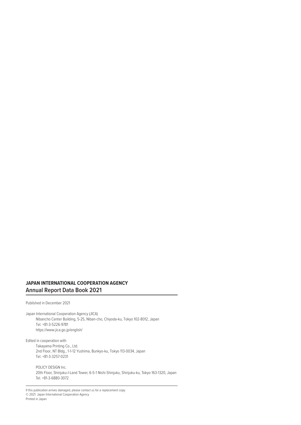# **JAPAN INTERNATIONAL COOPERATION AGENCY Annual Report Data Book 2021**

Published in December 2021

Japan International Cooperation Agency (JICA) Nibancho Center Building, 5-25, Niban-cho, Chiyoda-ku, Tokyo 102-8012, Japan Tel. +81-3-5226-9781 https://www.jica.go.jp/english/

Edited in cooperation with Takayama Printing Co., Ltd. 2nd Floor, NT Bldg., 1-1-12 Yushima, Bunkyo-ku, Tokyo 113-0034, Japan Tel. +81-3-3257-0231

POLICY DESIGN Inc. 20th Floor, Shinjuku-I-Land Tower, 6-5-1 Nishi-Shinjuku, Shinjuku-ku, Tokyo 163-1320, Japan Tel. +81-3-6880-3072

If this publication arrives damaged, please contact us for a replacement copy. © 2021 Japan International Cooperation Agency Printed in Japan